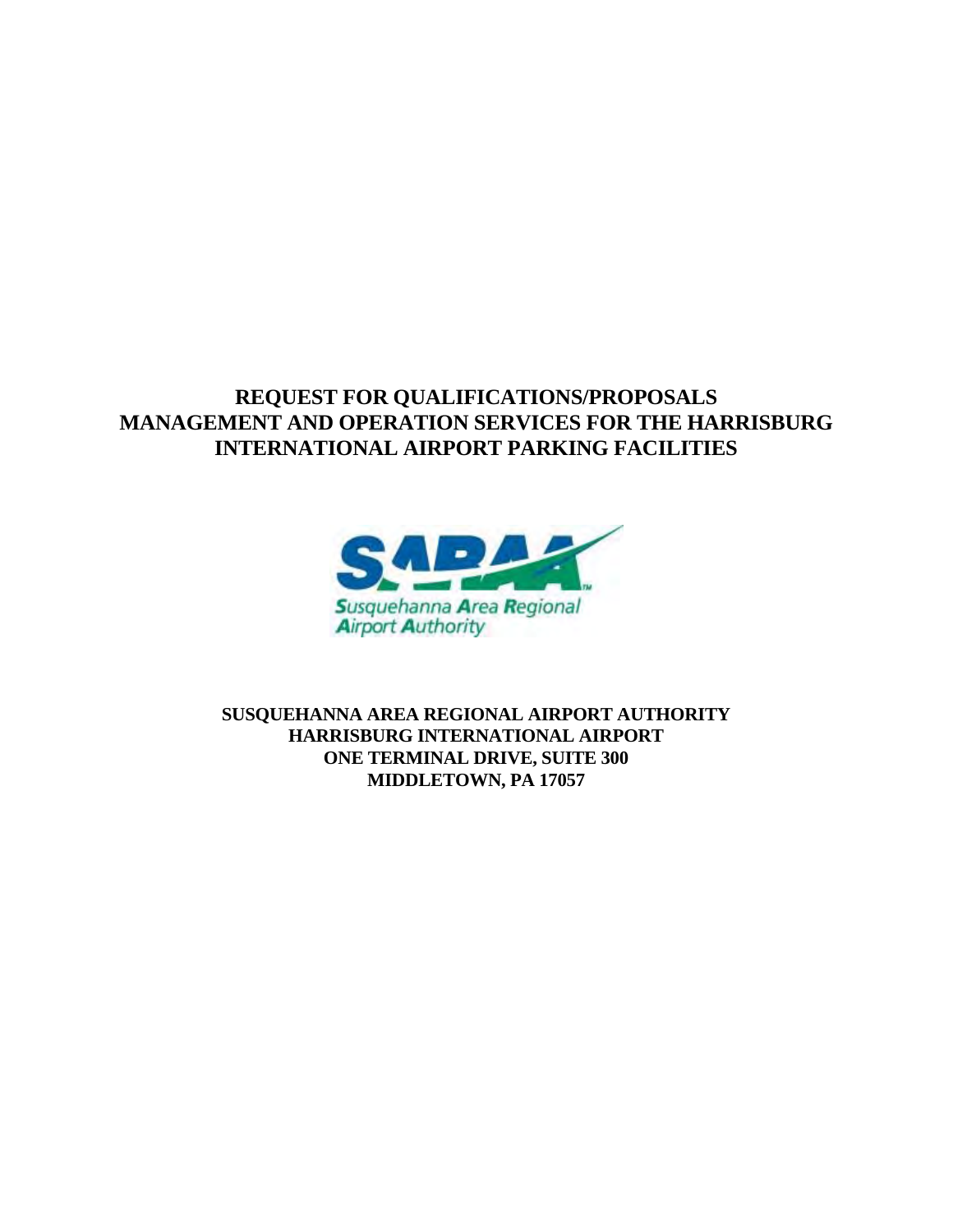# **REQUEST FOR QUALIFICATIONS/PROPOSALS MANAGEMENT AND OPERATION SERVICES FOR THE HARRISBURG INTERNATIONAL AIRPORT PARKING FACILITIES**



**SUSQUEHANNA AREA REGIONAL AIRPORT AUTHORITY HARRISBURG INTERNATIONAL AIRPORT ONE TERMINAL DRIVE, SUITE 300 MIDDLETOWN, PA 17057**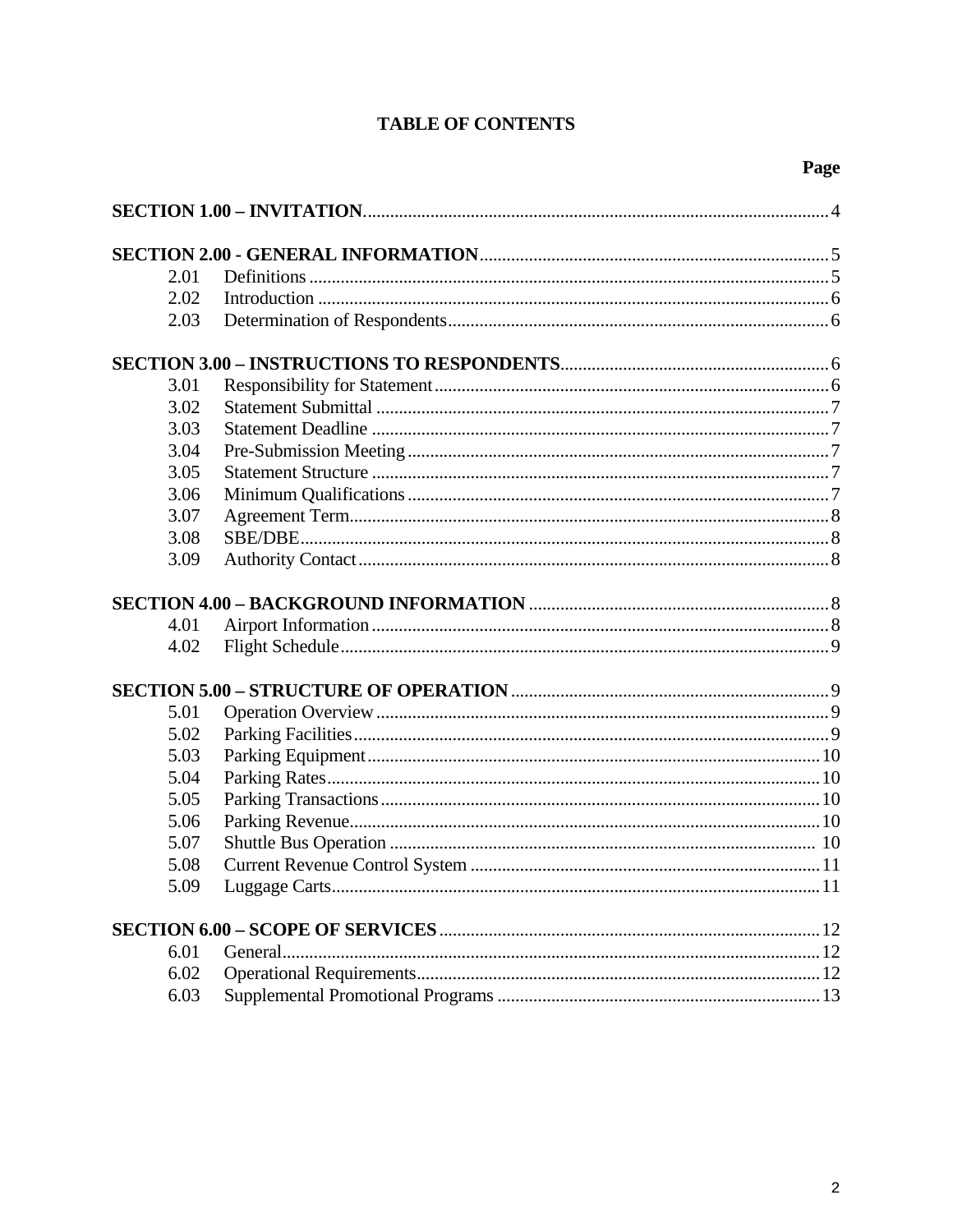# **TABLE OF CONTENTS**

| 2.01 |  |
|------|--|
| 2.02 |  |
| 2.03 |  |
|      |  |
| 3.01 |  |
| 3.02 |  |
| 3.03 |  |
| 3.04 |  |
| 3.05 |  |
|      |  |
| 3.06 |  |
| 3.07 |  |
| 3.08 |  |
| 3.09 |  |
|      |  |
| 4.01 |  |
| 4.02 |  |
|      |  |
| 5.01 |  |
| 5.02 |  |
| 5.03 |  |
| 5.04 |  |
| 5.05 |  |
| 5.06 |  |
| 5.07 |  |
| 5.08 |  |
| 5.09 |  |
|      |  |
|      |  |
| 6.01 |  |
| 6.02 |  |
| 6.03 |  |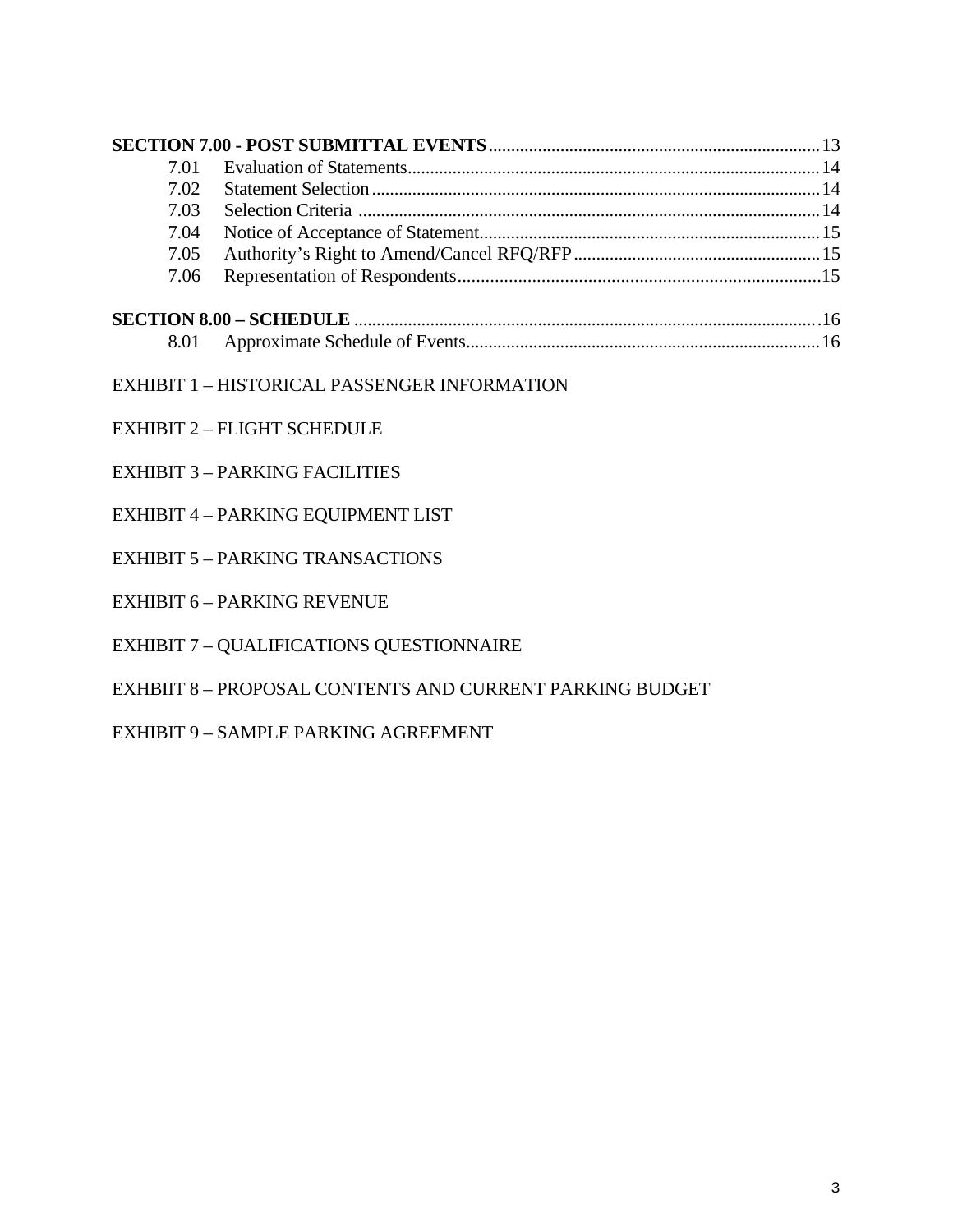| 7.01 |                                                          |
|------|----------------------------------------------------------|
| 7.02 |                                                          |
| 7.03 |                                                          |
| 7.04 |                                                          |
| 7.05 |                                                          |
| 7.06 |                                                          |
|      |                                                          |
| 8.01 |                                                          |
|      | <b>EXHIBIT 1 - HISTORICAL PASSENGER INFORMATION</b>      |
|      | <b>EXHIBIT 2 - FLIGHT SCHEDULE</b>                       |
|      | <b>EXHIBIT 3 - PARKING FACILITIES</b>                    |
|      | EXHIBIT 4 - PARKING EQUIPMENT LIST                       |
|      | <b>EXHIBIT 5 - PARKING TRANSACTIONS</b>                  |
|      | <b>EXHIBIT 6 - PARKING REVENUE</b>                       |
|      | <b>EXHIBIT 7 - QUALIFICATIONS QUESTIONNAIRE</b>          |
|      | EXHBIIT 8 - PROPOSAL CONTENTS AND CURRENT PARKING BUDGET |
|      | <b>EXHIBIT 9 - SAMPLE PARKING AGREEMENT</b>              |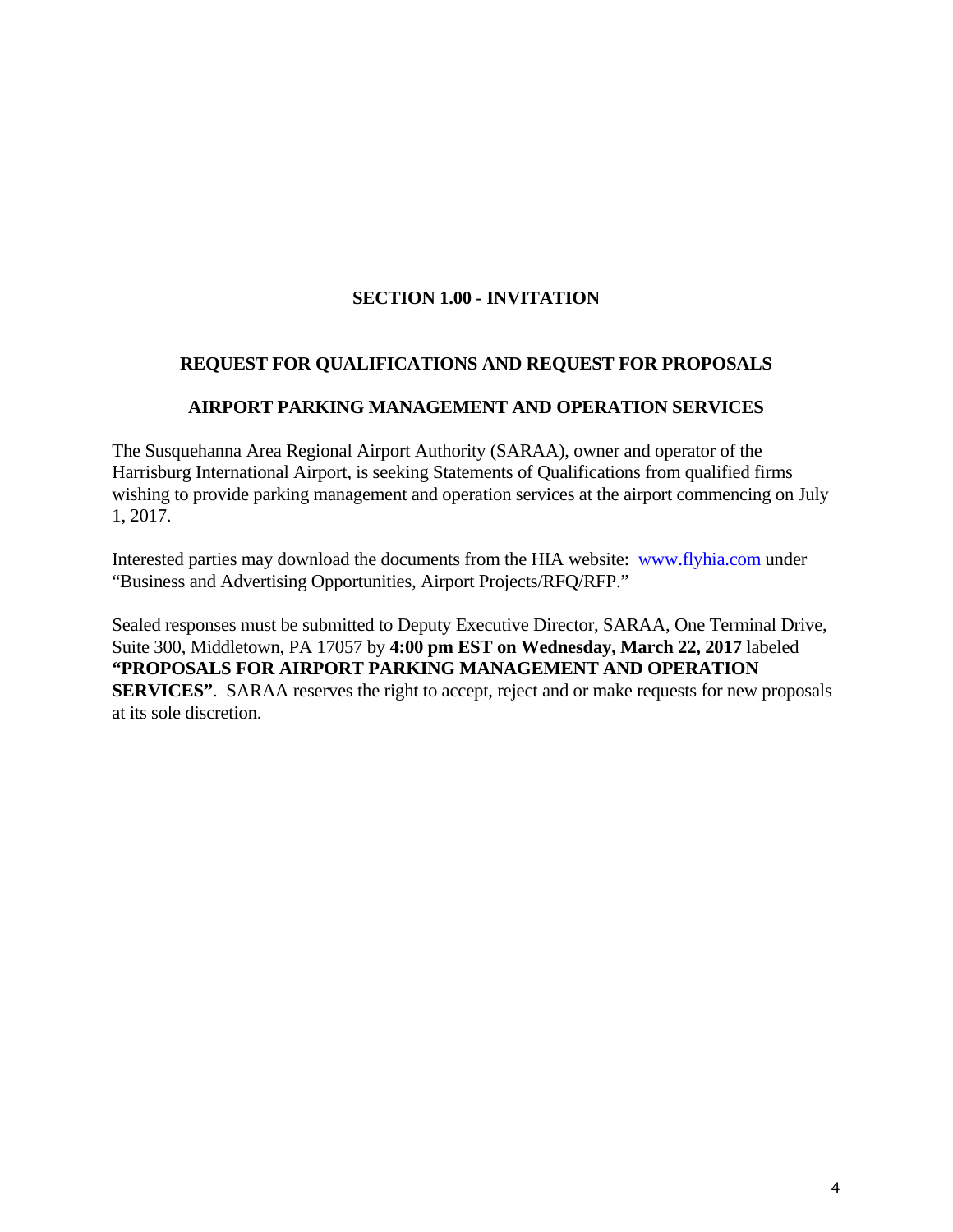# **SECTION 1.00 - INVITATION**

# **REQUEST FOR QUALIFICATIONS AND REQUEST FOR PROPOSALS**

#### **AIRPORT PARKING MANAGEMENT AND OPERATION SERVICES**

The Susquehanna Area Regional Airport Authority (SARAA), owner and operator of the Harrisburg International Airport, is seeking Statements of Qualifications from qualified firms wishing to provide parking management and operation services at the airport commencing on July 1, 2017.

Interested parties may download the documents from the HIA website: www.flyhia.com under "Business and Advertising Opportunities, Airport Projects/RFQ/RFP."

Sealed responses must be submitted to Deputy Executive Director, SARAA, One Terminal Drive, Suite 300, Middletown, PA 17057 by **4:00 pm EST on Wednesday, March 22, 2017** labeled **"PROPOSALS FOR AIRPORT PARKING MANAGEMENT AND OPERATION SERVICES"**. SARAA reserves the right to accept, reject and or make requests for new proposals at its sole discretion.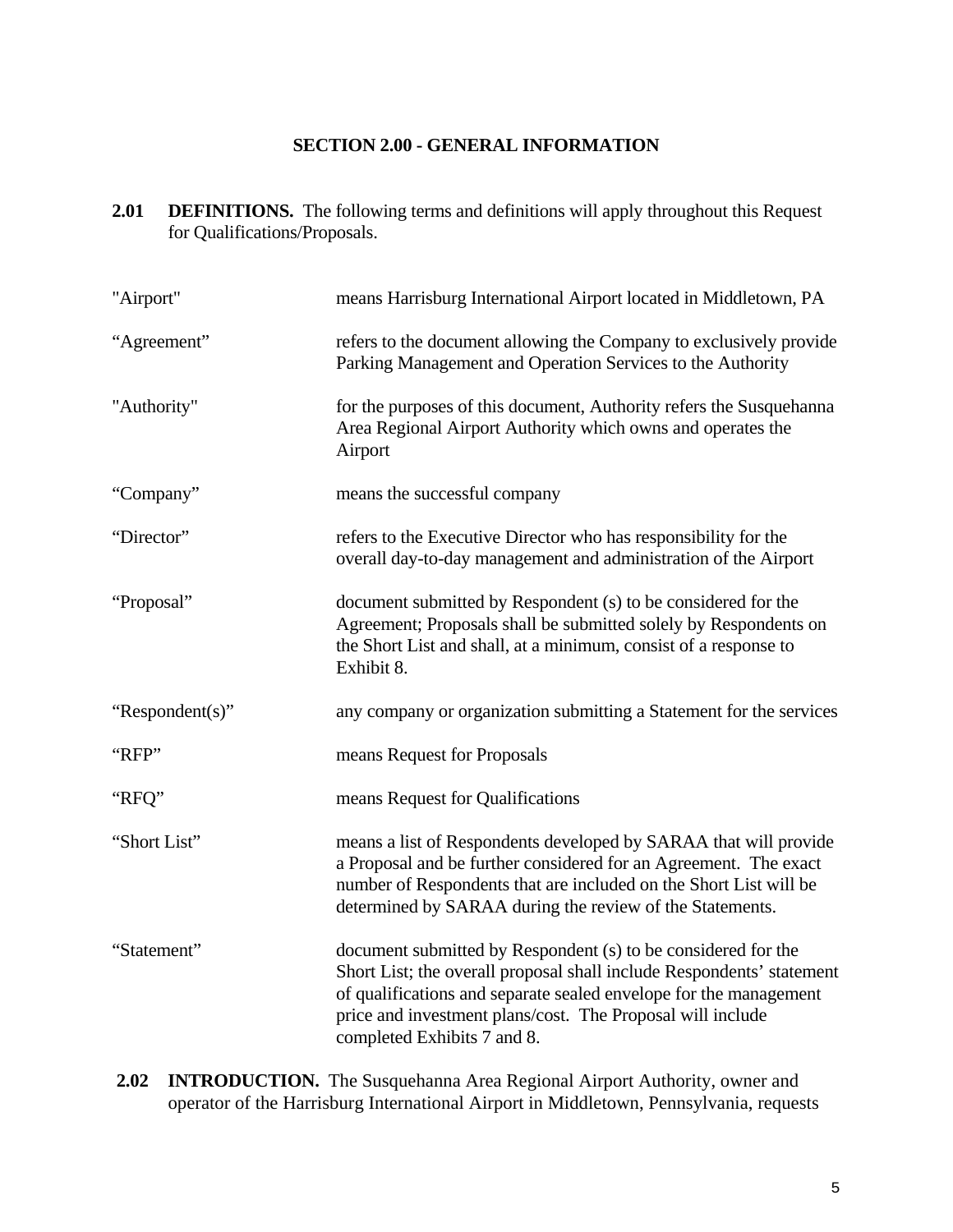### **SECTION 2.00 - GENERAL INFORMATION**

2.01 **DEFINITIONS.** The following terms and definitions will apply throughout this Request for Qualifications/Proposals.

| "Airport"       | means Harrisburg International Airport located in Middletown, PA                                                                                                                                                                                                      |
|-----------------|-----------------------------------------------------------------------------------------------------------------------------------------------------------------------------------------------------------------------------------------------------------------------|
| "Agreement"     | refers to the document allowing the Company to exclusively provide<br>Parking Management and Operation Services to the Authority                                                                                                                                      |
| "Authority"     | for the purposes of this document, Authority refers the Susquehanna<br>Area Regional Airport Authority which owns and operates the<br>Airport                                                                                                                         |
| "Company"       | means the successful company                                                                                                                                                                                                                                          |
| "Director"      | refers to the Executive Director who has responsibility for the<br>overall day-to-day management and administration of the Airport                                                                                                                                    |
| "Proposal"      | document submitted by Respondent (s) to be considered for the<br>Agreement; Proposals shall be submitted solely by Respondents on<br>the Short List and shall, at a minimum, consist of a response to<br>Exhibit 8.                                                   |
|                 |                                                                                                                                                                                                                                                                       |
| "Respondent(s)" | any company or organization submitting a Statement for the services                                                                                                                                                                                                   |
| "RFP"           | means Request for Proposals                                                                                                                                                                                                                                           |
| "RFQ"           | means Request for Qualifications                                                                                                                                                                                                                                      |
| "Short List"    | means a list of Respondents developed by SARAA that will provide<br>a Proposal and be further considered for an Agreement. The exact<br>number of Respondents that are included on the Short List will be<br>determined by SARAA during the review of the Statements. |

**2.02 INTRODUCTION.** The Susquehanna Area Regional Airport Authority, owner and operator of the Harrisburg International Airport in Middletown, Pennsylvania, requests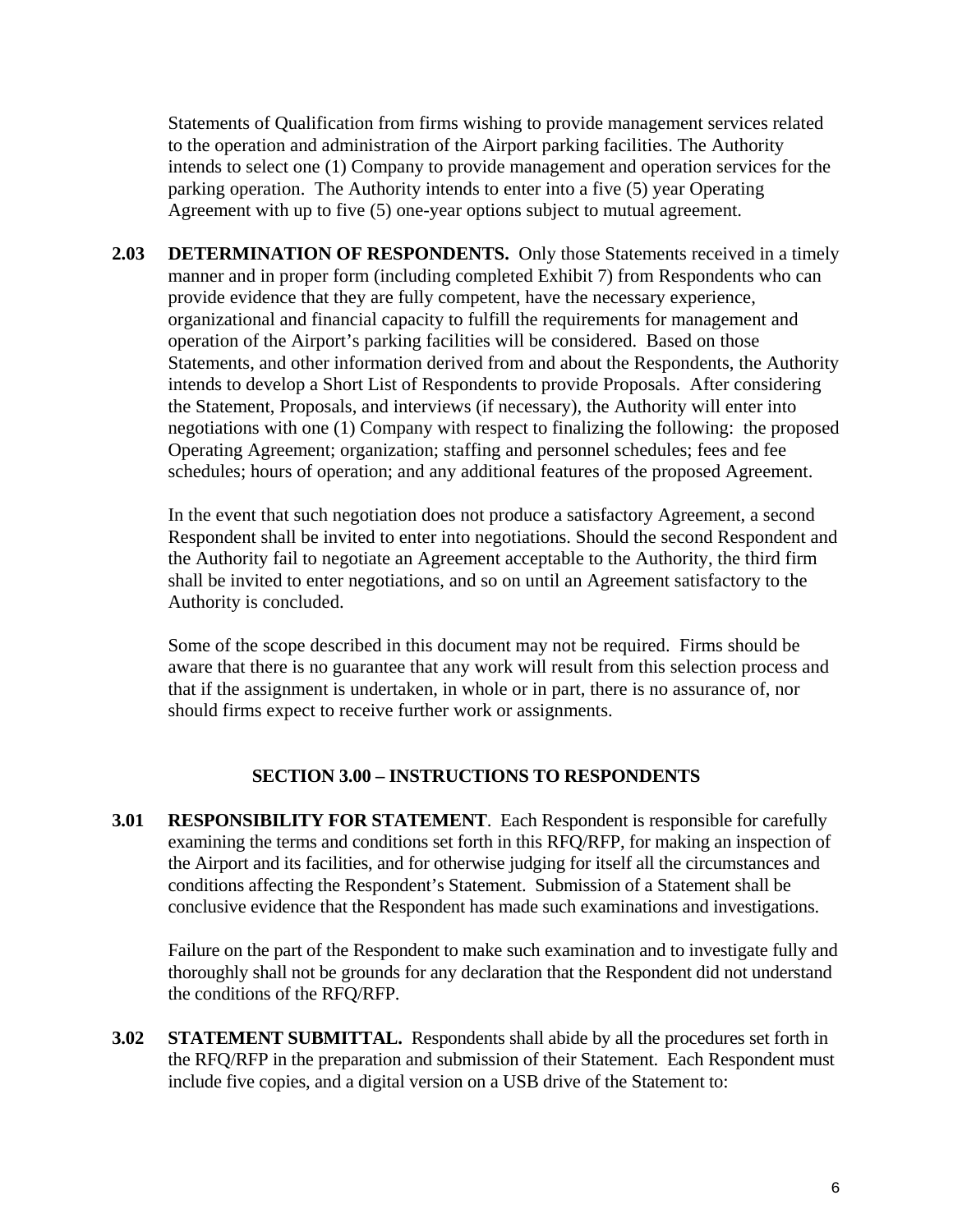Statements of Qualification from firms wishing to provide management services related to the operation and administration of the Airport parking facilities. The Authority intends to select one (1) Company to provide management and operation services for the parking operation. The Authority intends to enter into a five (5) year Operating Agreement with up to five (5) one-year options subject to mutual agreement.

**2.03 DETERMINATION OF RESPONDENTS.** Only those Statements received in a timely manner and in proper form (including completed Exhibit 7) from Respondents who can provide evidence that they are fully competent, have the necessary experience, organizational and financial capacity to fulfill the requirements for management and operation of the Airport's parking facilities will be considered. Based on those Statements, and other information derived from and about the Respondents, the Authority intends to develop a Short List of Respondents to provide Proposals. After considering the Statement, Proposals, and interviews (if necessary), the Authority will enter into negotiations with one (1) Company with respect to finalizing the following: the proposed Operating Agreement; organization; staffing and personnel schedules; fees and fee schedules; hours of operation; and any additional features of the proposed Agreement.

In the event that such negotiation does not produce a satisfactory Agreement, a second Respondent shall be invited to enter into negotiations. Should the second Respondent and the Authority fail to negotiate an Agreement acceptable to the Authority, the third firm shall be invited to enter negotiations, and so on until an Agreement satisfactory to the Authority is concluded.

Some of the scope described in this document may not be required. Firms should be aware that there is no guarantee that any work will result from this selection process and that if the assignment is undertaken, in whole or in part, there is no assurance of, nor should firms expect to receive further work or assignments.

#### **SECTION 3.00 – INSTRUCTIONS TO RESPONDENTS**

**3.01 RESPONSIBILITY FOR STATEMENT**. Each Respondent is responsible for carefully examining the terms and conditions set forth in this RFQ/RFP, for making an inspection of the Airport and its facilities, and for otherwise judging for itself all the circumstances and conditions affecting the Respondent's Statement. Submission of a Statement shall be conclusive evidence that the Respondent has made such examinations and investigations.

Failure on the part of the Respondent to make such examination and to investigate fully and thoroughly shall not be grounds for any declaration that the Respondent did not understand the conditions of the RFQ/RFP.

**3.02 STATEMENT SUBMITTAL.** Respondents shall abide by all the procedures set forth in the RFQ/RFP in the preparation and submission of their Statement. Each Respondent must include five copies, and a digital version on a USB drive of the Statement to: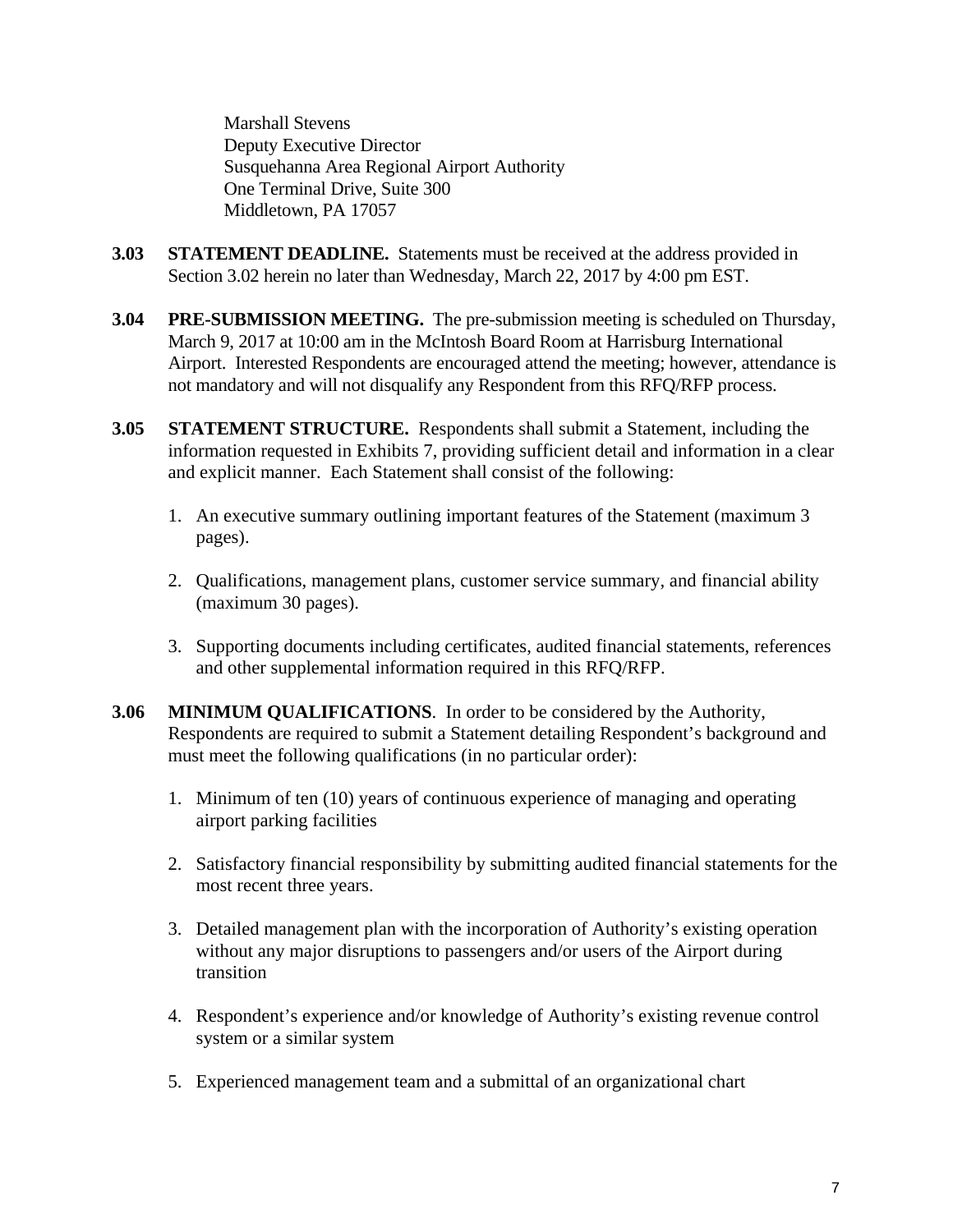Marshall Stevens Deputy Executive Director Susquehanna Area Regional Airport Authority One Terminal Drive, Suite 300 Middletown, PA 17057

- **3.03 STATEMENT DEADLINE.** Statements must be received at the address provided in Section 3.02 herein no later than Wednesday, March 22, 2017 by 4:00 pm EST.
- **3.04 PRE-SUBMISSION MEETING.** The pre-submission meeting is scheduled on Thursday, March 9, 2017 at 10:00 am in the McIntosh Board Room at Harrisburg International Airport. Interested Respondents are encouraged attend the meeting; however, attendance is not mandatory and will not disqualify any Respondent from this RFQ/RFP process.
- **3.05 STATEMENT STRUCTURE.** Respondents shall submit a Statement, including the information requested in Exhibits 7, providing sufficient detail and information in a clear and explicit manner. Each Statement shall consist of the following:
	- 1. An executive summary outlining important features of the Statement (maximum 3 pages).
	- 2. Qualifications, management plans, customer service summary, and financial ability (maximum 30 pages).
	- 3. Supporting documents including certificates, audited financial statements, references and other supplemental information required in this RFQ/RFP.
- **3.06 MINIMUM QUALIFICATIONS**. In order to be considered by the Authority, Respondents are required to submit a Statement detailing Respondent's background and must meet the following qualifications (in no particular order):
	- 1. Minimum of ten (10) years of continuous experience of managing and operating airport parking facilities
	- 2. Satisfactory financial responsibility by submitting audited financial statements for the most recent three years.
	- 3. Detailed management plan with the incorporation of Authority's existing operation without any major disruptions to passengers and/or users of the Airport during transition
	- 4. Respondent's experience and/or knowledge of Authority's existing revenue control system or a similar system
	- 5. Experienced management team and a submittal of an organizational chart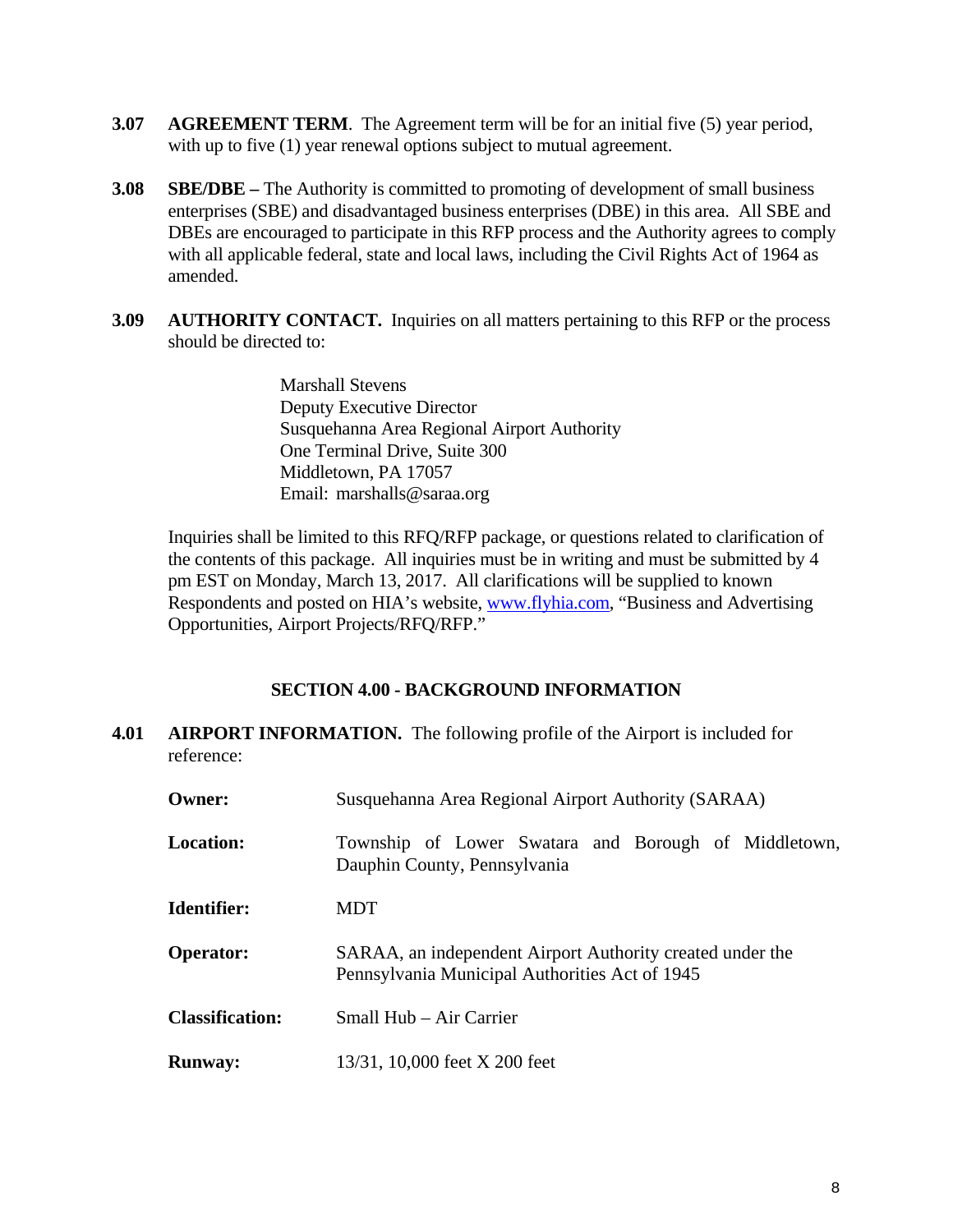- **3.07** AGREEMENT TERM. The Agreement term will be for an initial five (5) year period, with up to five (1) year renewal options subject to mutual agreement.
- **3.08 SBE/DBE –** The Authority is committed to promoting of development of small business enterprises (SBE) and disadvantaged business enterprises (DBE) in this area. All SBE and DBEs are encouraged to participate in this RFP process and the Authority agrees to comply with all applicable federal, state and local laws, including the Civil Rights Act of 1964 as amended.
- **3.09 AUTHORITY CONTACT.** Inquiries on all matters pertaining to this RFP or the process should be directed to:

 Marshall Stevens Deputy Executive Director Susquehanna Area Regional Airport Authority One Terminal Drive, Suite 300 Middletown, PA 17057 Email: marshalls@saraa.org

Inquiries shall be limited to this RFQ/RFP package, or questions related to clarification of the contents of this package. All inquiries must be in writing and must be submitted by 4 pm EST on Monday, March 13, 2017. All clarifications will be supplied to known Respondents and posted on HIA's website, www.flyhia.com, "Business and Advertising Opportunities, Airport Projects/RFQ/RFP."

# **SECTION 4.00 - BACKGROUND INFORMATION**

**4.01 AIRPORT INFORMATION.** The following profile of the Airport is included for reference:

| Owner:                 | Susquehanna Area Regional Airport Authority (SARAA)                                                         |  |  |  |  |  |  |
|------------------------|-------------------------------------------------------------------------------------------------------------|--|--|--|--|--|--|
| <b>Location:</b>       | Township of Lower Swatara and Borough of Middletown,<br>Dauphin County, Pennsylvania                        |  |  |  |  |  |  |
| <b>Identifier:</b>     | MDT                                                                                                         |  |  |  |  |  |  |
| <b>Operator:</b>       | SARAA, an independent Airport Authority created under the<br>Pennsylvania Municipal Authorities Act of 1945 |  |  |  |  |  |  |
| <b>Classification:</b> | Small Hub – Air Carrier                                                                                     |  |  |  |  |  |  |
| <b>Runway:</b>         | 13/31, 10,000 feet X 200 feet                                                                               |  |  |  |  |  |  |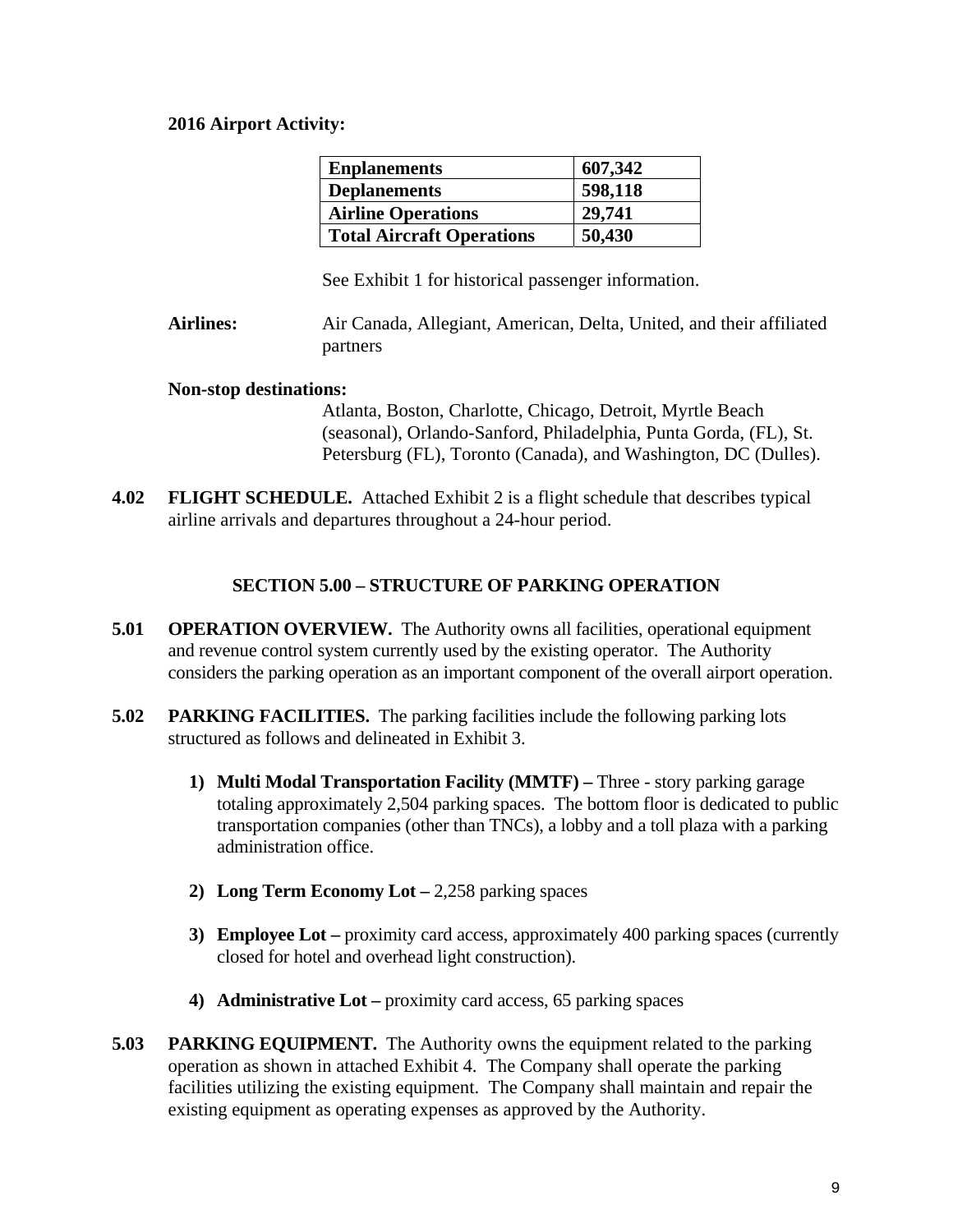#### **2016 Airport Activity:**

| <b>Enplanements</b>              | 607,342 |
|----------------------------------|---------|
| <b>Deplanements</b>              | 598,118 |
| <b>Airline Operations</b>        | 29,741  |
| <b>Total Aircraft Operations</b> | 50,430  |

See Exhibit 1 for historical passenger information.

**Airlines:** Air Canada, Allegiant, American, Delta, United, and their affiliated partners

#### **Non-stop destinations:**

Atlanta, Boston, Charlotte, Chicago, Detroit, Myrtle Beach (seasonal), Orlando-Sanford, Philadelphia, Punta Gorda, (FL), St. Petersburg (FL), Toronto (Canada), and Washington, DC (Dulles).

**4.02 FLIGHT SCHEDULE.** Attached Exhibit 2 is a flight schedule that describes typical airline arrivals and departures throughout a 24-hour period.

# **SECTION 5.00 – STRUCTURE OF PARKING OPERATION**

- **5.01 OPERATION OVERVIEW.** The Authority owns all facilities, operational equipment and revenue control system currently used by the existing operator. The Authority considers the parking operation as an important component of the overall airport operation.
- **5.02 PARKING FACILITIES.** The parking facilities include the following parking lots structured as follows and delineated in Exhibit 3.
	- **1) Multi Modal Transportation Facility (MMTF)** Three story parking garage totaling approximately 2,504 parking spaces. The bottom floor is dedicated to public transportation companies (other than TNCs), a lobby and a toll plaza with a parking administration office.
	- **2) Long Term Economy Lot** 2,258 parking spaces
	- **3) Employee Lot –** proximity card access, approximately 400 parking spaces (currently closed for hotel and overhead light construction).
	- **4) Administrative Lot –** proximity card access, 65 parking spaces
- **5.03 PARKING EQUIPMENT.** The Authority owns the equipment related to the parking operation as shown in attached Exhibit 4. The Company shall operate the parking facilities utilizing the existing equipment. The Company shall maintain and repair the existing equipment as operating expenses as approved by the Authority.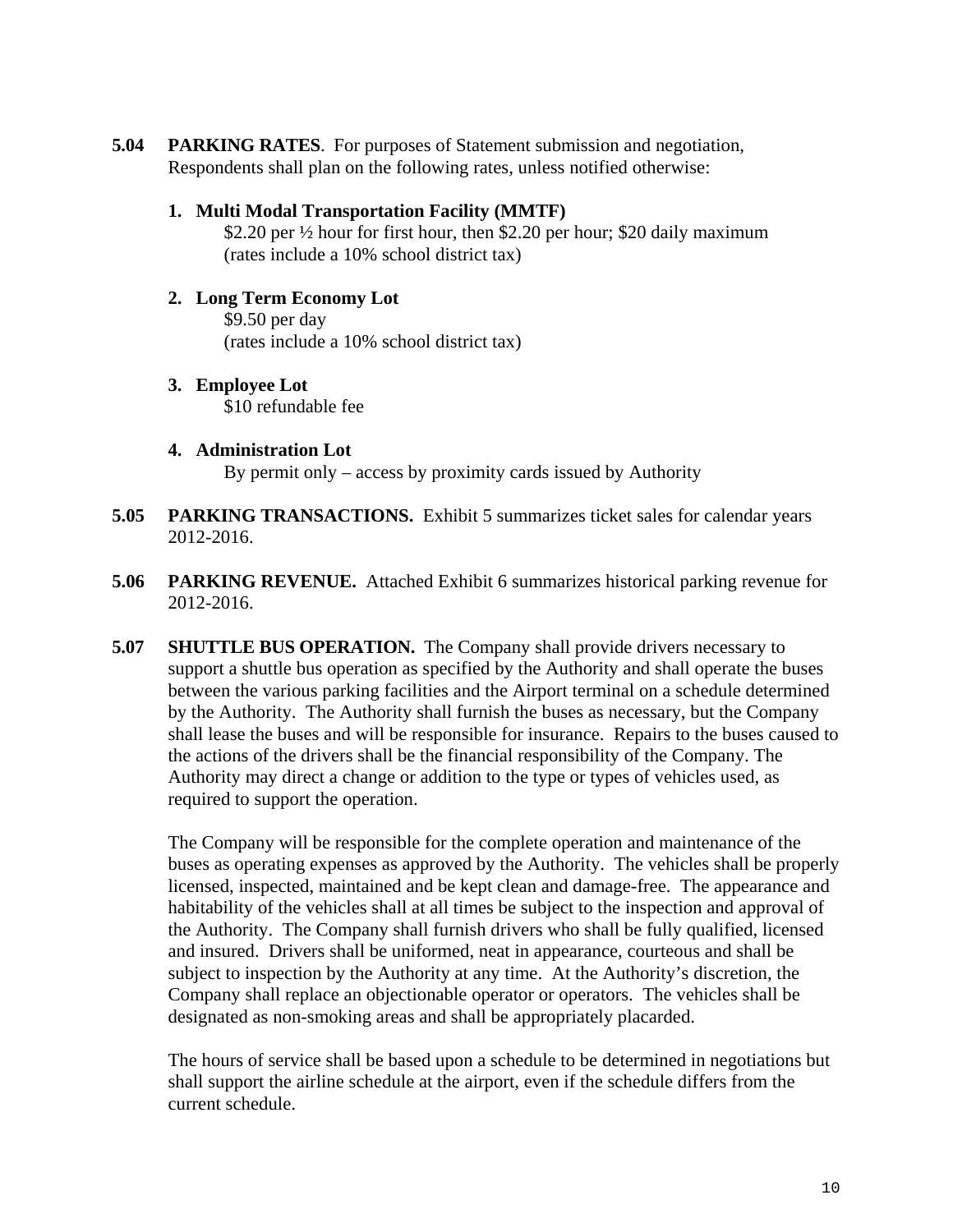**5.04 PARKING RATES**. For purposes of Statement submission and negotiation, Respondents shall plan on the following rates, unless notified otherwise:

# **1. Multi Modal Transportation Facility (MMTF)**

 \$2.20 per ½ hour for first hour, then \$2.20 per hour; \$20 daily maximum (rates include a 10% school district tax)

- **2. Long Term Economy Lot**  \$9.50 per day (rates include a 10% school district tax)
- **3. Employee Lot**  \$10 refundable fee
- **4. Administration Lot**

By permit only – access by proximity cards issued by Authority

- **5.05 PARKING TRANSACTIONS.** Exhibit 5 summarizes ticket sales for calendar years 2012-2016.
- **5.06 PARKING REVENUE.** Attached Exhibit 6 summarizes historical parking revenue for 2012-2016.
- **5.07 SHUTTLE BUS OPERATION.** The Company shall provide drivers necessary to support a shuttle bus operation as specified by the Authority and shall operate the buses between the various parking facilities and the Airport terminal on a schedule determined by the Authority. The Authority shall furnish the buses as necessary, but the Company shall lease the buses and will be responsible for insurance. Repairs to the buses caused to the actions of the drivers shall be the financial responsibility of the Company. The Authority may direct a change or addition to the type or types of vehicles used, as required to support the operation.

The Company will be responsible for the complete operation and maintenance of the buses as operating expenses as approved by the Authority. The vehicles shall be properly licensed, inspected, maintained and be kept clean and damage-free. The appearance and habitability of the vehicles shall at all times be subject to the inspection and approval of the Authority. The Company shall furnish drivers who shall be fully qualified, licensed and insured. Drivers shall be uniformed, neat in appearance, courteous and shall be subject to inspection by the Authority at any time. At the Authority's discretion, the Company shall replace an objectionable operator or operators. The vehicles shall be designated as non-smoking areas and shall be appropriately placarded.

The hours of service shall be based upon a schedule to be determined in negotiations but shall support the airline schedule at the airport, even if the schedule differs from the current schedule.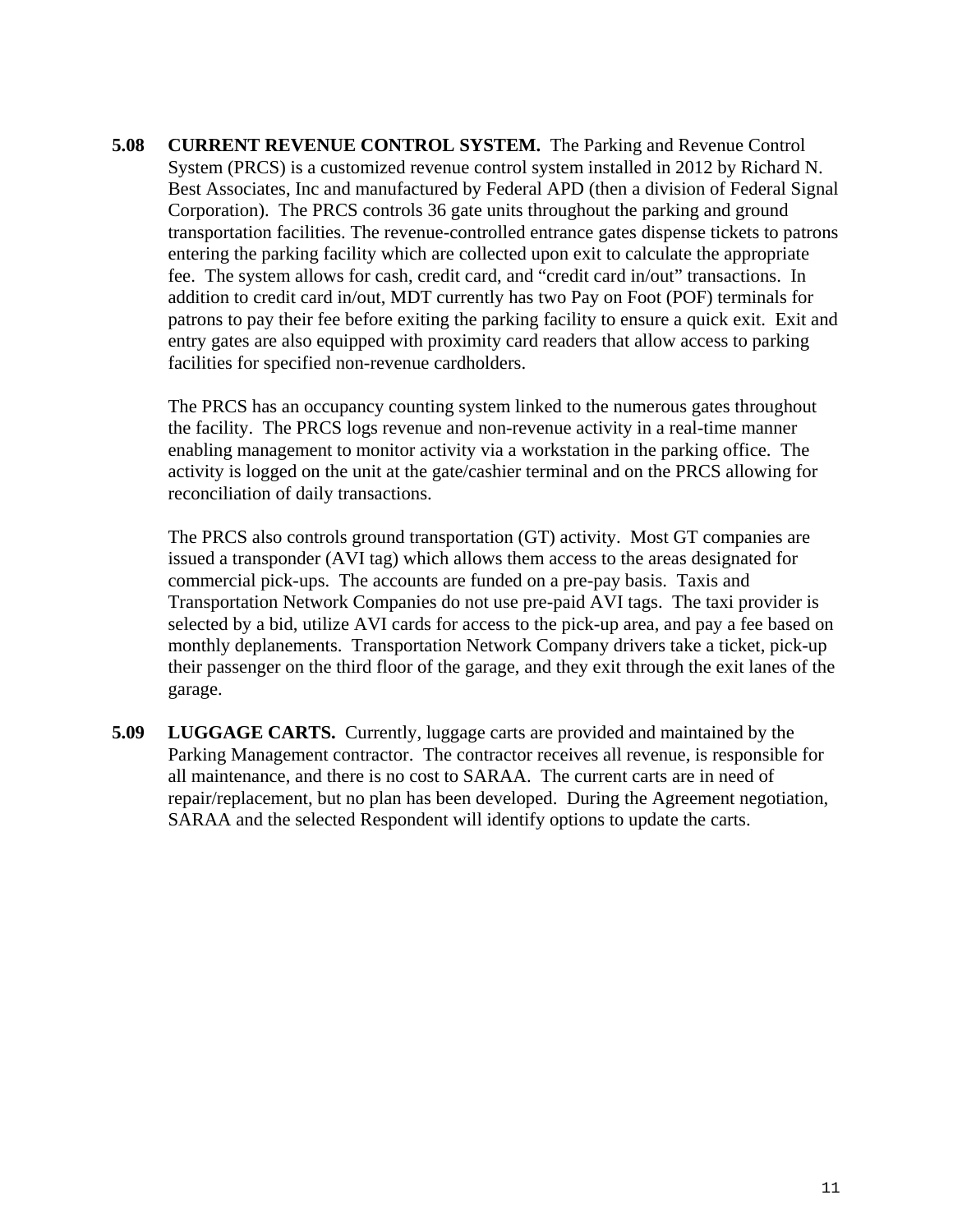**5.08 CURRENT REVENUE CONTROL SYSTEM.** The Parking and Revenue Control System (PRCS) is a customized revenue control system installed in 2012 by Richard N. Best Associates, Inc and manufactured by Federal APD (then a division of Federal Signal Corporation). The PRCS controls 36 gate units throughout the parking and ground transportation facilities. The revenue-controlled entrance gates dispense tickets to patrons entering the parking facility which are collected upon exit to calculate the appropriate fee. The system allows for cash, credit card, and "credit card in/out" transactions. In addition to credit card in/out, MDT currently has two Pay on Foot (POF) terminals for patrons to pay their fee before exiting the parking facility to ensure a quick exit. Exit and entry gates are also equipped with proximity card readers that allow access to parking facilities for specified non-revenue cardholders.

The PRCS has an occupancy counting system linked to the numerous gates throughout the facility. The PRCS logs revenue and non-revenue activity in a real-time manner enabling management to monitor activity via a workstation in the parking office. The activity is logged on the unit at the gate/cashier terminal and on the PRCS allowing for reconciliation of daily transactions.

The PRCS also controls ground transportation (GT) activity. Most GT companies are issued a transponder (AVI tag) which allows them access to the areas designated for commercial pick-ups. The accounts are funded on a pre-pay basis. Taxis and Transportation Network Companies do not use pre-paid AVI tags. The taxi provider is selected by a bid, utilize AVI cards for access to the pick-up area, and pay a fee based on monthly deplanements. Transportation Network Company drivers take a ticket, pick-up their passenger on the third floor of the garage, and they exit through the exit lanes of the garage.

**5.09 LUGGAGE CARTS.** Currently, luggage carts are provided and maintained by the Parking Management contractor. The contractor receives all revenue, is responsible for all maintenance, and there is no cost to SARAA. The current carts are in need of repair/replacement, but no plan has been developed. During the Agreement negotiation, SARAA and the selected Respondent will identify options to update the carts.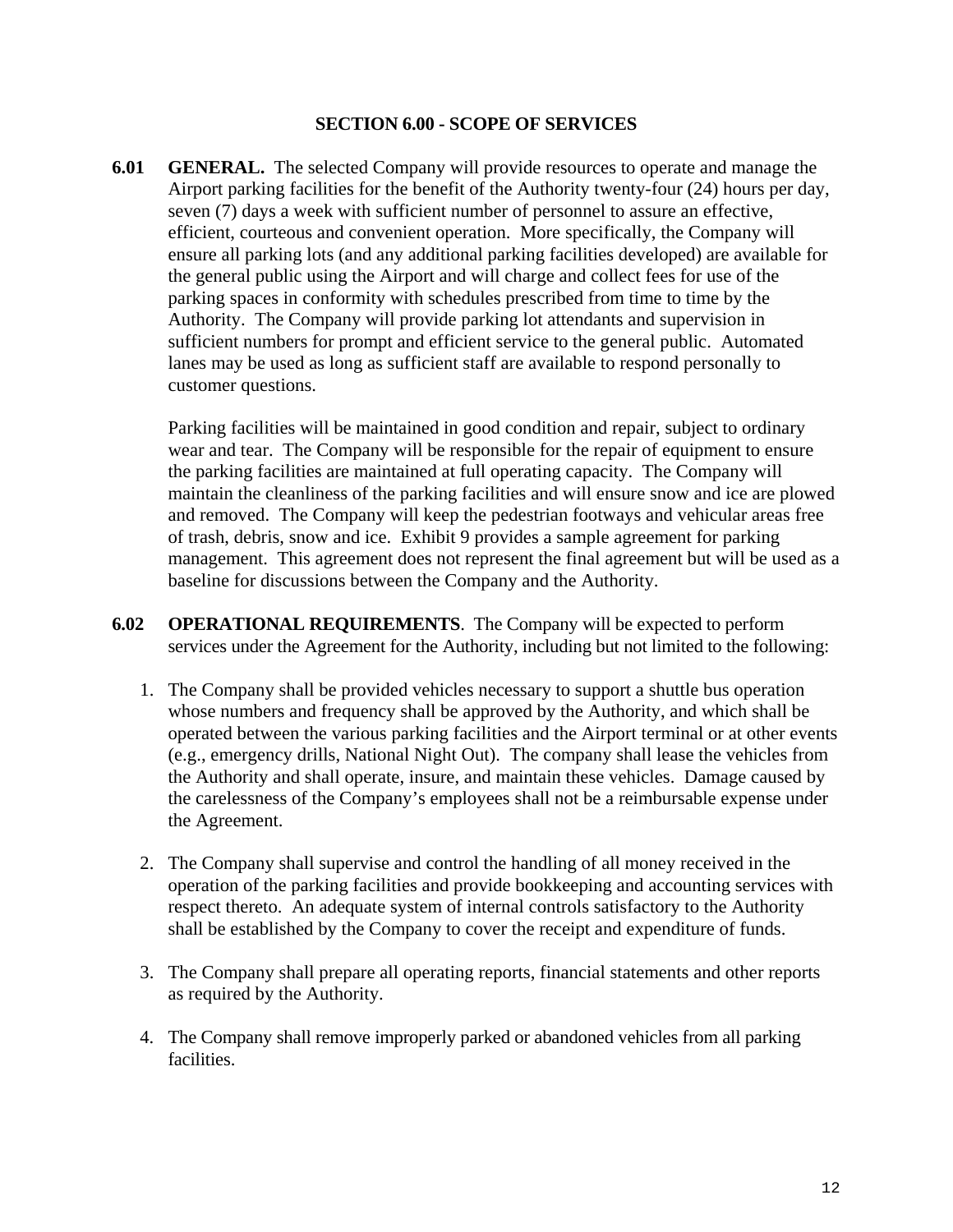#### **SECTION 6.00 - SCOPE OF SERVICES**

**6.01 GENERAL.** The selected Company will provide resources to operate and manage the Airport parking facilities for the benefit of the Authority twenty-four (24) hours per day, seven (7) days a week with sufficient number of personnel to assure an effective, efficient, courteous and convenient operation. More specifically, the Company will ensure all parking lots (and any additional parking facilities developed) are available for the general public using the Airport and will charge and collect fees for use of the parking spaces in conformity with schedules prescribed from time to time by the Authority. The Company will provide parking lot attendants and supervision in sufficient numbers for prompt and efficient service to the general public. Automated lanes may be used as long as sufficient staff are available to respond personally to customer questions.

Parking facilities will be maintained in good condition and repair, subject to ordinary wear and tear. The Company will be responsible for the repair of equipment to ensure the parking facilities are maintained at full operating capacity. The Company will maintain the cleanliness of the parking facilities and will ensure snow and ice are plowed and removed. The Company will keep the pedestrian footways and vehicular areas free of trash, debris, snow and ice. Exhibit 9 provides a sample agreement for parking management. This agreement does not represent the final agreement but will be used as a baseline for discussions between the Company and the Authority.

- **6.02 OPERATIONAL REQUIREMENTS**. The Company will be expected to perform services under the Agreement for the Authority, including but not limited to the following:
	- 1. The Company shall be provided vehicles necessary to support a shuttle bus operation whose numbers and frequency shall be approved by the Authority, and which shall be operated between the various parking facilities and the Airport terminal or at other events (e.g., emergency drills, National Night Out). The company shall lease the vehicles from the Authority and shall operate, insure, and maintain these vehicles. Damage caused by the carelessness of the Company's employees shall not be a reimbursable expense under the Agreement.
	- 2. The Company shall supervise and control the handling of all money received in the operation of the parking facilities and provide bookkeeping and accounting services with respect thereto. An adequate system of internal controls satisfactory to the Authority shall be established by the Company to cover the receipt and expenditure of funds.
	- 3. The Company shall prepare all operating reports, financial statements and other reports as required by the Authority.
	- 4. The Company shall remove improperly parked or abandoned vehicles from all parking facilities.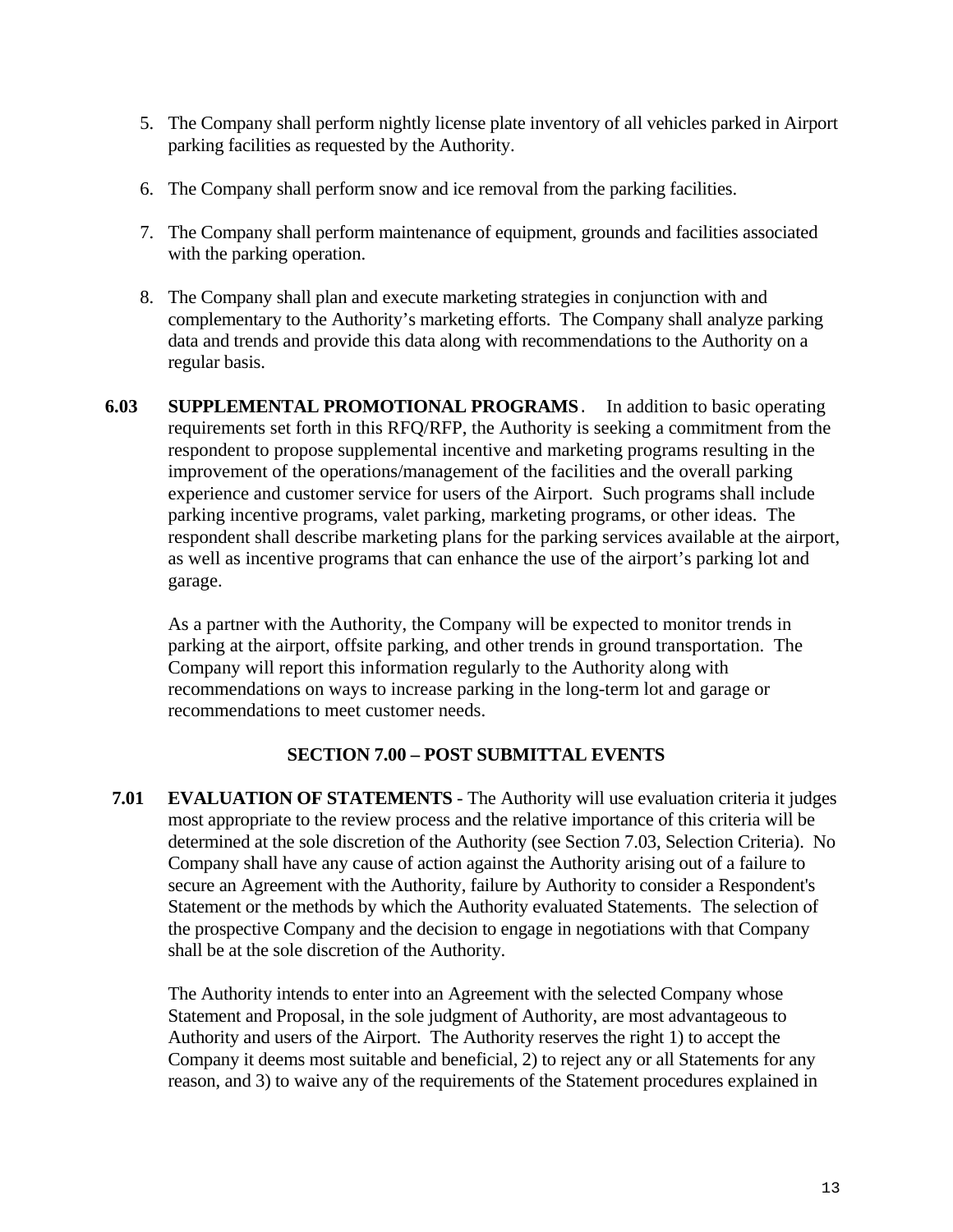- 5. The Company shall perform nightly license plate inventory of all vehicles parked in Airport parking facilities as requested by the Authority.
- 6. The Company shall perform snow and ice removal from the parking facilities.
- 7. The Company shall perform maintenance of equipment, grounds and facilities associated with the parking operation.
- 8. The Company shall plan and execute marketing strategies in conjunction with and complementary to the Authority's marketing efforts. The Company shall analyze parking data and trends and provide this data along with recommendations to the Authority on a regular basis.
- **6.03 SUPPLEMENTAL PROMOTIONAL PROGRAMS**. In addition to basic operating requirements set forth in this RFQ/RFP, the Authority is seeking a commitment from the respondent to propose supplemental incentive and marketing programs resulting in the improvement of the operations/management of the facilities and the overall parking experience and customer service for users of the Airport. Such programs shall include parking incentive programs, valet parking, marketing programs, or other ideas. The respondent shall describe marketing plans for the parking services available at the airport, as well as incentive programs that can enhance the use of the airport's parking lot and garage.

As a partner with the Authority, the Company will be expected to monitor trends in parking at the airport, offsite parking, and other trends in ground transportation. The Company will report this information regularly to the Authority along with recommendations on ways to increase parking in the long-term lot and garage or recommendations to meet customer needs.

# **SECTION 7.00 – POST SUBMITTAL EVENTS**

**7.01 EVALUATION OF STATEMENTS** - The Authority will use evaluation criteria it judges most appropriate to the review process and the relative importance of this criteria will be determined at the sole discretion of the Authority (see Section 7.03, Selection Criteria). No Company shall have any cause of action against the Authority arising out of a failure to secure an Agreement with the Authority, failure by Authority to consider a Respondent's Statement or the methods by which the Authority evaluated Statements. The selection of the prospective Company and the decision to engage in negotiations with that Company shall be at the sole discretion of the Authority.

The Authority intends to enter into an Agreement with the selected Company whose Statement and Proposal, in the sole judgment of Authority, are most advantageous to Authority and users of the Airport. The Authority reserves the right 1) to accept the Company it deems most suitable and beneficial, 2) to reject any or all Statements for any reason, and 3) to waive any of the requirements of the Statement procedures explained in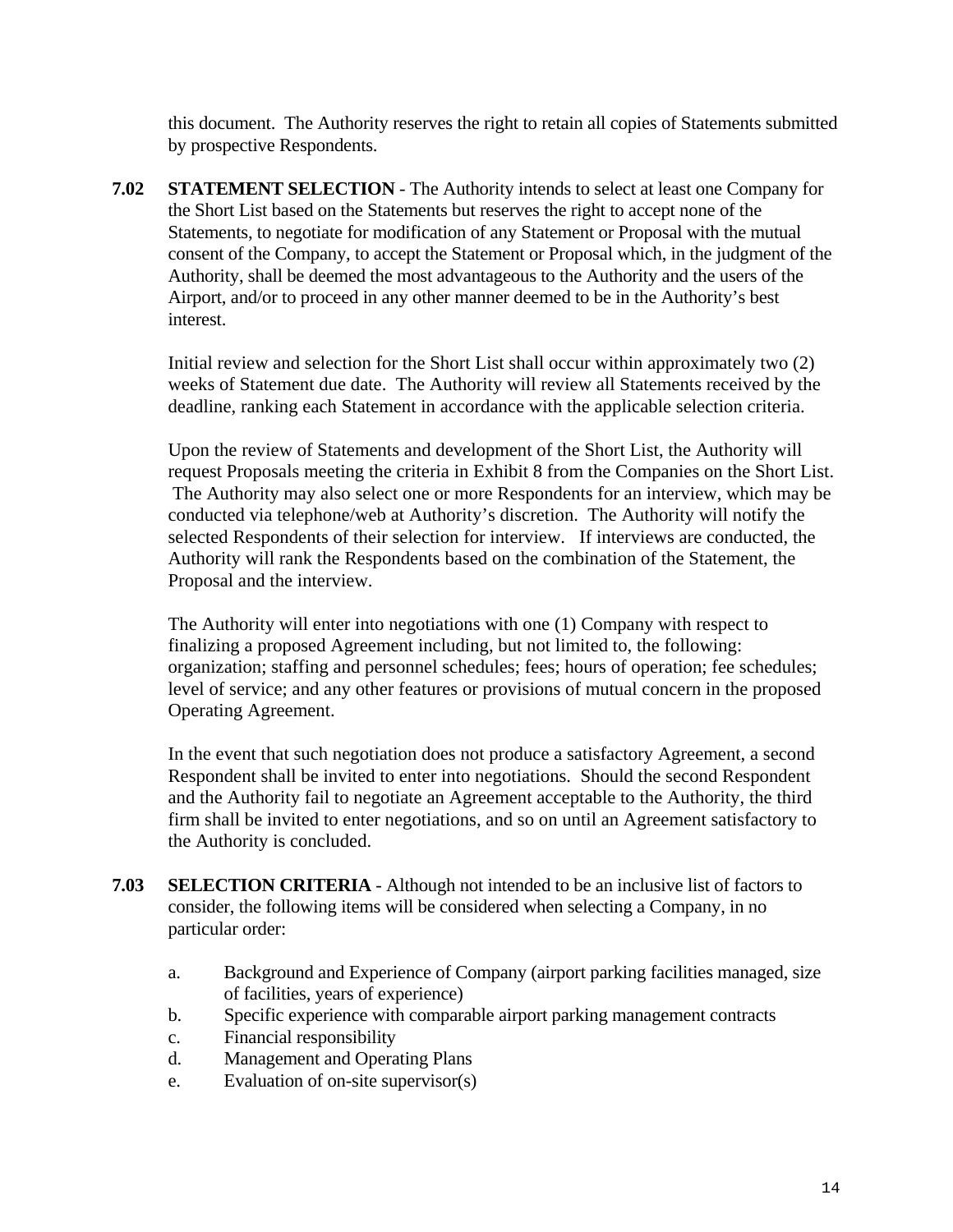this document. The Authority reserves the right to retain all copies of Statements submitted by prospective Respondents.

**7.02 STATEMENT SELECTION** - The Authority intends to select at least one Company for the Short List based on the Statements but reserves the right to accept none of the Statements, to negotiate for modification of any Statement or Proposal with the mutual consent of the Company, to accept the Statement or Proposal which, in the judgment of the Authority, shall be deemed the most advantageous to the Authority and the users of the Airport, and/or to proceed in any other manner deemed to be in the Authority's best interest.

Initial review and selection for the Short List shall occur within approximately two (2) weeks of Statement due date. The Authority will review all Statements received by the deadline, ranking each Statement in accordance with the applicable selection criteria.

Upon the review of Statements and development of the Short List, the Authority will request Proposals meeting the criteria in Exhibit 8 from the Companies on the Short List. The Authority may also select one or more Respondents for an interview, which may be conducted via telephone/web at Authority's discretion. The Authority will notify the selected Respondents of their selection for interview. If interviews are conducted, the Authority will rank the Respondents based on the combination of the Statement, the Proposal and the interview.

The Authority will enter into negotiations with one (1) Company with respect to finalizing a proposed Agreement including, but not limited to, the following: organization; staffing and personnel schedules; fees; hours of operation; fee schedules; level of service; and any other features or provisions of mutual concern in the proposed Operating Agreement.

In the event that such negotiation does not produce a satisfactory Agreement, a second Respondent shall be invited to enter into negotiations. Should the second Respondent and the Authority fail to negotiate an Agreement acceptable to the Authority, the third firm shall be invited to enter negotiations, and so on until an Agreement satisfactory to the Authority is concluded.

- **7.03 SELECTION CRITERIA** Although not intended to be an inclusive list of factors to consider, the following items will be considered when selecting a Company, in no particular order:
	- a. Background and Experience of Company (airport parking facilities managed, size of facilities, years of experience)
	- b. Specific experience with comparable airport parking management contracts
	- c. Financial responsibility
	- d. Management and Operating Plans
	- e. Evaluation of on-site supervisor(s)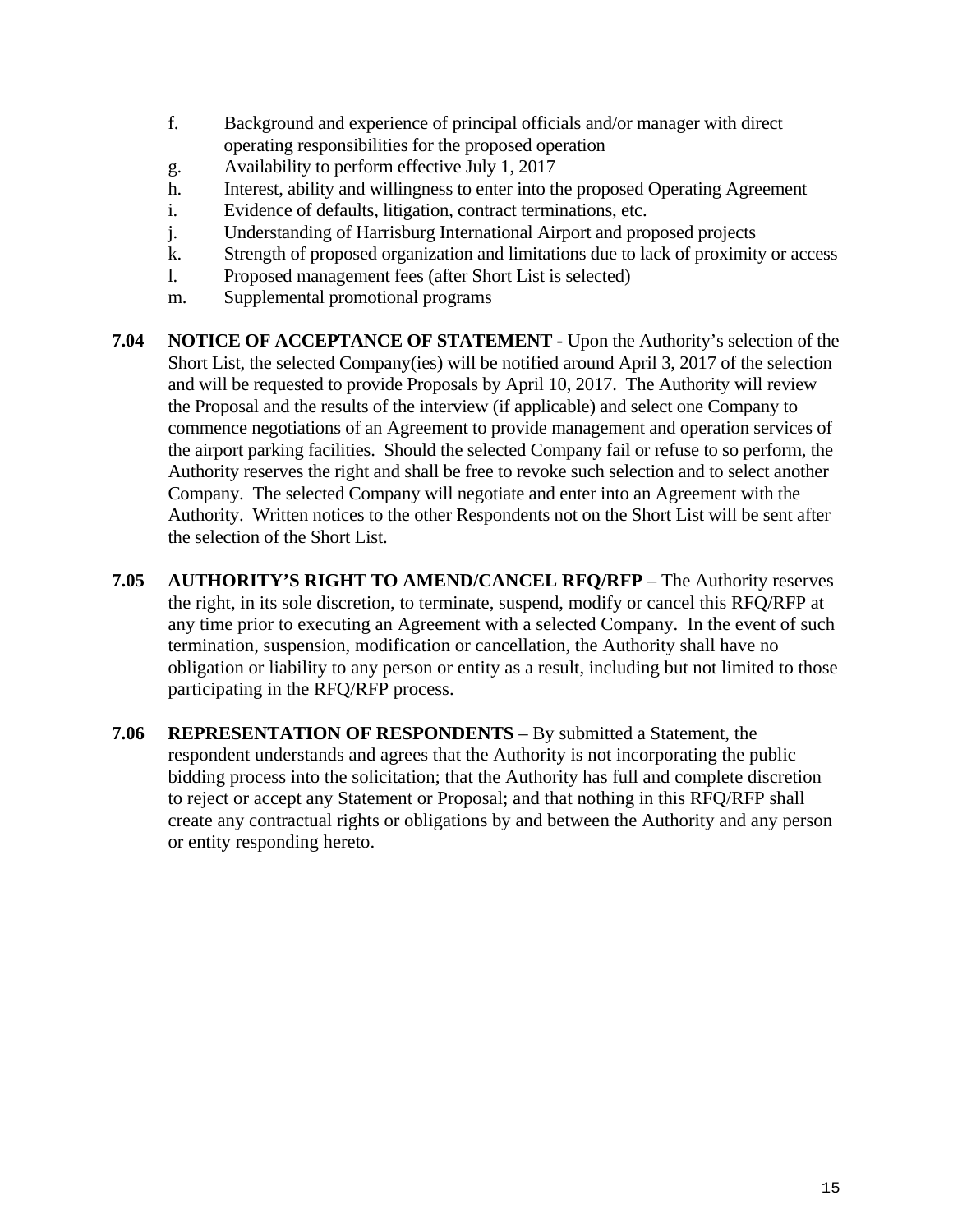- f. Background and experience of principal officials and/or manager with direct operating responsibilities for the proposed operation
- g. Availability to perform effective July 1, 2017
- h. Interest, ability and willingness to enter into the proposed Operating Agreement
- i. Evidence of defaults, litigation, contract terminations, etc.
- j. Understanding of Harrisburg International Airport and proposed projects
- k. Strength of proposed organization and limitations due to lack of proximity or access
- l. Proposed management fees (after Short List is selected)
- m. Supplemental promotional programs
- **7.04 NOTICE OF ACCEPTANCE OF STATEMENT** Upon the Authority's selection of the Short List, the selected Company(ies) will be notified around April 3, 2017 of the selection and will be requested to provide Proposals by April 10, 2017. The Authority will review the Proposal and the results of the interview (if applicable) and select one Company to commence negotiations of an Agreement to provide management and operation services of the airport parking facilities. Should the selected Company fail or refuse to so perform, the Authority reserves the right and shall be free to revoke such selection and to select another Company. The selected Company will negotiate and enter into an Agreement with the Authority. Written notices to the other Respondents not on the Short List will be sent after the selection of the Short List.
- **7.05 AUTHORITY'S RIGHT TO AMEND/CANCEL RFQ/RFP** The Authority reserves the right, in its sole discretion, to terminate, suspend, modify or cancel this RFQ/RFP at any time prior to executing an Agreement with a selected Company. In the event of such termination, suspension, modification or cancellation, the Authority shall have no obligation or liability to any person or entity as a result, including but not limited to those participating in the RFQ/RFP process.
- **7.06 REPRESENTATION OF RESPONDENTS** By submitted a Statement, the respondent understands and agrees that the Authority is not incorporating the public bidding process into the solicitation; that the Authority has full and complete discretion to reject or accept any Statement or Proposal; and that nothing in this RFQ/RFP shall create any contractual rights or obligations by and between the Authority and any person or entity responding hereto.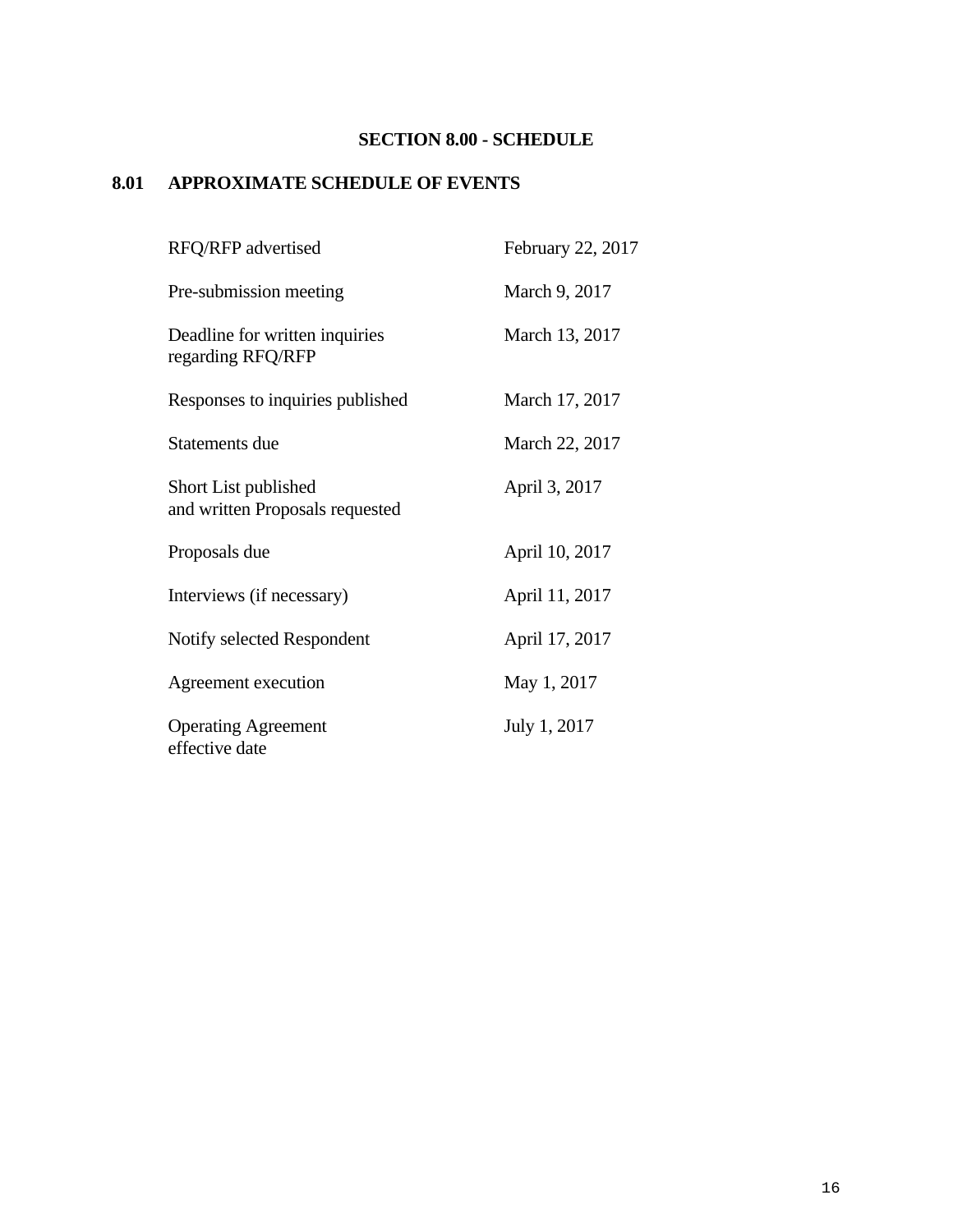# **SECTION 8.00 - SCHEDULE**

# **8.01 APPROXIMATE SCHEDULE OF EVENTS**

| RFQ/RFP advertised                                      | February 22, 2017 |
|---------------------------------------------------------|-------------------|
| Pre-submission meeting                                  | March 9, 2017     |
| Deadline for written inquiries<br>regarding RFQ/RFP     | March 13, 2017    |
| Responses to inquiries published                        | March 17, 2017    |
| Statements due                                          | March 22, 2017    |
| Short List published<br>and written Proposals requested | April 3, 2017     |
| Proposals due                                           | April 10, 2017    |
| Interviews (if necessary)                               | April 11, 2017    |
| Notify selected Respondent                              | April 17, 2017    |
| Agreement execution                                     | May 1, 2017       |
| <b>Operating Agreement</b><br>effective date            | July 1, 2017      |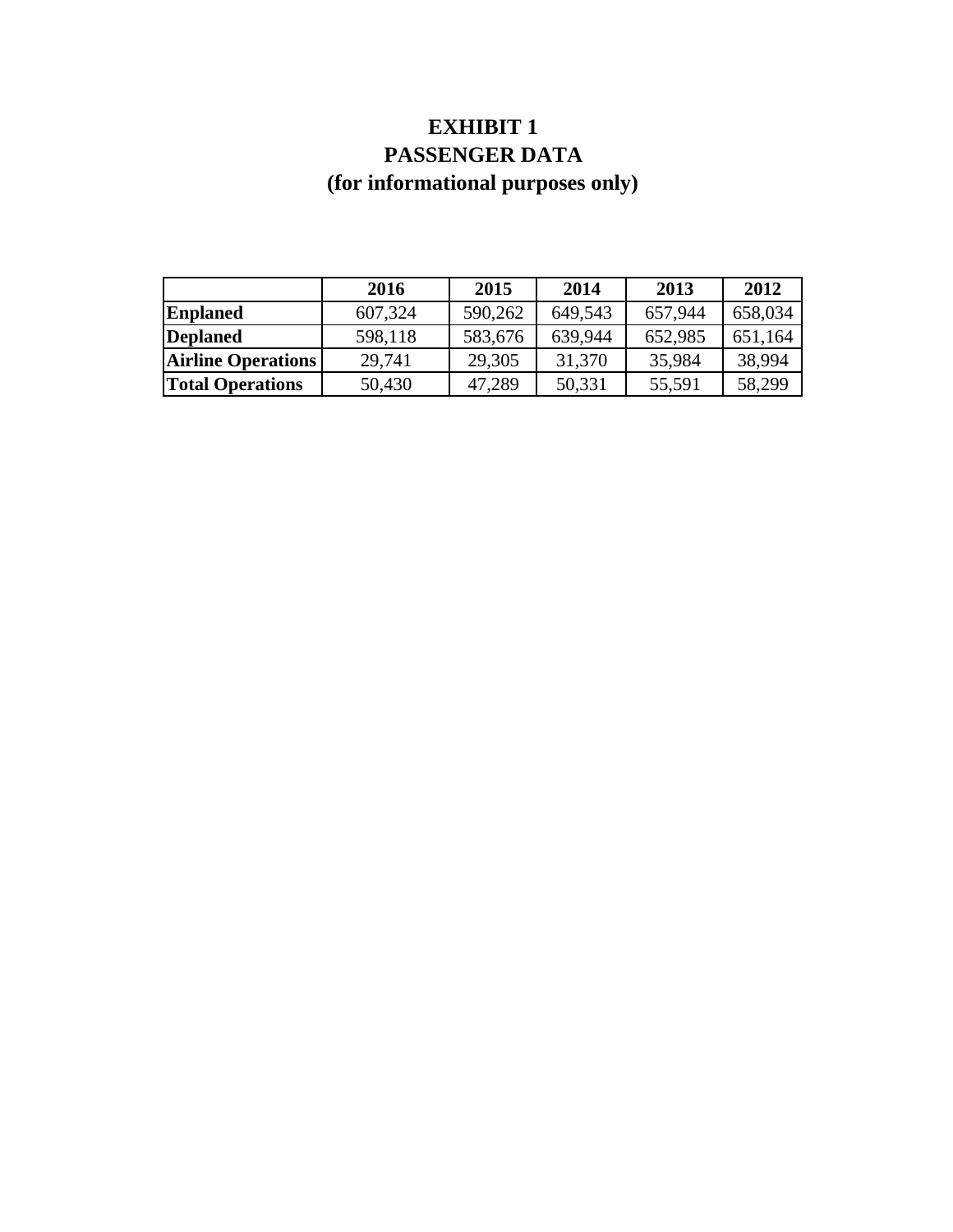# **EXHIBIT 1 PASSENGER DATA (for informational purposes only)**

|                           | 2016    | 2015    | 2014    | 2013    | 2012    |
|---------------------------|---------|---------|---------|---------|---------|
| <b>Enplaned</b>           | 607,324 | 590,262 | 649,543 | 657,944 | 658,034 |
| <b>Deplaned</b>           | 598,118 | 583,676 | 639,944 | 652,985 | 651,164 |
| <b>Airline Operations</b> | 29,741  | 29,305  | 31,370  | 35,984  | 38,994  |
| <b>Total Operations</b>   | 50,430  | 47,289  | 50,331  | 55,591  | 58,299  |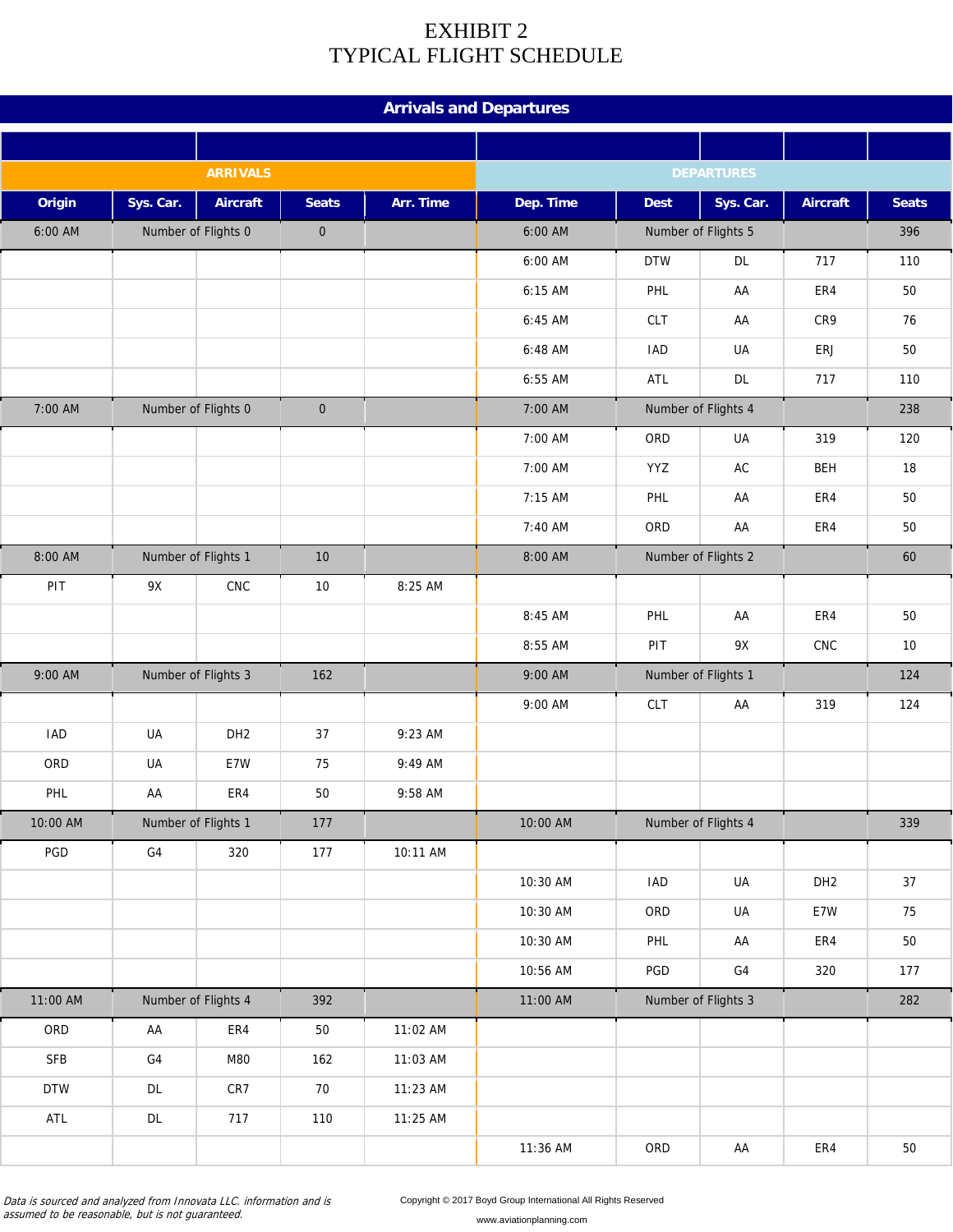# EXHIBIT 2 TYPICAL FLIGHT SCHEDULE

|            |                 |                     |              |           | <b>Arrivals and Departures</b> |             |                     |                 |              |
|------------|-----------------|---------------------|--------------|-----------|--------------------------------|-------------|---------------------|-----------------|--------------|
|            |                 |                     |              |           |                                |             |                     |                 |              |
|            |                 | <b>ARRIVALS</b>     |              |           |                                |             | <b>DEPARTURES</b>   |                 |              |
| Origin     | Sys. Car.       | <b>Aircraft</b>     | <b>Seats</b> | Arr. Time | Dep. Time                      | <b>Dest</b> | Sys. Car.           | <b>Aircraft</b> | <b>Seats</b> |
| 6:00 AM    |                 | Number of Flights 0 | $\mathbf 0$  |           | 6:00 AM                        |             | Number of Flights 5 |                 | 396          |
|            |                 |                     |              |           | $6:00$ AM                      | <b>DTW</b>  | <b>DL</b>           | 717             | 110          |
|            |                 |                     |              |           | 6:15 AM                        | PHL         | AA                  | ER4             | 50           |
|            |                 |                     |              |           | 6:45 AM                        | CLT         | AA                  | CR9             | 76           |
|            |                 |                     |              |           | 6:48 AM                        | <b>IAD</b>  | UA                  | ERJ             | 50           |
|            |                 |                     |              |           | 6:55 AM                        | ATL         | DL                  | 717             | 110          |
| 7:00 AM    |                 | Number of Flights 0 | $\pmb{0}$    |           | 7:00 AM                        |             | Number of Flights 4 |                 | 238          |
|            |                 |                     |              |           | 7:00 AM                        | ORD         | UA                  | 319             | 120          |
|            |                 |                     |              |           | 7:00 AM                        | YYZ         | AC                  | <b>BEH</b>      | 18           |
|            |                 |                     |              |           | 7:15 AM                        | PHL         | AA                  | ER4             | 50           |
|            |                 |                     |              |           | 7:40 AM                        | ORD         | AA                  | ER4             | 50           |
| 8:00 AM    |                 | Number of Flights 1 | 10           |           | 8:00 AM                        |             | Number of Flights 2 |                 | 60           |
| PIT        | 9X              | CNC                 | $10$         | 8:25 AM   |                                |             |                     |                 |              |
|            |                 |                     |              |           | 8:45 AM                        | PHL         | AA                  | ER4             | 50           |
|            |                 |                     |              |           | 8:55 AM                        | PIT         | 9X                  | ${\sf CNC}$     | 10           |
| 9:00 AM    |                 | Number of Flights 3 | 162          |           | 9:00 AM                        |             | Number of Flights 1 |                 | 124          |
|            |                 |                     |              |           | 9:00 AM                        | <b>CLT</b>  | AA                  | 319             | 124          |
| <b>IAD</b> | UA              | DH <sub>2</sub>     | 37           | 9:23 AM   |                                |             |                     |                 |              |
| ORD        | UA              | E7W                 | 75           | 9:49 AM   |                                |             |                     |                 |              |
| PHL        | AA              | ER4                 | 50           | 9:58 AM   |                                |             |                     |                 |              |
| 10:00 AM   |                 | Number of Flights 1 | $177$        |           | 10:00 AM                       |             | Number of Flights 4 |                 | 339          |
| PGD        | ${\sf G4}$      | 320                 | 177          | 10:11 AM  |                                |             |                     |                 |              |
|            |                 |                     |              |           | 10:30 AM                       | <b>IAD</b>  | UA                  | DH <sub>2</sub> | 37           |
|            |                 |                     |              |           | 10:30 AM                       | ORD         | UA                  | E7W             | 75           |
|            |                 |                     |              |           | 10:30 AM                       | PHL         | AA                  | ER4             | $50\,$       |
|            |                 |                     |              |           | 10:56 AM                       | PGD         | G4                  | 320             | 177          |
| 11:00 AM   |                 | Number of Flights 4 | 392          |           | 11:00 AM                       |             | Number of Flights 3 |                 | 282          |
| ORD        | AA              | ER4                 | 50           | 11:02 AM  |                                |             |                     |                 |              |
| <b>SFB</b> | ${\sf G4}$      | M80                 | 162          | 11:03 AM  |                                |             |                     |                 |              |
| <b>DTW</b> | $\mathsf{DL}{}$ | CR7                 | 70           | 11:23 AM  |                                |             |                     |                 |              |
| $\sf{ATL}$ | $\mathsf{DL}$   | 717                 | 110          | 11:25 AM  |                                |             |                     |                 |              |
|            |                 |                     |              |           | 11:36 AM                       | ORD         | AA                  | ER4             | $50\,$       |

Data is sourced and analyzed from Innovata LLC. information and is assumed to be reasonable, but is not guaranteed.

Copyright © 2017 Boyd Group International All Rights Reserved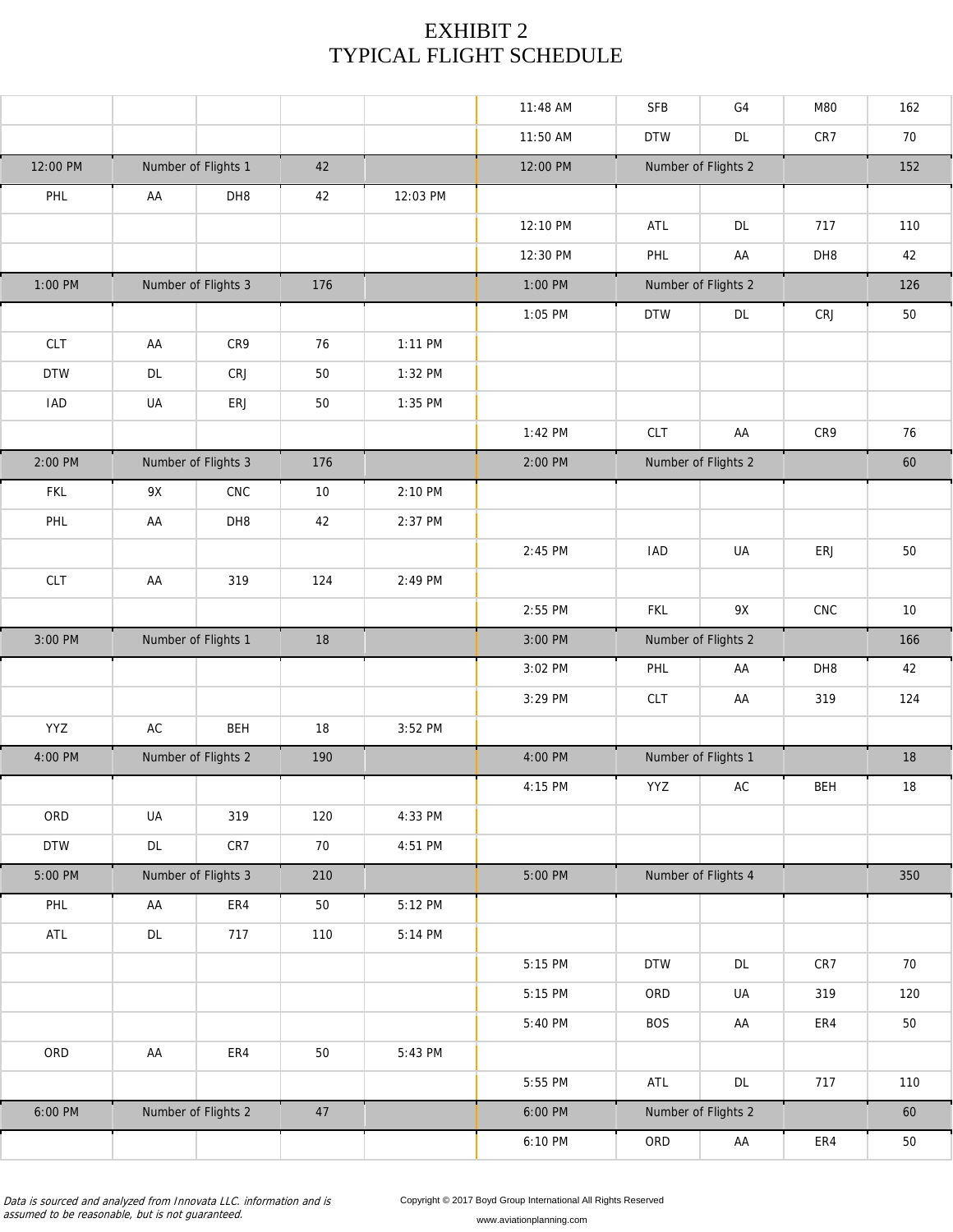# EXHIBIT 2 TYPICAL FLIGHT SCHEDULE

|            |                 |                     |        |          | 11:48 AM | <b>SFB</b>          | G4                  | M80         | 162    |
|------------|-----------------|---------------------|--------|----------|----------|---------------------|---------------------|-------------|--------|
|            |                 |                     |        |          | 11:50 AM | <b>DTW</b>          | $\mathsf{DL}$       | CR7         | 70     |
| 12:00 PM   |                 | Number of Flights 1 | 42     |          | 12:00 PM |                     | Number of Flights 2 |             | 152    |
| PHL        | AA              | DH8                 | 42     | 12:03 PM |          |                     |                     |             |        |
|            |                 |                     |        |          | 12:10 PM | ATL                 | DL                  | 717         | 110    |
|            |                 |                     |        |          | 12:30 PM | PHL                 | AA                  | DH8         | 42     |
| 1:00 PM    |                 | Number of Flights 3 | 176    |          | 1:00 PM  |                     | Number of Flights 2 |             | 126    |
|            |                 |                     |        |          | 1:05 PM  | <b>DTW</b>          | DL                  | CRJ         | $50\,$ |
| <b>CLT</b> | AA              | CR9                 | 76     | 1:11 PM  |          |                     |                     |             |        |
| <b>DTW</b> | DL              | CRJ                 | 50     | 1:32 PM  |          |                     |                     |             |        |
| <b>IAD</b> | UA              | ERJ                 | 50     | 1:35 PM  |          |                     |                     |             |        |
|            |                 |                     |        |          | 1:42 PM  | CLT                 | AA                  | CR9         | 76     |
| 2:00 PM    |                 | Number of Flights 3 | 176    |          | 2:00 PM  |                     | Number of Flights 2 |             | 60     |
| <b>FKL</b> | 9X              | ${\sf CNC}$         | $10\,$ | 2:10 PM  |          |                     |                     |             |        |
| PHL        | AA              | DH8                 | 42     | 2:37 PM  |          |                     |                     |             |        |
|            |                 |                     |        |          | 2:45 PM  | <b>IAD</b>          | UA                  | ERJ         | 50     |
| CLT        | AA              | 319                 | 124    | 2:49 PM  |          |                     |                     |             |        |
|            |                 |                     |        |          | 2:55 PM  | <b>FKL</b>          | 9X                  | ${\sf CNC}$ | $10\,$ |
| 3:00 PM    |                 | Number of Flights 1 | 18     |          | 3:00 PM  |                     | Number of Flights 2 |             | 166    |
|            |                 |                     |        |          | 3:02 PM  | PHL                 | AA                  | DH8         | 42     |
|            |                 |                     |        |          | 3:29 PM  | CLT                 | AA                  | 319         | 124    |
| YYZ        | $\sf AC$        | <b>BEH</b>          | 18     | 3:52 PM  |          |                     |                     |             |        |
| 4:00 PM    |                 | Number of Flights 2 | 190    |          | 4:00 PM  | Number of Flights 1 |                     |             | 18     |
|            |                 |                     |        |          | 4:15 PM  | YYZ                 | AC                  | BEH         | 18     |
| ORD        | UA              | 319                 | 120    | 4:33 PM  |          |                     |                     |             |        |
| <b>DTW</b> | $\mathsf{DL}{}$ | CR7                 | $70\,$ | 4:51 PM  |          |                     |                     |             |        |
| 5:00 PM    |                 | Number of Flights 3 | 210    |          | 5:00 PM  |                     | Number of Flights 4 |             | 350    |
| PHL        | AA              | ER4                 | 50     | 5:12 PM  |          |                     |                     |             |        |
| ATL        | DL              | 717                 | 110    | 5:14 PM  |          |                     |                     |             |        |
|            |                 |                     |        |          | 5:15 PM  | <b>DTW</b>          | DL                  | CR7         | 70     |
|            |                 |                     |        |          | 5:15 PM  | ORD                 | UA                  | 319         | 120    |
|            |                 |                     |        |          | 5:40 PM  | <b>BOS</b>          | AA                  | ER4         | 50     |
| ORD        | AA              | ER4                 | 50     | 5:43 PM  |          |                     |                     |             |        |
|            |                 |                     |        |          | 5:55 PM  | ATL                 | $\mathsf{DL}$       | 717         | 110    |
| 6:00 PM    |                 | Number of Flights 2 | $47\,$ |          | 6:00 PM  |                     | Number of Flights 2 |             | 60     |
|            |                 |                     |        |          | 6:10 PM  | ORD                 | AA                  | ${\sf ER4}$ | $50\,$ |

Data is sourced and analyzed from Innovata LLC. information and is assumed to be reasonable, but is not guaranteed.

Copyright © 2017 Boyd Group International All Rights Reserved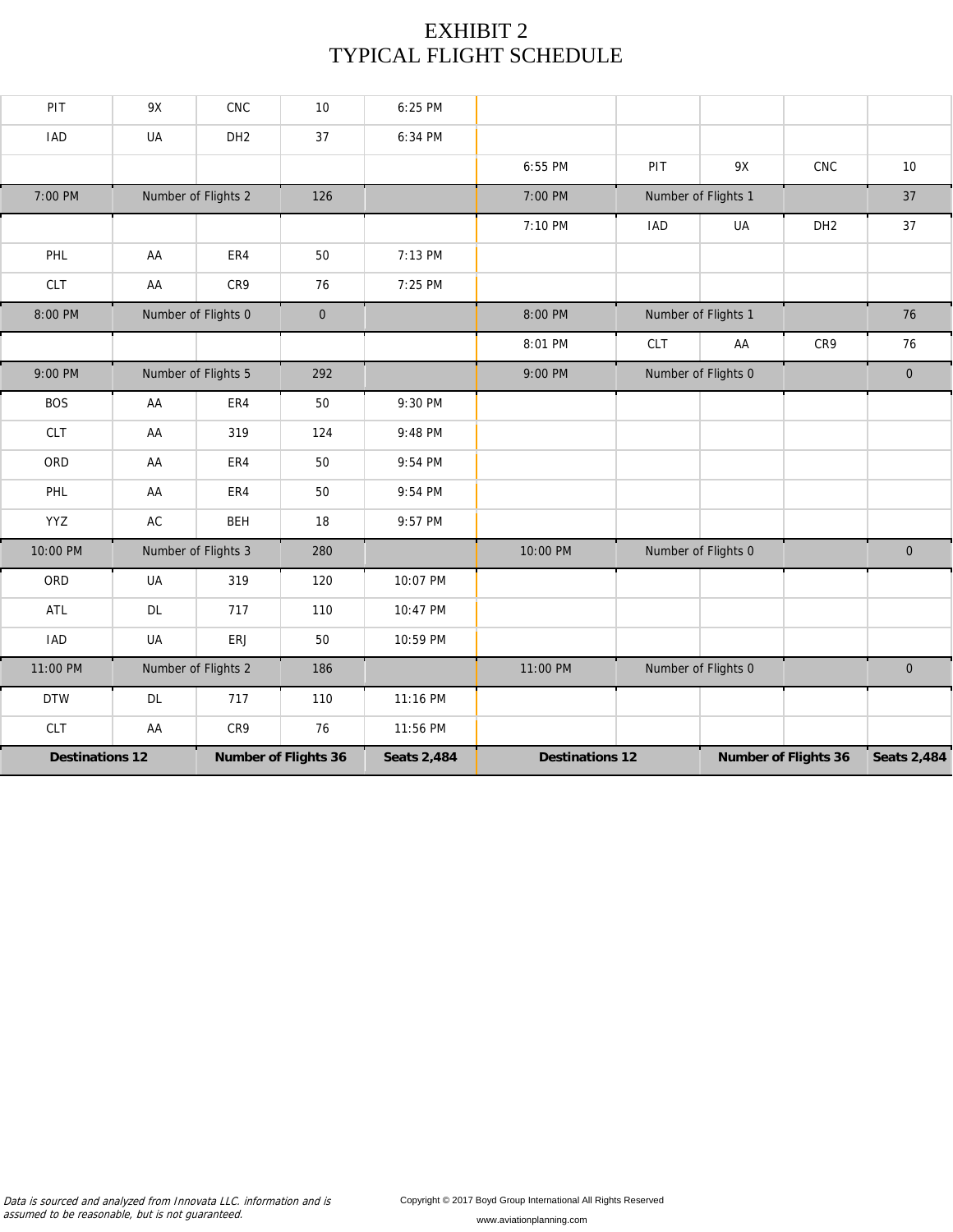# EXHIBIT 2 TYPICAL FLIGHT SCHEDULE

| PIT                    | 9X            | CNC                 | 10                          | 6:25 PM            |                        |            |                     |                             |                    |
|------------------------|---------------|---------------------|-----------------------------|--------------------|------------------------|------------|---------------------|-----------------------------|--------------------|
| <b>IAD</b>             | UA            | DH <sub>2</sub>     | 37                          | 6:34 PM            |                        |            |                     |                             |                    |
|                        |               |                     |                             |                    | 6:55 PM                | PIT        | 9X                  | CNC                         | 10                 |
| 7:00 PM                |               | Number of Flights 2 | 126                         |                    | 7:00 PM                |            | Number of Flights 1 |                             | 37                 |
|                        |               |                     |                             |                    | 7:10 PM                | <b>IAD</b> | UA                  | DH <sub>2</sub>             | 37                 |
| PHL                    | AA            | ER4                 | 50                          | 7:13 PM            |                        |            |                     |                             |                    |
| <b>CLT</b>             | AA            | CR9                 | 76                          | 7:25 PM            |                        |            |                     |                             |                    |
| 8:00 PM                |               | Number of Flights 0 | $\mathbf 0$                 |                    | 8:00 PM                |            | Number of Flights 1 |                             | 76                 |
|                        |               |                     |                             |                    | 8:01 PM                | CLT        | AA                  | CR9                         | 76                 |
| 9:00 PM                |               | Number of Flights 5 | 292                         |                    | 9:00 PM                |            | Number of Flights 0 |                             | $\overline{0}$     |
| <b>BOS</b>             | AA            | ER4                 | 50                          | 9:30 PM            |                        |            |                     |                             |                    |
| <b>CLT</b>             | AA            | 319                 | 124                         | 9:48 PM            |                        |            |                     |                             |                    |
| ORD                    | AA            | ER4                 | 50                          | 9:54 PM            |                        |            |                     |                             |                    |
| PHL                    | AA            | ER4                 | 50                          | 9:54 PM            |                        |            |                     |                             |                    |
| YYZ                    | $\mathsf{AC}$ | <b>BEH</b>          | 18                          | 9:57 PM            |                        |            |                     |                             |                    |
| 10:00 PM               |               | Number of Flights 3 | 280                         |                    | 10:00 PM               |            | Number of Flights 0 |                             | $\mathbf 0$        |
| ORD                    | UA            | 319                 | 120                         | 10:07 PM           |                        |            |                     |                             |                    |
| <b>ATL</b>             | <b>DL</b>     | 717                 | 110                         | 10:47 PM           |                        |            |                     |                             |                    |
| <b>IAD</b>             | UA            | ERJ                 | 50                          | 10:59 PM           |                        |            |                     |                             |                    |
| 11:00 PM               |               | Number of Flights 2 | 186                         |                    | 11:00 PM               |            | Number of Flights 0 |                             | $\mathbf 0$        |
| <b>DTW</b>             | <b>DL</b>     | 717                 | 110                         | 11:16 PM           |                        |            |                     |                             |                    |
| <b>CLT</b>             | AA            | CR9                 | 76                          | 11:56 PM           |                        |            |                     |                             |                    |
| <b>Destinations 12</b> |               |                     | <b>Number of Flights 36</b> | <b>Seats 2,484</b> | <b>Destinations 12</b> |            |                     | <b>Number of Flights 36</b> | <b>Seats 2,484</b> |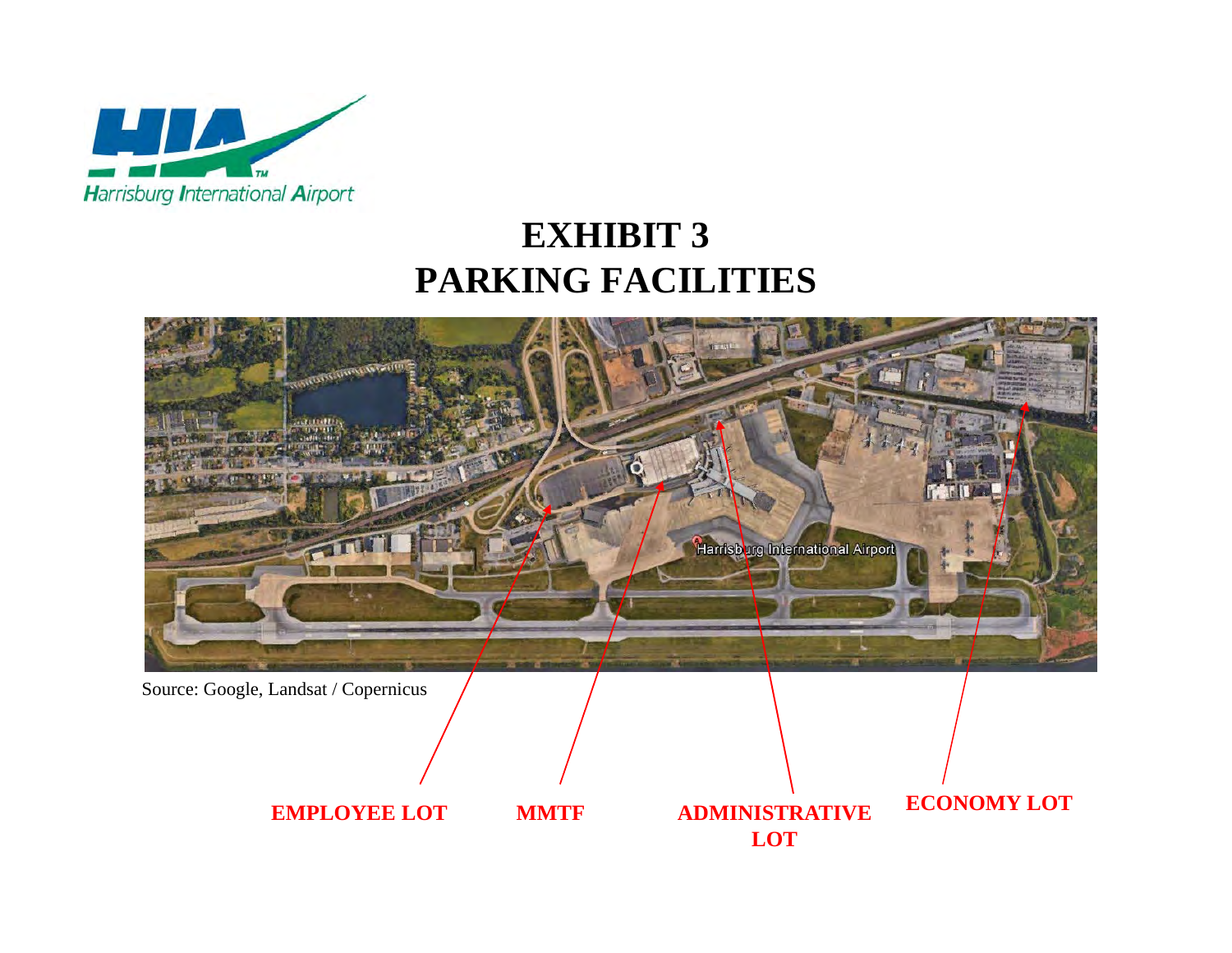

# **EXHIBIT 3 PARKING FACILITIES**



Source: Google, Landsat / Copernicus

**EMPLOYEE LOT**

 **MMTF ECONOMY LOT ADMINISTRATIVE LOT**

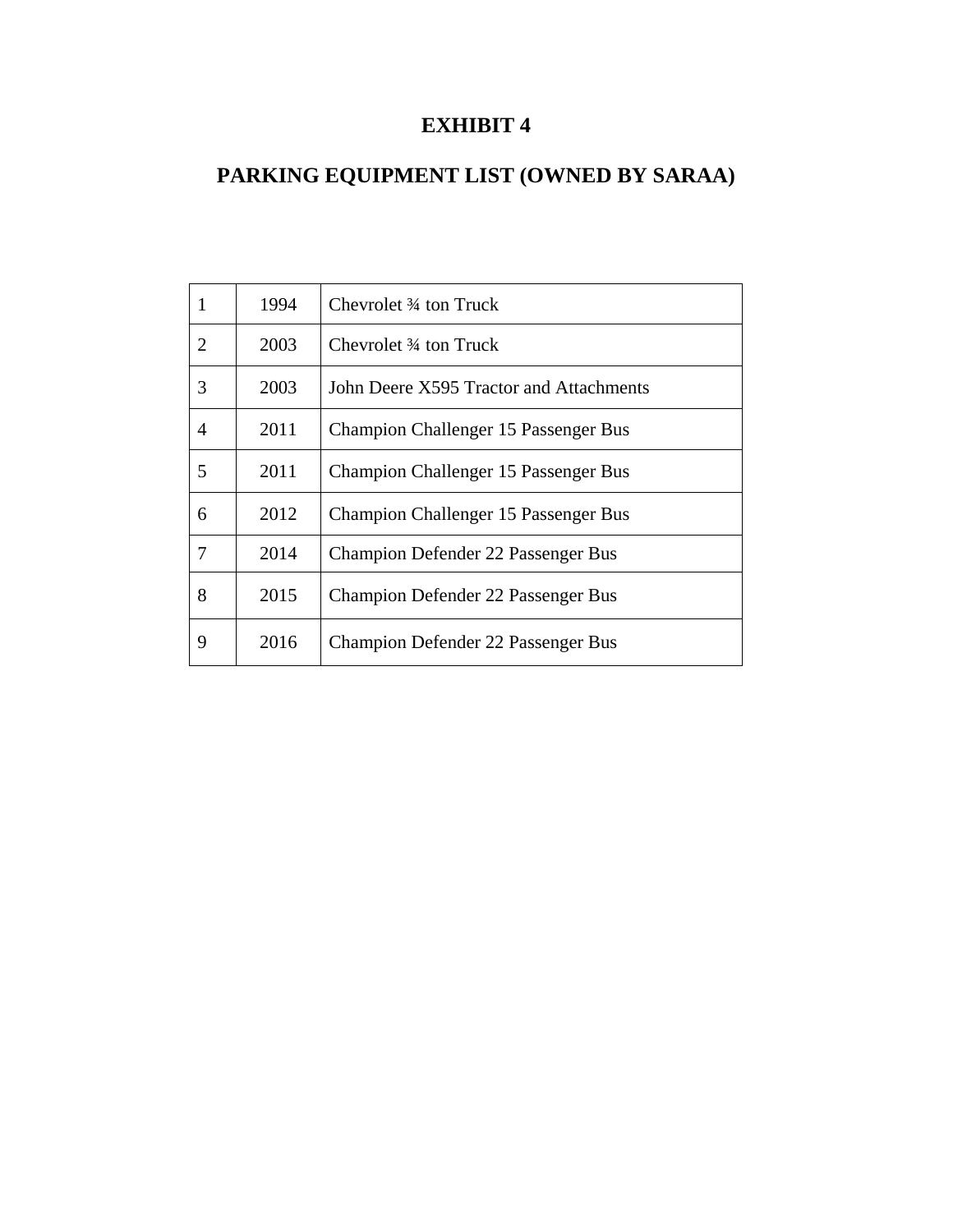# **EXHIBIT 4**

# **PARKING EQUIPMENT LIST (OWNED BY SARAA)**

| $\mathbf{1}$   | 1994 | Chevrolet 3/4 ton Truck                     |
|----------------|------|---------------------------------------------|
| $\overline{2}$ | 2003 | Chevrolet 34 ton Truck                      |
| 3              | 2003 | John Deere X595 Tractor and Attachments     |
| 4              | 2011 | <b>Champion Challenger 15 Passenger Bus</b> |
| 5              | 2011 | <b>Champion Challenger 15 Passenger Bus</b> |
| 6              | 2012 | <b>Champion Challenger 15 Passenger Bus</b> |
| 7              | 2014 | <b>Champion Defender 22 Passenger Bus</b>   |
| 8              | 2015 | <b>Champion Defender 22 Passenger Bus</b>   |
| 9              | 2016 | <b>Champion Defender 22 Passenger Bus</b>   |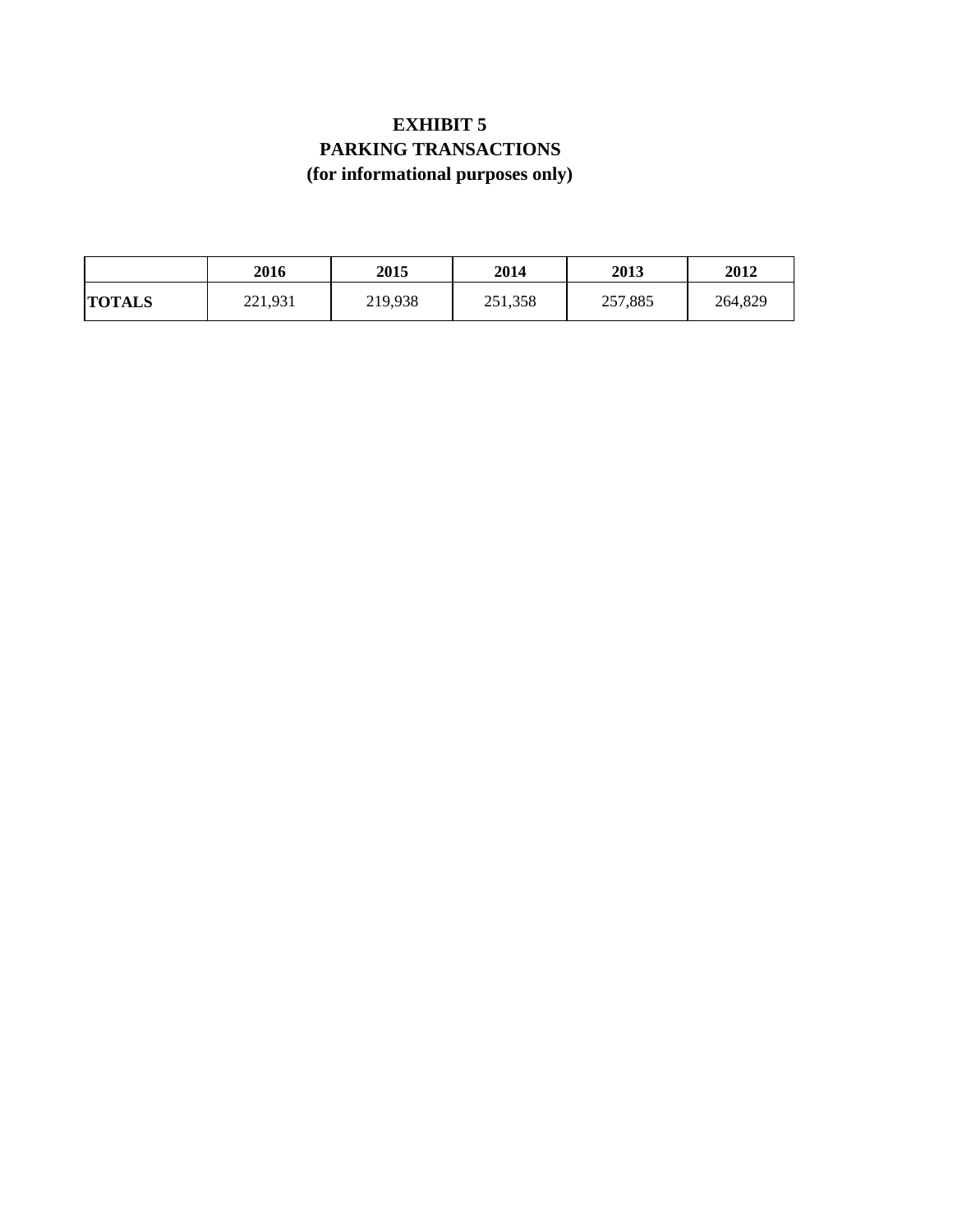# **EXHIBIT 5 PARKING TRANSACTIONS (for informational purposes only)**

|               | 2016    | <b>2015</b> | 2014    | 2013    | 2012    |
|---------------|---------|-------------|---------|---------|---------|
| <b>TOTALS</b> | 221,931 | 219,938     | 251,358 | 257,885 | 264,829 |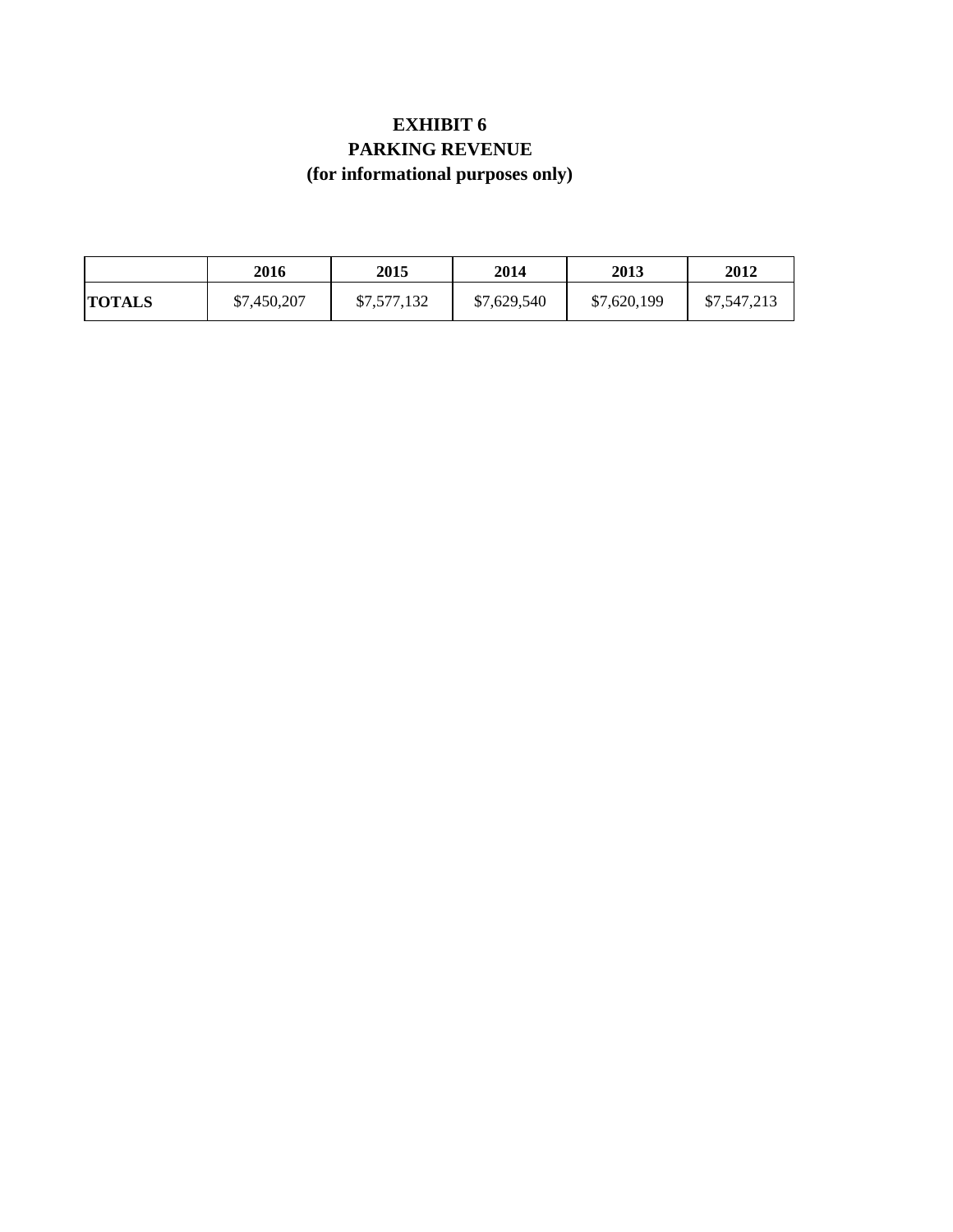# **EXHIBIT 6 PARKING REVENUE (for informational purposes only)**

|               | 2016        | 2015        | 2014        | 2013        | 2012        |
|---------------|-------------|-------------|-------------|-------------|-------------|
| <b>TOTALS</b> | \$7,450,207 | \$7,577,132 | \$7,629,540 | \$7,620,199 | \$7,547,213 |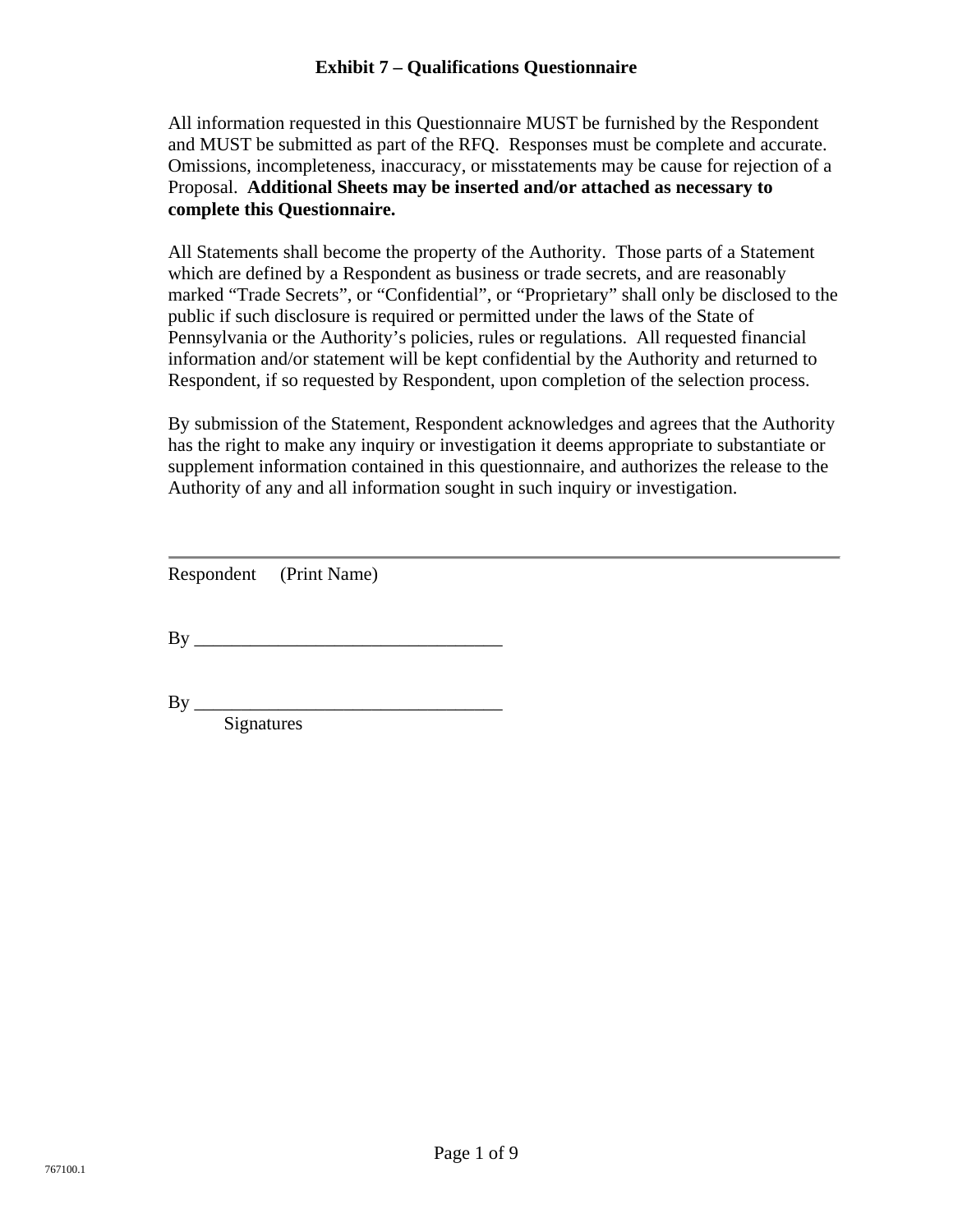# **Exhibit 7 – Qualifications Questionnaire**

All information requested in this Questionnaire MUST be furnished by the Respondent and MUST be submitted as part of the RFQ. Responses must be complete and accurate. Omissions, incompleteness, inaccuracy, or misstatements may be cause for rejection of a Proposal. **Additional Sheets may be inserted and/or attached as necessary to complete this Questionnaire.**

All Statements shall become the property of the Authority. Those parts of a Statement which are defined by a Respondent as business or trade secrets, and are reasonably marked "Trade Secrets", or "Confidential", or "Proprietary" shall only be disclosed to the public if such disclosure is required or permitted under the laws of the State of Pennsylvania or the Authority's policies, rules or regulations. All requested financial information and/or statement will be kept confidential by the Authority and returned to Respondent, if so requested by Respondent, upon completion of the selection process.

By submission of the Statement, Respondent acknowledges and agrees that the Authority has the right to make any inquiry or investigation it deems appropriate to substantiate or supplement information contained in this questionnaire, and authorizes the release to the Authority of any and all information sought in such inquiry or investigation.

| Respondent | (Print Name) |
|------------|--------------|
|------------|--------------|

By \_\_\_\_\_\_\_\_\_\_\_\_\_\_\_\_\_\_\_\_\_\_\_\_\_\_\_\_\_\_\_\_\_

 $\mathbf{By} \_\_$ Signatures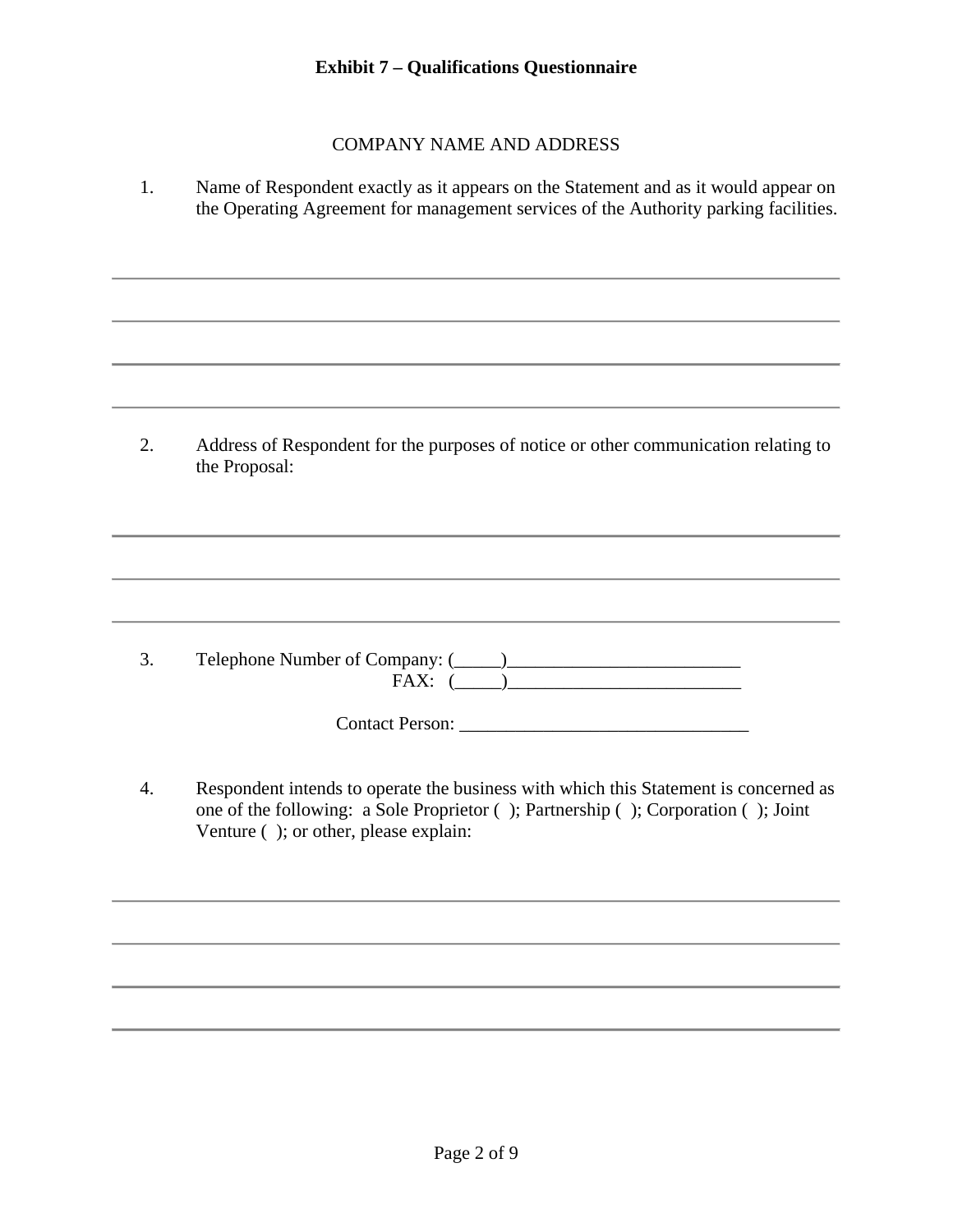## COMPANY NAME AND ADDRESS

1. Name of Respondent exactly as it appears on the Statement and as it would appear on the Operating Agreement for management services of the Authority parking facilities.

2. Address of Respondent for the purposes of notice or other communication relating to the Proposal:

3. Telephone Number of Company:  $(\_\_)$ FAX: (\_\_\_\_\_)\_\_\_\_\_\_\_\_\_\_\_\_\_\_\_\_\_\_\_\_\_\_\_\_\_

Contact Person: \_\_\_\_\_\_\_\_\_\_\_\_\_\_\_\_\_\_\_\_\_\_\_\_\_\_\_\_\_\_\_

4. Respondent intends to operate the business with which this Statement is concerned as one of the following: a Sole Proprietor ( ); Partnership ( ); Corporation ( ); Joint Venture ( ); or other, please explain: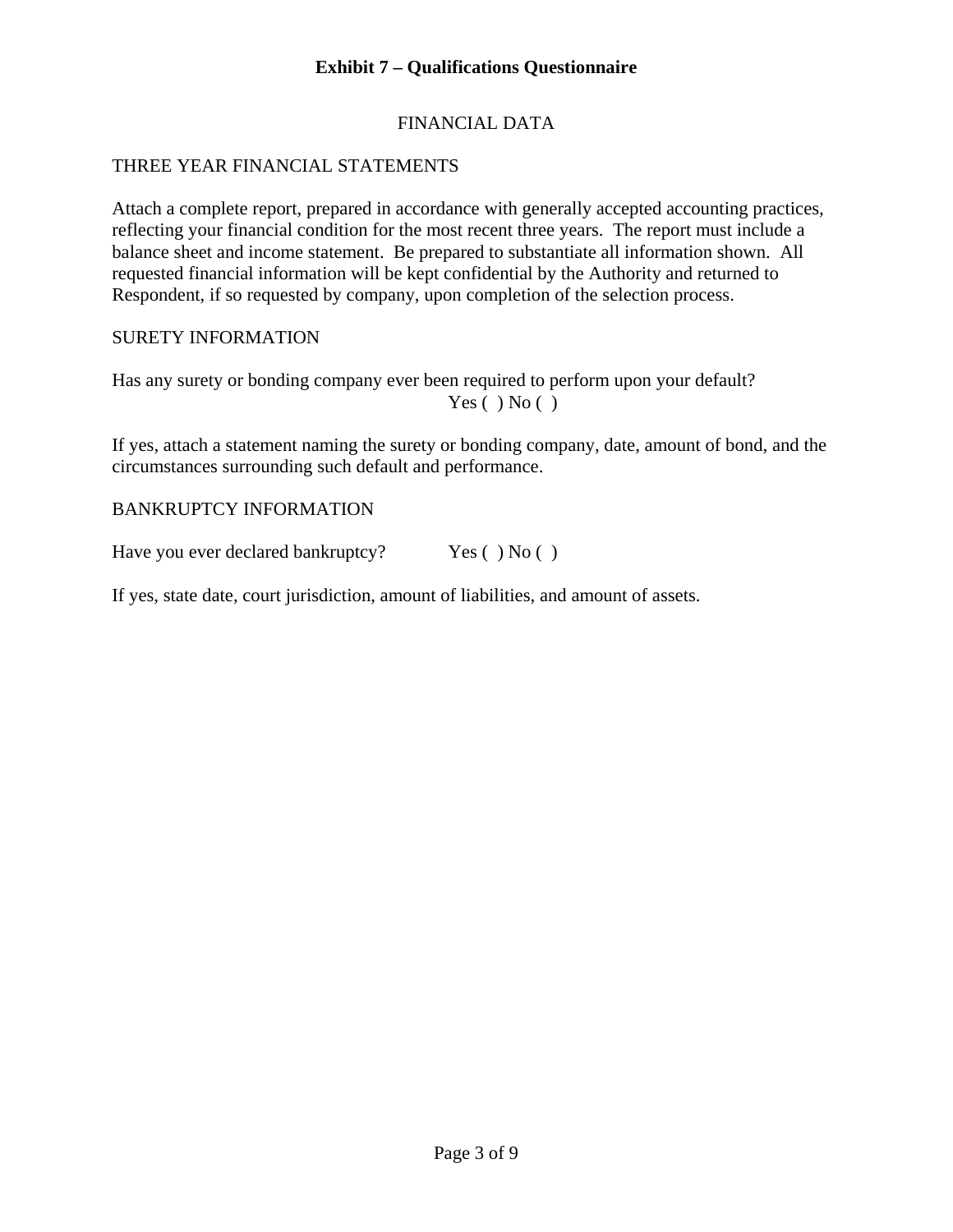# FINANCIAL DATA

# THREE YEAR FINANCIAL STATEMENTS

Attach a complete report, prepared in accordance with generally accepted accounting practices, reflecting your financial condition for the most recent three years. The report must include a balance sheet and income statement. Be prepared to substantiate all information shown. All requested financial information will be kept confidential by the Authority and returned to Respondent, if so requested by company, upon completion of the selection process.

#### SURETY INFORMATION

Has any surety or bonding company ever been required to perform upon your default?  $Yes( ) No( )$ 

If yes, attach a statement naming the surety or bonding company, date, amount of bond, and the circumstances surrounding such default and performance.

#### BANKRUPTCY INFORMATION

Have you ever declared bankruptcy? Yes () No ()

If yes, state date, court jurisdiction, amount of liabilities, and amount of assets.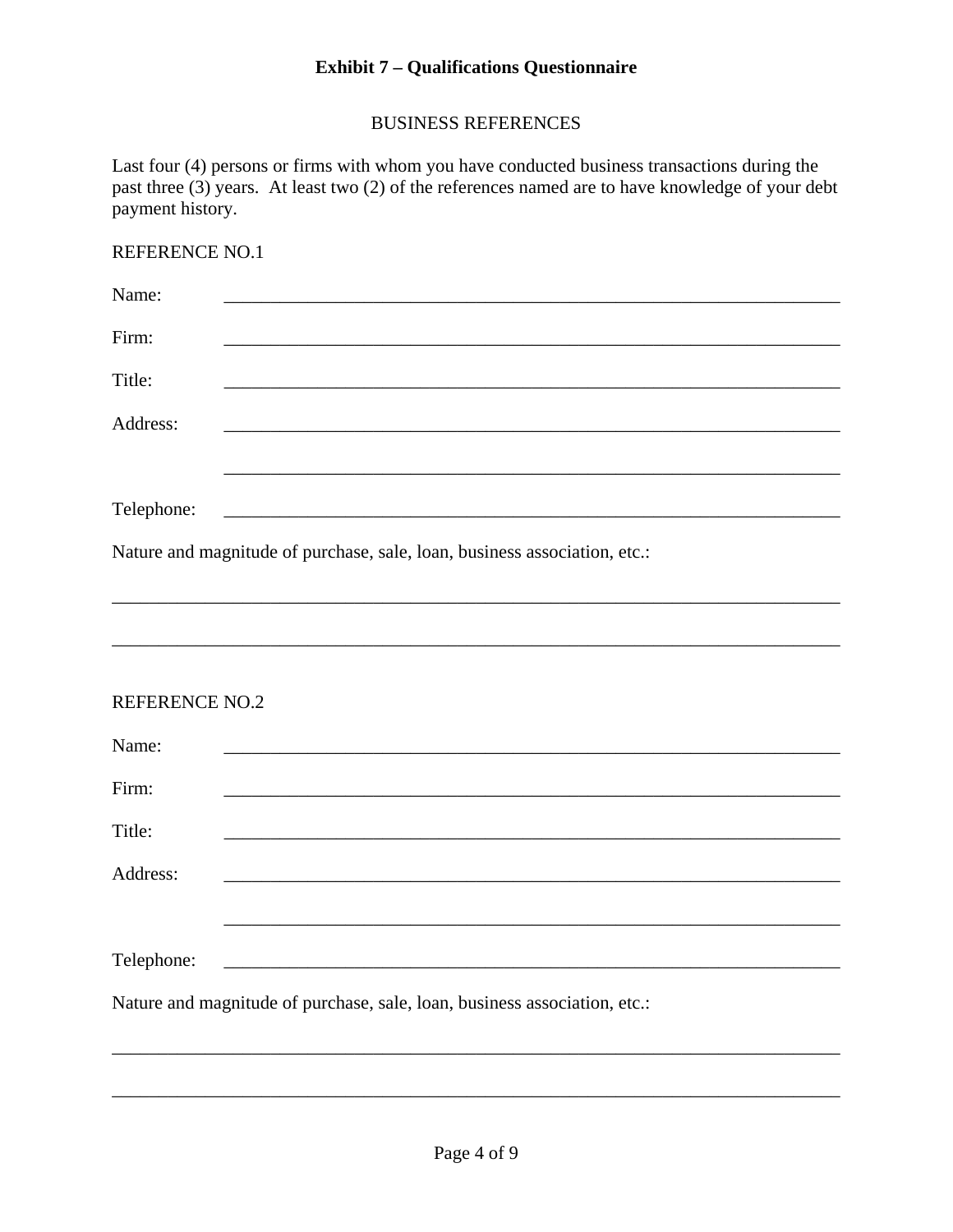## **Exhibit 7 - Qualifications Questionnaire**

# **BUSINESS REFERENCES**

Last four (4) persons or firms with whom you have conducted business transactions during the past three (3) years. At least two (2) of the references named are to have knowledge of your debt payment history.

# REFERENCE NO.1

| Name:                 |                                                                           |
|-----------------------|---------------------------------------------------------------------------|
| Firm:                 |                                                                           |
| Title:                |                                                                           |
| Address:              |                                                                           |
|                       |                                                                           |
| Telephone:            |                                                                           |
|                       | Nature and magnitude of purchase, sale, loan, business association, etc.: |
|                       |                                                                           |
|                       |                                                                           |
| <b>REFERENCE NO.2</b> |                                                                           |
| Name:                 |                                                                           |
| Firm:                 |                                                                           |
| Title:                |                                                                           |
| Address:              |                                                                           |
|                       |                                                                           |
| Telephone:            | <u> 1980 - Jan James James Barbara, martxa eta batarra (h. 1980).</u>     |
|                       | Nature and magnitude of purchase, sale, loan, business association, etc.: |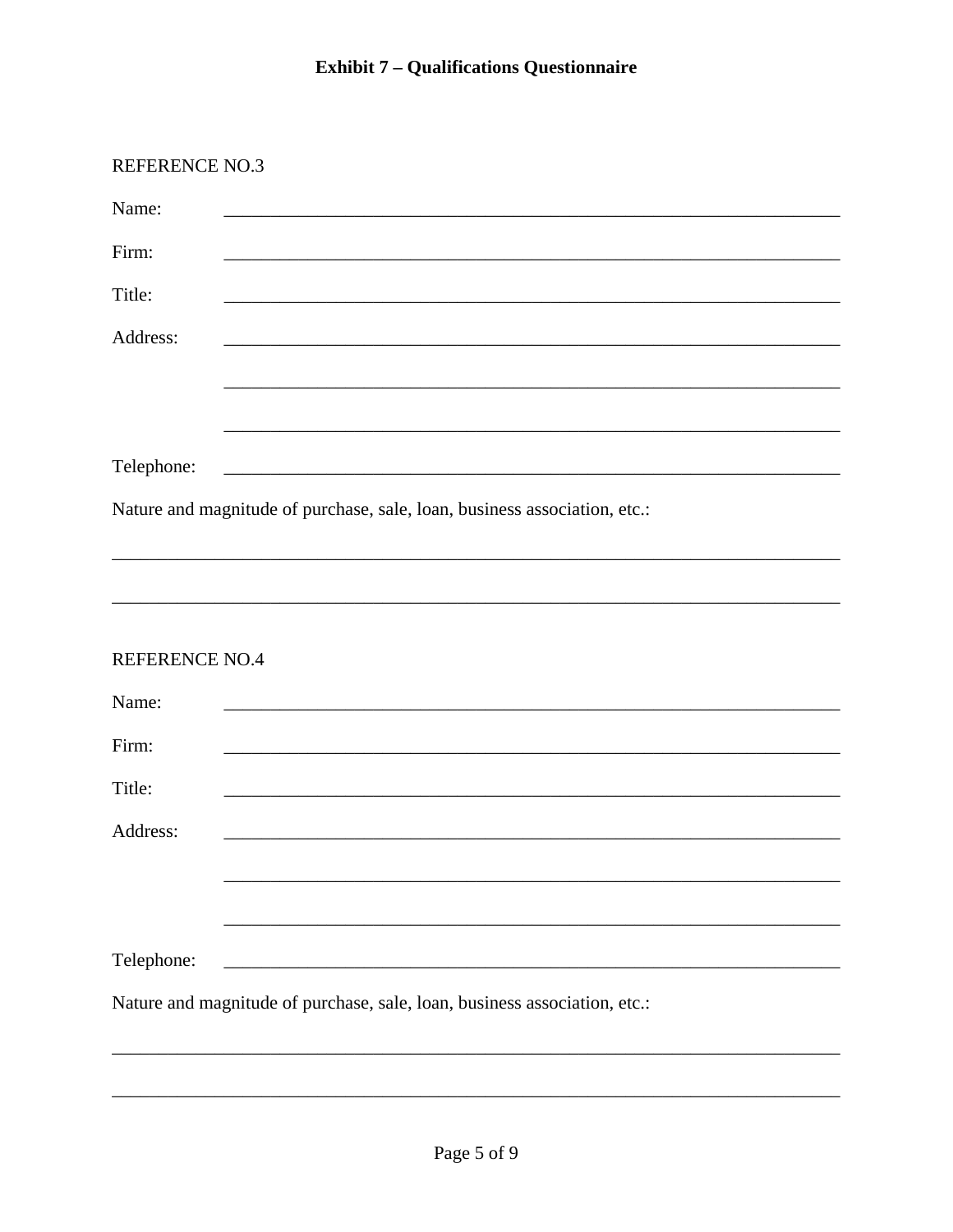| <b>REFERENCE NO.3</b> |                                                                           |
|-----------------------|---------------------------------------------------------------------------|
| Name:                 |                                                                           |
| Firm:                 |                                                                           |
| Title:                |                                                                           |
| Address:              |                                                                           |
|                       |                                                                           |
|                       |                                                                           |
| Telephone:            |                                                                           |
|                       | Nature and magnitude of purchase, sale, loan, business association, etc.: |
| <b>REFERENCE NO.4</b> |                                                                           |
|                       |                                                                           |
| Name:<br>Firm:        |                                                                           |
| Title:                |                                                                           |
| Address:              |                                                                           |
|                       |                                                                           |
|                       |                                                                           |
| Telephone:            |                                                                           |
|                       | Nature and magnitude of purchase, sale, loan, business association, etc.: |
|                       |                                                                           |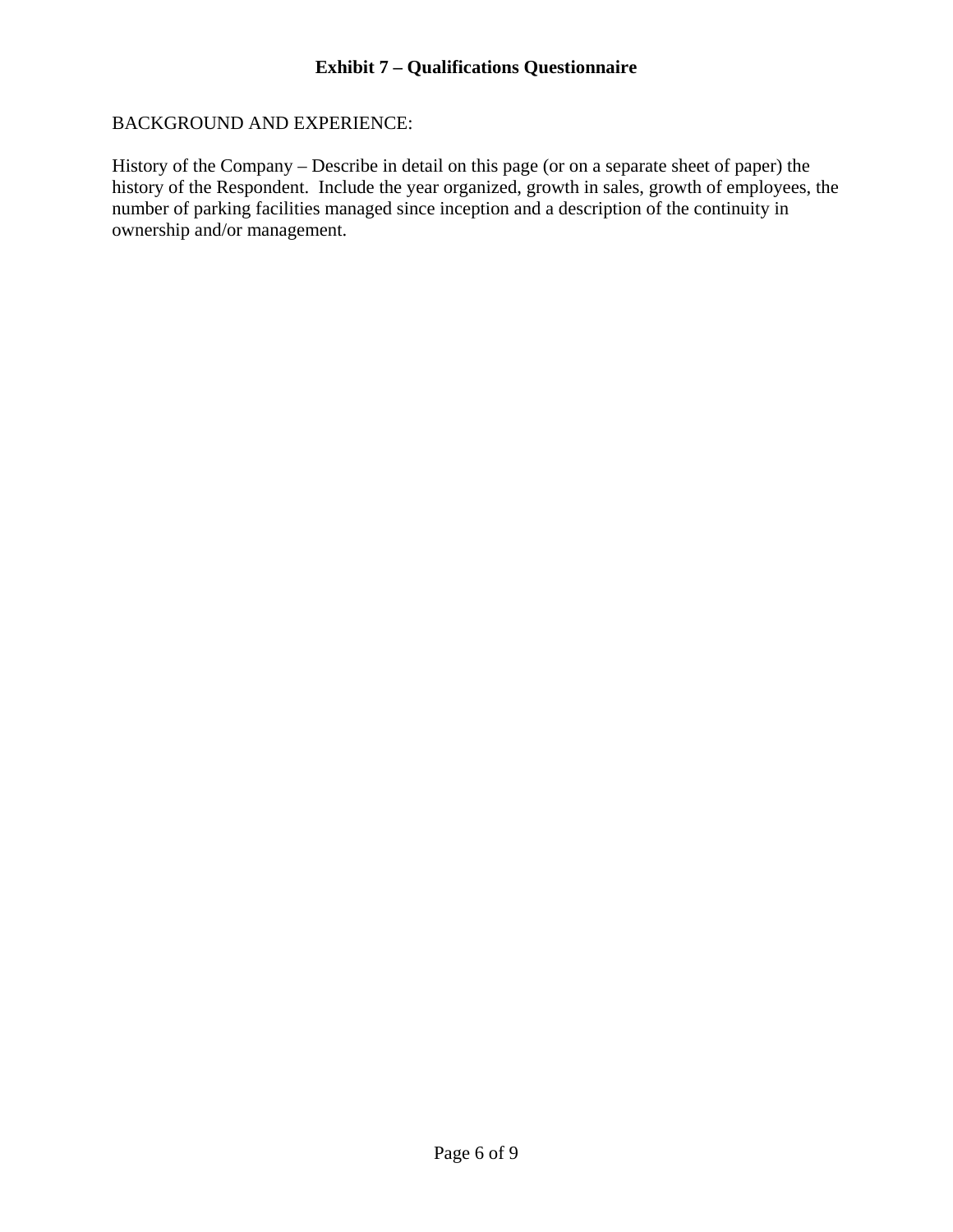## BACKGROUND AND EXPERIENCE:

History of the Company – Describe in detail on this page (or on a separate sheet of paper) the history of the Respondent. Include the year organized, growth in sales, growth of employees, the number of parking facilities managed since inception and a description of the continuity in ownership and/or management.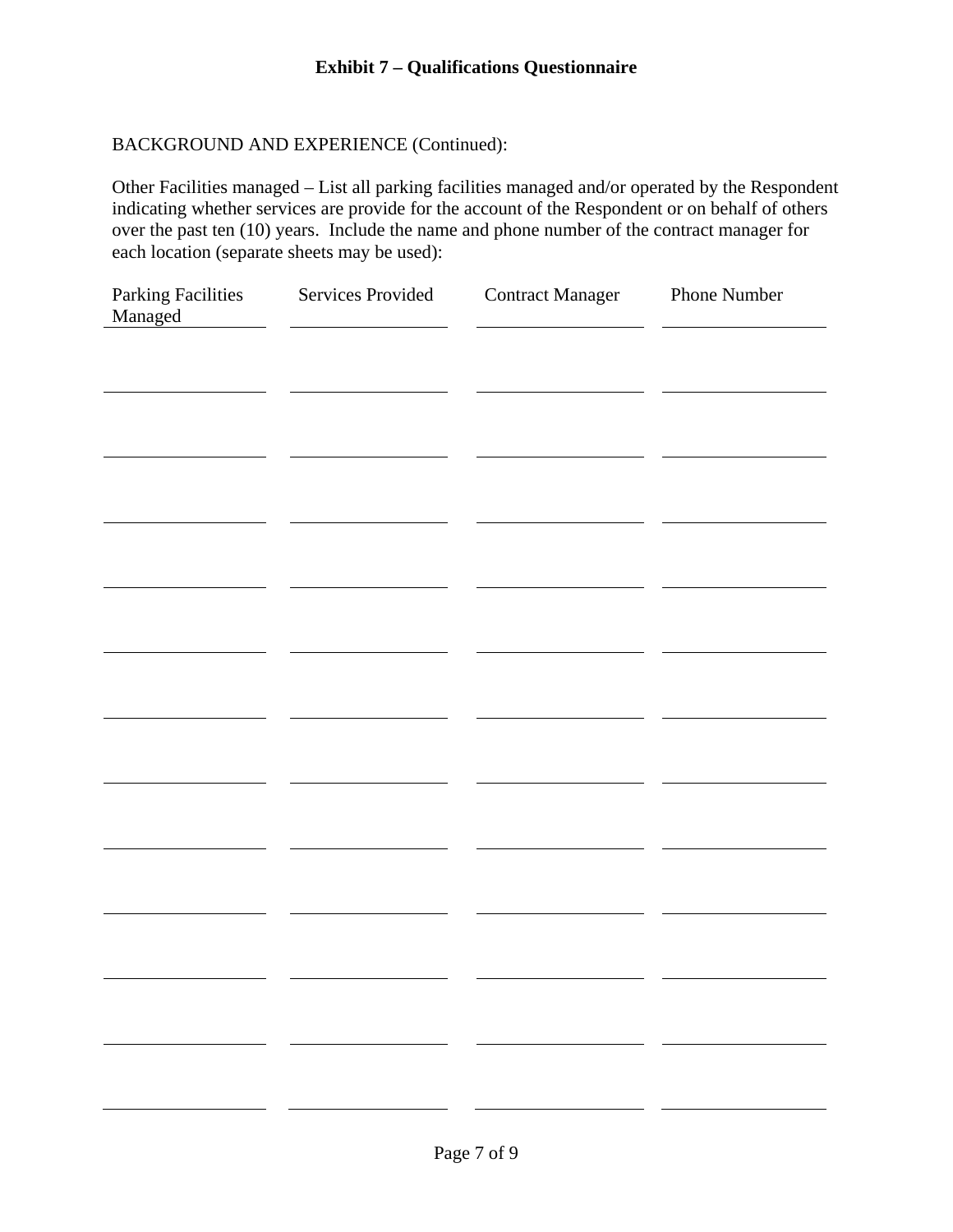# BACKGROUND AND EXPERIENCE (Continued):

Other Facilities managed – List all parking facilities managed and/or operated by the Respondent indicating whether services are provide for the account of the Respondent or on behalf of others over the past ten (10) years. Include the name and phone number of the contract manager for each location (separate sheets may be used):

| <b>Parking Facilities</b><br>Managed | Services Provided | <b>Contract Manager</b>  | Phone Number |
|--------------------------------------|-------------------|--------------------------|--------------|
|                                      |                   |                          |              |
|                                      |                   |                          |              |
|                                      |                   |                          |              |
|                                      |                   |                          |              |
|                                      |                   |                          |              |
|                                      |                   |                          |              |
|                                      |                   |                          |              |
|                                      |                   |                          |              |
|                                      |                   |                          |              |
|                                      |                   |                          |              |
|                                      |                   |                          |              |
| and the state                        |                   | $\overline{\phantom{0}}$ |              |
|                                      |                   |                          |              |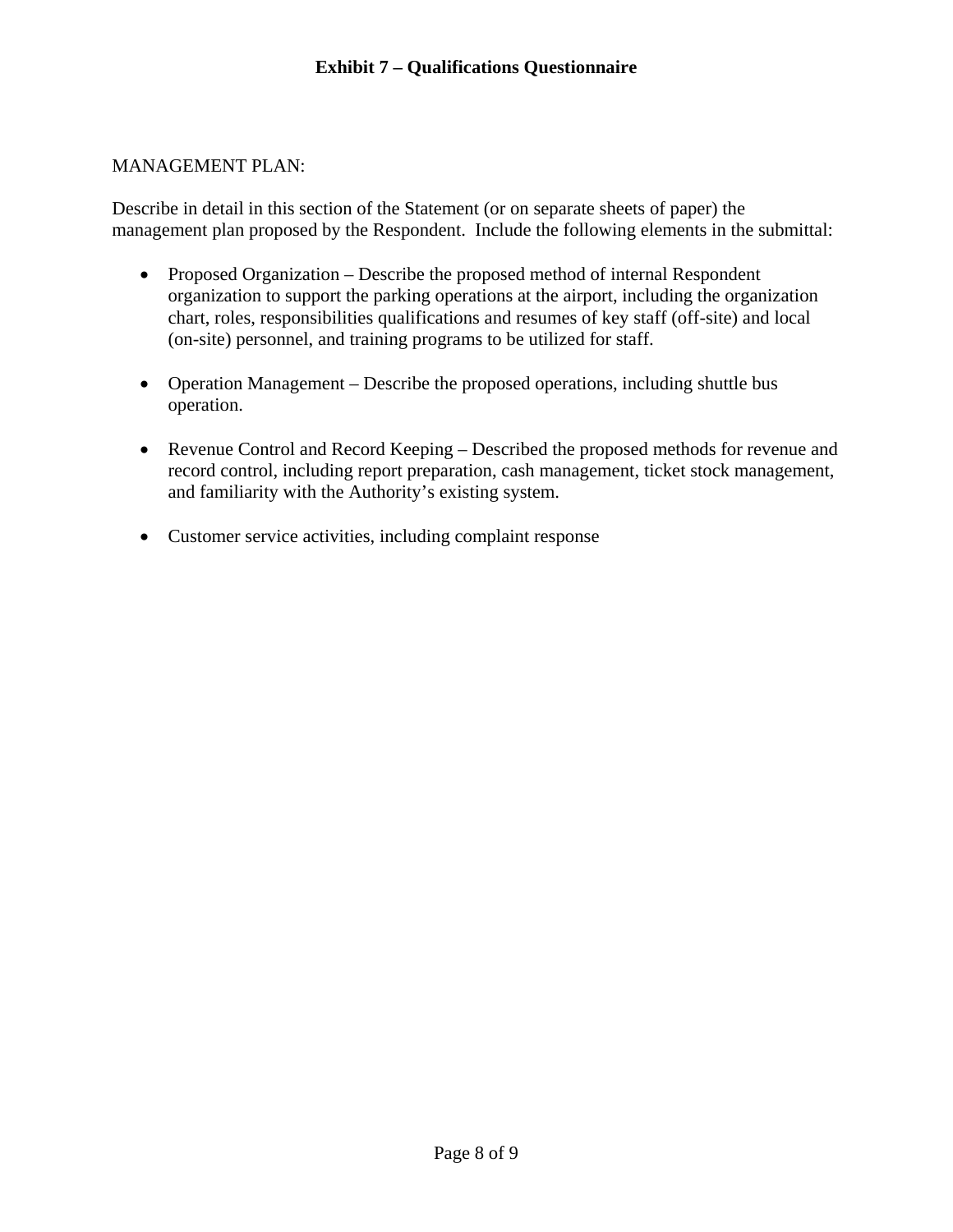## MANAGEMENT PLAN:

Describe in detail in this section of the Statement (or on separate sheets of paper) the management plan proposed by the Respondent. Include the following elements in the submittal:

- Proposed Organization Describe the proposed method of internal Respondent organization to support the parking operations at the airport, including the organization chart, roles, responsibilities qualifications and resumes of key staff (off-site) and local (on-site) personnel, and training programs to be utilized for staff.
- Operation Management Describe the proposed operations, including shuttle bus operation.
- Revenue Control and Record Keeping Described the proposed methods for revenue and record control, including report preparation, cash management, ticket stock management, and familiarity with the Authority's existing system.
- Customer service activities, including complaint response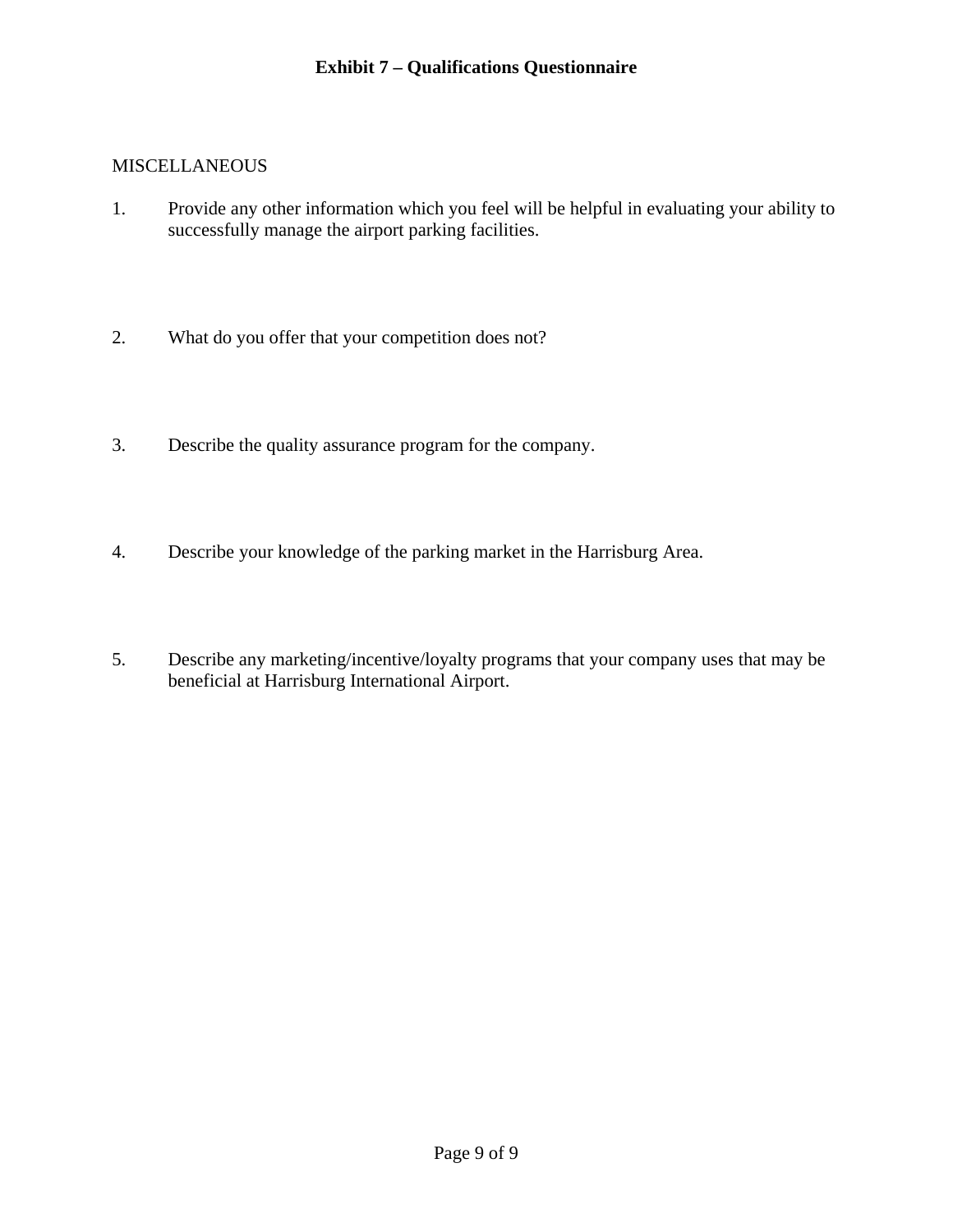#### **MISCELLANEOUS**

- 1. Provide any other information which you feel will be helpful in evaluating your ability to successfully manage the airport parking facilities.
- 2. What do you offer that your competition does not?
- 3. Describe the quality assurance program for the company.
- 4. Describe your knowledge of the parking market in the Harrisburg Area.
- 5. Describe any marketing/incentive/loyalty programs that your company uses that may be beneficial at Harrisburg International Airport.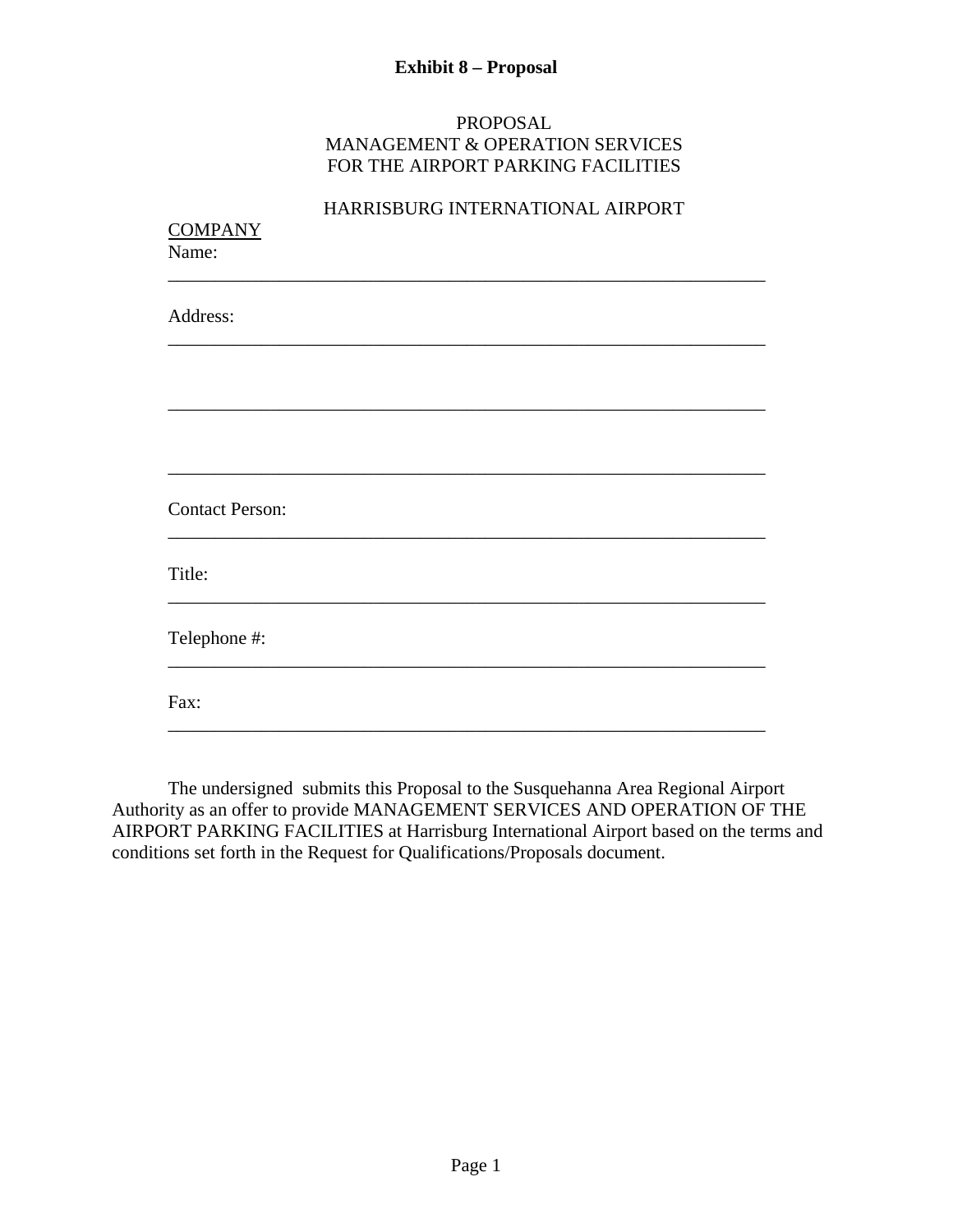# **Exhibit 8 – Proposal**

#### PROPOSAL MANAGEMENT & OPERATION SERVICES FOR THE AIRPORT PARKING FACILITIES

| <b>COMPANY</b><br>Name:<br>Address: |  |
|-------------------------------------|--|
|                                     |  |
|                                     |  |
|                                     |  |
|                                     |  |
| <b>Contact Person:</b>              |  |
| Title:                              |  |
| Telephone #:                        |  |
| Fax:                                |  |

The undersigned submits this Proposal to the Susquehanna Area Regional Airport Authority as an offer to provide MANAGEMENT SERVICES AND OPERATION OF THE AIRPORT PARKING FACILITIES at Harrisburg International Airport based on the terms and conditions set forth in the Request for Qualifications/Proposals document.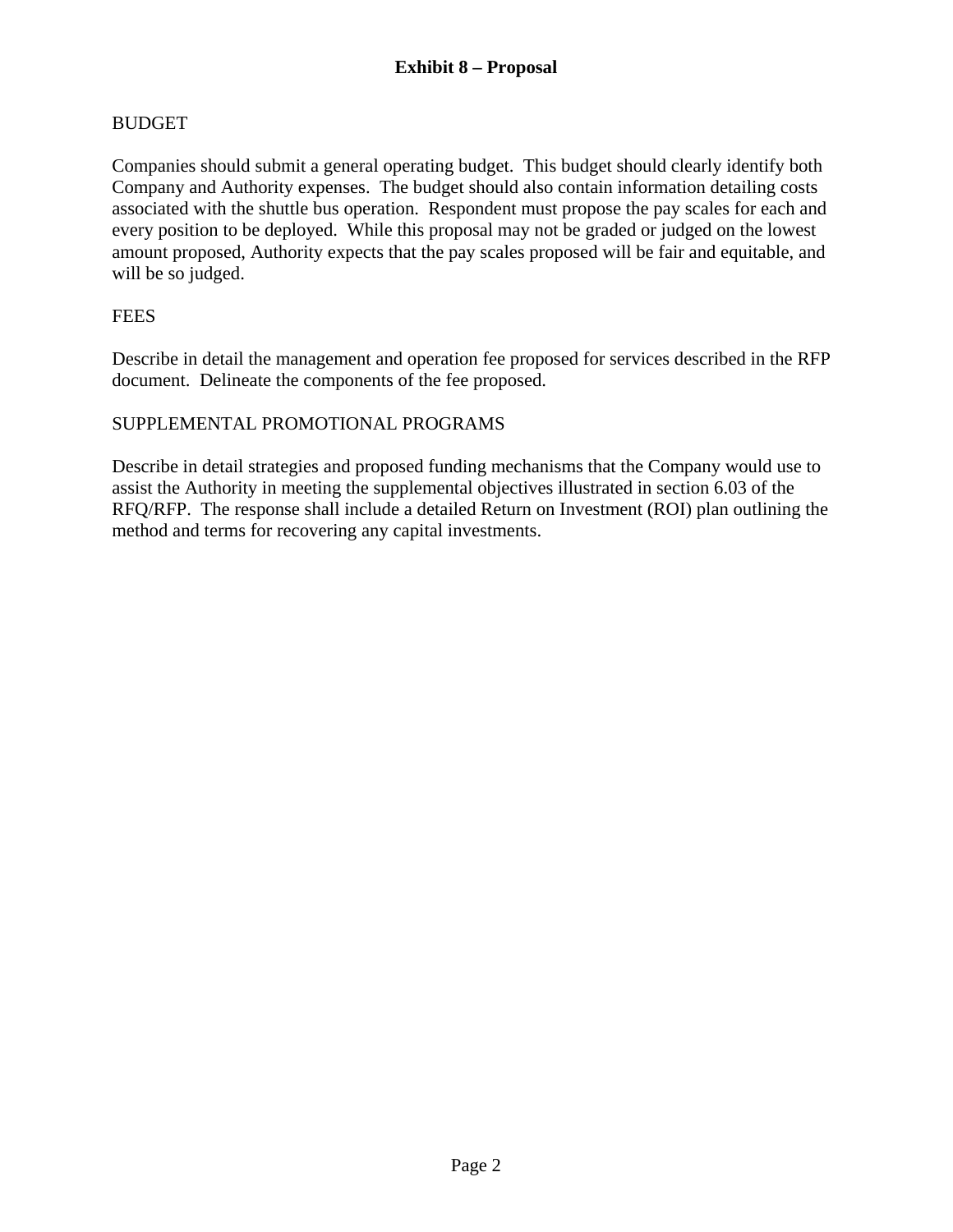# BUDGET

Companies should submit a general operating budget. This budget should clearly identify both Company and Authority expenses. The budget should also contain information detailing costs associated with the shuttle bus operation. Respondent must propose the pay scales for each and every position to be deployed. While this proposal may not be graded or judged on the lowest amount proposed, Authority expects that the pay scales proposed will be fair and equitable, and will be so judged.

# **FEES**

Describe in detail the management and operation fee proposed for services described in the RFP document. Delineate the components of the fee proposed.

# SUPPLEMENTAL PROMOTIONAL PROGRAMS

Describe in detail strategies and proposed funding mechanisms that the Company would use to assist the Authority in meeting the supplemental objectives illustrated in section 6.03 of the RFQ/RFP. The response shall include a detailed Return on Investment (ROI) plan outlining the method and terms for recovering any capital investments.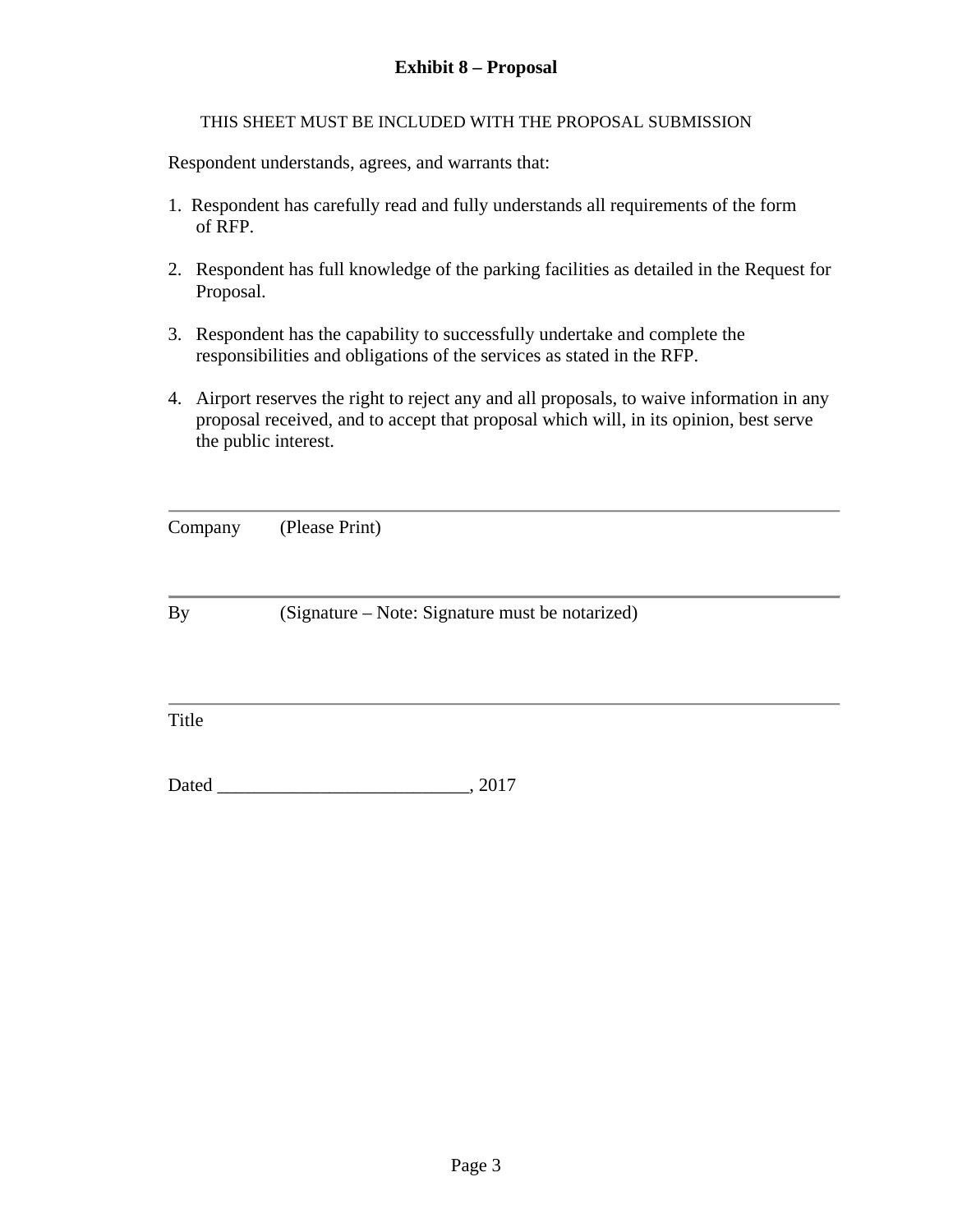# **Exhibit 8 – Proposal**

THIS SHEET MUST BE INCLUDED WITH THE PROPOSAL SUBMISSION

Respondent understands, agrees, and warrants that:

- 1. Respondent has carefully read and fully understands all requirements of the form of RFP.
- 2. Respondent has full knowledge of the parking facilities as detailed in the Request for Proposal.
- 3. Respondent has the capability to successfully undertake and complete the responsibilities and obligations of the services as stated in the RFP.
- 4. Airport reserves the right to reject any and all proposals, to waive information in any proposal received, and to accept that proposal which will, in its opinion, best serve the public interest.

| Company | (Please Print) |
|---------|----------------|
|---------|----------------|

By (Signature – Note: Signature must be notarized)

Title

Dated \_\_\_\_\_\_\_\_\_\_\_\_\_\_\_\_\_\_\_\_\_\_\_\_\_\_\_, 2017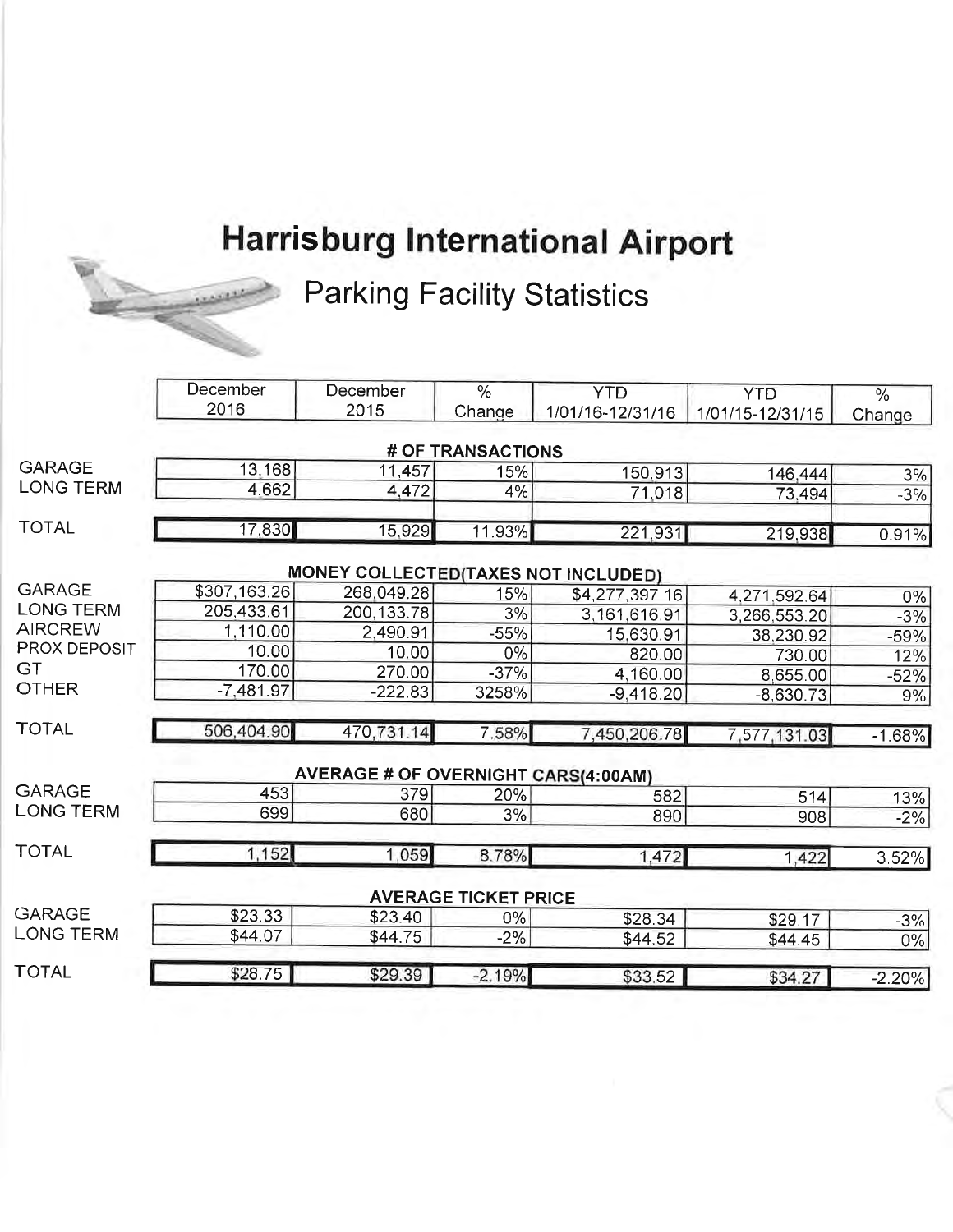# **Harrisburg International Airport**



**Parking Facility Statistics** 

|                  | December     | December                                    | $\%$                        | <b>YTD</b>       | <b>YTD</b>         | $\%$          |
|------------------|--------------|---------------------------------------------|-----------------------------|------------------|--------------------|---------------|
|                  | 2016         | 2015                                        | Change                      | 1/01/16-12/31/16 | 1/01/15-12/31/15   | Change        |
|                  |              |                                             | # OF TRANSACTIONS           |                  |                    |               |
| <b>GARAGE</b>    | 13,168       | 11,457                                      | 15%                         | 150,913          | 146,444            | 3%            |
| <b>LONG TERM</b> | 4,662        | 4,472                                       | 4%                          | 71.018           | 73,494             | $-3%$         |
| <b>TOTAL</b>     | 17,830       | 15,929                                      | 11.93%                      | 221,931          | 219,938            | 0.91%         |
|                  |              | <b>MONEY COLLECTED (TAXES NOT INCLUDED)</b> |                             |                  |                    |               |
| <b>GARAGE</b>    | \$307,163.26 | 268,049.28                                  | 15%                         | \$4,277,397.16   | 4,271,592.64       |               |
| <b>LONG TERM</b> | 205,433.61   | 200,133.78                                  | 3%                          | 3,161,616.91     | 3,266,553.20       | $0\%$         |
| <b>AIRCREW</b>   | 1,110.00     | 2,490.91                                    | $-55%$                      | 15,630.91        | 38,230.92          | $-3%$         |
| PROX DEPOSIT     | 10.00        | 10.00                                       | 0%                          | 820.00           | 730.00             | $-59%$<br>12% |
| GT               | 170.00       | 270.00                                      | $-37%$                      | 4,160.00         | 8,655.00           |               |
| <b>OTHER</b>     | $-7,481.97$  | $-222.83$                                   | 3258%                       | $-9,418.20$      | $-8,630.73$        | $-52%$<br>9%  |
| <b>TOTAL</b>     | 506,404.90   | 470,731.14                                  | 7.58%                       | 7,450,206.78     | 7,577,131.03       | $-1.68%$      |
|                  |              | <b>AVERAGE # OF OVERNIGHT CARS(4:00AM)</b>  |                             |                  |                    |               |
| <b>GARAGE</b>    | 453          | 379                                         | 20%                         | 582              | 514                | 13%           |
| <b>LONG TERM</b> | 699          | 680                                         | 3%                          | 890              | 908                | $-2%$         |
| <b>TOTAL</b>     | 1,152        | 1,059                                       | 8.78%                       | 1,472            | 1,422              | 3.52%         |
|                  |              |                                             | <b>AVERAGE TICKET PRICE</b> |                  |                    |               |
| <b>GARAGE</b>    | \$23.33      | \$23.40                                     | $0\%$                       | \$28.34          |                    |               |
| <b>LONG TERM</b> | \$44.07      | \$44.75                                     | $-2%$                       | \$44.52          | \$29.17<br>\$44.45 | $-3%$<br>0%   |
| <b>TOTAL</b>     | \$28.75      | \$29.39                                     | $-2.19%$                    | \$33.52          | \$34.27            |               |
|                  |              |                                             |                             |                  |                    | $-2.20%$      |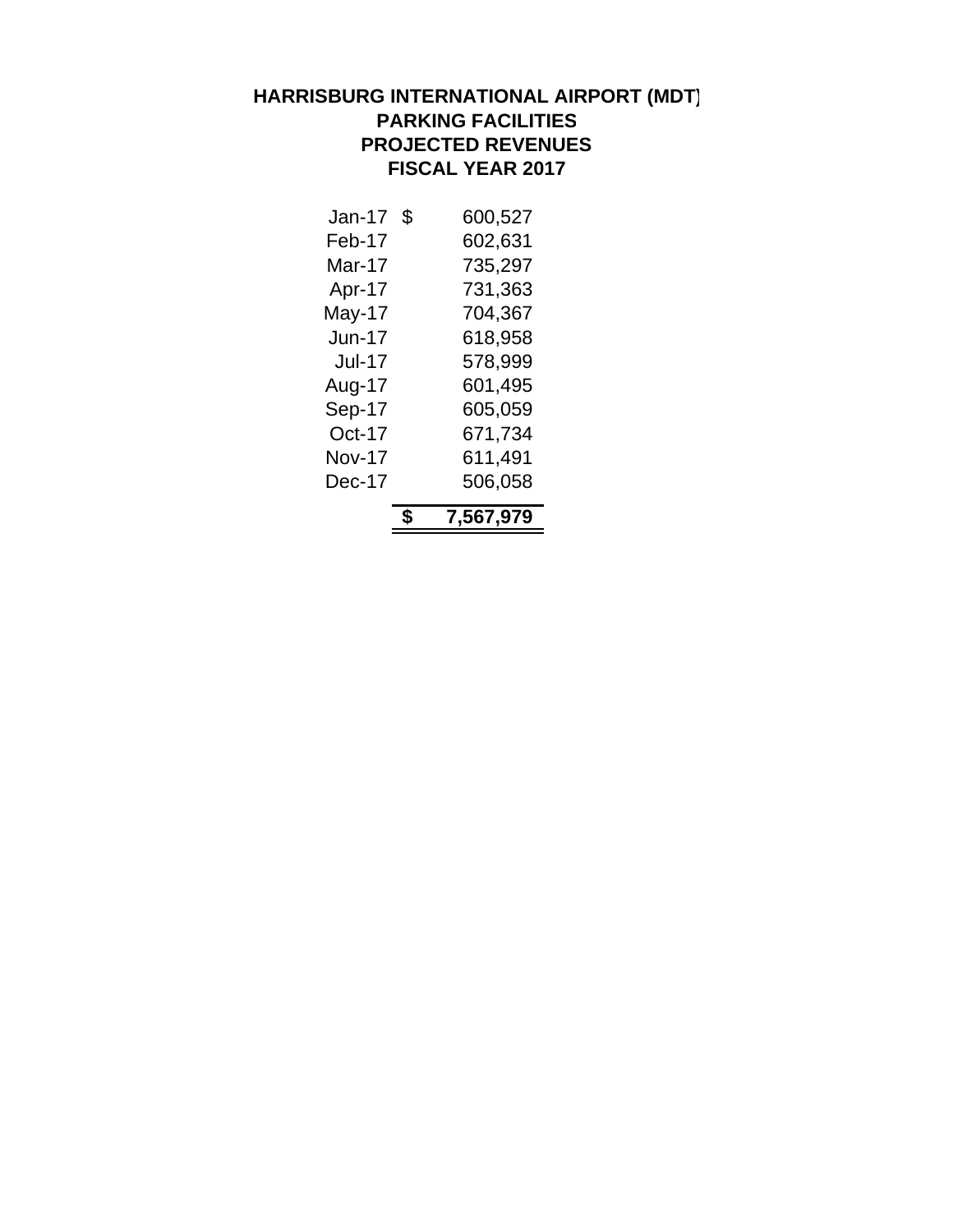### **HARRISBURG INTERNATIONAL AIRPORT (MDT) PARKING FACILITIES PROJECTED REVENUES FISCAL YEAR 2017**

|               | Ъ, | 7,567,979 |
|---------------|----|-----------|
| Dec-17        |    | 506,058   |
| <b>Nov-17</b> |    | 611,491   |
| Oct-17        |    | 671,734   |
| Sep-17        |    | 605,059   |
| Aug-17        |    | 601,495   |
| <b>Jul-17</b> |    | 578,999   |
| Jun-17        |    | 618,958   |
| May-17        |    | 704,367   |
| Apr-17        |    | 731,363   |
| Mar-17        |    | 735,297   |
| Feb-17        |    | 602,631   |
| Jan-17        | S  | 600.527   |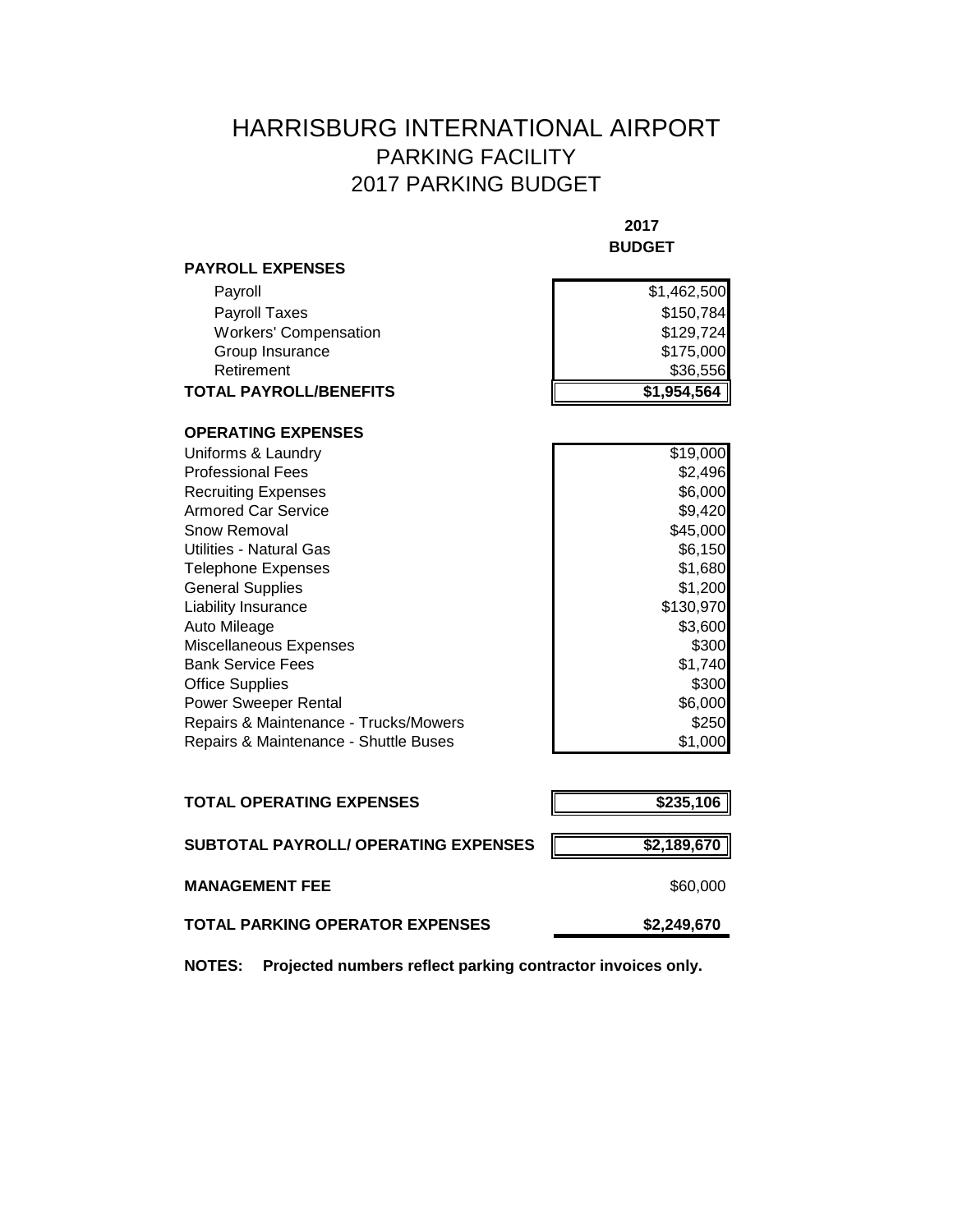# HARRISBURG INTERNATIONAL AIRPORT PARKING FACILITY 2017 PARKING BUDGET

|                                       | 2017<br><b>BUDGET</b> |
|---------------------------------------|-----------------------|
| <b>PAYROLL EXPENSES</b>               |                       |
| Payroll                               | \$1,462,500           |
| Payroll Taxes                         | \$150,784             |
| <b>Workers' Compensation</b>          | \$129,724             |
| Group Insurance                       | \$175,000             |
| Retirement                            | \$36,556              |
| <b>TOTAL PAYROLL/BENEFITS</b>         | \$1,954,564           |
| <b>OPERATING EXPENSES</b>             |                       |
| Uniforms & Laundry                    | \$19,000              |
| <b>Professional Fees</b>              | \$2,496               |
| <b>Recruiting Expenses</b>            | \$6,000               |
| <b>Armored Car Service</b>            | \$9,420               |
| Snow Removal                          | \$45,000              |
| Utilities - Natural Gas               | \$6,150               |
| <b>Telephone Expenses</b>             | \$1,680               |
| <b>General Supplies</b>               | \$1,200               |
| Liability Insurance                   | \$130,970             |
| Auto Mileage                          | \$3,600               |
| Miscellaneous Expenses                | \$300                 |
| <b>Bank Service Fees</b>              | \$1,740               |
| <b>Office Supplies</b>                | \$300                 |
| <b>Power Sweeper Rental</b>           | \$6,000               |
| Repairs & Maintenance - Trucks/Mowers | \$250                 |
| Repairs & Maintenance - Shuttle Buses | \$1,000               |
|                                       |                       |
|                                       |                       |

| <b>TOTAL OPERATING EXPENSES</b>      | \$235,106   |
|--------------------------------------|-------------|
| SUBTOTAL PAYROLL/ OPERATING EXPENSES | \$2,189,670 |
| <b>MANAGEMENT FEE</b>                | \$60,000    |
| TOTAL PARKING OPERATOR EXPENSES      | \$2,249,670 |

**NOTES: Projected numbers reflect parking contractor invoices only.**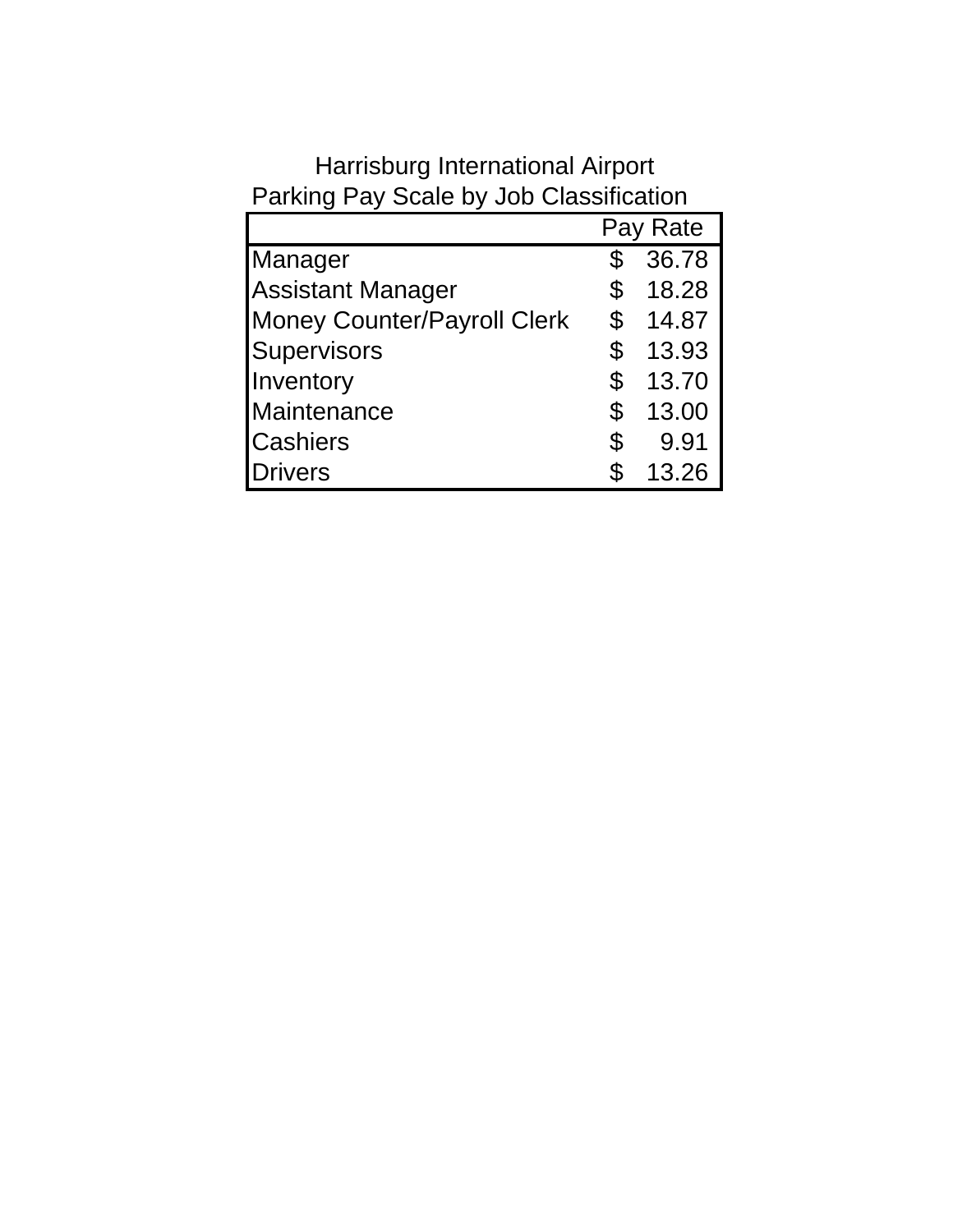|                                    | Pay Rate    |
|------------------------------------|-------------|
| Manager                            | \$<br>36.78 |
| <b>Assistant Manager</b>           | \$<br>18.28 |
| <b>Money Counter/Payroll Clerk</b> | \$<br>14.87 |
| Supervisors                        | \$<br>13.93 |
| Inventory                          | \$<br>13.70 |
| Maintenance                        | \$<br>13.00 |
| <b>Cashiers</b>                    | \$<br>9.91  |
| <b>Drivers</b>                     | \$<br>13.26 |

# Parking Pay Scale by Job Classification Harrisburg International Airport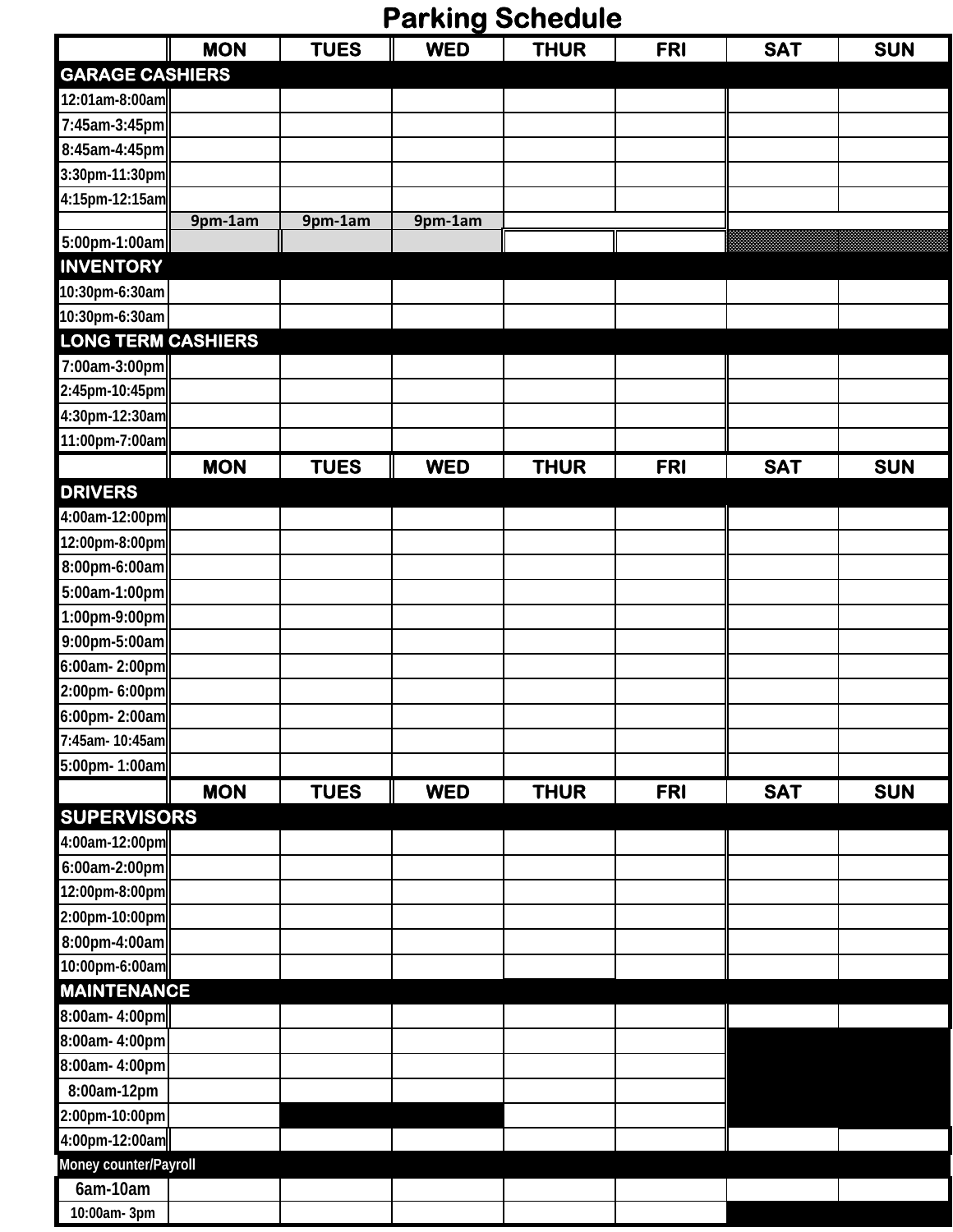# **Parking Schedule**

|                           | <b>MON</b> | <b>TUES</b> | <b>WED</b> | <b>THUR</b> | <b>FRI</b> | <b>SAT</b> | <b>SUN</b> |
|---------------------------|------------|-------------|------------|-------------|------------|------------|------------|
| <b>GARAGE CASHIERS</b>    |            |             |            |             |            |            |            |
| 12:01am-8:00am            |            |             |            |             |            |            |            |
| 7:45am-3:45pm             |            |             |            |             |            |            |            |
| 8:45am-4:45pm             |            |             |            |             |            |            |            |
| 3:30pm-11:30pm            |            |             |            |             |            |            |            |
| 4:15pm-12:15am            |            |             |            |             |            |            |            |
|                           | 9pm-1am    | 9pm-1am     | 9pm-1am    |             |            |            |            |
| 5:00pm-1:00am             |            |             |            |             |            |            |            |
| <b>INVENTORY</b>          |            |             |            |             |            |            |            |
| 10:30pm-6:30am            |            |             |            |             |            |            |            |
| 10:30pm-6:30am            |            |             |            |             |            |            |            |
| <b>LONG TERM CASHIERS</b> |            |             |            |             |            |            |            |
| 7:00am-3:00pm             |            |             |            |             |            |            |            |
| 2:45pm-10:45pm            |            |             |            |             |            |            |            |
| 4:30pm-12:30am            |            |             |            |             |            |            |            |
| 11:00pm-7:00am            |            |             |            |             |            |            |            |
|                           | <b>MON</b> | <b>TUES</b> | <b>WED</b> | <b>THUR</b> | <b>FRI</b> | <b>SAT</b> | <b>SUN</b> |
| <b>DRIVERS</b>            |            |             |            |             |            |            |            |
| 4:00am-12:00pm            |            |             |            |             |            |            |            |
| 12:00pm-8:00pm            |            |             |            |             |            |            |            |
| 8:00pm-6:00am             |            |             |            |             |            |            |            |
| 5:00am-1:00pm             |            |             |            |             |            |            |            |
| 1:00pm-9:00pm             |            |             |            |             |            |            |            |
| 9:00pm-5:00am             |            |             |            |             |            |            |            |
| 6:00am-2:00pm             |            |             |            |             |            |            |            |
| 2:00pm- 6:00pm            |            |             |            |             |            |            |            |
| 6:00pm-2:00am             |            |             |            |             |            |            |            |
| 7:45am- 10:45am           |            |             |            |             |            |            |            |
| 5:00pm- 1:00am            |            |             |            |             |            |            |            |
|                           | <b>MON</b> | <b>TUES</b> | <b>WED</b> | <b>THUR</b> | <b>FRI</b> | <b>SAT</b> | <b>SUN</b> |
| <b>SUPERVISORS</b>        |            |             |            |             |            |            |            |
| 4:00am-12:00pm            |            |             |            |             |            |            |            |
| 6:00am-2:00pm             |            |             |            |             |            |            |            |
| 12:00pm-8:00pm            |            |             |            |             |            |            |            |
| 2:00pm-10:00pm            |            |             |            |             |            |            |            |
| 8:00pm-4:00am             |            |             |            |             |            |            |            |
| 10:00pm-6:00am            |            |             |            |             |            |            |            |
| <b>MAINTENANCE</b>        |            |             |            |             |            |            |            |
| 8:00am-4:00pm             |            |             |            |             |            |            |            |
| 8:00am- 4:00pm            |            |             |            |             |            |            |            |
| 8:00am- 4:00pm            |            |             |            |             |            |            |            |
| 8:00am-12pm               |            |             |            |             |            |            |            |
| 2:00pm-10:00pm            |            |             |            |             |            |            |            |
| 4:00pm-12:00am            |            |             |            |             |            |            |            |
| Money counter/Payroll     |            |             |            |             |            |            |            |
| $6am-10am$                |            |             |            |             |            |            |            |
| 10:00am- 3pm              |            |             |            |             |            |            |            |
|                           |            |             |            |             |            |            |            |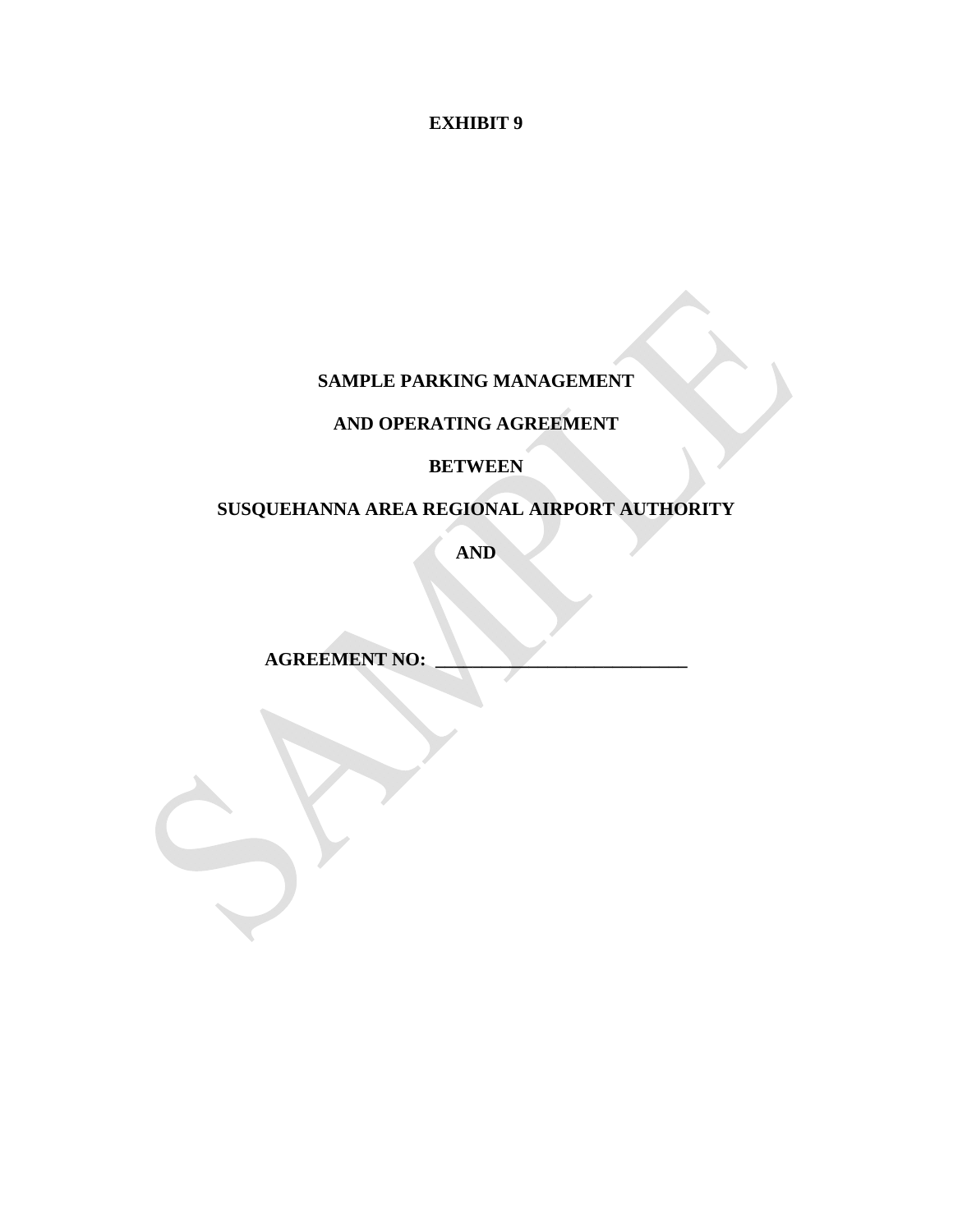**EXHIBIT 9** 

### **SAMPLE PARKING MANAGEMENT**

### **AND OPERATING AGREEMENT**

### **BETWEEN**

# **SUSQUEHANNA AREA REGIONAL AIRPORT AUTHORITY**

**AND** 

**AGREEMENT NO:**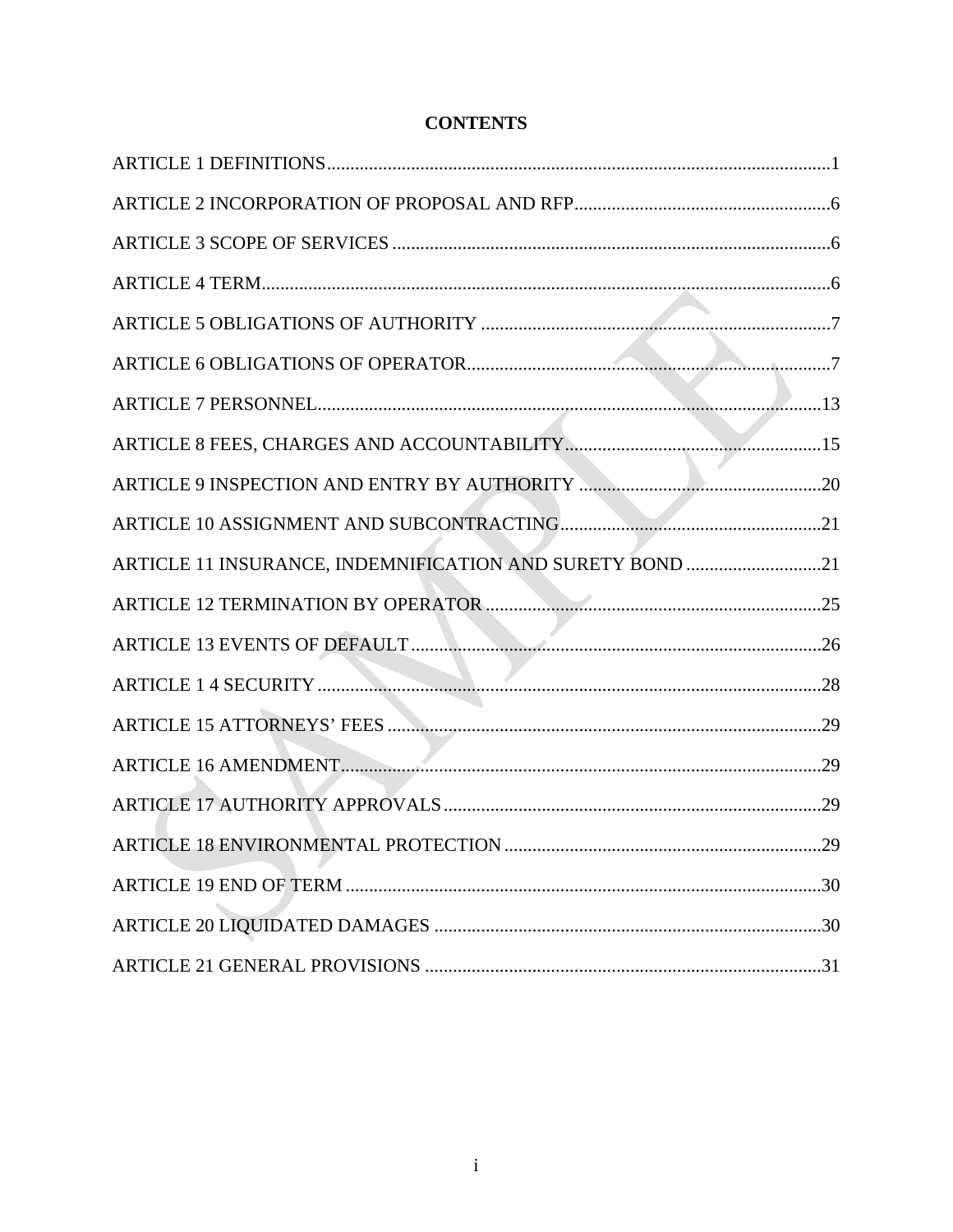### **CONTENTS**

| ARTICLE 11 INSURANCE, INDEMNIFICATION AND SURETY BOND 21 |     |
|----------------------------------------------------------|-----|
|                                                          |     |
|                                                          |     |
|                                                          |     |
|                                                          |     |
|                                                          |     |
|                                                          |     |
|                                                          | .29 |
|                                                          |     |
|                                                          |     |
|                                                          |     |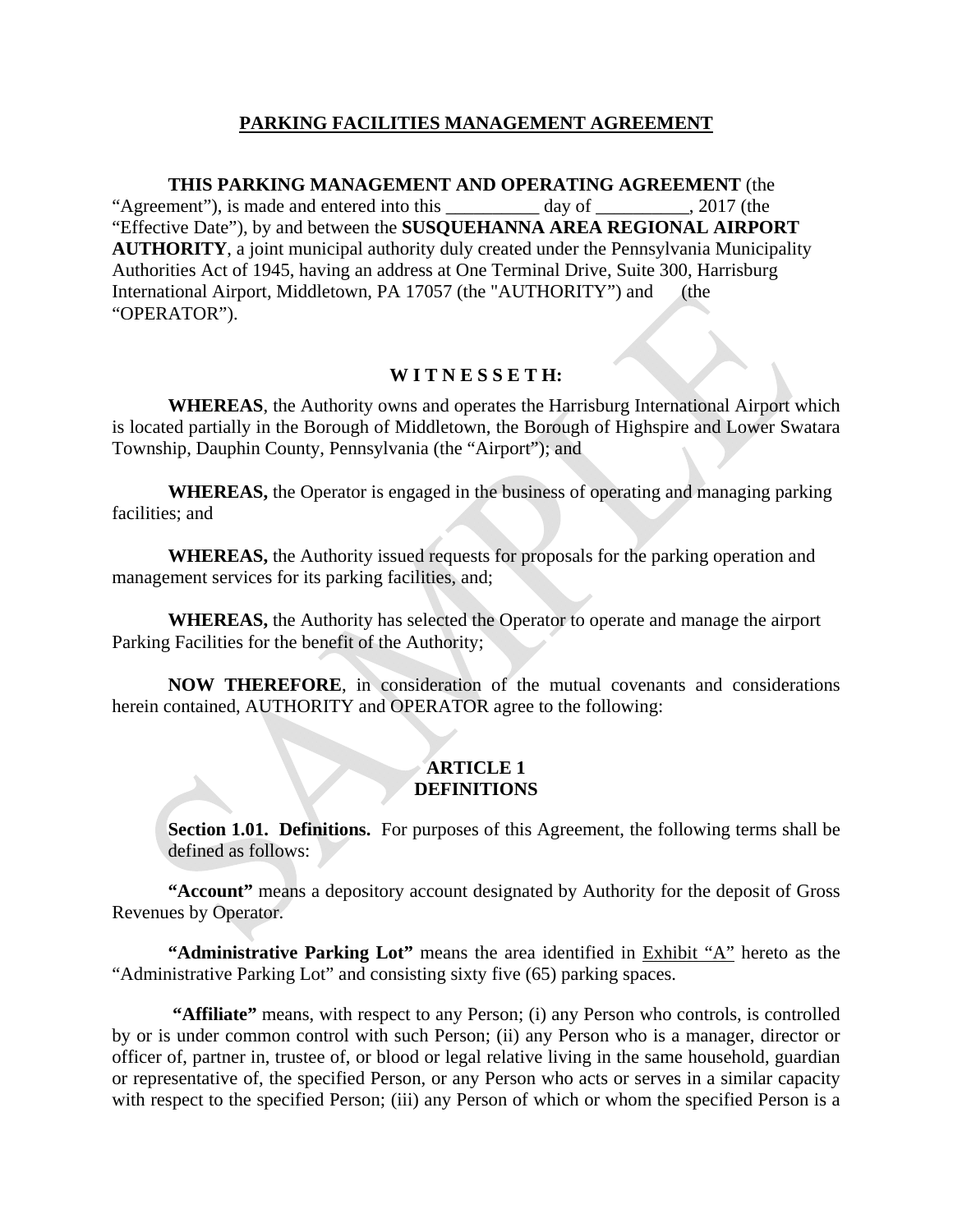### **PARKING FACILITIES MANAGEMENT AGREEMENT**

 **THIS PARKING MANAGEMENT AND OPERATING AGREEMENT** (the "Agreement"), is made and entered into this day of  $\qquad \qquad$  , 2017 (the "Effective Date"), by and between the **SUSQUEHANNA AREA REGIONAL AIRPORT AUTHORITY**, a joint municipal authority duly created under the Pennsylvania Municipality Authorities Act of 1945, having an address at One Terminal Drive, Suite 300, Harrisburg International Airport, Middletown, PA 17057 (the "AUTHORITY") and (the "OPERATOR").

### **W I T N E S S E T H:**

 **WHEREAS**, the Authority owns and operates the Harrisburg International Airport which is located partially in the Borough of Middletown, the Borough of Highspire and Lower Swatara Township, Dauphin County, Pennsylvania (the "Airport"); and

 **WHEREAS,** the Operator is engaged in the business of operating and managing parking facilities; and

 **WHEREAS,** the Authority issued requests for proposals for the parking operation and management services for its parking facilities, and;

 **WHEREAS,** the Authority has selected the Operator to operate and manage the airport Parking Facilities for the benefit of the Authority;

**NOW THEREFORE**, in consideration of the mutual covenants and considerations herein contained, AUTHORITY and OPERATOR agree to the following:

### **ARTICLE 1 DEFINITIONS**

**Section 1.01. Definitions.** For purposes of this Agreement, the following terms shall be defined as follows:

**"Account"** means a depository account designated by Authority for the deposit of Gross Revenues by Operator.

**"Administrative Parking Lot"** means the area identified in Exhibit "A" hereto as the "Administrative Parking Lot" and consisting sixty five (65) parking spaces.

 **"Affiliate"** means, with respect to any Person; (i) any Person who controls, is controlled by or is under common control with such Person; (ii) any Person who is a manager, director or officer of, partner in, trustee of, or blood or legal relative living in the same household, guardian or representative of, the specified Person, or any Person who acts or serves in a similar capacity with respect to the specified Person; (iii) any Person of which or whom the specified Person is a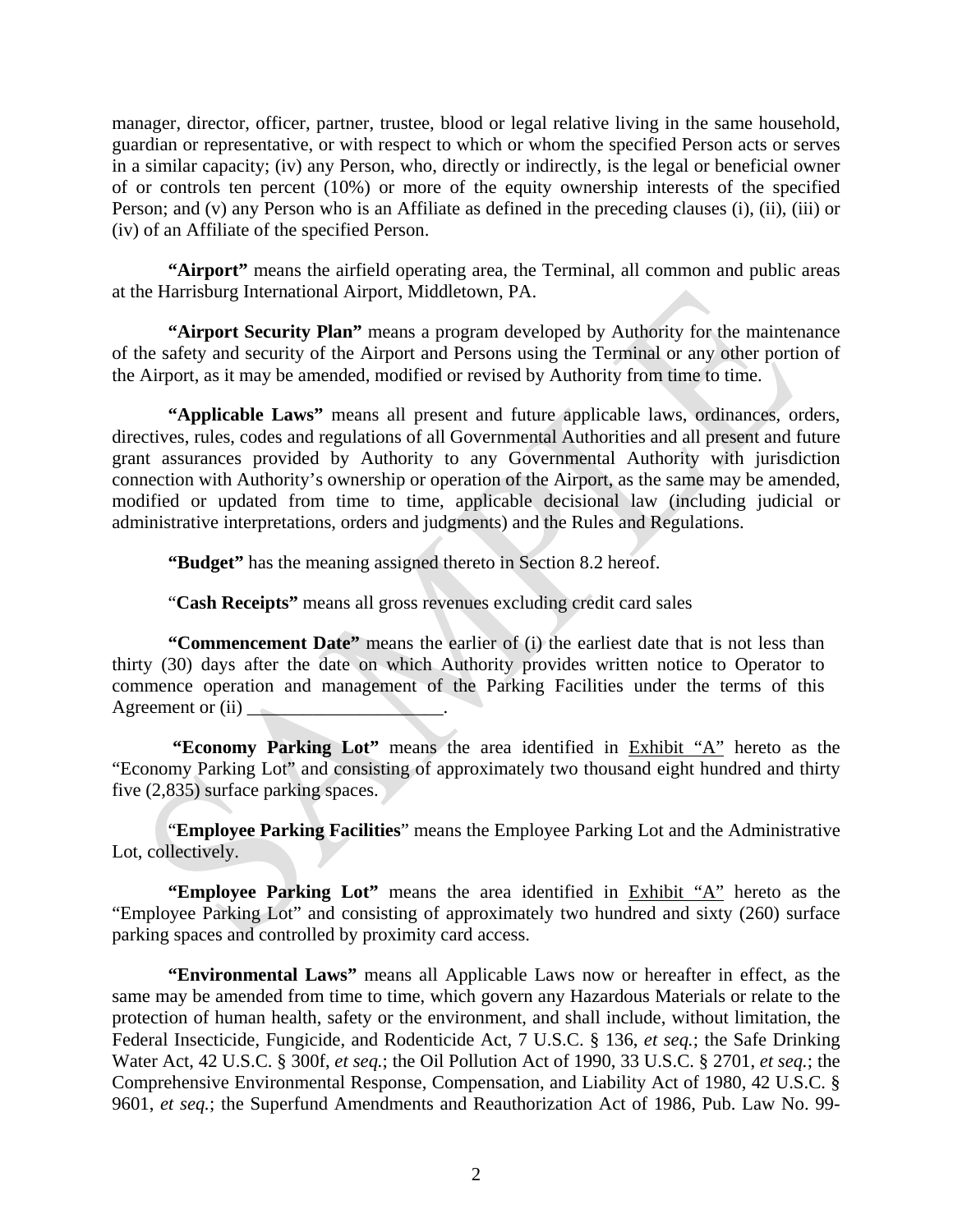manager, director, officer, partner, trustee, blood or legal relative living in the same household, guardian or representative, or with respect to which or whom the specified Person acts or serves in a similar capacity; (iv) any Person, who, directly or indirectly, is the legal or beneficial owner of or controls ten percent (10%) or more of the equity ownership interests of the specified Person; and (v) any Person who is an Affiliate as defined in the preceding clauses (i), (ii), (iii) or (iv) of an Affiliate of the specified Person.

**"Airport"** means the airfield operating area, the Terminal, all common and public areas at the Harrisburg International Airport, Middletown, PA.

**"Airport Security Plan"** means a program developed by Authority for the maintenance of the safety and security of the Airport and Persons using the Terminal or any other portion of the Airport, as it may be amended, modified or revised by Authority from time to time.

**"Applicable Laws"** means all present and future applicable laws, ordinances, orders, directives, rules, codes and regulations of all Governmental Authorities and all present and future grant assurances provided by Authority to any Governmental Authority with jurisdiction connection with Authority's ownership or operation of the Airport, as the same may be amended, modified or updated from time to time, applicable decisional law (including judicial or administrative interpretations, orders and judgments) and the Rules and Regulations.

**"Budget"** has the meaning assigned thereto in Section 8.2 hereof.

"**Cash Receipts"** means all gross revenues excluding credit card sales

**"Commencement Date"** means the earlier of (i) the earliest date that is not less than thirty (30) days after the date on which Authority provides written notice to Operator to commence operation and management of the Parking Facilities under the terms of this Agreement or  $(ii)$ 

 **"Economy Parking Lot"** means the area identified in Exhibit "A" hereto as the "Economy Parking Lot" and consisting of approximately two thousand eight hundred and thirty five (2,835) surface parking spaces.

"**Employee Parking Facilities**" means the Employee Parking Lot and the Administrative Lot, collectively.

**"Employee Parking Lot"** means the area identified in Exhibit "A" hereto as the "Employee Parking Lot" and consisting of approximately two hundred and sixty (260) surface parking spaces and controlled by proximity card access.

**"Environmental Laws"** means all Applicable Laws now or hereafter in effect, as the same may be amended from time to time, which govern any Hazardous Materials or relate to the protection of human health, safety or the environment, and shall include, without limitation, the Federal Insecticide, Fungicide, and Rodenticide Act, 7 U.S.C. § 136, *et seq.*; the Safe Drinking Water Act, 42 U.S.C. § 300f, *et seq.*; the Oil Pollution Act of 1990, 33 U.S.C. § 2701, *et seq.*; the Comprehensive Environmental Response, Compensation, and Liability Act of 1980, 42 U.S.C. § 9601, *et seq.*; the Superfund Amendments and Reauthorization Act of 1986, Pub. Law No. 99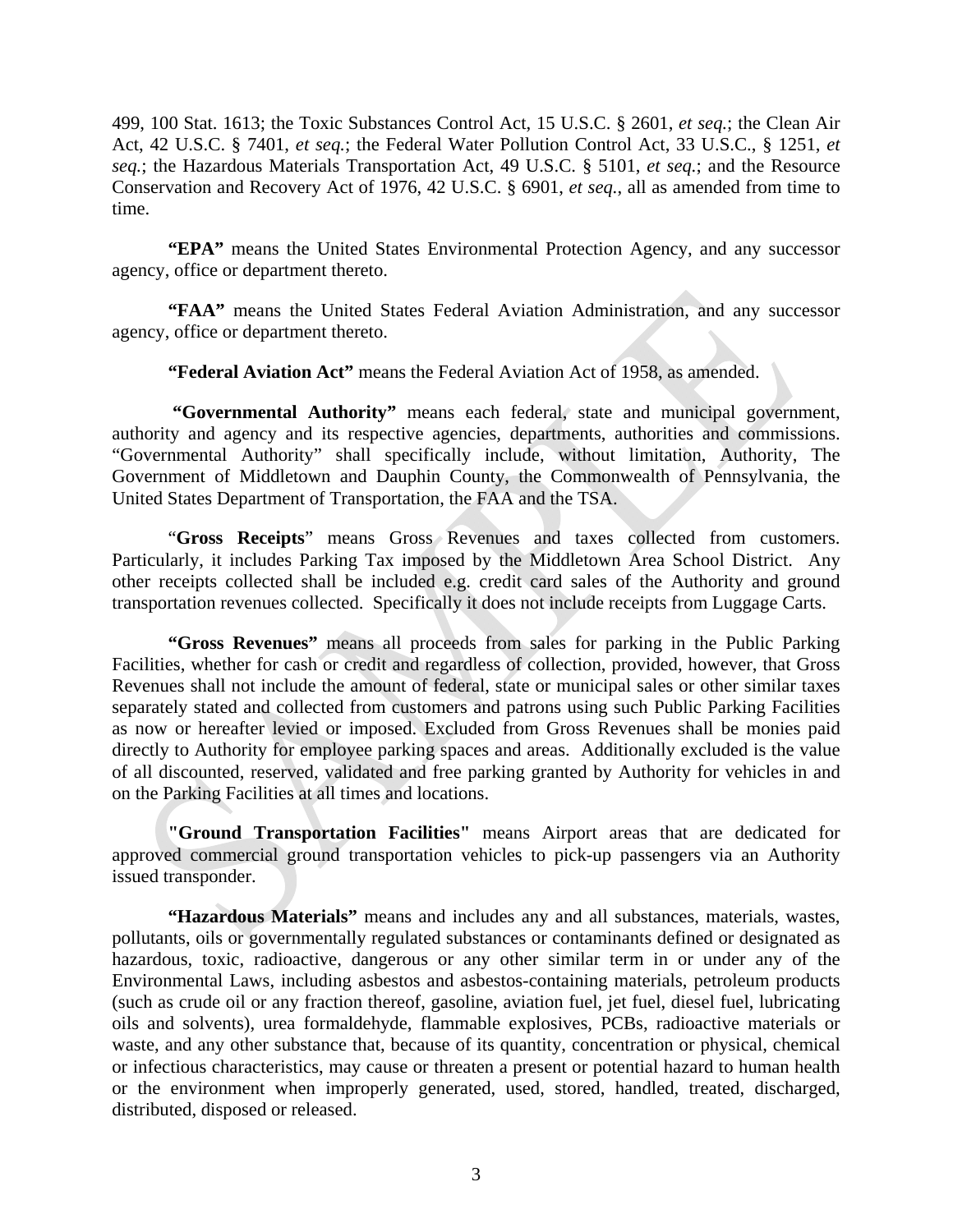499, 100 Stat. 1613; the Toxic Substances Control Act, 15 U.S.C. § 2601, *et seq.*; the Clean Air Act, 42 U.S.C. § 7401, *et seq.*; the Federal Water Pollution Control Act, 33 U.S.C., § 1251, *et seq.*; the Hazardous Materials Transportation Act, 49 U.S.C. § 5101, *et seq.*; and the Resource Conservation and Recovery Act of 1976, 42 U.S.C. § 6901, *et seq.*, all as amended from time to time.

**"EPA"** means the United States Environmental Protection Agency, and any successor agency, office or department thereto.

**"FAA"** means the United States Federal Aviation Administration, and any successor agency, office or department thereto.

**"Federal Aviation Act"** means the Federal Aviation Act of 1958, as amended.

 **"Governmental Authority"** means each federal, state and municipal government, authority and agency and its respective agencies, departments, authorities and commissions. "Governmental Authority" shall specifically include, without limitation, Authority, The Government of Middletown and Dauphin County, the Commonwealth of Pennsylvania, the United States Department of Transportation, the FAA and the TSA.

"**Gross Receipts**" means Gross Revenues and taxes collected from customers. Particularly, it includes Parking Tax imposed by the Middletown Area School District. Any other receipts collected shall be included e.g. credit card sales of the Authority and ground transportation revenues collected. Specifically it does not include receipts from Luggage Carts.

**"Gross Revenues"** means all proceeds from sales for parking in the Public Parking Facilities, whether for cash or credit and regardless of collection, provided, however, that Gross Revenues shall not include the amount of federal, state or municipal sales or other similar taxes separately stated and collected from customers and patrons using such Public Parking Facilities as now or hereafter levied or imposed. Excluded from Gross Revenues shall be monies paid directly to Authority for employee parking spaces and areas. Additionally excluded is the value of all discounted, reserved, validated and free parking granted by Authority for vehicles in and on the Parking Facilities at all times and locations.

**"Ground Transportation Facilities"** means Airport areas that are dedicated for approved commercial ground transportation vehicles to pick-up passengers via an Authority issued transponder.

**"Hazardous Materials"** means and includes any and all substances, materials, wastes, pollutants, oils or governmentally regulated substances or contaminants defined or designated as hazardous, toxic, radioactive, dangerous or any other similar term in or under any of the Environmental Laws, including asbestos and asbestos-containing materials, petroleum products (such as crude oil or any fraction thereof, gasoline, aviation fuel, jet fuel, diesel fuel, lubricating oils and solvents), urea formaldehyde, flammable explosives, PCBs, radioactive materials or waste, and any other substance that, because of its quantity, concentration or physical, chemical or infectious characteristics, may cause or threaten a present or potential hazard to human health or the environment when improperly generated, used, stored, handled, treated, discharged, distributed, disposed or released.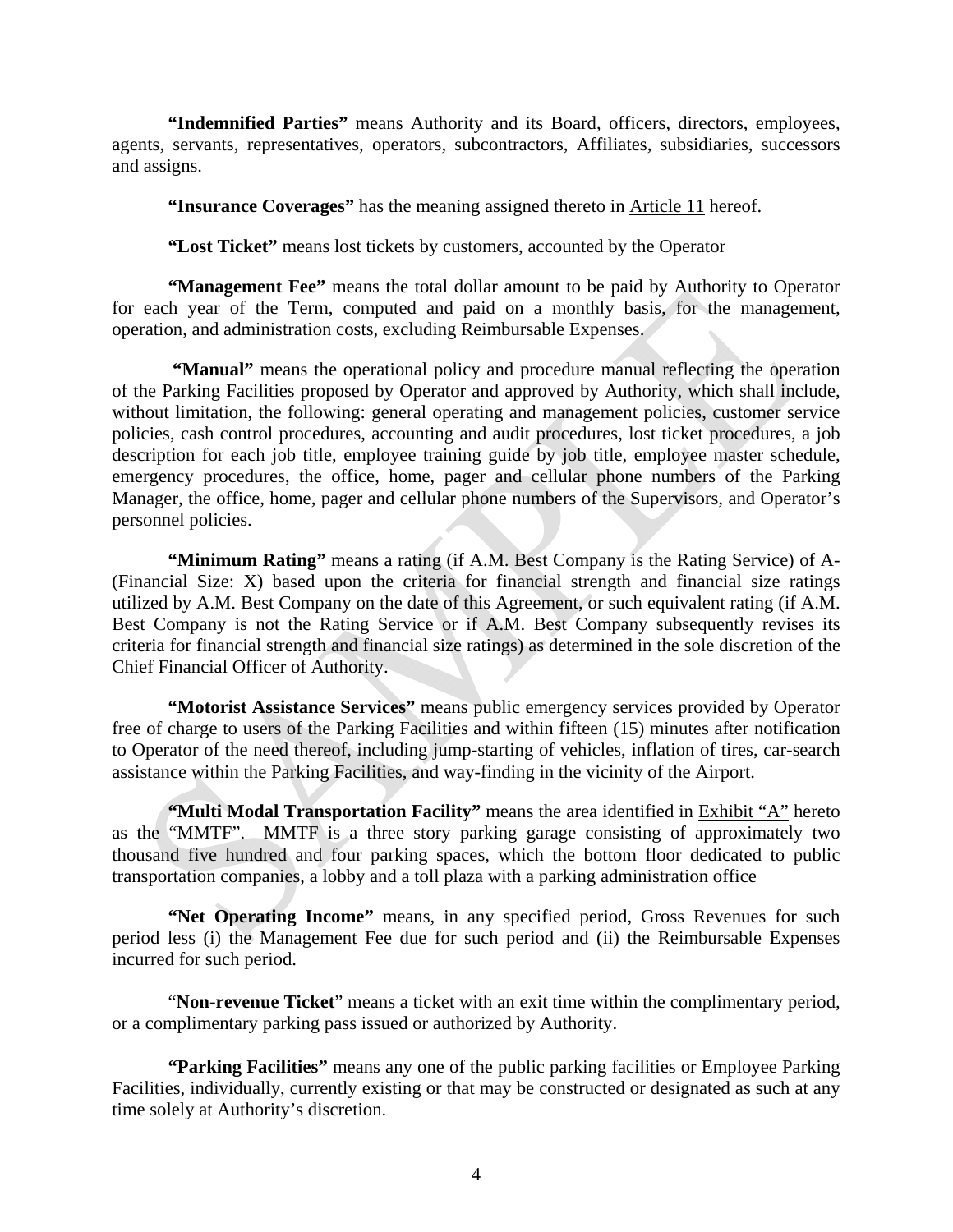**"Indemnified Parties"** means Authority and its Board, officers, directors, employees, agents, servants, representatives, operators, subcontractors, Affiliates, subsidiaries, successors and assigns.

**"Insurance Coverages"** has the meaning assigned thereto in Article 11 hereof.

**"Lost Ticket"** means lost tickets by customers, accounted by the Operator

**"Management Fee"** means the total dollar amount to be paid by Authority to Operator for each year of the Term, computed and paid on a monthly basis, for the management, operation, and administration costs, excluding Reimbursable Expenses.

 **"Manual"** means the operational policy and procedure manual reflecting the operation of the Parking Facilities proposed by Operator and approved by Authority, which shall include, without limitation, the following: general operating and management policies, customer service policies, cash control procedures, accounting and audit procedures, lost ticket procedures, a job description for each job title, employee training guide by job title, employee master schedule, emergency procedures, the office, home, pager and cellular phone numbers of the Parking Manager, the office, home, pager and cellular phone numbers of the Supervisors, and Operator's personnel policies.

**"Minimum Rating"** means a rating (if A.M. Best Company is the Rating Service) of A- (Financial Size: X) based upon the criteria for financial strength and financial size ratings utilized by A.M. Best Company on the date of this Agreement, or such equivalent rating (if A.M. Best Company is not the Rating Service or if A.M. Best Company subsequently revises its criteria for financial strength and financial size ratings) as determined in the sole discretion of the Chief Financial Officer of Authority.

**"Motorist Assistance Services"** means public emergency services provided by Operator free of charge to users of the Parking Facilities and within fifteen (15) minutes after notification to Operator of the need thereof, including jump-starting of vehicles, inflation of tires, car-search assistance within the Parking Facilities, and way-finding in the vicinity of the Airport.

**"Multi Modal Transportation Facility"** means the area identified in **Exhibit** "A" hereto as the "MMTF". MMTF is a three story parking garage consisting of approximately two thousand five hundred and four parking spaces, which the bottom floor dedicated to public transportation companies, a lobby and a toll plaza with a parking administration office

**"Net Operating Income"** means, in any specified period, Gross Revenues for such period less (i) the Management Fee due for such period and (ii) the Reimbursable Expenses incurred for such period.

"**Non-revenue Ticket**" means a ticket with an exit time within the complimentary period, or a complimentary parking pass issued or authorized by Authority.

**"Parking Facilities"** means any one of the public parking facilities or Employee Parking Facilities, individually, currently existing or that may be constructed or designated as such at any time solely at Authority's discretion.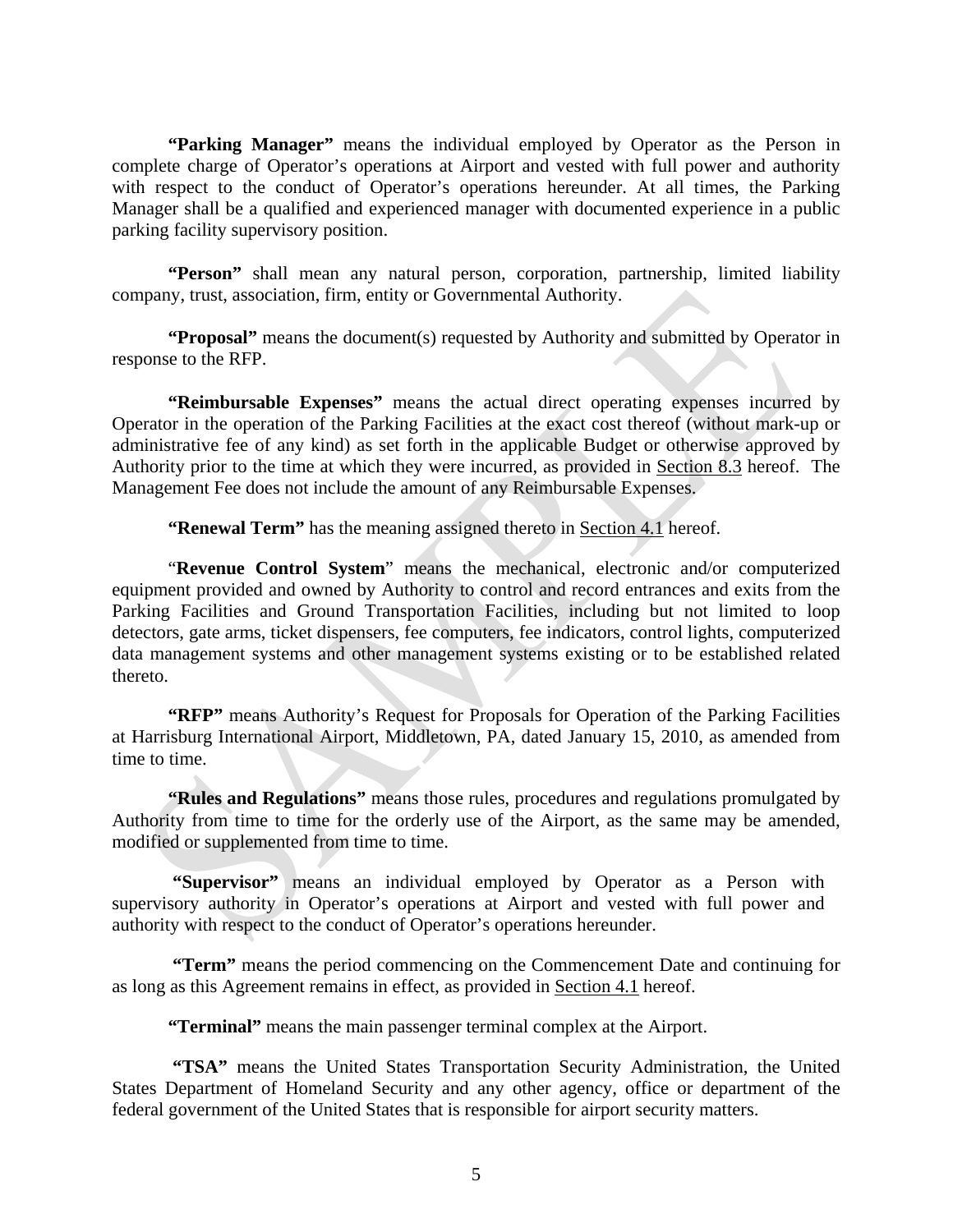**"Parking Manager"** means the individual employed by Operator as the Person in complete charge of Operator's operations at Airport and vested with full power and authority with respect to the conduct of Operator's operations hereunder. At all times, the Parking Manager shall be a qualified and experienced manager with documented experience in a public parking facility supervisory position.

"Person" shall mean any natural person, corporation, partnership, limited liability company, trust, association, firm, entity or Governmental Authority.

**"Proposal"** means the document(s) requested by Authority and submitted by Operator in response to the RFP.

**"Reimbursable Expenses"** means the actual direct operating expenses incurred by Operator in the operation of the Parking Facilities at the exact cost thereof (without mark-up or administrative fee of any kind) as set forth in the applicable Budget or otherwise approved by Authority prior to the time at which they were incurred, as provided in Section 8.3 hereof. The Management Fee does not include the amount of any Reimbursable Expenses.

**"Renewal Term"** has the meaning assigned thereto in Section 4.1 hereof.

"**Revenue Control System**" means the mechanical, electronic and/or computerized equipment provided and owned by Authority to control and record entrances and exits from the Parking Facilities and Ground Transportation Facilities, including but not limited to loop detectors, gate arms, ticket dispensers, fee computers, fee indicators, control lights, computerized data management systems and other management systems existing or to be established related thereto.

**"RFP"** means Authority's Request for Proposals for Operation of the Parking Facilities at Harrisburg International Airport, Middletown, PA, dated January 15, 2010, as amended from time to time.

**"Rules and Regulations"** means those rules, procedures and regulations promulgated by Authority from time to time for the orderly use of the Airport, as the same may be amended, modified or supplemented from time to time.

 **"Supervisor"** means an individual employed by Operator as a Person with supervisory authority in Operator's operations at Airport and vested with full power and authority with respect to the conduct of Operator's operations hereunder.

 **"Term"** means the period commencing on the Commencement Date and continuing for as long as this Agreement remains in effect, as provided in Section 4.1 hereof.

**"Terminal"** means the main passenger terminal complex at the Airport.

 **"TSA"** means the United States Transportation Security Administration, the United States Department of Homeland Security and any other agency, office or department of the federal government of the United States that is responsible for airport security matters.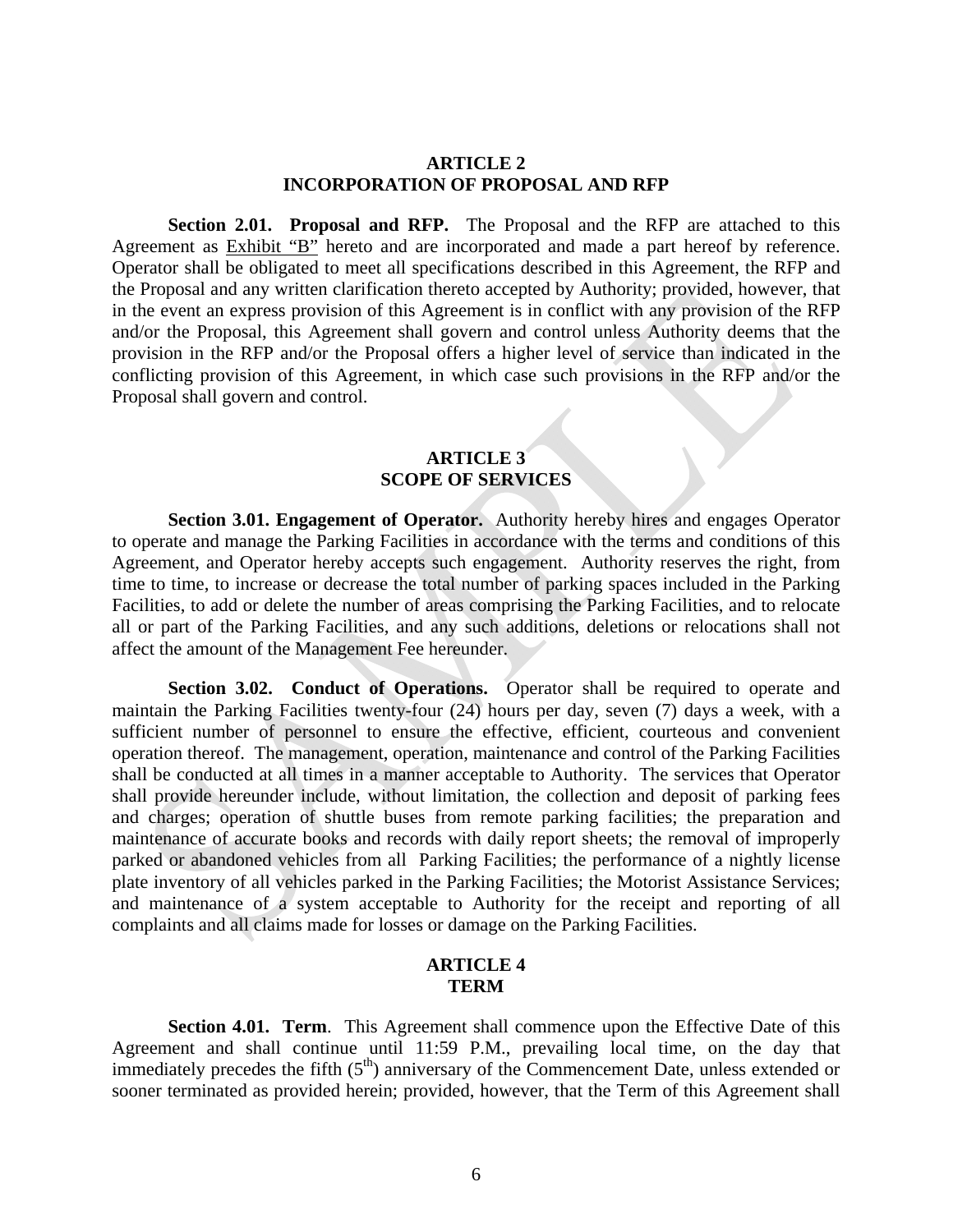### **ARTICLE 2 INCORPORATION OF PROPOSAL AND RFP**

**Section 2.01. Proposal and RFP.** The Proposal and the RFP are attached to this Agreement as Exhibit "B" hereto and are incorporated and made a part hereof by reference. Operator shall be obligated to meet all specifications described in this Agreement, the RFP and the Proposal and any written clarification thereto accepted by Authority; provided, however, that in the event an express provision of this Agreement is in conflict with any provision of the RFP and/or the Proposal, this Agreement shall govern and control unless Authority deems that the provision in the RFP and/or the Proposal offers a higher level of service than indicated in the conflicting provision of this Agreement, in which case such provisions in the RFP and/or the Proposal shall govern and control.

### **ARTICLE 3 SCOPE OF SERVICES**

**Section 3.01. Engagement of Operator.** Authority hereby hires and engages Operator to operate and manage the Parking Facilities in accordance with the terms and conditions of this Agreement, and Operator hereby accepts such engagement. Authority reserves the right, from time to time, to increase or decrease the total number of parking spaces included in the Parking Facilities, to add or delete the number of areas comprising the Parking Facilities, and to relocate all or part of the Parking Facilities, and any such additions, deletions or relocations shall not affect the amount of the Management Fee hereunder.

**Section 3.02. Conduct of Operations.** Operator shall be required to operate and maintain the Parking Facilities twenty-four (24) hours per day, seven (7) days a week, with a sufficient number of personnel to ensure the effective, efficient, courteous and convenient operation thereof. The management, operation, maintenance and control of the Parking Facilities shall be conducted at all times in a manner acceptable to Authority. The services that Operator shall provide hereunder include, without limitation, the collection and deposit of parking fees and charges; operation of shuttle buses from remote parking facilities; the preparation and maintenance of accurate books and records with daily report sheets; the removal of improperly parked or abandoned vehicles from all Parking Facilities; the performance of a nightly license plate inventory of all vehicles parked in the Parking Facilities; the Motorist Assistance Services; and maintenance of a system acceptable to Authority for the receipt and reporting of all complaints and all claims made for losses or damage on the Parking Facilities.

### **ARTICLE 4 TERM**

**Section 4.01. Term.** This Agreement shall commence upon the Effective Date of this Agreement and shall continue until 11:59 P.M., prevailing local time, on the day that immediately precedes the fifth  $(5<sup>th</sup>)$  anniversary of the Commencement Date, unless extended or sooner terminated as provided herein; provided, however, that the Term of this Agreement shall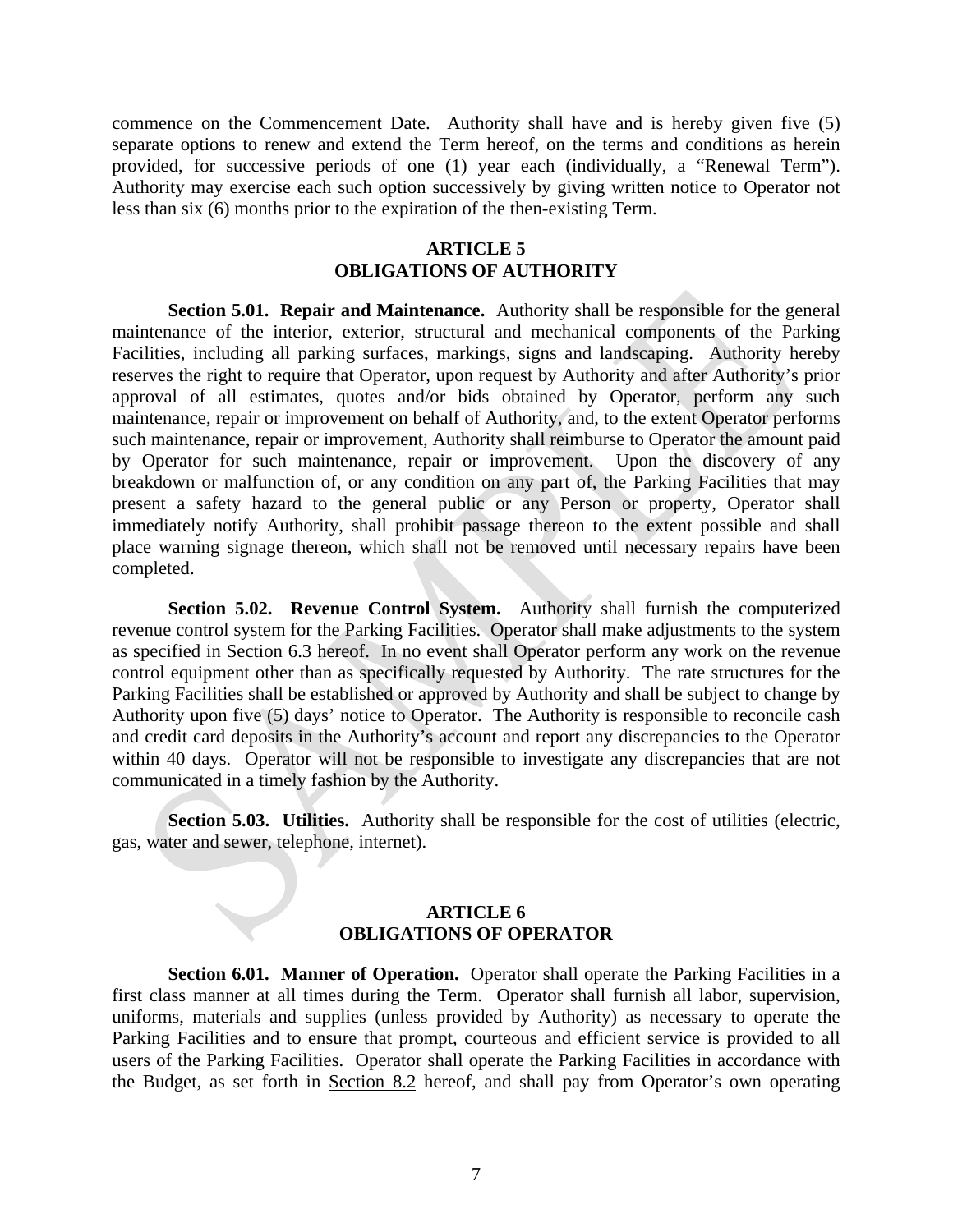commence on the Commencement Date. Authority shall have and is hereby given five (5) separate options to renew and extend the Term hereof, on the terms and conditions as herein provided, for successive periods of one (1) year each (individually, a "Renewal Term"). Authority may exercise each such option successively by giving written notice to Operator not less than six (6) months prior to the expiration of the then-existing Term.

### **ARTICLE 5 OBLIGATIONS OF AUTHORITY**

**Section 5.01. Repair and Maintenance.** Authority shall be responsible for the general maintenance of the interior, exterior, structural and mechanical components of the Parking Facilities, including all parking surfaces, markings, signs and landscaping. Authority hereby reserves the right to require that Operator, upon request by Authority and after Authority's prior approval of all estimates, quotes and/or bids obtained by Operator, perform any such maintenance, repair or improvement on behalf of Authority, and, to the extent Operator performs such maintenance, repair or improvement, Authority shall reimburse to Operator the amount paid by Operator for such maintenance, repair or improvement. Upon the discovery of any breakdown or malfunction of, or any condition on any part of, the Parking Facilities that may present a safety hazard to the general public or any Person or property, Operator shall immediately notify Authority, shall prohibit passage thereon to the extent possible and shall place warning signage thereon, which shall not be removed until necessary repairs have been completed.

**Section 5.02. Revenue Control System.** Authority shall furnish the computerized revenue control system for the Parking Facilities. Operator shall make adjustments to the system as specified in Section 6.3 hereof. In no event shall Operator perform any work on the revenue control equipment other than as specifically requested by Authority. The rate structures for the Parking Facilities shall be established or approved by Authority and shall be subject to change by Authority upon five (5) days' notice to Operator. The Authority is responsible to reconcile cash and credit card deposits in the Authority's account and report any discrepancies to the Operator within 40 days. Operator will not be responsible to investigate any discrepancies that are not communicated in a timely fashion by the Authority.

**Section 5.03. Utilities.** Authority shall be responsible for the cost of utilities (electric, gas, water and sewer, telephone, internet).

### **ARTICLE 6 OBLIGATIONS OF OPERATOR**

**Section 6.01. Manner of Operation.** Operator shall operate the Parking Facilities in a first class manner at all times during the Term. Operator shall furnish all labor, supervision, uniforms, materials and supplies (unless provided by Authority) as necessary to operate the Parking Facilities and to ensure that prompt, courteous and efficient service is provided to all users of the Parking Facilities. Operator shall operate the Parking Facilities in accordance with the Budget, as set forth in Section 8.2 hereof, and shall pay from Operator's own operating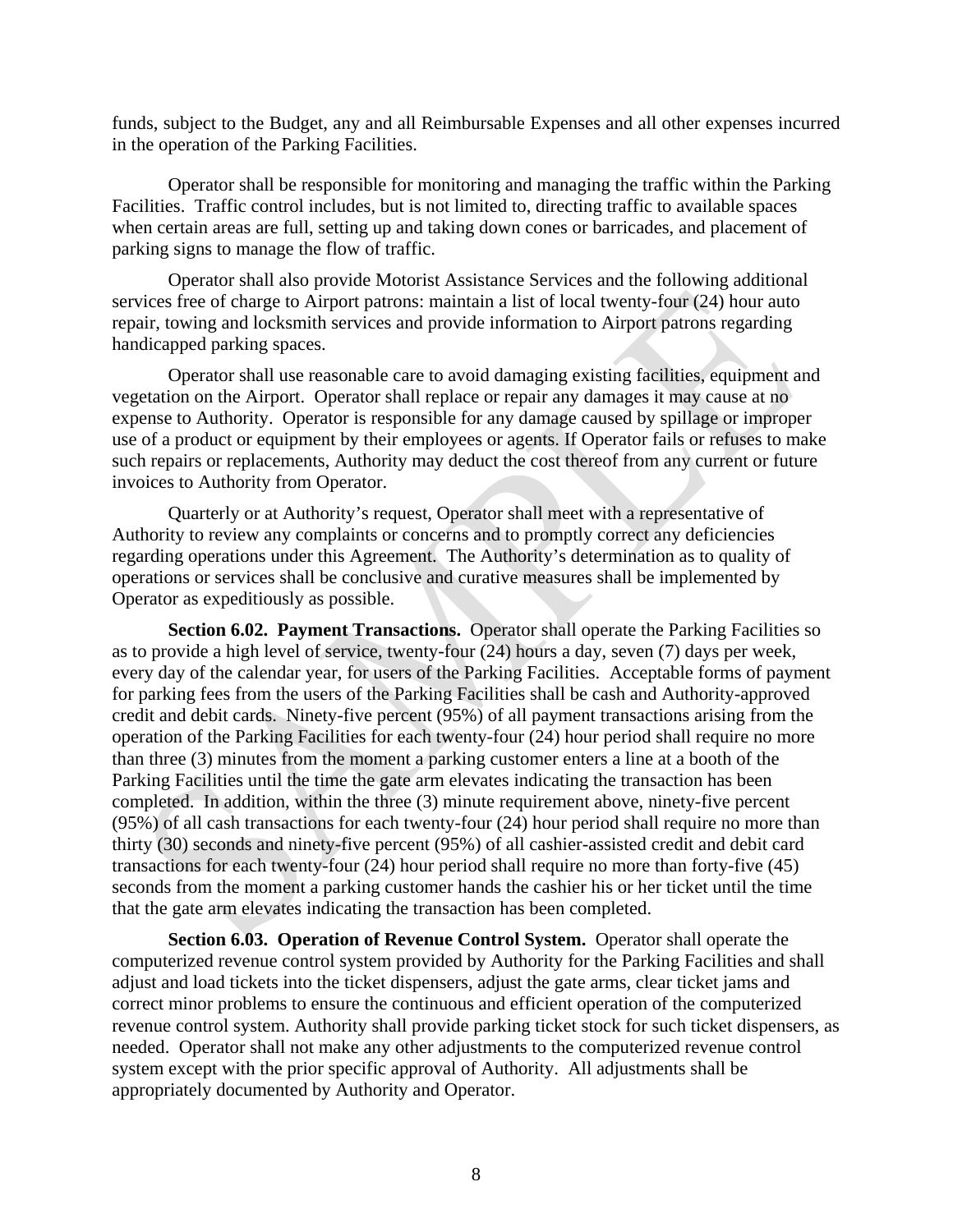funds, subject to the Budget, any and all Reimbursable Expenses and all other expenses incurred in the operation of the Parking Facilities.

Operator shall be responsible for monitoring and managing the traffic within the Parking Facilities. Traffic control includes, but is not limited to, directing traffic to available spaces when certain areas are full, setting up and taking down cones or barricades, and placement of parking signs to manage the flow of traffic.

Operator shall also provide Motorist Assistance Services and the following additional services free of charge to Airport patrons: maintain a list of local twenty-four (24) hour auto repair, towing and locksmith services and provide information to Airport patrons regarding handicapped parking spaces.

Operator shall use reasonable care to avoid damaging existing facilities, equipment and vegetation on the Airport. Operator shall replace or repair any damages it may cause at no expense to Authority. Operator is responsible for any damage caused by spillage or improper use of a product or equipment by their employees or agents. If Operator fails or refuses to make such repairs or replacements, Authority may deduct the cost thereof from any current or future invoices to Authority from Operator.

Quarterly or at Authority's request, Operator shall meet with a representative of Authority to review any complaints or concerns and to promptly correct any deficiencies regarding operations under this Agreement. The Authority's determination as to quality of operations or services shall be conclusive and curative measures shall be implemented by Operator as expeditiously as possible.

**Section 6.02. Payment Transactions.** Operator shall operate the Parking Facilities so as to provide a high level of service, twenty-four (24) hours a day, seven (7) days per week, every day of the calendar year, for users of the Parking Facilities. Acceptable forms of payment for parking fees from the users of the Parking Facilities shall be cash and Authority-approved credit and debit cards. Ninety-five percent (95%) of all payment transactions arising from the operation of the Parking Facilities for each twenty-four (24) hour period shall require no more than three (3) minutes from the moment a parking customer enters a line at a booth of the Parking Facilities until the time the gate arm elevates indicating the transaction has been completed. In addition, within the three (3) minute requirement above, ninety-five percent (95%) of all cash transactions for each twenty-four (24) hour period shall require no more than thirty (30) seconds and ninety-five percent (95%) of all cashier-assisted credit and debit card transactions for each twenty-four (24) hour period shall require no more than forty-five (45) seconds from the moment a parking customer hands the cashier his or her ticket until the time that the gate arm elevates indicating the transaction has been completed.

**Section 6.03. Operation of Revenue Control System.** Operator shall operate the computerized revenue control system provided by Authority for the Parking Facilities and shall adjust and load tickets into the ticket dispensers, adjust the gate arms, clear ticket jams and correct minor problems to ensure the continuous and efficient operation of the computerized revenue control system. Authority shall provide parking ticket stock for such ticket dispensers, as needed. Operator shall not make any other adjustments to the computerized revenue control system except with the prior specific approval of Authority. All adjustments shall be appropriately documented by Authority and Operator.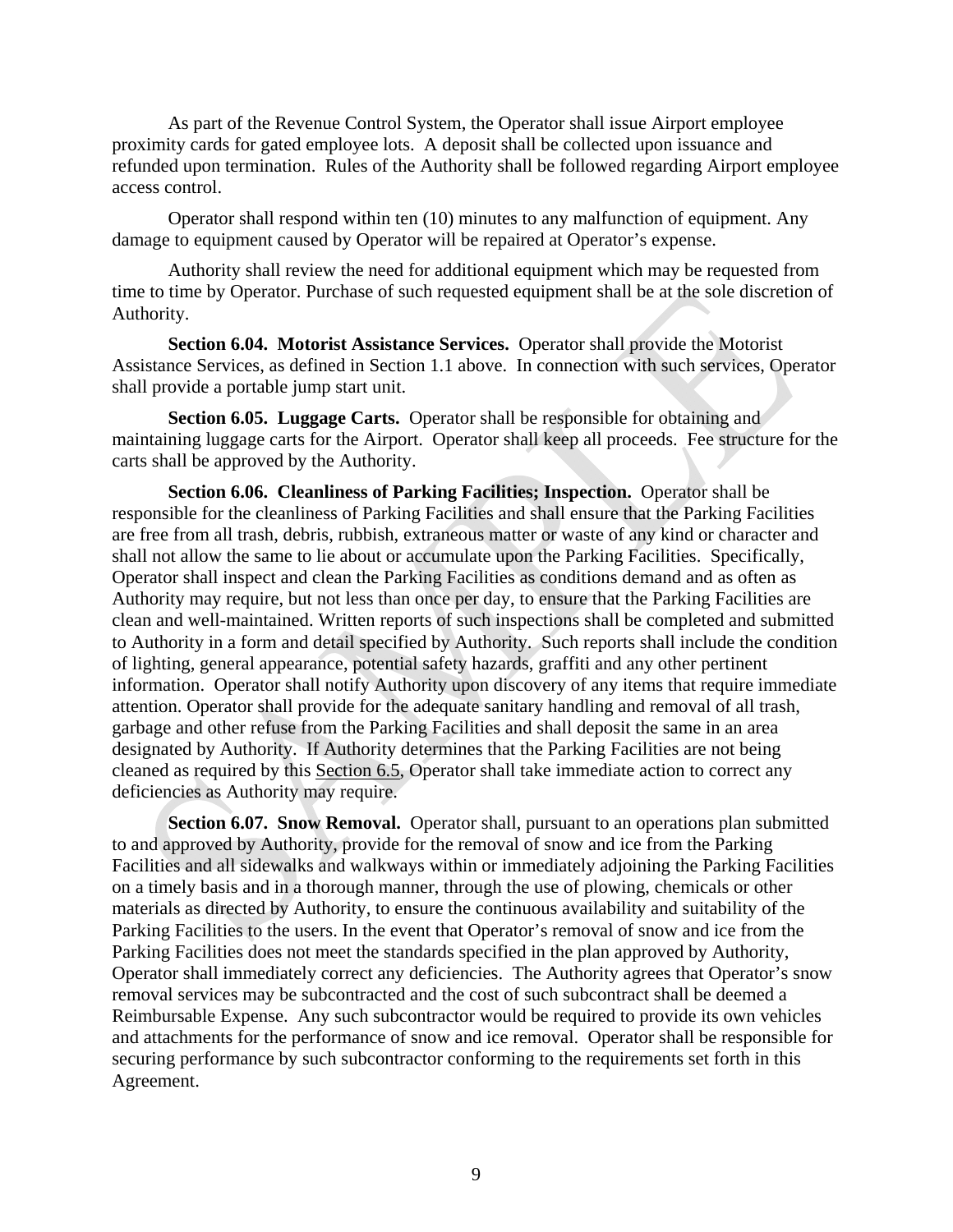As part of the Revenue Control System, the Operator shall issue Airport employee proximity cards for gated employee lots. A deposit shall be collected upon issuance and refunded upon termination. Rules of the Authority shall be followed regarding Airport employee access control.

Operator shall respond within ten (10) minutes to any malfunction of equipment. Any damage to equipment caused by Operator will be repaired at Operator's expense.

Authority shall review the need for additional equipment which may be requested from time to time by Operator. Purchase of such requested equipment shall be at the sole discretion of Authority.

**Section 6.04. Motorist Assistance Services.** Operator shall provide the Motorist Assistance Services, as defined in Section 1.1 above. In connection with such services, Operator shall provide a portable jump start unit.

**Section 6.05. Luggage Carts.** Operator shall be responsible for obtaining and maintaining luggage carts for the Airport. Operator shall keep all proceeds. Fee structure for the carts shall be approved by the Authority.

**Section 6.06. Cleanliness of Parking Facilities; Inspection.** Operator shall be responsible for the cleanliness of Parking Facilities and shall ensure that the Parking Facilities are free from all trash, debris, rubbish, extraneous matter or waste of any kind or character and shall not allow the same to lie about or accumulate upon the Parking Facilities. Specifically, Operator shall inspect and clean the Parking Facilities as conditions demand and as often as Authority may require, but not less than once per day, to ensure that the Parking Facilities are clean and well-maintained. Written reports of such inspections shall be completed and submitted to Authority in a form and detail specified by Authority. Such reports shall include the condition of lighting, general appearance, potential safety hazards, graffiti and any other pertinent information. Operator shall notify Authority upon discovery of any items that require immediate attention. Operator shall provide for the adequate sanitary handling and removal of all trash, garbage and other refuse from the Parking Facilities and shall deposit the same in an area designated by Authority. If Authority determines that the Parking Facilities are not being cleaned as required by this Section 6.5, Operator shall take immediate action to correct any deficiencies as Authority may require.

**Section 6.07. Snow Removal.** Operator shall, pursuant to an operations plan submitted to and approved by Authority, provide for the removal of snow and ice from the Parking Facilities and all sidewalks and walkways within or immediately adjoining the Parking Facilities on a timely basis and in a thorough manner, through the use of plowing, chemicals or other materials as directed by Authority, to ensure the continuous availability and suitability of the Parking Facilities to the users. In the event that Operator's removal of snow and ice from the Parking Facilities does not meet the standards specified in the plan approved by Authority, Operator shall immediately correct any deficiencies. The Authority agrees that Operator's snow removal services may be subcontracted and the cost of such subcontract shall be deemed a Reimbursable Expense. Any such subcontractor would be required to provide its own vehicles and attachments for the performance of snow and ice removal. Operator shall be responsible for securing performance by such subcontractor conforming to the requirements set forth in this Agreement.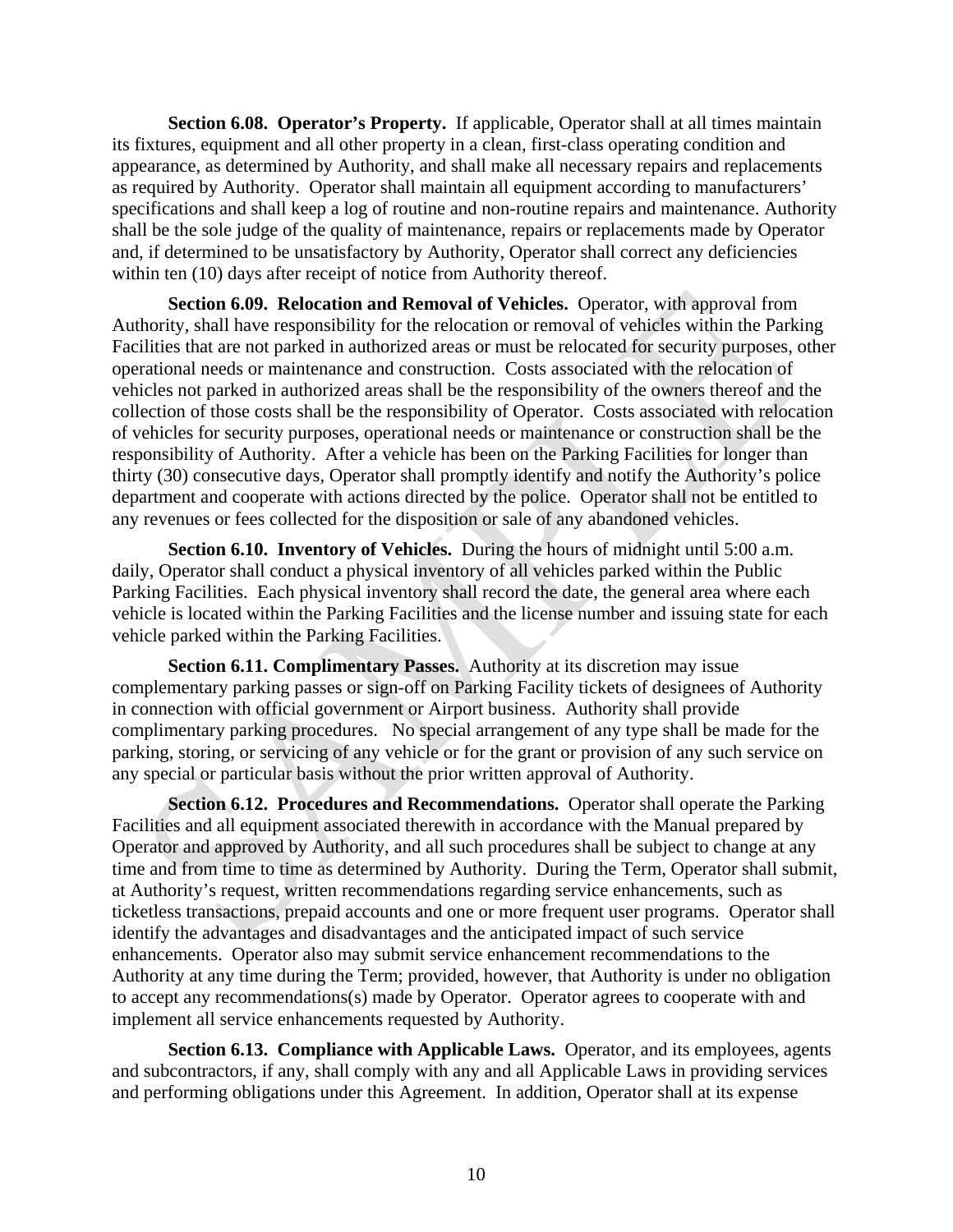**Section 6.08. Operator's Property.** If applicable, Operator shall at all times maintain its fixtures, equipment and all other property in a clean, first-class operating condition and appearance, as determined by Authority, and shall make all necessary repairs and replacements as required by Authority. Operator shall maintain all equipment according to manufacturers' specifications and shall keep a log of routine and non-routine repairs and maintenance. Authority shall be the sole judge of the quality of maintenance, repairs or replacements made by Operator and, if determined to be unsatisfactory by Authority, Operator shall correct any deficiencies within ten (10) days after receipt of notice from Authority thereof.

**Section 6.09. Relocation and Removal of Vehicles.** Operator, with approval from Authority, shall have responsibility for the relocation or removal of vehicles within the Parking Facilities that are not parked in authorized areas or must be relocated for security purposes, other operational needs or maintenance and construction. Costs associated with the relocation of vehicles not parked in authorized areas shall be the responsibility of the owners thereof and the collection of those costs shall be the responsibility of Operator. Costs associated with relocation of vehicles for security purposes, operational needs or maintenance or construction shall be the responsibility of Authority. After a vehicle has been on the Parking Facilities for longer than thirty (30) consecutive days, Operator shall promptly identify and notify the Authority's police department and cooperate with actions directed by the police. Operator shall not be entitled to any revenues or fees collected for the disposition or sale of any abandoned vehicles.

**Section 6.10. Inventory of Vehicles.** During the hours of midnight until 5:00 a.m. daily, Operator shall conduct a physical inventory of all vehicles parked within the Public Parking Facilities. Each physical inventory shall record the date, the general area where each vehicle is located within the Parking Facilities and the license number and issuing state for each vehicle parked within the Parking Facilities.

**Section 6.11. Complimentary Passes.** Authority at its discretion may issue complementary parking passes or sign-off on Parking Facility tickets of designees of Authority in connection with official government or Airport business. Authority shall provide complimentary parking procedures. No special arrangement of any type shall be made for the parking, storing, or servicing of any vehicle or for the grant or provision of any such service on any special or particular basis without the prior written approval of Authority.

**Section 6.12. Procedures and Recommendations.** Operator shall operate the Parking Facilities and all equipment associated therewith in accordance with the Manual prepared by Operator and approved by Authority, and all such procedures shall be subject to change at any time and from time to time as determined by Authority. During the Term, Operator shall submit, at Authority's request, written recommendations regarding service enhancements, such as ticketless transactions, prepaid accounts and one or more frequent user programs. Operator shall identify the advantages and disadvantages and the anticipated impact of such service enhancements. Operator also may submit service enhancement recommendations to the Authority at any time during the Term; provided, however, that Authority is under no obligation to accept any recommendations(s) made by Operator. Operator agrees to cooperate with and implement all service enhancements requested by Authority.

**Section 6.13. Compliance with Applicable Laws.** Operator, and its employees, agents and subcontractors, if any, shall comply with any and all Applicable Laws in providing services and performing obligations under this Agreement. In addition, Operator shall at its expense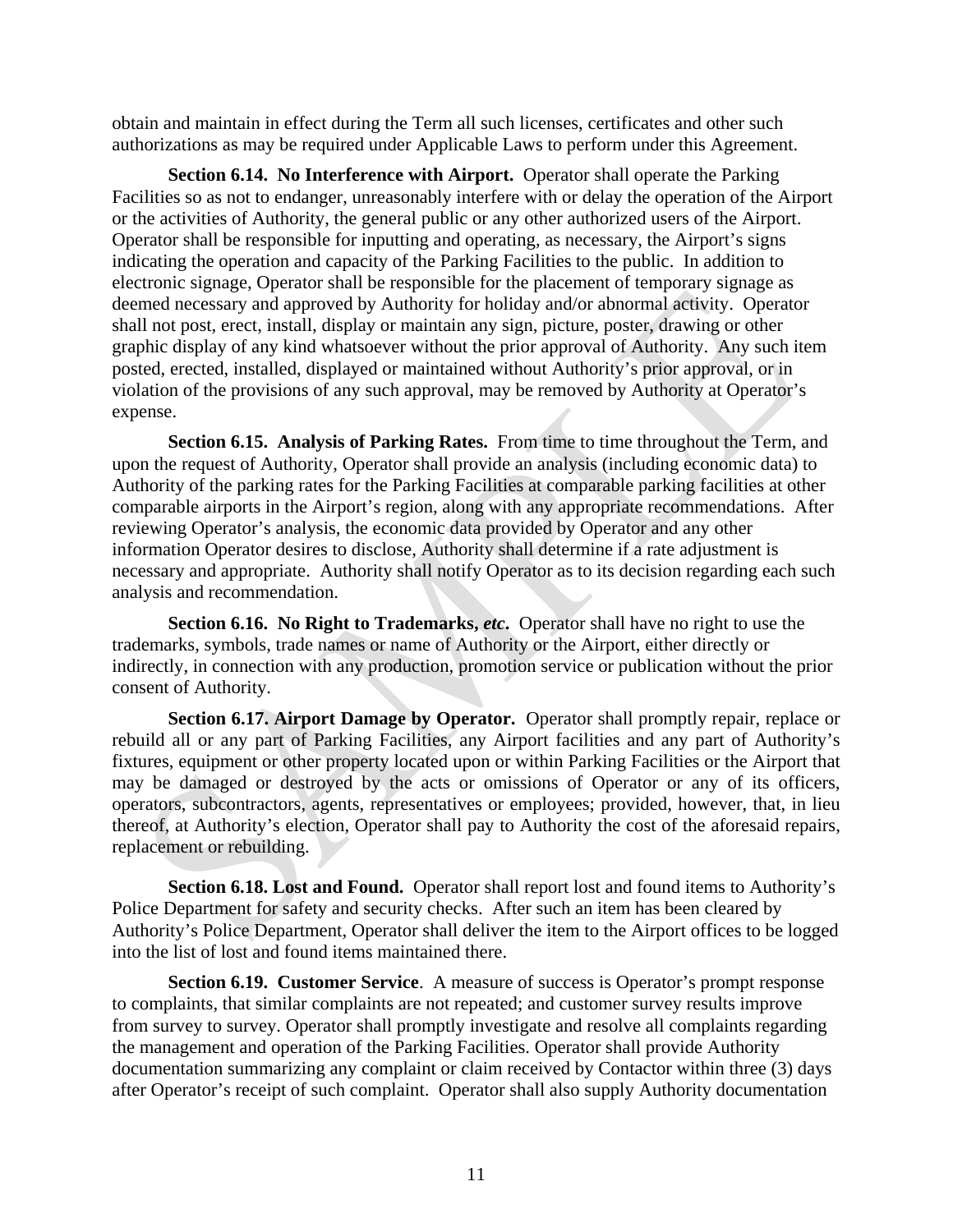obtain and maintain in effect during the Term all such licenses, certificates and other such authorizations as may be required under Applicable Laws to perform under this Agreement.

**Section 6.14. No Interference with Airport.** Operator shall operate the Parking Facilities so as not to endanger, unreasonably interfere with or delay the operation of the Airport or the activities of Authority, the general public or any other authorized users of the Airport. Operator shall be responsible for inputting and operating, as necessary, the Airport's signs indicating the operation and capacity of the Parking Facilities to the public. In addition to electronic signage, Operator shall be responsible for the placement of temporary signage as deemed necessary and approved by Authority for holiday and/or abnormal activity. Operator shall not post, erect, install, display or maintain any sign, picture, poster, drawing or other graphic display of any kind whatsoever without the prior approval of Authority. Any such item posted, erected, installed, displayed or maintained without Authority's prior approval, or in violation of the provisions of any such approval, may be removed by Authority at Operator's expense.

**Section 6.15. Analysis of Parking Rates.** From time to time throughout the Term, and upon the request of Authority, Operator shall provide an analysis (including economic data) to Authority of the parking rates for the Parking Facilities at comparable parking facilities at other comparable airports in the Airport's region, along with any appropriate recommendations. After reviewing Operator's analysis, the economic data provided by Operator and any other information Operator desires to disclose, Authority shall determine if a rate adjustment is necessary and appropriate. Authority shall notify Operator as to its decision regarding each such analysis and recommendation.

**Section 6.16. No Right to Trademarks,** *etc***.** Operator shall have no right to use the trademarks, symbols, trade names or name of Authority or the Airport, either directly or indirectly, in connection with any production, promotion service or publication without the prior consent of Authority.

**Section 6.17. Airport Damage by Operator.** Operator shall promptly repair, replace or rebuild all or any part of Parking Facilities, any Airport facilities and any part of Authority's fixtures, equipment or other property located upon or within Parking Facilities or the Airport that may be damaged or destroyed by the acts or omissions of Operator or any of its officers, operators, subcontractors, agents, representatives or employees; provided, however, that, in lieu thereof, at Authority's election, Operator shall pay to Authority the cost of the aforesaid repairs, replacement or rebuilding.

**Section 6.18. Lost and Found.** Operator shall report lost and found items to Authority's Police Department for safety and security checks. After such an item has been cleared by Authority's Police Department, Operator shall deliver the item to the Airport offices to be logged into the list of lost and found items maintained there.

**Section 6.19. Customer Service**. A measure of success is Operator's prompt response to complaints, that similar complaints are not repeated; and customer survey results improve from survey to survey. Operator shall promptly investigate and resolve all complaints regarding the management and operation of the Parking Facilities. Operator shall provide Authority documentation summarizing any complaint or claim received by Contactor within three (3) days after Operator's receipt of such complaint. Operator shall also supply Authority documentation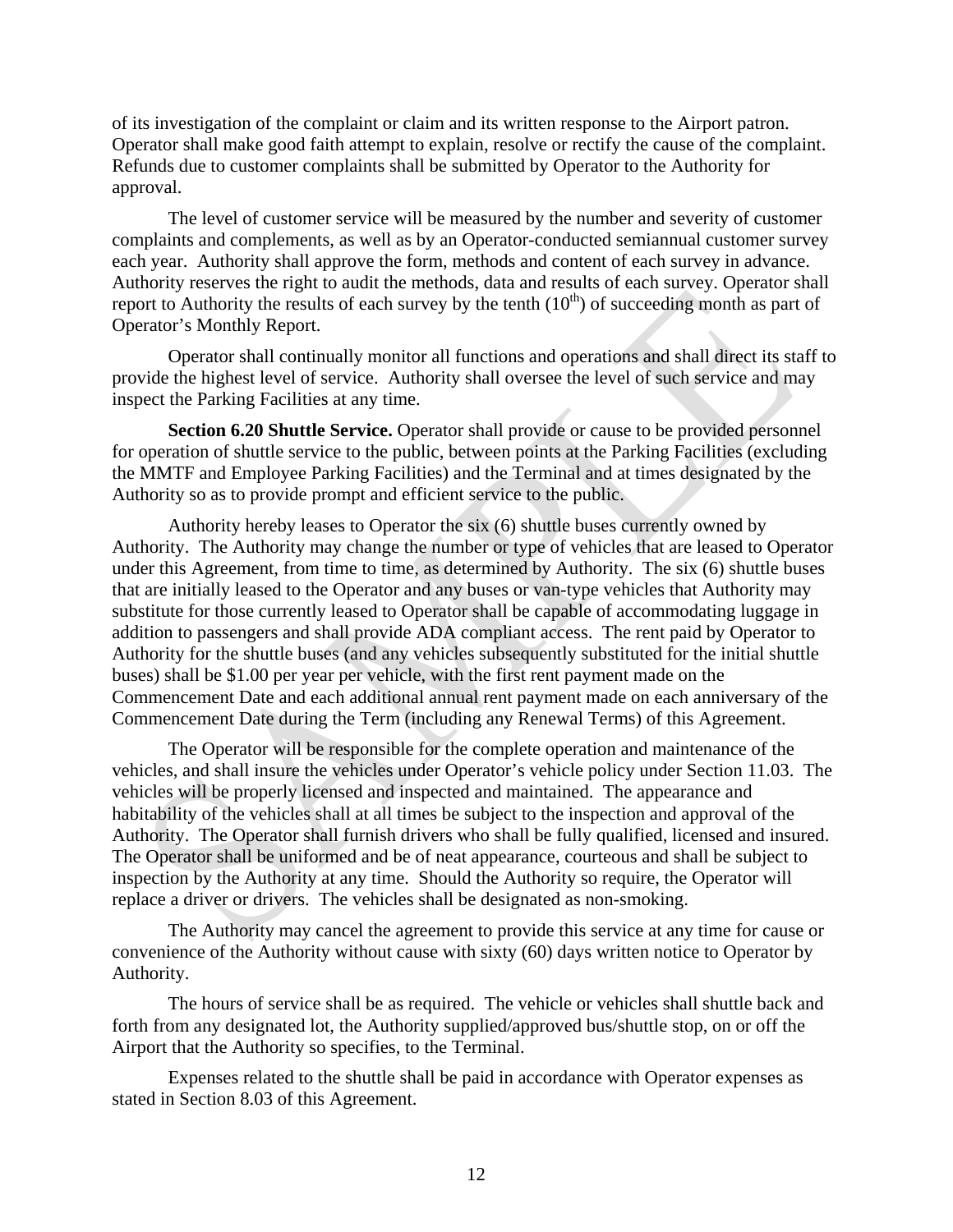of its investigation of the complaint or claim and its written response to the Airport patron. Operator shall make good faith attempt to explain, resolve or rectify the cause of the complaint. Refunds due to customer complaints shall be submitted by Operator to the Authority for approval.

The level of customer service will be measured by the number and severity of customer complaints and complements, as well as by an Operator-conducted semiannual customer survey each year. Authority shall approve the form, methods and content of each survey in advance. Authority reserves the right to audit the methods, data and results of each survey. Operator shall report to Authority the results of each survey by the tenth  $(10<sup>th</sup>)$  of succeeding month as part of Operator's Monthly Report.

Operator shall continually monitor all functions and operations and shall direct its staff to provide the highest level of service. Authority shall oversee the level of such service and may inspect the Parking Facilities at any time.

**Section 6.20 Shuttle Service.** Operator shall provide or cause to be provided personnel for operation of shuttle service to the public, between points at the Parking Facilities (excluding the MMTF and Employee Parking Facilities) and the Terminal and at times designated by the Authority so as to provide prompt and efficient service to the public.

Authority hereby leases to Operator the six (6) shuttle buses currently owned by Authority. The Authority may change the number or type of vehicles that are leased to Operator under this Agreement, from time to time, as determined by Authority. The six (6) shuttle buses that are initially leased to the Operator and any buses or van-type vehicles that Authority may substitute for those currently leased to Operator shall be capable of accommodating luggage in addition to passengers and shall provide ADA compliant access. The rent paid by Operator to Authority for the shuttle buses (and any vehicles subsequently substituted for the initial shuttle buses) shall be \$1.00 per year per vehicle, with the first rent payment made on the Commencement Date and each additional annual rent payment made on each anniversary of the Commencement Date during the Term (including any Renewal Terms) of this Agreement.

The Operator will be responsible for the complete operation and maintenance of the vehicles, and shall insure the vehicles under Operator's vehicle policy under Section 11.03. The vehicles will be properly licensed and inspected and maintained. The appearance and habitability of the vehicles shall at all times be subject to the inspection and approval of the Authority. The Operator shall furnish drivers who shall be fully qualified, licensed and insured. The Operator shall be uniformed and be of neat appearance, courteous and shall be subject to inspection by the Authority at any time. Should the Authority so require, the Operator will replace a driver or drivers. The vehicles shall be designated as non-smoking.

The Authority may cancel the agreement to provide this service at any time for cause or convenience of the Authority without cause with sixty (60) days written notice to Operator by Authority.

The hours of service shall be as required. The vehicle or vehicles shall shuttle back and forth from any designated lot, the Authority supplied/approved bus/shuttle stop, on or off the Airport that the Authority so specifies, to the Terminal.

Expenses related to the shuttle shall be paid in accordance with Operator expenses as stated in Section 8.03 of this Agreement.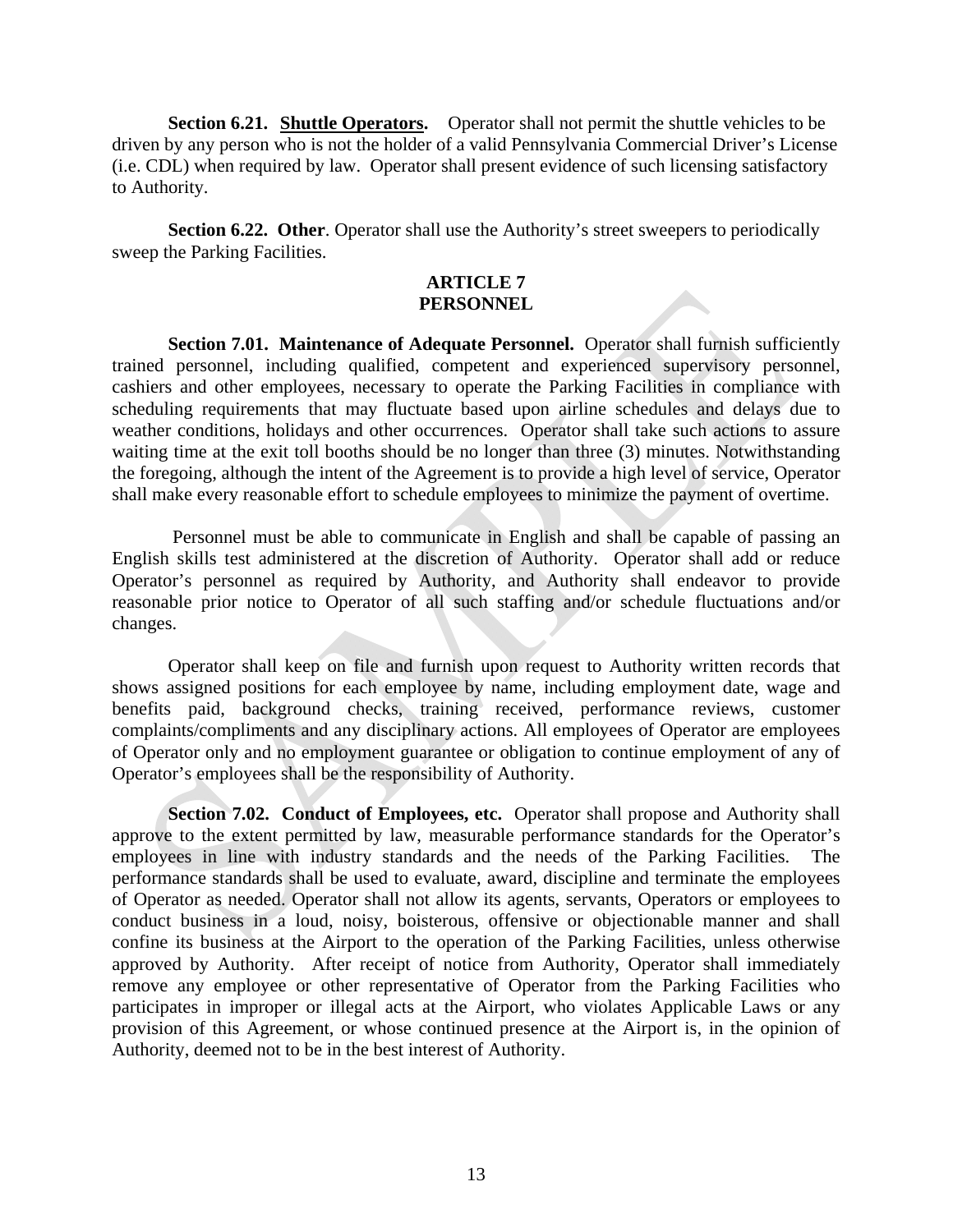**Section 6.21.** Shuttle Operators. Operator shall not permit the shuttle vehicles to be driven by any person who is not the holder of a valid Pennsylvania Commercial Driver's License (i.e. CDL) when required by law. Operator shall present evidence of such licensing satisfactory to Authority.

**Section 6.22. Other**. Operator shall use the Authority's street sweepers to periodically sweep the Parking Facilities.

#### **ARTICLE 7 PERSONNEL**

**Section 7.01. Maintenance of Adequate Personnel.** Operator shall furnish sufficiently trained personnel, including qualified, competent and experienced supervisory personnel, cashiers and other employees, necessary to operate the Parking Facilities in compliance with scheduling requirements that may fluctuate based upon airline schedules and delays due to weather conditions, holidays and other occurrences. Operator shall take such actions to assure waiting time at the exit toll booths should be no longer than three (3) minutes. Notwithstanding the foregoing, although the intent of the Agreement is to provide a high level of service, Operator shall make every reasonable effort to schedule employees to minimize the payment of overtime.

 Personnel must be able to communicate in English and shall be capable of passing an English skills test administered at the discretion of Authority. Operator shall add or reduce Operator's personnel as required by Authority, and Authority shall endeavor to provide reasonable prior notice to Operator of all such staffing and/or schedule fluctuations and/or changes.

 Operator shall keep on file and furnish upon request to Authority written records that shows assigned positions for each employee by name, including employment date, wage and benefits paid, background checks, training received, performance reviews, customer complaints/compliments and any disciplinary actions. All employees of Operator are employees of Operator only and no employment guarantee or obligation to continue employment of any of Operator's employees shall be the responsibility of Authority.

**Section 7.02. Conduct of Employees, etc.** Operator shall propose and Authority shall approve to the extent permitted by law, measurable performance standards for the Operator's employees in line with industry standards and the needs of the Parking Facilities. The performance standards shall be used to evaluate, award, discipline and terminate the employees of Operator as needed. Operator shall not allow its agents, servants, Operators or employees to conduct business in a loud, noisy, boisterous, offensive or objectionable manner and shall confine its business at the Airport to the operation of the Parking Facilities, unless otherwise approved by Authority. After receipt of notice from Authority, Operator shall immediately remove any employee or other representative of Operator from the Parking Facilities who participates in improper or illegal acts at the Airport, who violates Applicable Laws or any provision of this Agreement, or whose continued presence at the Airport is, in the opinion of Authority, deemed not to be in the best interest of Authority.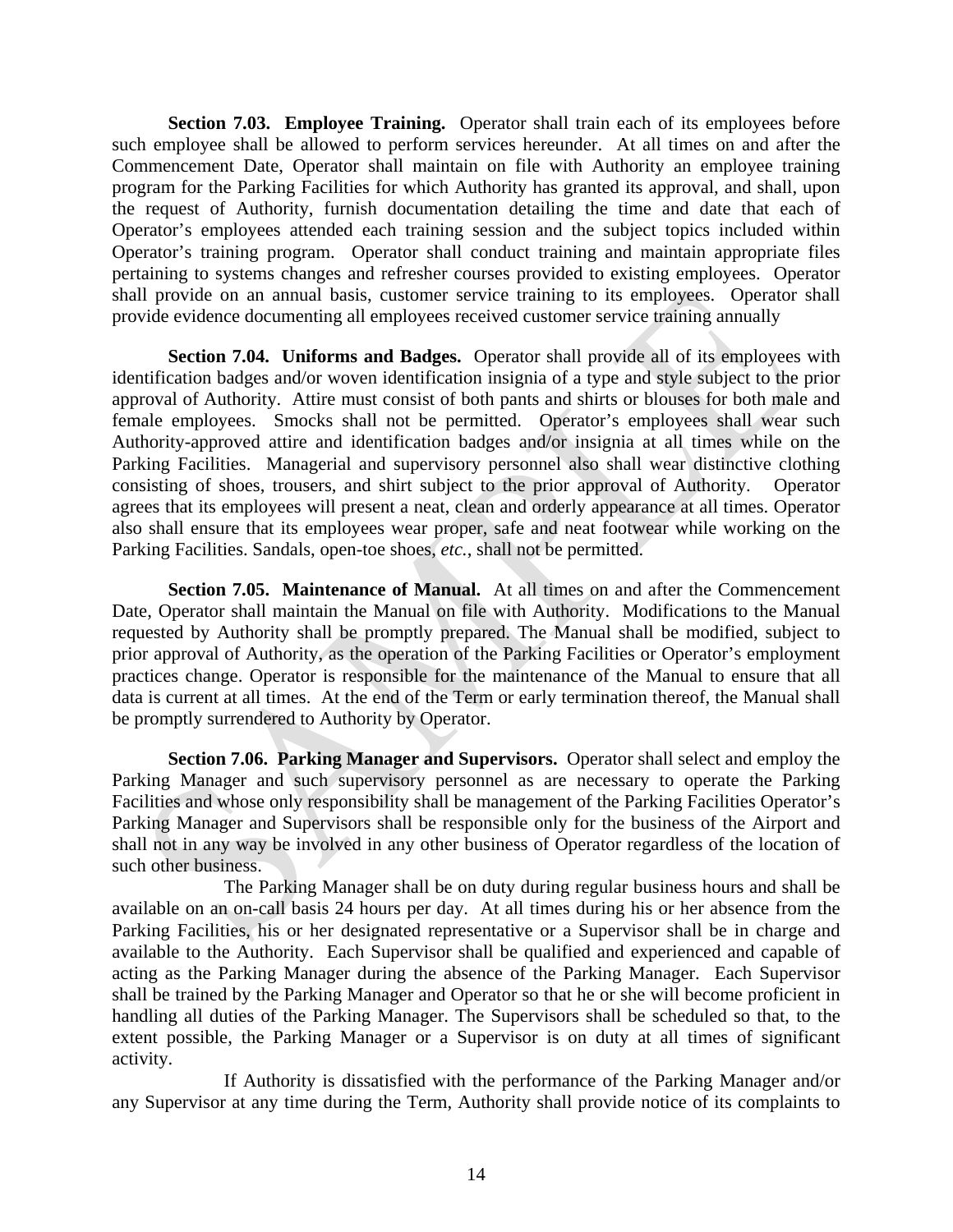**Section 7.03. Employee Training.** Operator shall train each of its employees before such employee shall be allowed to perform services hereunder. At all times on and after the Commencement Date, Operator shall maintain on file with Authority an employee training program for the Parking Facilities for which Authority has granted its approval, and shall, upon the request of Authority, furnish documentation detailing the time and date that each of Operator's employees attended each training session and the subject topics included within Operator's training program. Operator shall conduct training and maintain appropriate files pertaining to systems changes and refresher courses provided to existing employees. Operator shall provide on an annual basis, customer service training to its employees. Operator shall provide evidence documenting all employees received customer service training annually

**Section 7.04. Uniforms and Badges.** Operator shall provide all of its employees with identification badges and/or woven identification insignia of a type and style subject to the prior approval of Authority. Attire must consist of both pants and shirts or blouses for both male and female employees. Smocks shall not be permitted. Operator's employees shall wear such Authority-approved attire and identification badges and/or insignia at all times while on the Parking Facilities. Managerial and supervisory personnel also shall wear distinctive clothing consisting of shoes, trousers, and shirt subject to the prior approval of Authority. Operator agrees that its employees will present a neat, clean and orderly appearance at all times. Operator also shall ensure that its employees wear proper, safe and neat footwear while working on the Parking Facilities. Sandals, open-toe shoes, *etc.*, shall not be permitted.

**Section 7.05. Maintenance of Manual.** At all times on and after the Commencement Date, Operator shall maintain the Manual on file with Authority. Modifications to the Manual requested by Authority shall be promptly prepared. The Manual shall be modified, subject to prior approval of Authority, as the operation of the Parking Facilities or Operator's employment practices change. Operator is responsible for the maintenance of the Manual to ensure that all data is current at all times. At the end of the Term or early termination thereof, the Manual shall be promptly surrendered to Authority by Operator.

**Section 7.06. Parking Manager and Supervisors.** Operator shall select and employ the Parking Manager and such supervisory personnel as are necessary to operate the Parking Facilities and whose only responsibility shall be management of the Parking Facilities Operator's Parking Manager and Supervisors shall be responsible only for the business of the Airport and shall not in any way be involved in any other business of Operator regardless of the location of such other business.

 The Parking Manager shall be on duty during regular business hours and shall be available on an on-call basis 24 hours per day. At all times during his or her absence from the Parking Facilities, his or her designated representative or a Supervisor shall be in charge and available to the Authority. Each Supervisor shall be qualified and experienced and capable of acting as the Parking Manager during the absence of the Parking Manager. Each Supervisor shall be trained by the Parking Manager and Operator so that he or she will become proficient in handling all duties of the Parking Manager. The Supervisors shall be scheduled so that, to the extent possible, the Parking Manager or a Supervisor is on duty at all times of significant activity.

 If Authority is dissatisfied with the performance of the Parking Manager and/or any Supervisor at any time during the Term, Authority shall provide notice of its complaints to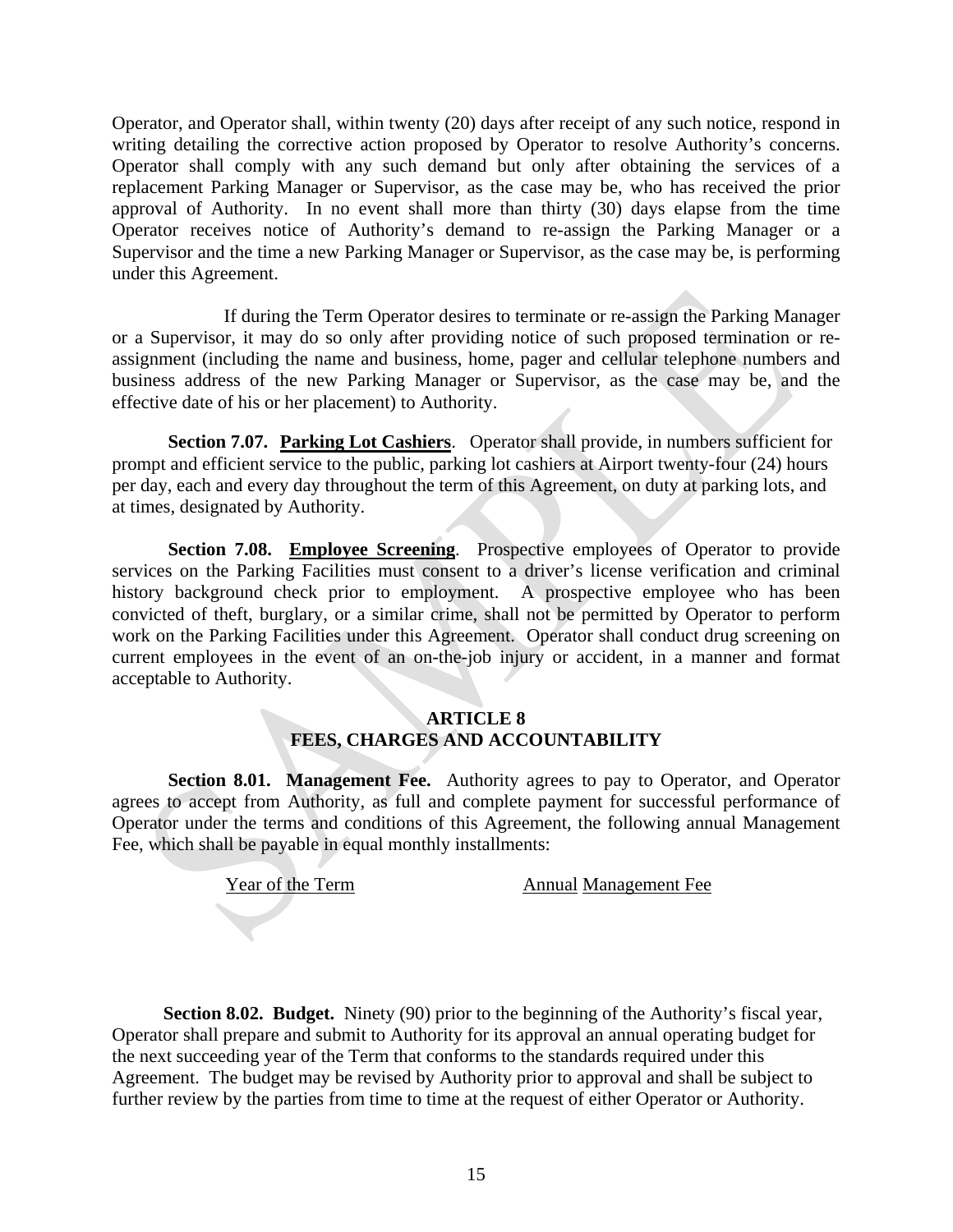Operator, and Operator shall, within twenty (20) days after receipt of any such notice, respond in writing detailing the corrective action proposed by Operator to resolve Authority's concerns. Operator shall comply with any such demand but only after obtaining the services of a replacement Parking Manager or Supervisor, as the case may be, who has received the prior approval of Authority. In no event shall more than thirty (30) days elapse from the time Operator receives notice of Authority's demand to re-assign the Parking Manager or a Supervisor and the time a new Parking Manager or Supervisor, as the case may be, is performing under this Agreement.

 If during the Term Operator desires to terminate or re-assign the Parking Manager or a Supervisor, it may do so only after providing notice of such proposed termination or reassignment (including the name and business, home, pager and cellular telephone numbers and business address of the new Parking Manager or Supervisor, as the case may be, and the effective date of his or her placement) to Authority.

**Section 7.07. Parking Lot Cashiers**. Operator shall provide, in numbers sufficient for prompt and efficient service to the public, parking lot cashiers at Airport twenty-four (24) hours per day, each and every day throughout the term of this Agreement, on duty at parking lots, and at times, designated by Authority.

**Section 7.08.** Employee Screening. Prospective employees of Operator to provide services on the Parking Facilities must consent to a driver's license verification and criminal history background check prior to employment. A prospective employee who has been convicted of theft, burglary, or a similar crime, shall not be permitted by Operator to perform work on the Parking Facilities under this Agreement. Operator shall conduct drug screening on current employees in the event of an on-the-job injury or accident, in a manner and format acceptable to Authority.

### **ARTICLE 8 FEES, CHARGES AND ACCOUNTABILITY**

**Section 8.01. Management Fee.** Authority agrees to pay to Operator, and Operator agrees to accept from Authority, as full and complete payment for successful performance of Operator under the terms and conditions of this Agreement, the following annual Management Fee, which shall be payable in equal monthly installments:

Year of the Term Annual Management Fee

 **Section 8.02. Budget.** Ninety (90) prior to the beginning of the Authority's fiscal year, Operator shall prepare and submit to Authority for its approval an annual operating budget for the next succeeding year of the Term that conforms to the standards required under this Agreement. The budget may be revised by Authority prior to approval and shall be subject to further review by the parties from time to time at the request of either Operator or Authority.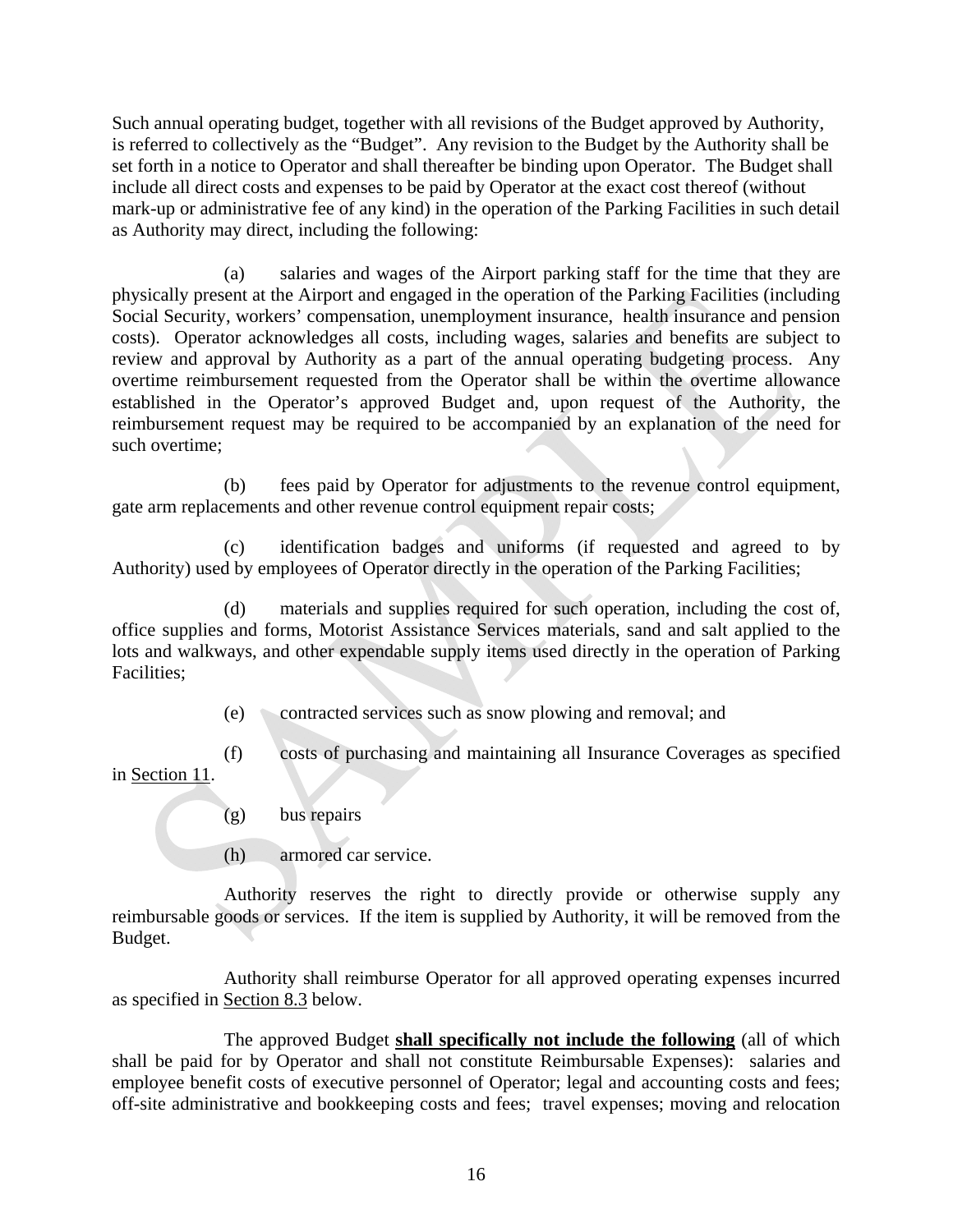Such annual operating budget, together with all revisions of the Budget approved by Authority, is referred to collectively as the "Budget". Any revision to the Budget by the Authority shall be set forth in a notice to Operator and shall thereafter be binding upon Operator. The Budget shall include all direct costs and expenses to be paid by Operator at the exact cost thereof (without mark-up or administrative fee of any kind) in the operation of the Parking Facilities in such detail as Authority may direct, including the following:

(a) salaries and wages of the Airport parking staff for the time that they are physically present at the Airport and engaged in the operation of the Parking Facilities (including Social Security, workers' compensation, unemployment insurance, health insurance and pension costs). Operator acknowledges all costs, including wages, salaries and benefits are subject to review and approval by Authority as a part of the annual operating budgeting process. Any overtime reimbursement requested from the Operator shall be within the overtime allowance established in the Operator's approved Budget and, upon request of the Authority, the reimbursement request may be required to be accompanied by an explanation of the need for such overtime;

(b) fees paid by Operator for adjustments to the revenue control equipment, gate arm replacements and other revenue control equipment repair costs;

(c) identification badges and uniforms (if requested and agreed to by Authority) used by employees of Operator directly in the operation of the Parking Facilities;

(d) materials and supplies required for such operation, including the cost of, office supplies and forms, Motorist Assistance Services materials, sand and salt applied to the lots and walkways, and other expendable supply items used directly in the operation of Parking Facilities;

(e) contracted services such as snow plowing and removal; and

(f) costs of purchasing and maintaining all Insurance Coverages as specified in Section 11.

(g) bus repairs

(h) armored car service.

 Authority reserves the right to directly provide or otherwise supply any reimbursable goods or services. If the item is supplied by Authority, it will be removed from the Budget.

 Authority shall reimburse Operator for all approved operating expenses incurred as specified in Section 8.3 below.

The approved Budget **shall specifically not include the following** (all of which shall be paid for by Operator and shall not constitute Reimbursable Expenses): salaries and employee benefit costs of executive personnel of Operator; legal and accounting costs and fees; off-site administrative and bookkeeping costs and fees; travel expenses; moving and relocation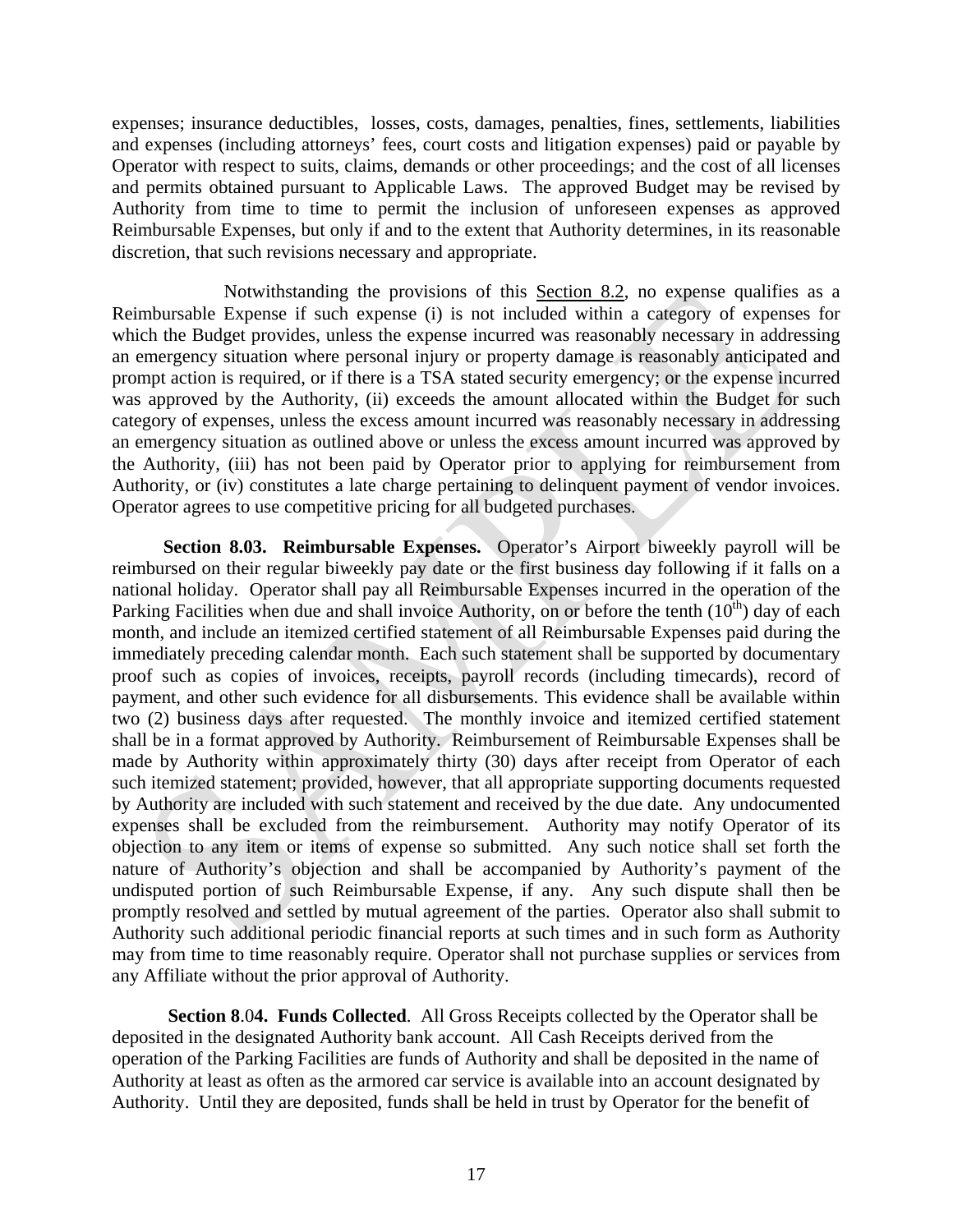expenses; insurance deductibles, losses, costs, damages, penalties, fines, settlements, liabilities and expenses (including attorneys' fees, court costs and litigation expenses) paid or payable by Operator with respect to suits, claims, demands or other proceedings; and the cost of all licenses and permits obtained pursuant to Applicable Laws. The approved Budget may be revised by Authority from time to time to permit the inclusion of unforeseen expenses as approved Reimbursable Expenses, but only if and to the extent that Authority determines, in its reasonable discretion, that such revisions necessary and appropriate.

 Notwithstanding the provisions of this Section 8.2, no expense qualifies as a Reimbursable Expense if such expense (i) is not included within a category of expenses for which the Budget provides, unless the expense incurred was reasonably necessary in addressing an emergency situation where personal injury or property damage is reasonably anticipated and prompt action is required, or if there is a TSA stated security emergency; or the expense incurred was approved by the Authority, (ii) exceeds the amount allocated within the Budget for such category of expenses, unless the excess amount incurred was reasonably necessary in addressing an emergency situation as outlined above or unless the excess amount incurred was approved by the Authority, (iii) has not been paid by Operator prior to applying for reimbursement from Authority, or (iv) constitutes a late charge pertaining to delinquent payment of vendor invoices. Operator agrees to use competitive pricing for all budgeted purchases.

 **Section 8.03. Reimbursable Expenses.** Operator's Airport biweekly payroll will be reimbursed on their regular biweekly pay date or the first business day following if it falls on a national holiday. Operator shall pay all Reimbursable Expenses incurred in the operation of the Parking Facilities when due and shall invoice Authority, on or before the tenth  $(10<sup>th</sup>)$  day of each month, and include an itemized certified statement of all Reimbursable Expenses paid during the immediately preceding calendar month. Each such statement shall be supported by documentary proof such as copies of invoices, receipts, payroll records (including timecards), record of payment, and other such evidence for all disbursements. This evidence shall be available within two (2) business days after requested. The monthly invoice and itemized certified statement shall be in a format approved by Authority. Reimbursement of Reimbursable Expenses shall be made by Authority within approximately thirty (30) days after receipt from Operator of each such itemized statement; provided, however, that all appropriate supporting documents requested by Authority are included with such statement and received by the due date. Any undocumented expenses shall be excluded from the reimbursement. Authority may notify Operator of its objection to any item or items of expense so submitted. Any such notice shall set forth the nature of Authority's objection and shall be accompanied by Authority's payment of the undisputed portion of such Reimbursable Expense, if any. Any such dispute shall then be promptly resolved and settled by mutual agreement of the parties. Operator also shall submit to Authority such additional periodic financial reports at such times and in such form as Authority may from time to time reasonably require. Operator shall not purchase supplies or services from any Affiliate without the prior approval of Authority.

**Section 8**.0**4. Funds Collected**. All Gross Receipts collected by the Operator shall be deposited in the designated Authority bank account. All Cash Receipts derived from the operation of the Parking Facilities are funds of Authority and shall be deposited in the name of Authority at least as often as the armored car service is available into an account designated by Authority. Until they are deposited, funds shall be held in trust by Operator for the benefit of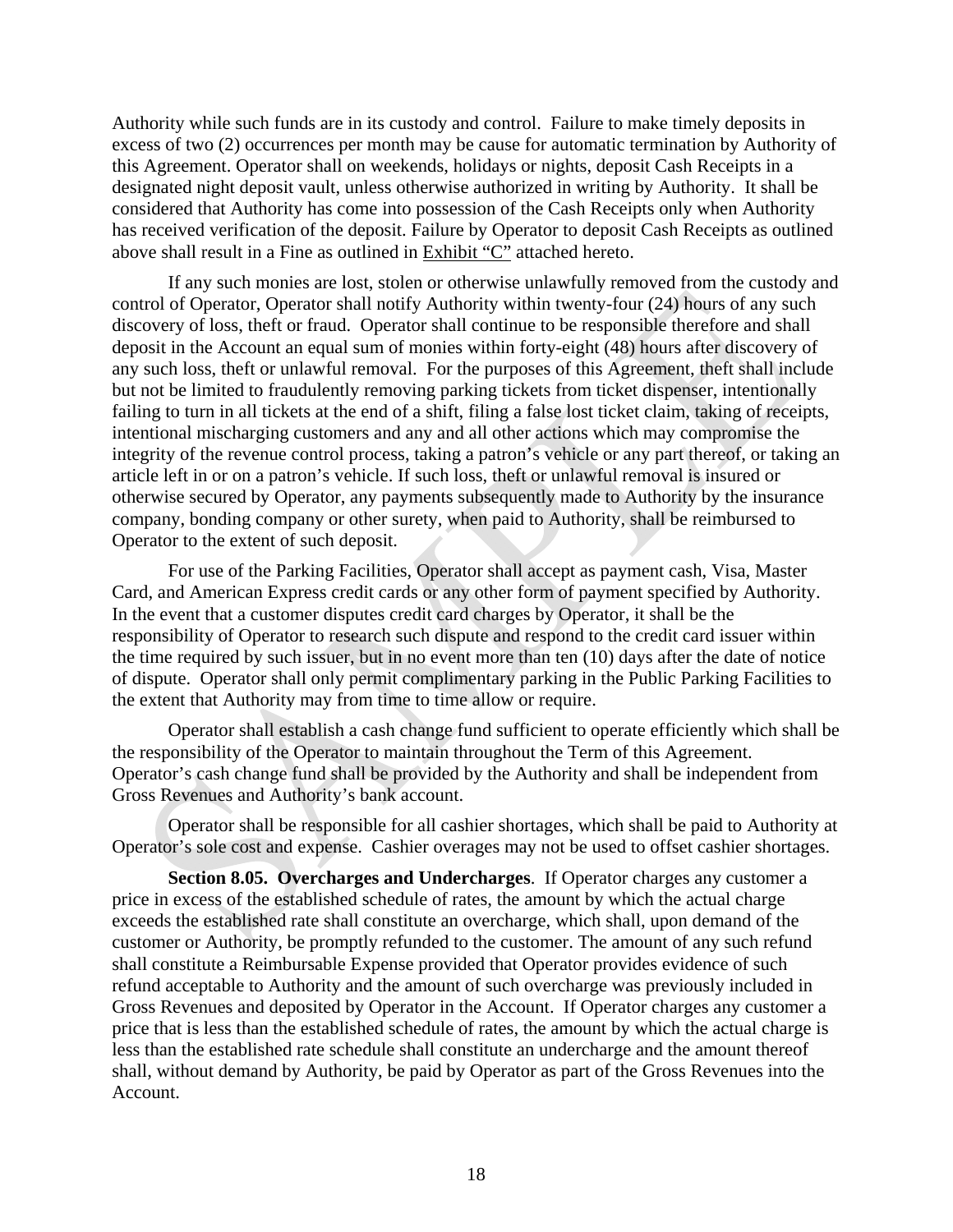Authority while such funds are in its custody and control. Failure to make timely deposits in excess of two (2) occurrences per month may be cause for automatic termination by Authority of this Agreement. Operator shall on weekends, holidays or nights, deposit Cash Receipts in a designated night deposit vault, unless otherwise authorized in writing by Authority. It shall be considered that Authority has come into possession of the Cash Receipts only when Authority has received verification of the deposit. Failure by Operator to deposit Cash Receipts as outlined above shall result in a Fine as outlined in Exhibit "C" attached hereto.

If any such monies are lost, stolen or otherwise unlawfully removed from the custody and control of Operator, Operator shall notify Authority within twenty-four (24) hours of any such discovery of loss, theft or fraud. Operator shall continue to be responsible therefore and shall deposit in the Account an equal sum of monies within forty-eight (48) hours after discovery of any such loss, theft or unlawful removal. For the purposes of this Agreement, theft shall include but not be limited to fraudulently removing parking tickets from ticket dispenser, intentionally failing to turn in all tickets at the end of a shift, filing a false lost ticket claim, taking of receipts, intentional mischarging customers and any and all other actions which may compromise the integrity of the revenue control process, taking a patron's vehicle or any part thereof, or taking an article left in or on a patron's vehicle. If such loss, theft or unlawful removal is insured or otherwise secured by Operator, any payments subsequently made to Authority by the insurance company, bonding company or other surety, when paid to Authority, shall be reimbursed to Operator to the extent of such deposit.

For use of the Parking Facilities, Operator shall accept as payment cash, Visa, Master Card, and American Express credit cards or any other form of payment specified by Authority. In the event that a customer disputes credit card charges by Operator, it shall be the responsibility of Operator to research such dispute and respond to the credit card issuer within the time required by such issuer, but in no event more than ten (10) days after the date of notice of dispute. Operator shall only permit complimentary parking in the Public Parking Facilities to the extent that Authority may from time to time allow or require.

Operator shall establish a cash change fund sufficient to operate efficiently which shall be the responsibility of the Operator to maintain throughout the Term of this Agreement. Operator's cash change fund shall be provided by the Authority and shall be independent from Gross Revenues and Authority's bank account.

Operator shall be responsible for all cashier shortages, which shall be paid to Authority at Operator's sole cost and expense. Cashier overages may not be used to offset cashier shortages.

**Section 8.05. Overcharges and Undercharges**. If Operator charges any customer a price in excess of the established schedule of rates, the amount by which the actual charge exceeds the established rate shall constitute an overcharge, which shall, upon demand of the customer or Authority, be promptly refunded to the customer. The amount of any such refund shall constitute a Reimbursable Expense provided that Operator provides evidence of such refund acceptable to Authority and the amount of such overcharge was previously included in Gross Revenues and deposited by Operator in the Account. If Operator charges any customer a price that is less than the established schedule of rates, the amount by which the actual charge is less than the established rate schedule shall constitute an undercharge and the amount thereof shall, without demand by Authority, be paid by Operator as part of the Gross Revenues into the Account.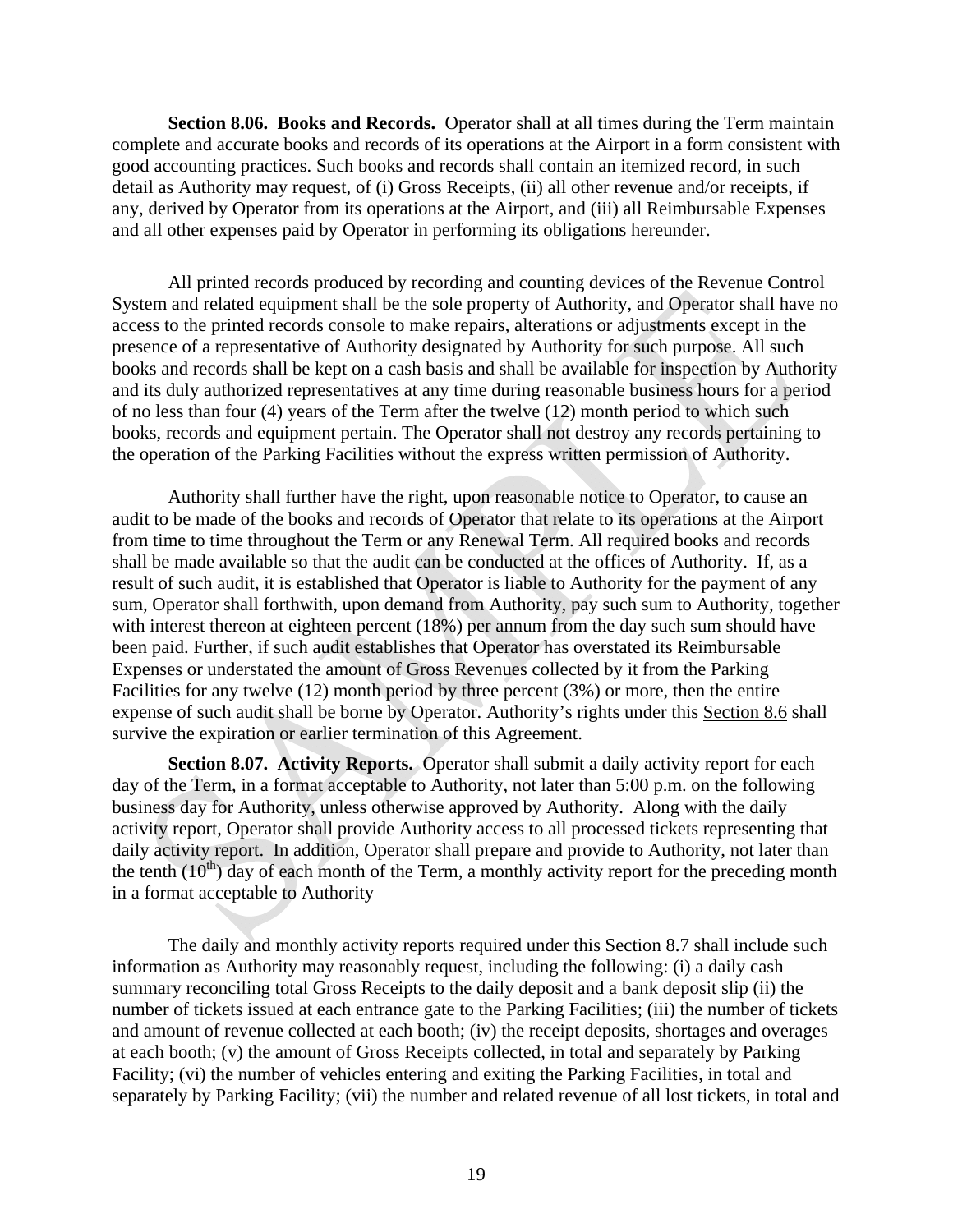**Section 8.06. Books and Records.** Operator shall at all times during the Term maintain complete and accurate books and records of its operations at the Airport in a form consistent with good accounting practices. Such books and records shall contain an itemized record, in such detail as Authority may request, of (i) Gross Receipts, (ii) all other revenue and/or receipts, if any, derived by Operator from its operations at the Airport, and (iii) all Reimbursable Expenses and all other expenses paid by Operator in performing its obligations hereunder.

All printed records produced by recording and counting devices of the Revenue Control System and related equipment shall be the sole property of Authority, and Operator shall have no access to the printed records console to make repairs, alterations or adjustments except in the presence of a representative of Authority designated by Authority for such purpose. All such books and records shall be kept on a cash basis and shall be available for inspection by Authority and its duly authorized representatives at any time during reasonable business hours for a period of no less than four (4) years of the Term after the twelve (12) month period to which such books, records and equipment pertain. The Operator shall not destroy any records pertaining to the operation of the Parking Facilities without the express written permission of Authority.

 Authority shall further have the right, upon reasonable notice to Operator, to cause an audit to be made of the books and records of Operator that relate to its operations at the Airport from time to time throughout the Term or any Renewal Term. All required books and records shall be made available so that the audit can be conducted at the offices of Authority. If, as a result of such audit, it is established that Operator is liable to Authority for the payment of any sum, Operator shall forthwith, upon demand from Authority, pay such sum to Authority, together with interest thereon at eighteen percent (18%) per annum from the day such sum should have been paid. Further, if such audit establishes that Operator has overstated its Reimbursable Expenses or understated the amount of Gross Revenues collected by it from the Parking Facilities for any twelve (12) month period by three percent (3%) or more, then the entire expense of such audit shall be borne by Operator. Authority's rights under this Section 8.6 shall survive the expiration or earlier termination of this Agreement.

**Section 8.07. Activity Reports.** Operator shall submit a daily activity report for each day of the Term, in a format acceptable to Authority, not later than 5:00 p.m. on the following business day for Authority, unless otherwise approved by Authority. Along with the daily activity report, Operator shall provide Authority access to all processed tickets representing that daily activity report. In addition, Operator shall prepare and provide to Authority, not later than the tenth  $(10<sup>th</sup>)$  day of each month of the Term, a monthly activity report for the preceding month in a format acceptable to Authority

The daily and monthly activity reports required under this Section 8.7 shall include such information as Authority may reasonably request, including the following: (i) a daily cash summary reconciling total Gross Receipts to the daily deposit and a bank deposit slip (ii) the number of tickets issued at each entrance gate to the Parking Facilities; (iii) the number of tickets and amount of revenue collected at each booth; (iv) the receipt deposits, shortages and overages at each booth; (v) the amount of Gross Receipts collected, in total and separately by Parking Facility; (vi) the number of vehicles entering and exiting the Parking Facilities, in total and separately by Parking Facility; (vii) the number and related revenue of all lost tickets, in total and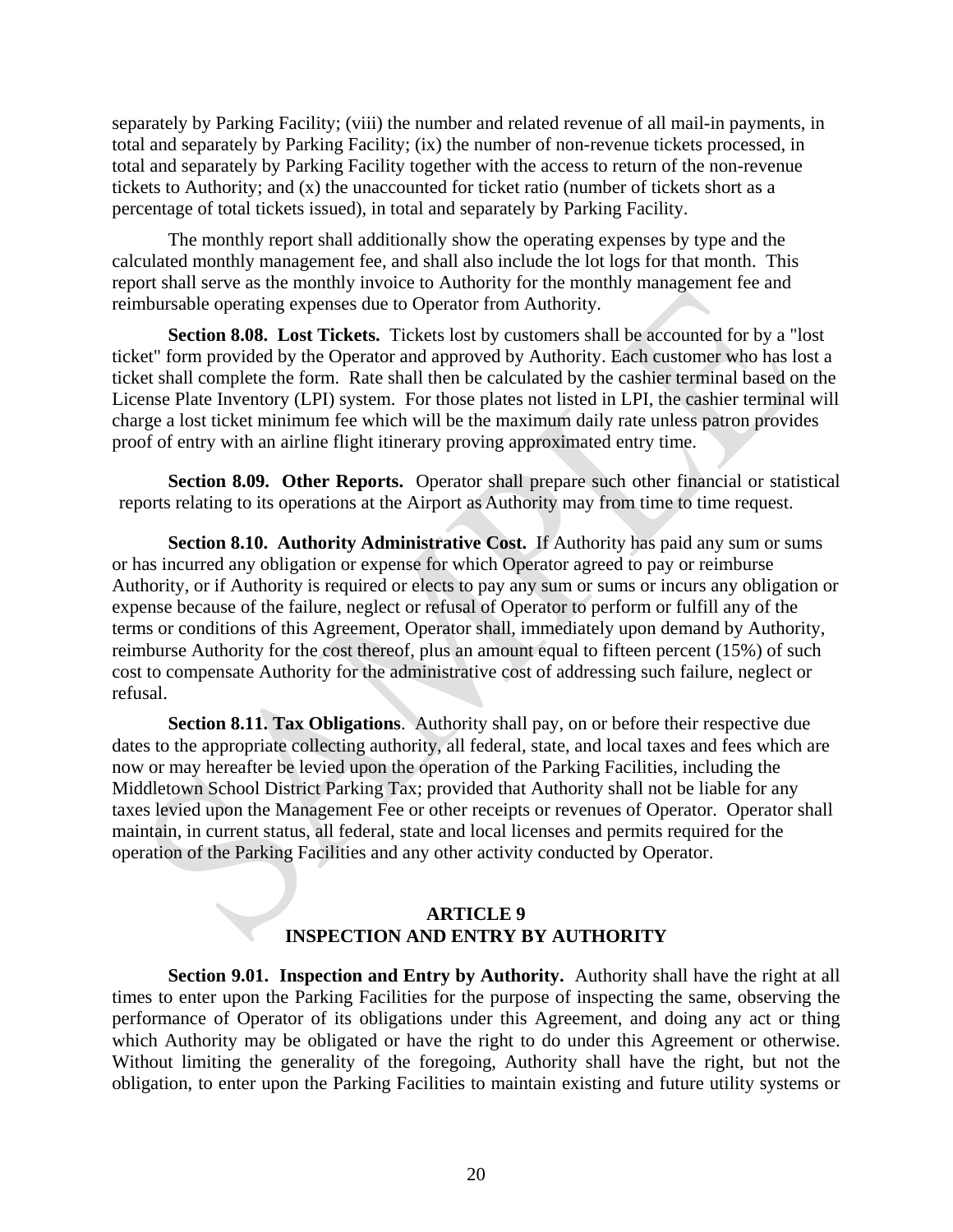separately by Parking Facility; (viii) the number and related revenue of all mail-in payments, in total and separately by Parking Facility; (ix) the number of non-revenue tickets processed, in total and separately by Parking Facility together with the access to return of the non-revenue tickets to Authority; and (x) the unaccounted for ticket ratio (number of tickets short as a percentage of total tickets issued), in total and separately by Parking Facility.

The monthly report shall additionally show the operating expenses by type and the calculated monthly management fee, and shall also include the lot logs for that month. This report shall serve as the monthly invoice to Authority for the monthly management fee and reimbursable operating expenses due to Operator from Authority.

**Section 8.08. Lost Tickets.** Tickets lost by customers shall be accounted for by a "lost" ticket" form provided by the Operator and approved by Authority. Each customer who has lost a ticket shall complete the form. Rate shall then be calculated by the cashier terminal based on the License Plate Inventory (LPI) system. For those plates not listed in LPI, the cashier terminal will charge a lost ticket minimum fee which will be the maximum daily rate unless patron provides proof of entry with an airline flight itinerary proving approximated entry time.

**Section 8.09. Other Reports.** Operator shall prepare such other financial or statistical reports relating to its operations at the Airport as Authority may from time to time request.

 **Section 8.10. Authority Administrative Cost.** If Authority has paid any sum or sums or has incurred any obligation or expense for which Operator agreed to pay or reimburse Authority, or if Authority is required or elects to pay any sum or sums or incurs any obligation or expense because of the failure, neglect or refusal of Operator to perform or fulfill any of the terms or conditions of this Agreement, Operator shall, immediately upon demand by Authority, reimburse Authority for the cost thereof, plus an amount equal to fifteen percent (15%) of such cost to compensate Authority for the administrative cost of addressing such failure, neglect or refusal.

**Section 8.11. Tax Obligations**. Authority shall pay, on or before their respective due dates to the appropriate collecting authority, all federal, state, and local taxes and fees which are now or may hereafter be levied upon the operation of the Parking Facilities, including the Middletown School District Parking Tax; provided that Authority shall not be liable for any taxes levied upon the Management Fee or other receipts or revenues of Operator. Operator shall maintain, in current status, all federal, state and local licenses and permits required for the operation of the Parking Facilities and any other activity conducted by Operator.

### **ARTICLE 9 INSPECTION AND ENTRY BY AUTHORITY**

**Section 9.01. Inspection and Entry by Authority.** Authority shall have the right at all times to enter upon the Parking Facilities for the purpose of inspecting the same, observing the performance of Operator of its obligations under this Agreement, and doing any act or thing which Authority may be obligated or have the right to do under this Agreement or otherwise. Without limiting the generality of the foregoing, Authority shall have the right, but not the obligation, to enter upon the Parking Facilities to maintain existing and future utility systems or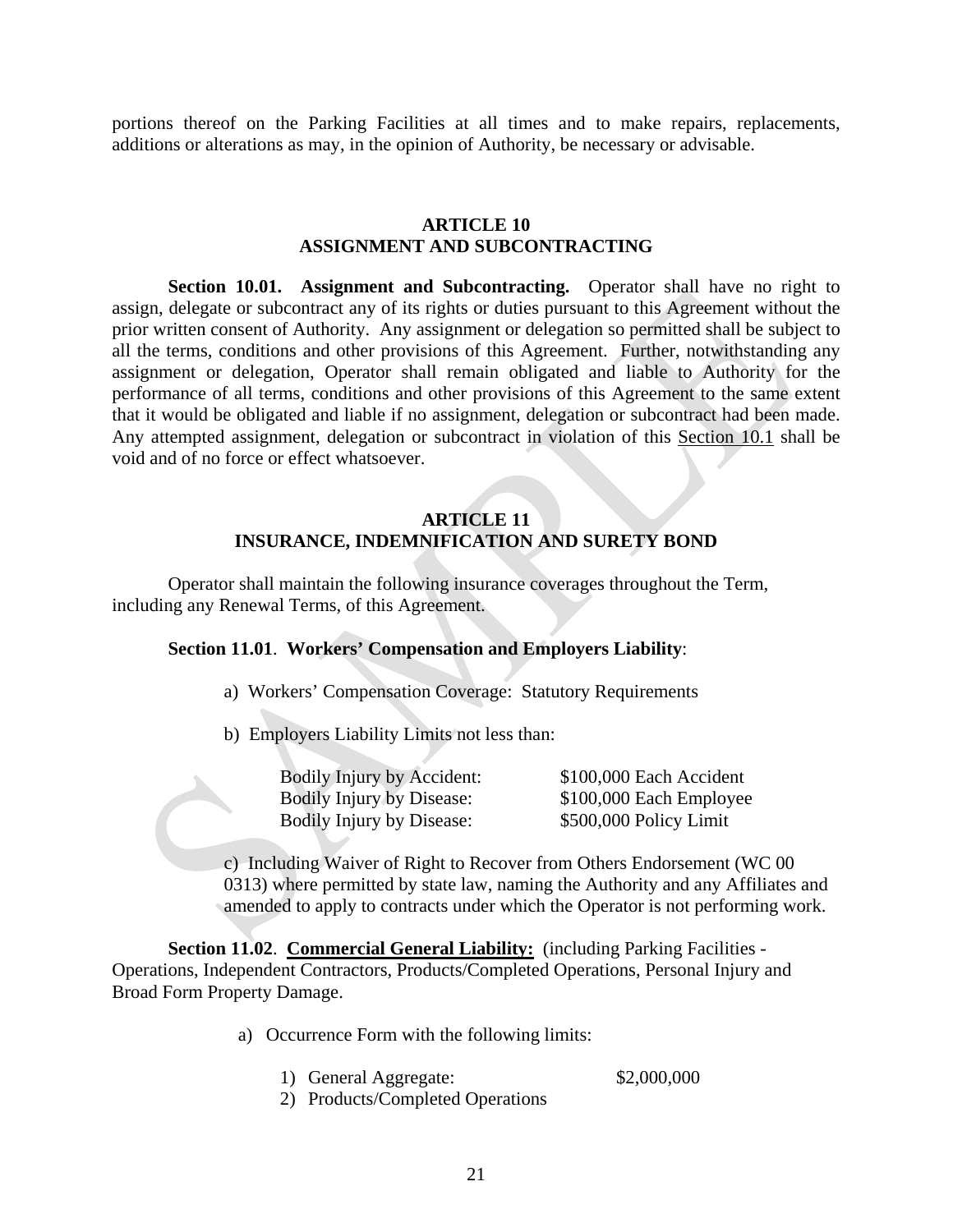portions thereof on the Parking Facilities at all times and to make repairs, replacements, additions or alterations as may, in the opinion of Authority, be necessary or advisable.

### **ARTICLE 10 ASSIGNMENT AND SUBCONTRACTING**

**Section 10.01. Assignment and Subcontracting.** Operator shall have no right to assign, delegate or subcontract any of its rights or duties pursuant to this Agreement without the prior written consent of Authority. Any assignment or delegation so permitted shall be subject to all the terms, conditions and other provisions of this Agreement. Further, notwithstanding any assignment or delegation, Operator shall remain obligated and liable to Authority for the performance of all terms, conditions and other provisions of this Agreement to the same extent that it would be obligated and liable if no assignment, delegation or subcontract had been made. Any attempted assignment, delegation or subcontract in violation of this Section 10.1 shall be void and of no force or effect whatsoever.

### **ARTICLE 11 INSURANCE, INDEMNIFICATION AND SURETY BOND**

 Operator shall maintain the following insurance coverages throughout the Term, including any Renewal Terms, of this Agreement.

### **Section 11.01**. **Workers' Compensation and Employers Liability**:

a) Workers' Compensation Coverage: Statutory Requirements

b) Employers Liability Limits not less than:

| <b>Bodily Injury by Accident:</b> | \$100,000 Each Accident |
|-----------------------------------|-------------------------|
| <b>Bodily Injury by Disease:</b>  | \$100,000 Each Employee |
| <b>Bodily Injury by Disease:</b>  | \$500,000 Policy Limit  |

c) Including Waiver of Right to Recover from Others Endorsement (WC 00 0313) where permitted by state law, naming the Authority and any Affiliates and amended to apply to contracts under which the Operator is not performing work.

**Section 11.02**. **Commercial General Liability:** (including Parking Facilities - Operations, Independent Contractors, Products/Completed Operations, Personal Injury and Broad Form Property Damage.

a) Occurrence Form with the following limits:

1) General Aggregate: \$2,000,000

2) Products/Completed Operations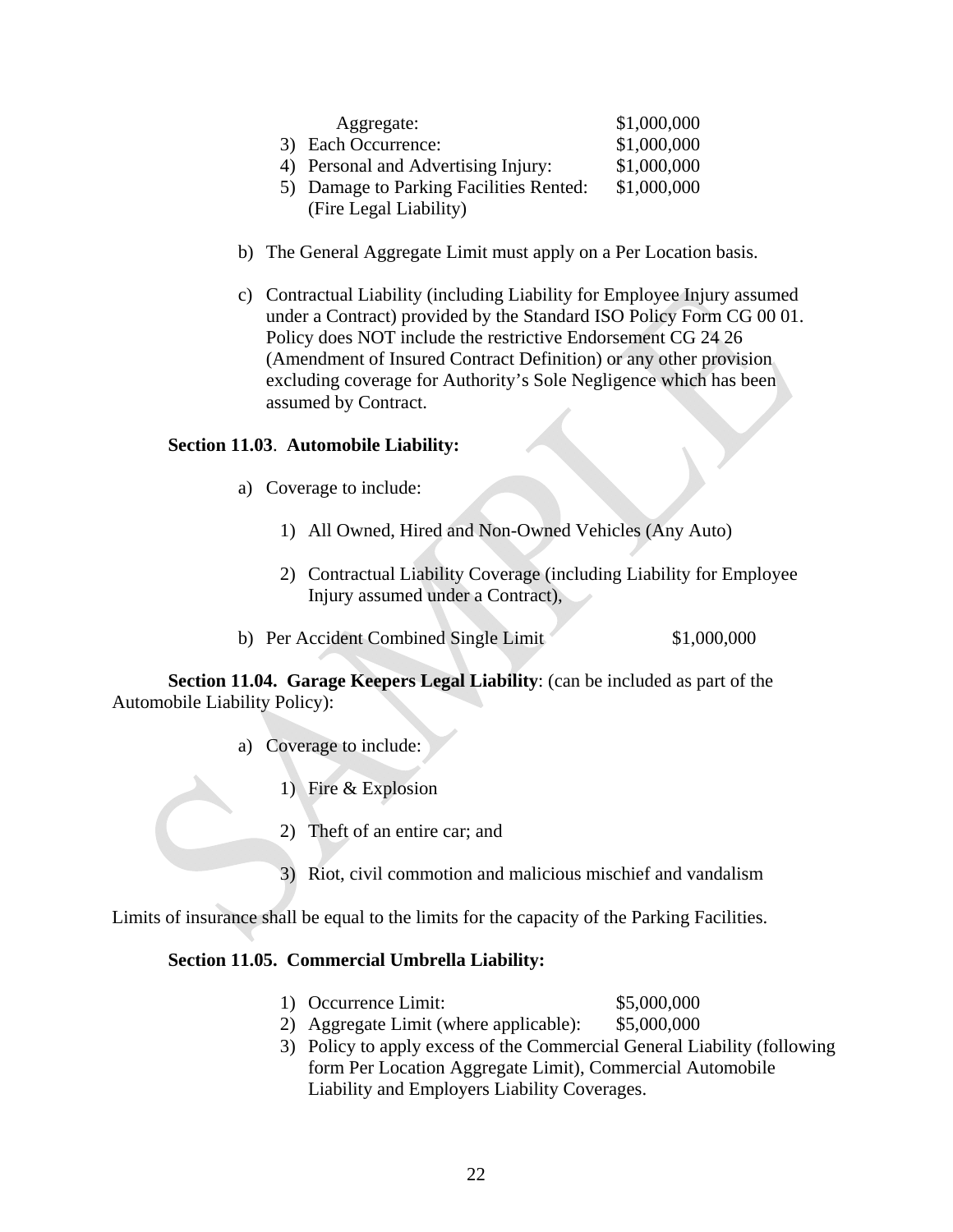| Aggregate:                              | \$1,000,000 |
|-----------------------------------------|-------------|
| 3) Each Occurrence:                     | \$1,000,000 |
| 4) Personal and Advertising Injury:     | \$1,000,000 |
| 5) Damage to Parking Facilities Rented: | \$1,000,000 |
| (Fire Legal Liability)                  |             |

- b) The General Aggregate Limit must apply on a Per Location basis.
- c) Contractual Liability (including Liability for Employee Injury assumed under a Contract) provided by the Standard ISO Policy Form CG 00 01. Policy does NOT include the restrictive Endorsement CG 24 26 (Amendment of Insured Contract Definition) or any other provision excluding coverage for Authority's Sole Negligence which has been assumed by Contract.

### **Section 11.03**. **Automobile Liability:**

- a) Coverage to include:
	- 1) All Owned, Hired and Non-Owned Vehicles (Any Auto)
	- 2) Contractual Liability Coverage (including Liability for Employee Injury assumed under a Contract),
- b) Per Accident Combined Single Limit \$1,000,000

**Section 11.04. Garage Keepers Legal Liability**: (can be included as part of the Automobile Liability Policy):

- a) Coverage to include:
	- 1) Fire & Explosion
	- 2) Theft of an entire car; and
	- 3) Riot, civil commotion and malicious mischief and vandalism

Limits of insurance shall be equal to the limits for the capacity of the Parking Facilities.

### **Section 11.05. Commercial Umbrella Liability:**

- 1) Occurrence Limit: \$5,000,000
- 2) Aggregate Limit (where applicable): \$5,000,000
- 3) Policy to apply excess of the Commercial General Liability (following form Per Location Aggregate Limit), Commercial Automobile Liability and Employers Liability Coverages.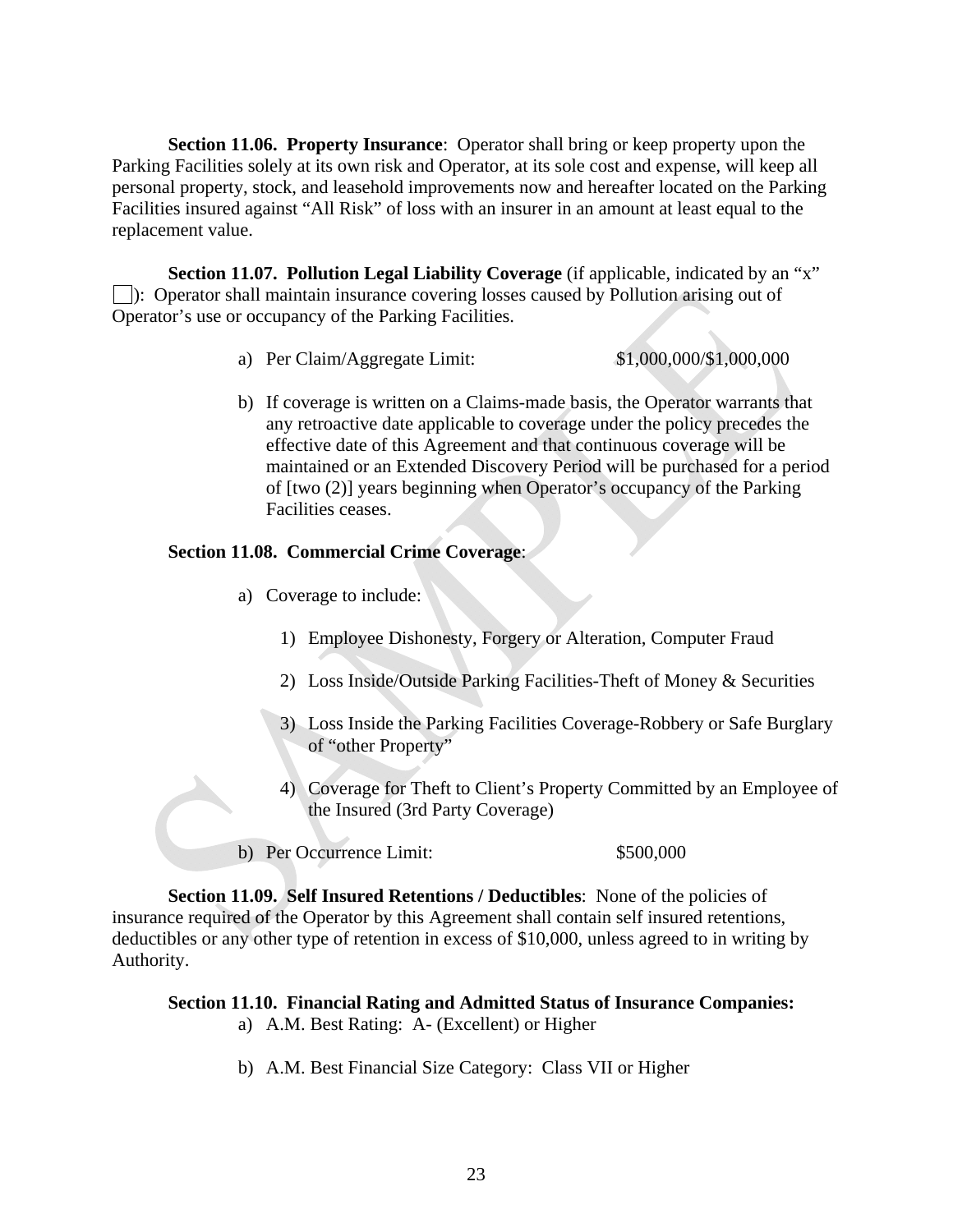**Section 11.06. Property Insurance**: Operator shall bring or keep property upon the Parking Facilities solely at its own risk and Operator, at its sole cost and expense, will keep all personal property, stock, and leasehold improvements now and hereafter located on the Parking Facilities insured against "All Risk" of loss with an insurer in an amount at least equal to the replacement value.

**Section 11.07. Pollution Legal Liability Coverage** (if applicable, indicated by an "x" ): Operator shall maintain insurance covering losses caused by Pollution arising out of Operator's use or occupancy of the Parking Facilities.

- a) Per Claim/Aggregate Limit: \$1,000,000/\$1,000,000
- b) If coverage is written on a Claims-made basis, the Operator warrants that any retroactive date applicable to coverage under the policy precedes the effective date of this Agreement and that continuous coverage will be maintained or an Extended Discovery Period will be purchased for a period of [two (2)] years beginning when Operator's occupancy of the Parking Facilities ceases.

### **Section 11.08. Commercial Crime Coverage**:

- a) Coverage to include:
	- 1) Employee Dishonesty, Forgery or Alteration, Computer Fraud
	- 2) Loss Inside/Outside Parking Facilities-Theft of Money & Securities
	- 3) Loss Inside the Parking Facilities Coverage-Robbery or Safe Burglary of "other Property"
	- 4) Coverage for Theft to Client's Property Committed by an Employee of the Insured (3rd Party Coverage)

b) Per Occurrence Limit:  $$500,000$ 

**Section 11.09. Self Insured Retentions / Deductibles**: None of the policies of insurance required of the Operator by this Agreement shall contain self insured retentions, deductibles or any other type of retention in excess of \$10,000, unless agreed to in writing by Authority.

### **Section 11.10. Financial Rating and Admitted Status of Insurance Companies:**

- a) A.M. Best Rating: A- (Excellent) or Higher
- b) A.M. Best Financial Size Category: Class VII or Higher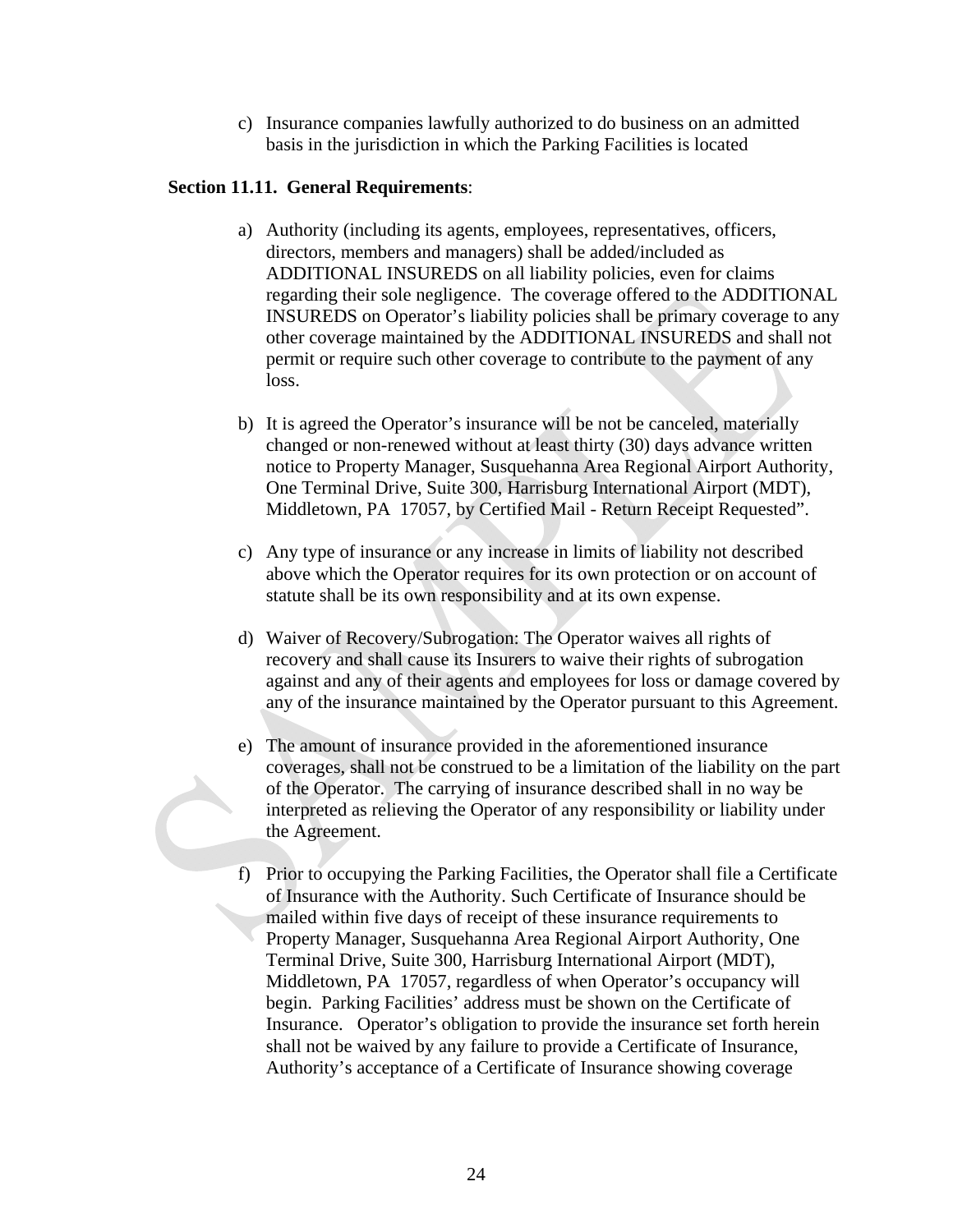c) Insurance companies lawfully authorized to do business on an admitted basis in the jurisdiction in which the Parking Facilities is located

### **Section 11.11. General Requirements**:

- a) Authority (including its agents, employees, representatives, officers, directors, members and managers) shall be added/included as ADDITIONAL INSUREDS on all liability policies, even for claims regarding their sole negligence. The coverage offered to the ADDITIONAL INSUREDS on Operator's liability policies shall be primary coverage to any other coverage maintained by the ADDITIONAL INSUREDS and shall not permit or require such other coverage to contribute to the payment of any loss.
- b) It is agreed the Operator's insurance will be not be canceled, materially changed or non-renewed without at least thirty (30) days advance written notice to Property Manager, Susquehanna Area Regional Airport Authority, One Terminal Drive, Suite 300, Harrisburg International Airport (MDT), Middletown, PA 17057, by Certified Mail - Return Receipt Requested".
- c) Any type of insurance or any increase in limits of liability not described above which the Operator requires for its own protection or on account of statute shall be its own responsibility and at its own expense.
- d) Waiver of Recovery/Subrogation: The Operator waives all rights of recovery and shall cause its Insurers to waive their rights of subrogation against and any of their agents and employees for loss or damage covered by any of the insurance maintained by the Operator pursuant to this Agreement.
- e) The amount of insurance provided in the aforementioned insurance coverages, shall not be construed to be a limitation of the liability on the part of the Operator. The carrying of insurance described shall in no way be interpreted as relieving the Operator of any responsibility or liability under the Agreement.
- f) Prior to occupying the Parking Facilities, the Operator shall file a Certificate of Insurance with the Authority. Such Certificate of Insurance should be mailed within five days of receipt of these insurance requirements to Property Manager, Susquehanna Area Regional Airport Authority, One Terminal Drive, Suite 300, Harrisburg International Airport (MDT), Middletown, PA 17057, regardless of when Operator's occupancy will begin. Parking Facilities' address must be shown on the Certificate of Insurance. Operator's obligation to provide the insurance set forth herein shall not be waived by any failure to provide a Certificate of Insurance, Authority's acceptance of a Certificate of Insurance showing coverage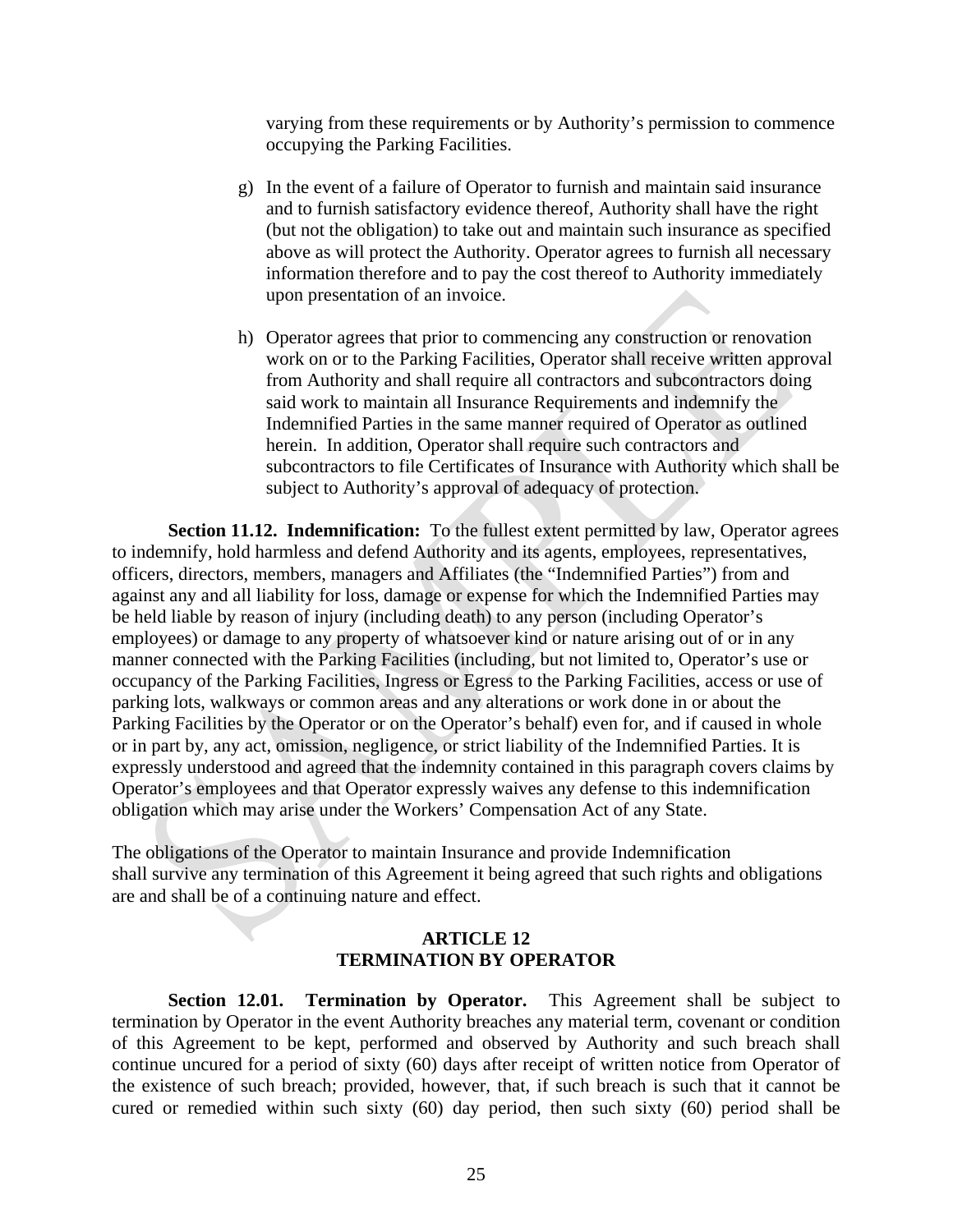varying from these requirements or by Authority's permission to commence occupying the Parking Facilities.

- g) In the event of a failure of Operator to furnish and maintain said insurance and to furnish satisfactory evidence thereof, Authority shall have the right (but not the obligation) to take out and maintain such insurance as specified above as will protect the Authority. Operator agrees to furnish all necessary information therefore and to pay the cost thereof to Authority immediately upon presentation of an invoice.
- h) Operator agrees that prior to commencing any construction or renovation work on or to the Parking Facilities, Operator shall receive written approval from Authority and shall require all contractors and subcontractors doing said work to maintain all Insurance Requirements and indemnify the Indemnified Parties in the same manner required of Operator as outlined herein. In addition, Operator shall require such contractors and subcontractors to file Certificates of Insurance with Authority which shall be subject to Authority's approval of adequacy of protection.

**Section 11.12. Indemnification:** To the fullest extent permitted by law, Operator agrees to indemnify, hold harmless and defend Authority and its agents, employees, representatives, officers, directors, members, managers and Affiliates (the "Indemnified Parties") from and against any and all liability for loss, damage or expense for which the Indemnified Parties may be held liable by reason of injury (including death) to any person (including Operator's employees) or damage to any property of whatsoever kind or nature arising out of or in any manner connected with the Parking Facilities (including, but not limited to, Operator's use or occupancy of the Parking Facilities, Ingress or Egress to the Parking Facilities, access or use of parking lots, walkways or common areas and any alterations or work done in or about the Parking Facilities by the Operator or on the Operator's behalf) even for, and if caused in whole or in part by, any act, omission, negligence, or strict liability of the Indemnified Parties. It is expressly understood and agreed that the indemnity contained in this paragraph covers claims by Operator's employees and that Operator expressly waives any defense to this indemnification obligation which may arise under the Workers' Compensation Act of any State.

The obligations of the Operator to maintain Insurance and provide Indemnification shall survive any termination of this Agreement it being agreed that such rights and obligations are and shall be of a continuing nature and effect.

#### **ARTICLE 12 TERMINATION BY OPERATOR**

**Section 12.01. Termination by Operator.** This Agreement shall be subject to termination by Operator in the event Authority breaches any material term, covenant or condition of this Agreement to be kept, performed and observed by Authority and such breach shall continue uncured for a period of sixty (60) days after receipt of written notice from Operator of the existence of such breach; provided, however, that, if such breach is such that it cannot be cured or remedied within such sixty (60) day period, then such sixty (60) period shall be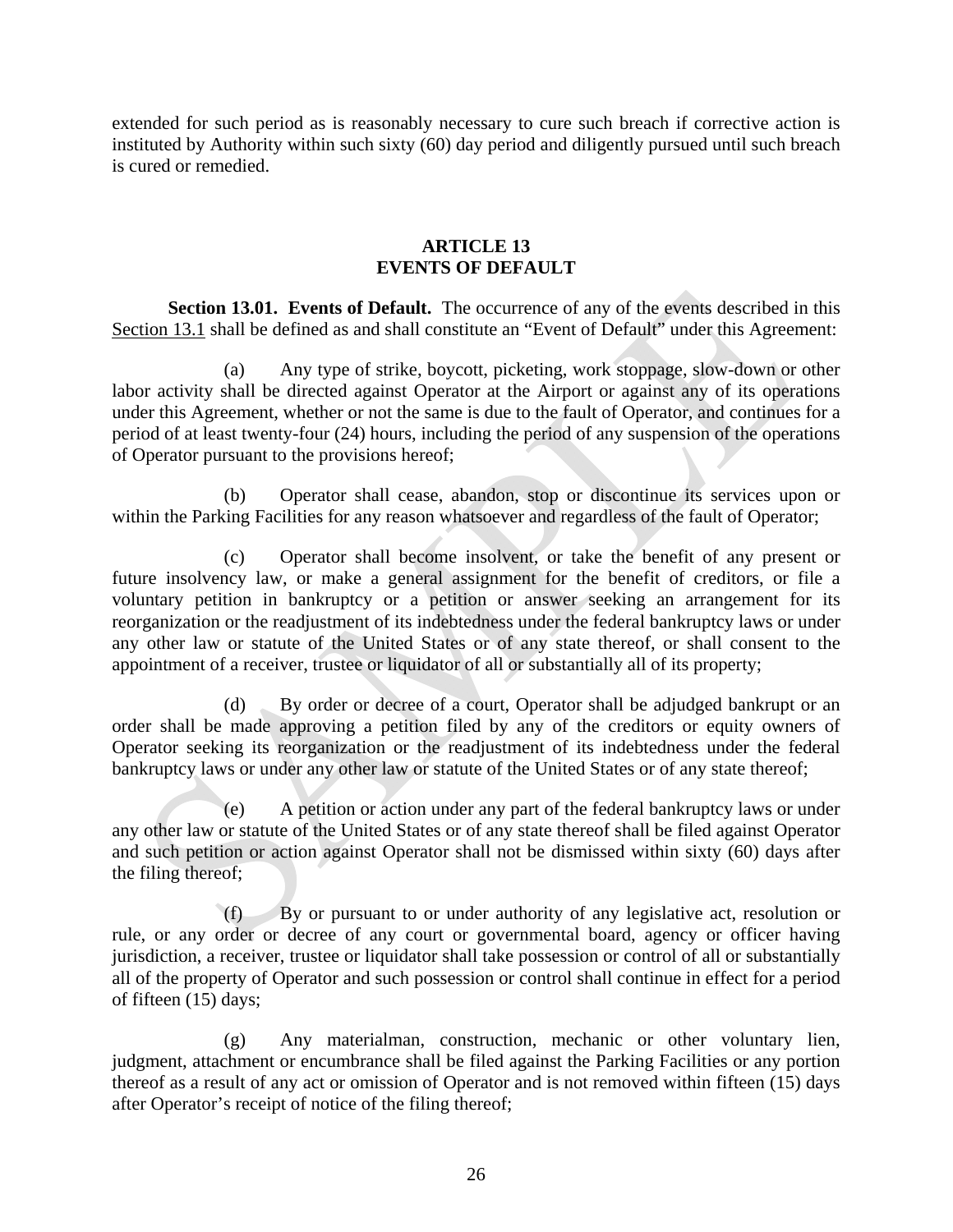extended for such period as is reasonably necessary to cure such breach if corrective action is instituted by Authority within such sixty (60) day period and diligently pursued until such breach is cured or remedied.

### **ARTICLE 13 EVENTS OF DEFAULT**

**Section 13.01. Events of Default.** The occurrence of any of the events described in this Section 13.1 shall be defined as and shall constitute an "Event of Default" under this Agreement:

(a) Any type of strike, boycott, picketing, work stoppage, slow-down or other labor activity shall be directed against Operator at the Airport or against any of its operations under this Agreement, whether or not the same is due to the fault of Operator, and continues for a period of at least twenty-four (24) hours, including the period of any suspension of the operations of Operator pursuant to the provisions hereof;

(b) Operator shall cease, abandon, stop or discontinue its services upon or within the Parking Facilities for any reason whatsoever and regardless of the fault of Operator;

(c) Operator shall become insolvent, or take the benefit of any present or future insolvency law, or make a general assignment for the benefit of creditors, or file a voluntary petition in bankruptcy or a petition or answer seeking an arrangement for its reorganization or the readjustment of its indebtedness under the federal bankruptcy laws or under any other law or statute of the United States or of any state thereof, or shall consent to the appointment of a receiver, trustee or liquidator of all or substantially all of its property;

(d) By order or decree of a court, Operator shall be adjudged bankrupt or an order shall be made approving a petition filed by any of the creditors or equity owners of Operator seeking its reorganization or the readjustment of its indebtedness under the federal bankruptcy laws or under any other law or statute of the United States or of any state thereof;

(e) A petition or action under any part of the federal bankruptcy laws or under any other law or statute of the United States or of any state thereof shall be filed against Operator and such petition or action against Operator shall not be dismissed within sixty (60) days after the filing thereof;

(f) By or pursuant to or under authority of any legislative act, resolution or rule, or any order or decree of any court or governmental board, agency or officer having jurisdiction, a receiver, trustee or liquidator shall take possession or control of all or substantially all of the property of Operator and such possession or control shall continue in effect for a period of fifteen (15) days;

(g) Any materialman, construction, mechanic or other voluntary lien, judgment, attachment or encumbrance shall be filed against the Parking Facilities or any portion thereof as a result of any act or omission of Operator and is not removed within fifteen (15) days after Operator's receipt of notice of the filing thereof;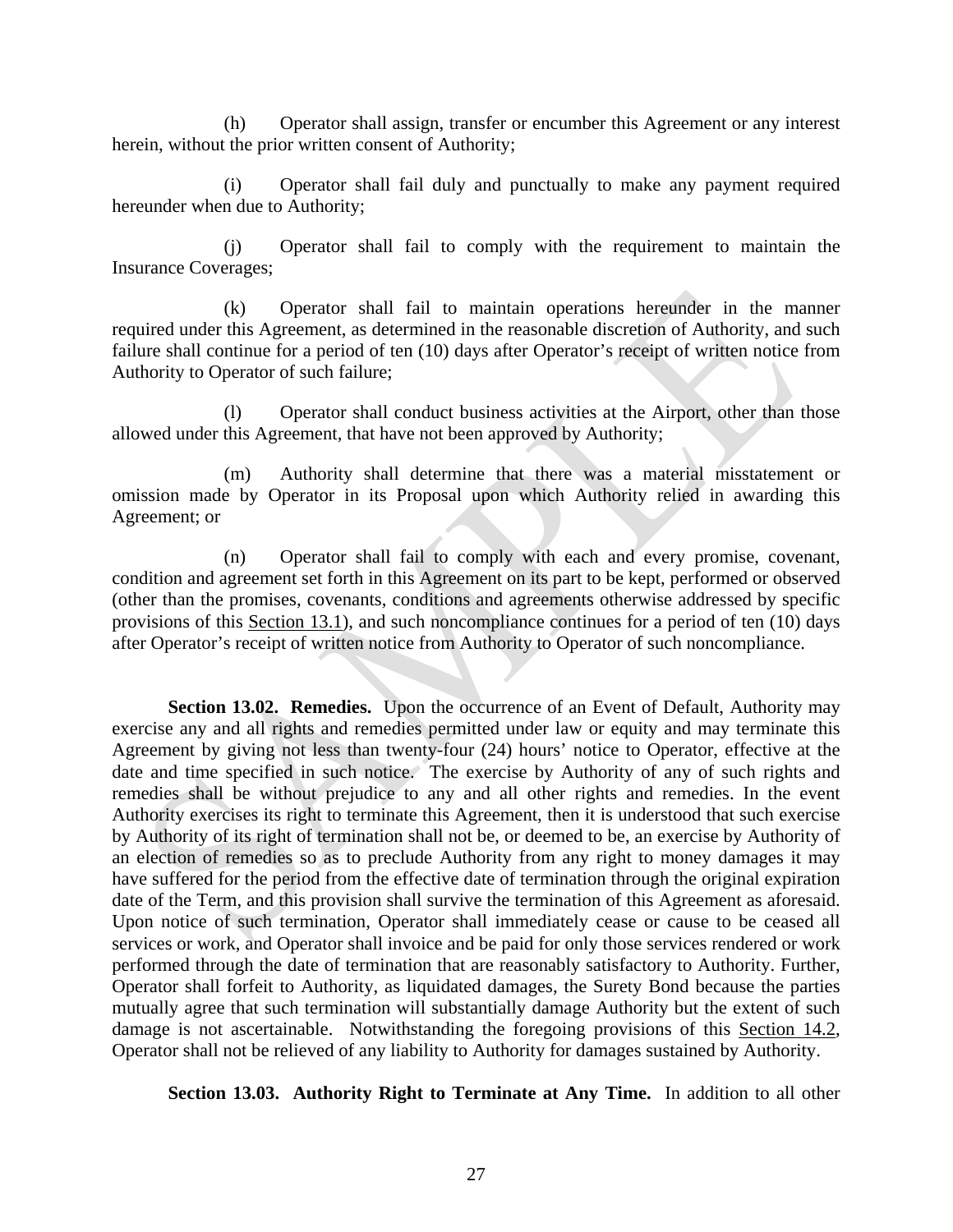(h) Operator shall assign, transfer or encumber this Agreement or any interest herein, without the prior written consent of Authority;

(i) Operator shall fail duly and punctually to make any payment required hereunder when due to Authority;

(j) Operator shall fail to comply with the requirement to maintain the Insurance Coverages;

(k) Operator shall fail to maintain operations hereunder in the manner required under this Agreement, as determined in the reasonable discretion of Authority, and such failure shall continue for a period of ten (10) days after Operator's receipt of written notice from Authority to Operator of such failure;

(l) Operator shall conduct business activities at the Airport, other than those allowed under this Agreement, that have not been approved by Authority;

(m) Authority shall determine that there was a material misstatement or omission made by Operator in its Proposal upon which Authority relied in awarding this Agreement; or

(n) Operator shall fail to comply with each and every promise, covenant, condition and agreement set forth in this Agreement on its part to be kept, performed or observed (other than the promises, covenants, conditions and agreements otherwise addressed by specific provisions of this Section 13.1), and such noncompliance continues for a period of ten (10) days after Operator's receipt of written notice from Authority to Operator of such noncompliance.

**Section 13.02. Remedies.** Upon the occurrence of an Event of Default, Authority may exercise any and all rights and remedies permitted under law or equity and may terminate this Agreement by giving not less than twenty-four (24) hours' notice to Operator, effective at the date and time specified in such notice. The exercise by Authority of any of such rights and remedies shall be without prejudice to any and all other rights and remedies. In the event Authority exercises its right to terminate this Agreement, then it is understood that such exercise by Authority of its right of termination shall not be, or deemed to be, an exercise by Authority of an election of remedies so as to preclude Authority from any right to money damages it may have suffered for the period from the effective date of termination through the original expiration date of the Term, and this provision shall survive the termination of this Agreement as aforesaid. Upon notice of such termination, Operator shall immediately cease or cause to be ceased all services or work, and Operator shall invoice and be paid for only those services rendered or work performed through the date of termination that are reasonably satisfactory to Authority. Further, Operator shall forfeit to Authority, as liquidated damages, the Surety Bond because the parties mutually agree that such termination will substantially damage Authority but the extent of such damage is not ascertainable. Notwithstanding the foregoing provisions of this Section 14.2, Operator shall not be relieved of any liability to Authority for damages sustained by Authority.

**Section 13.03. Authority Right to Terminate at Any Time.** In addition to all other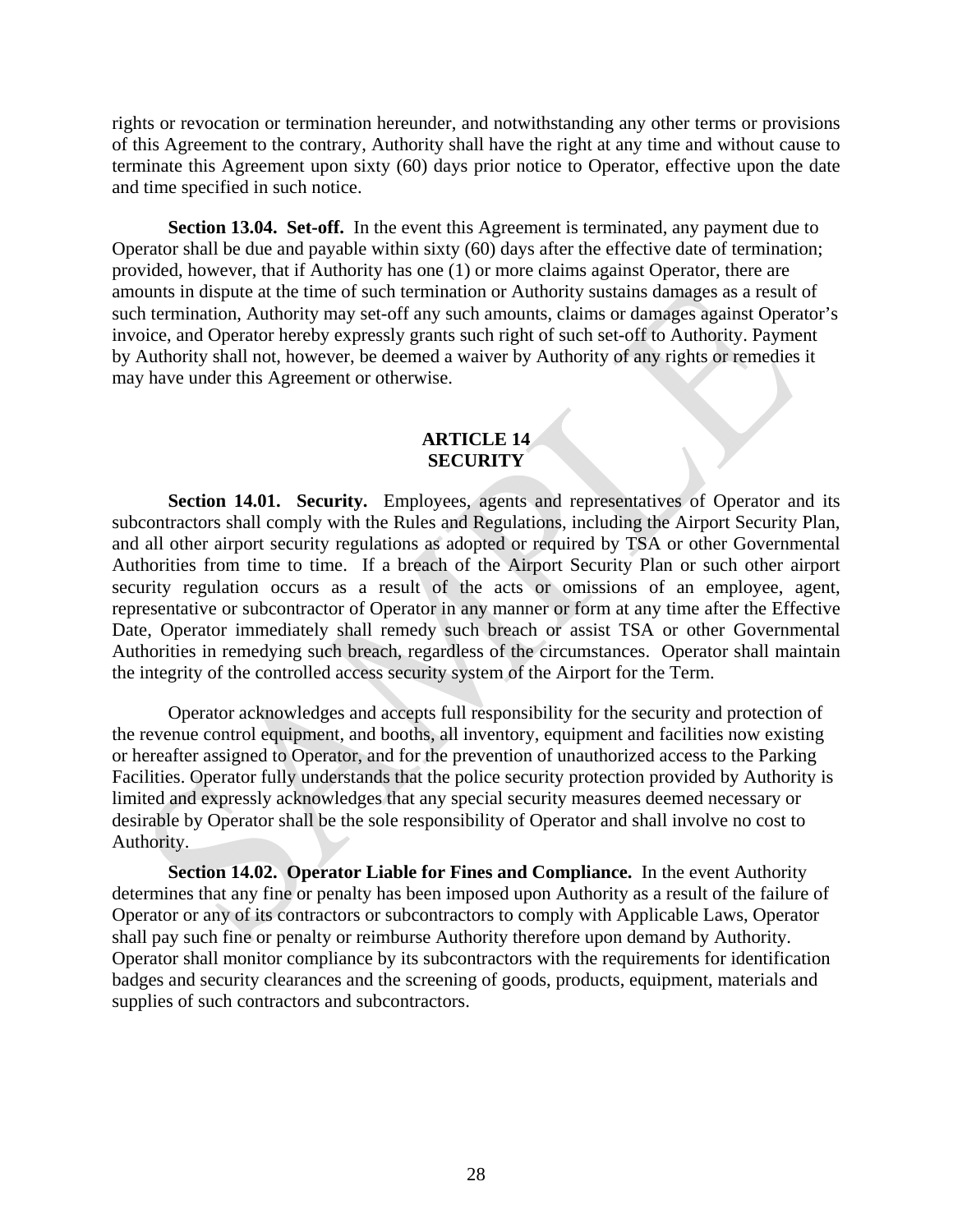rights or revocation or termination hereunder, and notwithstanding any other terms or provisions of this Agreement to the contrary, Authority shall have the right at any time and without cause to terminate this Agreement upon sixty (60) days prior notice to Operator, effective upon the date and time specified in such notice.

**Section 13.04. Set-off.** In the event this Agreement is terminated, any payment due to Operator shall be due and payable within sixty (60) days after the effective date of termination; provided, however, that if Authority has one (1) or more claims against Operator, there are amounts in dispute at the time of such termination or Authority sustains damages as a result of such termination, Authority may set-off any such amounts, claims or damages against Operator's invoice, and Operator hereby expressly grants such right of such set-off to Authority. Payment by Authority shall not, however, be deemed a waiver by Authority of any rights or remedies it may have under this Agreement or otherwise.

### **ARTICLE 14 SECURITY**

**Section 14.01. Security.** Employees, agents and representatives of Operator and its subcontractors shall comply with the Rules and Regulations, including the Airport Security Plan, and all other airport security regulations as adopted or required by TSA or other Governmental Authorities from time to time. If a breach of the Airport Security Plan or such other airport security regulation occurs as a result of the acts or omissions of an employee, agent, representative or subcontractor of Operator in any manner or form at any time after the Effective Date, Operator immediately shall remedy such breach or assist TSA or other Governmental Authorities in remedying such breach, regardless of the circumstances. Operator shall maintain the integrity of the controlled access security system of the Airport for the Term.

Operator acknowledges and accepts full responsibility for the security and protection of the revenue control equipment, and booths, all inventory, equipment and facilities now existing or hereafter assigned to Operator, and for the prevention of unauthorized access to the Parking Facilities. Operator fully understands that the police security protection provided by Authority is limited and expressly acknowledges that any special security measures deemed necessary or desirable by Operator shall be the sole responsibility of Operator and shall involve no cost to Authority.

**Section 14.02. Operator Liable for Fines and Compliance.** In the event Authority determines that any fine or penalty has been imposed upon Authority as a result of the failure of Operator or any of its contractors or subcontractors to comply with Applicable Laws, Operator shall pay such fine or penalty or reimburse Authority therefore upon demand by Authority. Operator shall monitor compliance by its subcontractors with the requirements for identification badges and security clearances and the screening of goods, products, equipment, materials and supplies of such contractors and subcontractors.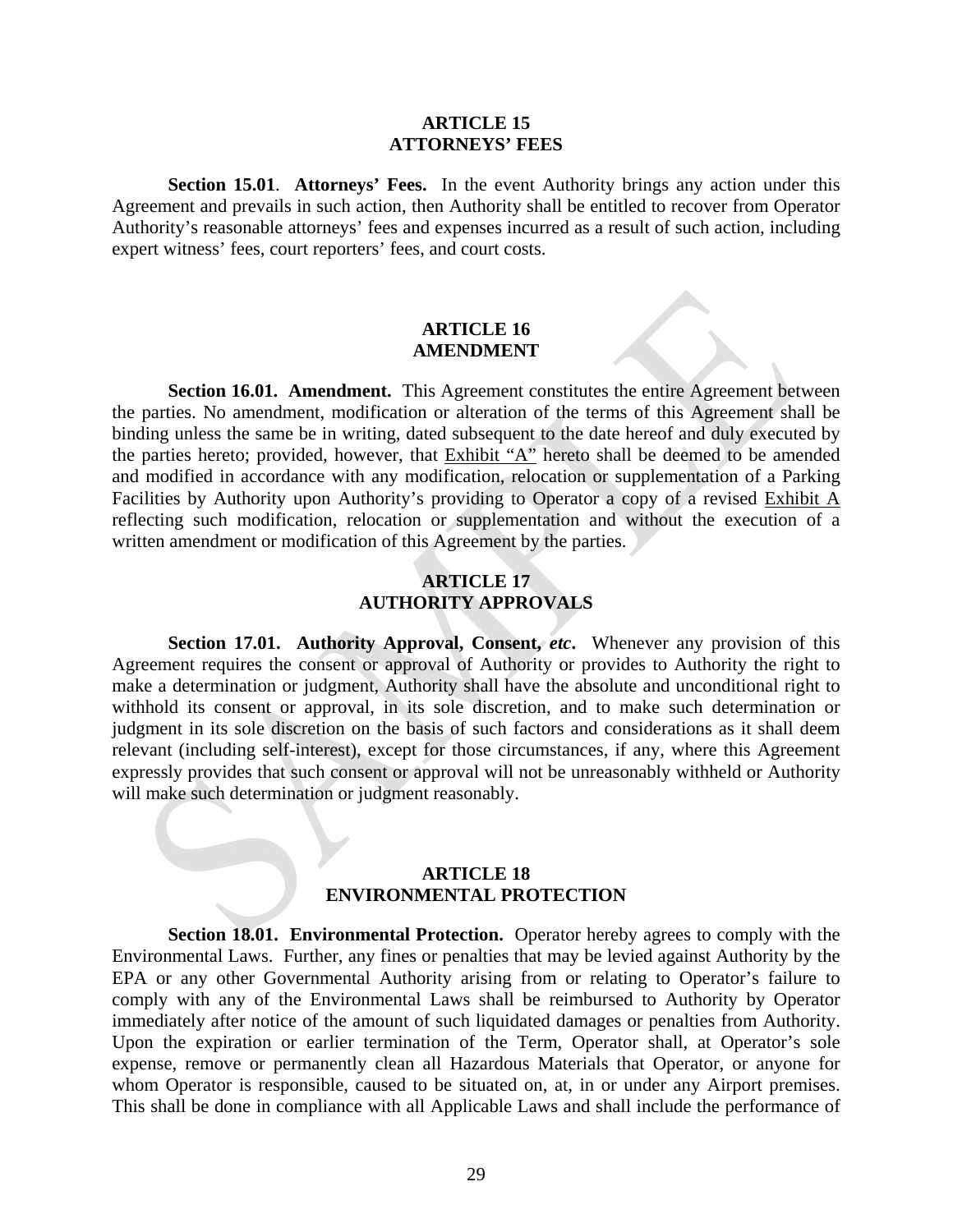#### **ARTICLE 15 ATTORNEYS' FEES**

**Section 15.01**. **Attorneys' Fees.** In the event Authority brings any action under this Agreement and prevails in such action, then Authority shall be entitled to recover from Operator Authority's reasonable attorneys' fees and expenses incurred as a result of such action, including expert witness' fees, court reporters' fees, and court costs.

### **ARTICLE 16 AMENDMENT**

**Section 16.01. Amendment.** This Agreement constitutes the entire Agreement between the parties. No amendment, modification or alteration of the terms of this Agreement shall be binding unless the same be in writing, dated subsequent to the date hereof and duly executed by the parties hereto; provided, however, that Exhibit "A" hereto shall be deemed to be amended and modified in accordance with any modification, relocation or supplementation of a Parking Facilities by Authority upon Authority's providing to Operator a copy of a revised Exhibit A reflecting such modification, relocation or supplementation and without the execution of a written amendment or modification of this Agreement by the parties.

### **ARTICLE 17 AUTHORITY APPROVALS**

**Section 17.01. Authority Approval, Consent,** *etc***.** Whenever any provision of this Agreement requires the consent or approval of Authority or provides to Authority the right to make a determination or judgment, Authority shall have the absolute and unconditional right to withhold its consent or approval, in its sole discretion, and to make such determination or judgment in its sole discretion on the basis of such factors and considerations as it shall deem relevant (including self-interest), except for those circumstances, if any, where this Agreement expressly provides that such consent or approval will not be unreasonably withheld or Authority will make such determination or judgment reasonably.

### **ARTICLE 18 ENVIRONMENTAL PROTECTION**

**Section 18.01. Environmental Protection.** Operator hereby agrees to comply with the Environmental Laws. Further, any fines or penalties that may be levied against Authority by the EPA or any other Governmental Authority arising from or relating to Operator's failure to comply with any of the Environmental Laws shall be reimbursed to Authority by Operator immediately after notice of the amount of such liquidated damages or penalties from Authority. Upon the expiration or earlier termination of the Term, Operator shall, at Operator's sole expense, remove or permanently clean all Hazardous Materials that Operator, or anyone for whom Operator is responsible, caused to be situated on, at, in or under any Airport premises. This shall be done in compliance with all Applicable Laws and shall include the performance of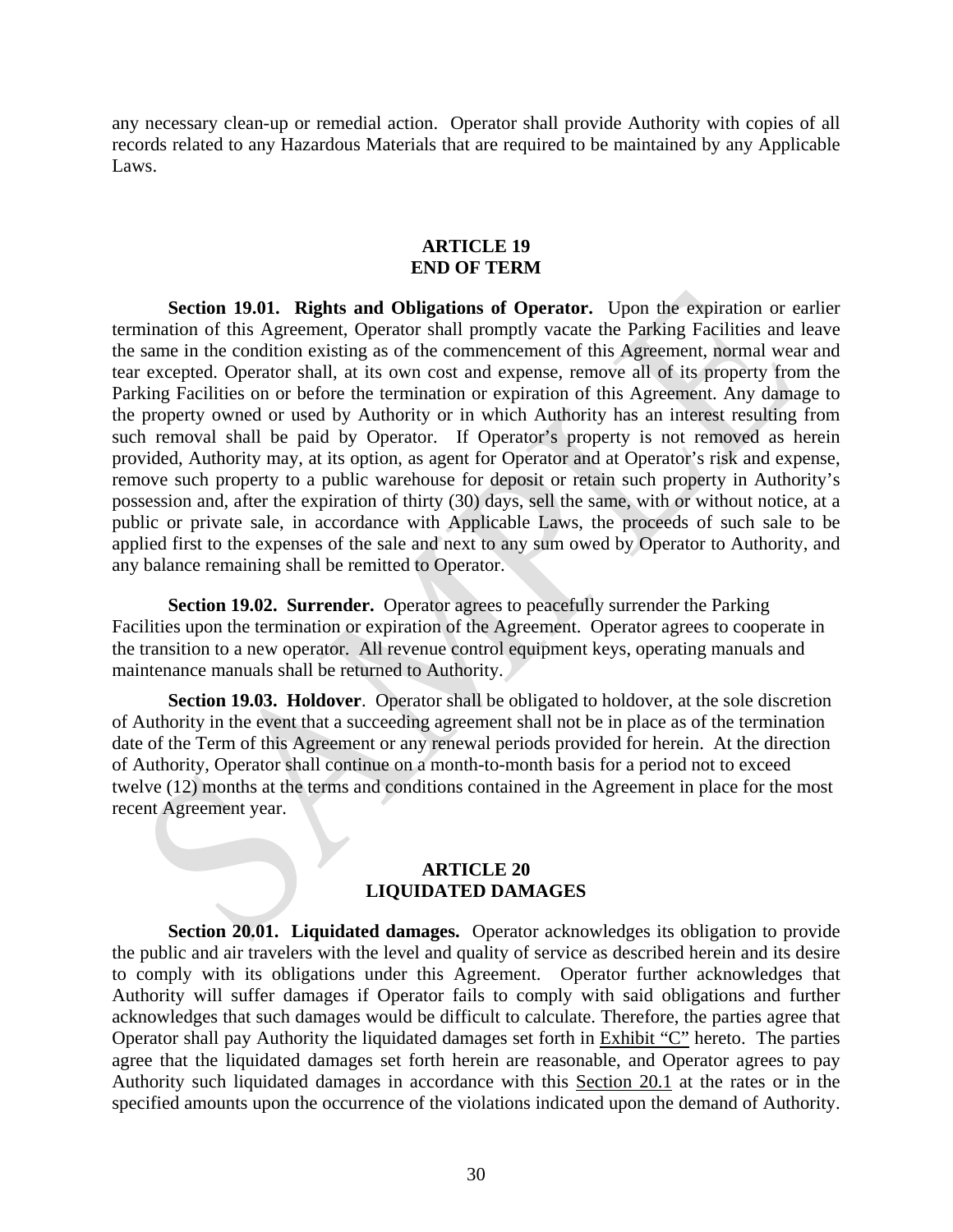any necessary clean-up or remedial action. Operator shall provide Authority with copies of all records related to any Hazardous Materials that are required to be maintained by any Applicable Laws.

#### **ARTICLE 19 END OF TERM**

**Section 19.01. Rights and Obligations of Operator.** Upon the expiration or earlier termination of this Agreement, Operator shall promptly vacate the Parking Facilities and leave the same in the condition existing as of the commencement of this Agreement, normal wear and tear excepted. Operator shall, at its own cost and expense, remove all of its property from the Parking Facilities on or before the termination or expiration of this Agreement. Any damage to the property owned or used by Authority or in which Authority has an interest resulting from such removal shall be paid by Operator. If Operator's property is not removed as herein provided, Authority may, at its option, as agent for Operator and at Operator's risk and expense, remove such property to a public warehouse for deposit or retain such property in Authority's possession and, after the expiration of thirty (30) days, sell the same, with or without notice, at a public or private sale, in accordance with Applicable Laws, the proceeds of such sale to be applied first to the expenses of the sale and next to any sum owed by Operator to Authority, and any balance remaining shall be remitted to Operator.

**Section 19.02. Surrender.** Operator agrees to peacefully surrender the Parking Facilities upon the termination or expiration of the Agreement. Operator agrees to cooperate in the transition to a new operator. All revenue control equipment keys, operating manuals and maintenance manuals shall be returned to Authority.

**Section 19.03. Holdover**. Operator shall be obligated to holdover, at the sole discretion of Authority in the event that a succeeding agreement shall not be in place as of the termination date of the Term of this Agreement or any renewal periods provided for herein. At the direction of Authority, Operator shall continue on a month-to-month basis for a period not to exceed twelve (12) months at the terms and conditions contained in the Agreement in place for the most recent Agreement year.

#### **ARTICLE 20 LIQUIDATED DAMAGES**

**Section 20.01. Liquidated damages.** Operator acknowledges its obligation to provide the public and air travelers with the level and quality of service as described herein and its desire to comply with its obligations under this Agreement. Operator further acknowledges that Authority will suffer damages if Operator fails to comply with said obligations and further acknowledges that such damages would be difficult to calculate. Therefore, the parties agree that Operator shall pay Authority the liquidated damages set forth in Exhibit "C" hereto. The parties agree that the liquidated damages set forth herein are reasonable, and Operator agrees to pay Authority such liquidated damages in accordance with this Section 20.1 at the rates or in the specified amounts upon the occurrence of the violations indicated upon the demand of Authority.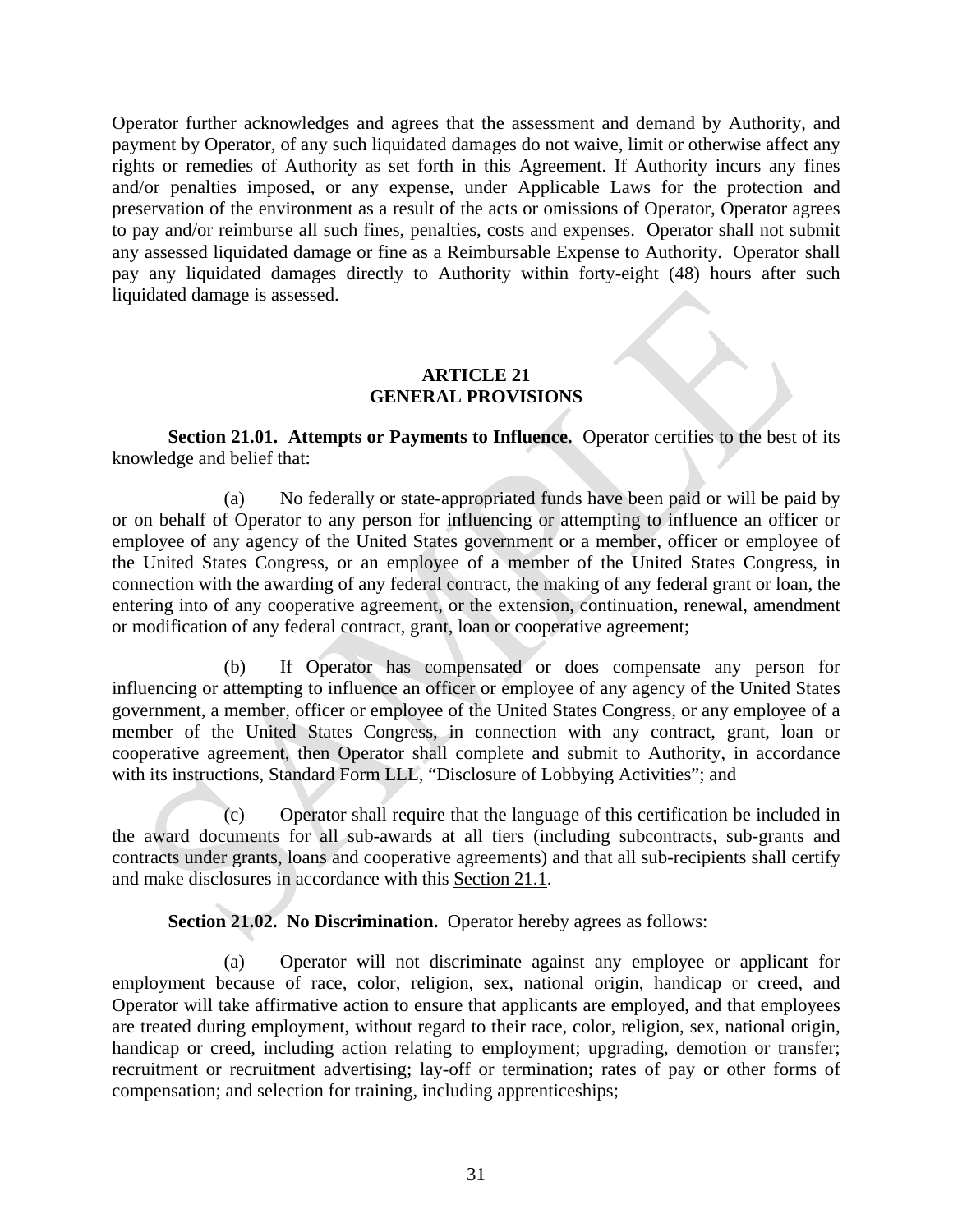Operator further acknowledges and agrees that the assessment and demand by Authority, and payment by Operator, of any such liquidated damages do not waive, limit or otherwise affect any rights or remedies of Authority as set forth in this Agreement. If Authority incurs any fines and/or penalties imposed, or any expense, under Applicable Laws for the protection and preservation of the environment as a result of the acts or omissions of Operator, Operator agrees to pay and/or reimburse all such fines, penalties, costs and expenses. Operator shall not submit any assessed liquidated damage or fine as a Reimbursable Expense to Authority. Operator shall pay any liquidated damages directly to Authority within forty-eight (48) hours after such liquidated damage is assessed.

### **ARTICLE 21 GENERAL PROVISIONS**

**Section 21.01. Attempts or Payments to Influence.** Operator certifies to the best of its knowledge and belief that:

(a) No federally or state-appropriated funds have been paid or will be paid by or on behalf of Operator to any person for influencing or attempting to influence an officer or employee of any agency of the United States government or a member, officer or employee of the United States Congress, or an employee of a member of the United States Congress, in connection with the awarding of any federal contract, the making of any federal grant or loan, the entering into of any cooperative agreement, or the extension, continuation, renewal, amendment or modification of any federal contract, grant, loan or cooperative agreement;

(b) If Operator has compensated or does compensate any person for influencing or attempting to influence an officer or employee of any agency of the United States government, a member, officer or employee of the United States Congress, or any employee of a member of the United States Congress, in connection with any contract, grant, loan or cooperative agreement, then Operator shall complete and submit to Authority, in accordance with its instructions, Standard Form LLL, "Disclosure of Lobbying Activities"; and

(c) Operator shall require that the language of this certification be included in the award documents for all sub-awards at all tiers (including subcontracts, sub-grants and contracts under grants, loans and cooperative agreements) and that all sub-recipients shall certify and make disclosures in accordance with this Section 21.1.

**Section 21.02. No Discrimination.** Operator hereby agrees as follows:

(a) Operator will not discriminate against any employee or applicant for employment because of race, color, religion, sex, national origin, handicap or creed, and Operator will take affirmative action to ensure that applicants are employed, and that employees are treated during employment, without regard to their race, color, religion, sex, national origin, handicap or creed, including action relating to employment; upgrading, demotion or transfer; recruitment or recruitment advertising; lay-off or termination; rates of pay or other forms of compensation; and selection for training, including apprenticeships;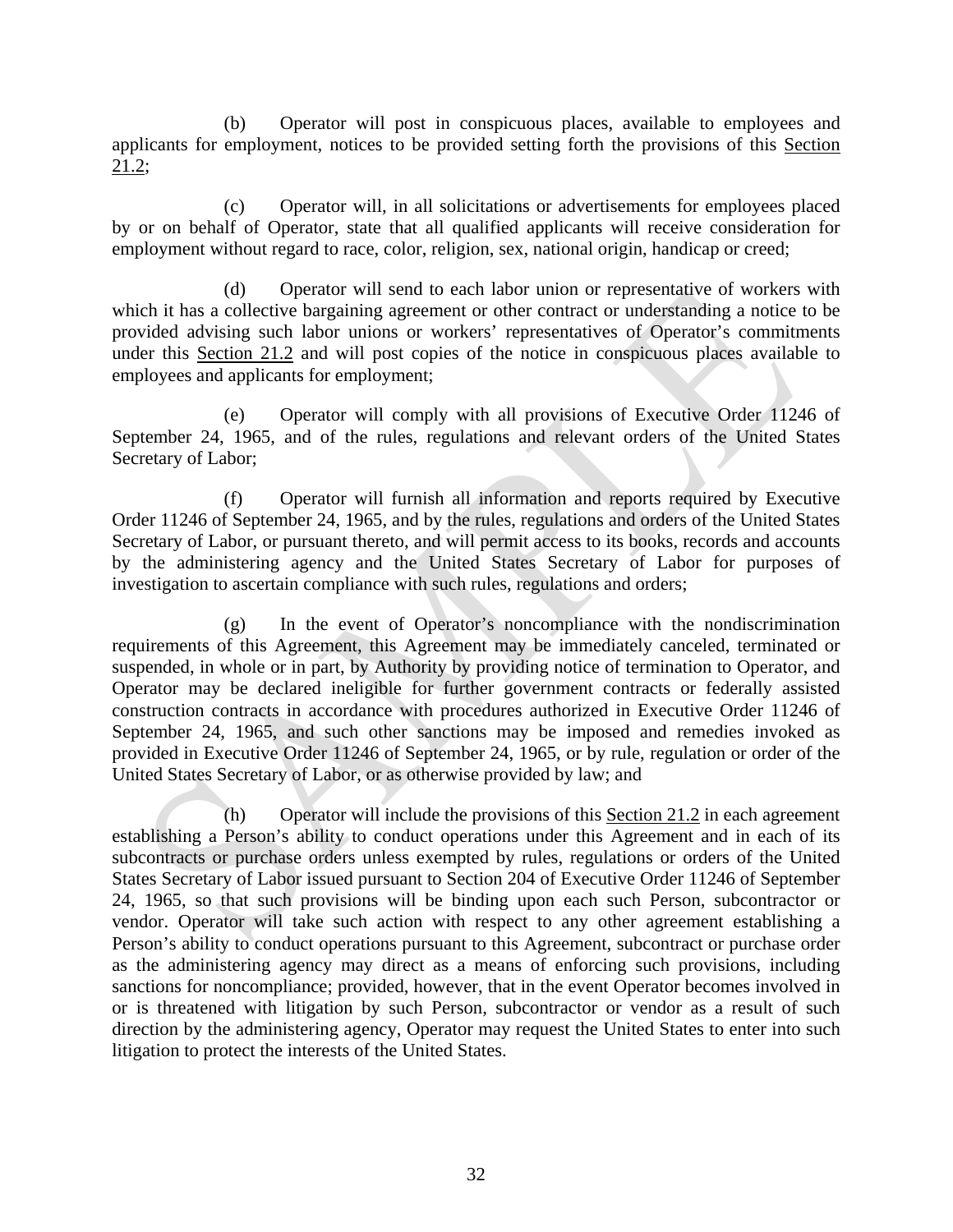(b) Operator will post in conspicuous places, available to employees and applicants for employment, notices to be provided setting forth the provisions of this Section 21.2;

(c) Operator will, in all solicitations or advertisements for employees placed by or on behalf of Operator, state that all qualified applicants will receive consideration for employment without regard to race, color, religion, sex, national origin, handicap or creed;

(d) Operator will send to each labor union or representative of workers with which it has a collective bargaining agreement or other contract or understanding a notice to be provided advising such labor unions or workers' representatives of Operator's commitments under this Section 21.2 and will post copies of the notice in conspicuous places available to employees and applicants for employment;

(e) Operator will comply with all provisions of Executive Order 11246 of September 24, 1965, and of the rules, regulations and relevant orders of the United States Secretary of Labor;

(f) Operator will furnish all information and reports required by Executive Order 11246 of September 24, 1965, and by the rules, regulations and orders of the United States Secretary of Labor, or pursuant thereto, and will permit access to its books, records and accounts by the administering agency and the United States Secretary of Labor for purposes of investigation to ascertain compliance with such rules, regulations and orders;

(g) In the event of Operator's noncompliance with the nondiscrimination requirements of this Agreement, this Agreement may be immediately canceled, terminated or suspended, in whole or in part, by Authority by providing notice of termination to Operator, and Operator may be declared ineligible for further government contracts or federally assisted construction contracts in accordance with procedures authorized in Executive Order 11246 of September 24, 1965, and such other sanctions may be imposed and remedies invoked as provided in Executive Order 11246 of September 24, 1965, or by rule, regulation or order of the United States Secretary of Labor, or as otherwise provided by law; and

(h) Operator will include the provisions of this Section 21.2 in each agreement establishing a Person's ability to conduct operations under this Agreement and in each of its subcontracts or purchase orders unless exempted by rules, regulations or orders of the United States Secretary of Labor issued pursuant to Section 204 of Executive Order 11246 of September 24, 1965, so that such provisions will be binding upon each such Person, subcontractor or vendor. Operator will take such action with respect to any other agreement establishing a Person's ability to conduct operations pursuant to this Agreement, subcontract or purchase order as the administering agency may direct as a means of enforcing such provisions, including sanctions for noncompliance; provided, however, that in the event Operator becomes involved in or is threatened with litigation by such Person, subcontractor or vendor as a result of such direction by the administering agency, Operator may request the United States to enter into such litigation to protect the interests of the United States.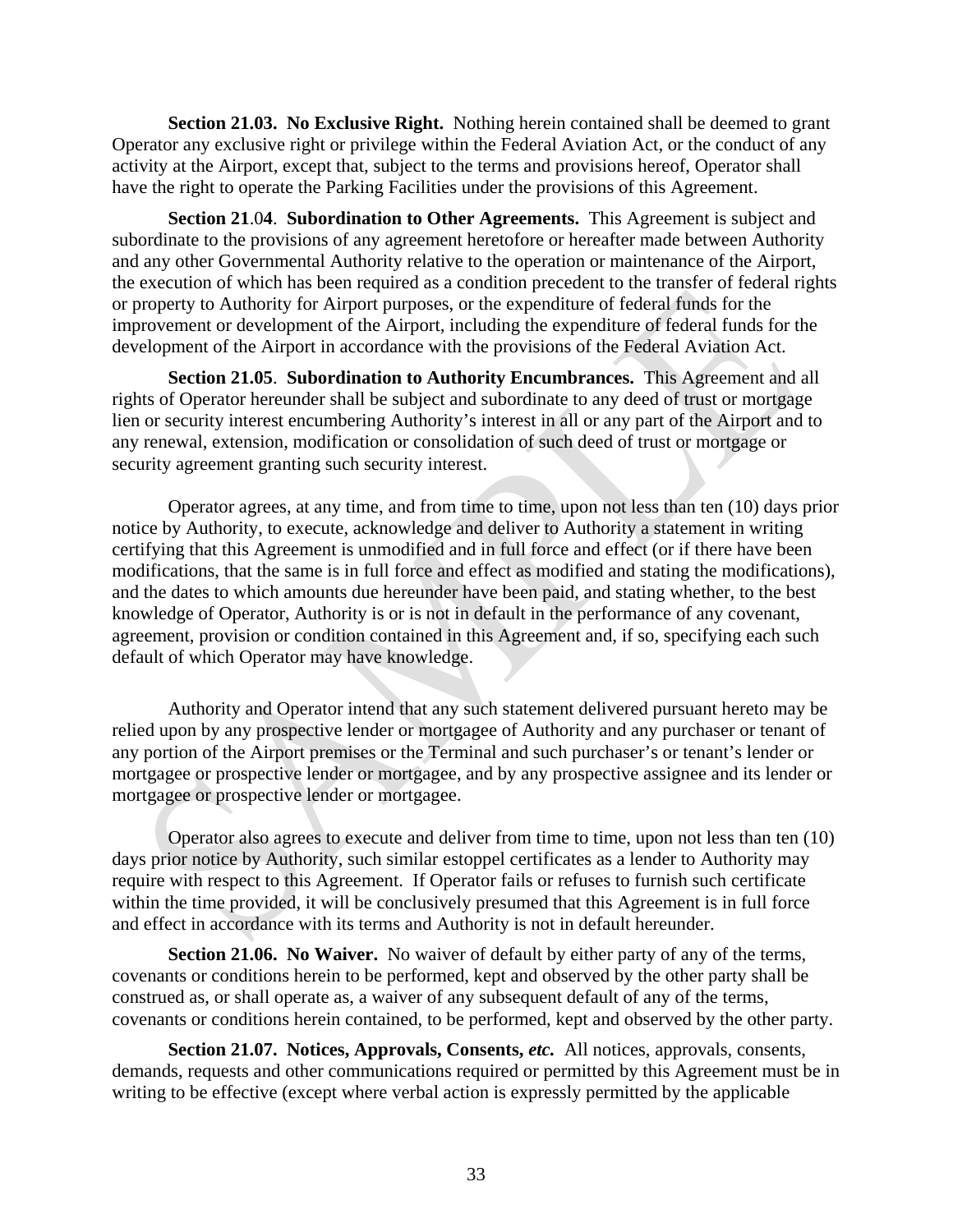**Section 21.03. No Exclusive Right.** Nothing herein contained shall be deemed to grant Operator any exclusive right or privilege within the Federal Aviation Act, or the conduct of any activity at the Airport, except that, subject to the terms and provisions hereof, Operator shall have the right to operate the Parking Facilities under the provisions of this Agreement.

**Section 21**.0**4**. **Subordination to Other Agreements.** This Agreement is subject and subordinate to the provisions of any agreement heretofore or hereafter made between Authority and any other Governmental Authority relative to the operation or maintenance of the Airport, the execution of which has been required as a condition precedent to the transfer of federal rights or property to Authority for Airport purposes, or the expenditure of federal funds for the improvement or development of the Airport, including the expenditure of federal funds for the development of the Airport in accordance with the provisions of the Federal Aviation Act.

**Section 21.05**. **Subordination to Authority Encumbrances.** This Agreement and all rights of Operator hereunder shall be subject and subordinate to any deed of trust or mortgage lien or security interest encumbering Authority's interest in all or any part of the Airport and to any renewal, extension, modification or consolidation of such deed of trust or mortgage or security agreement granting such security interest.

 Operator agrees, at any time, and from time to time, upon not less than ten (10) days prior notice by Authority, to execute, acknowledge and deliver to Authority a statement in writing certifying that this Agreement is unmodified and in full force and effect (or if there have been modifications, that the same is in full force and effect as modified and stating the modifications), and the dates to which amounts due hereunder have been paid, and stating whether, to the best knowledge of Operator, Authority is or is not in default in the performance of any covenant, agreement, provision or condition contained in this Agreement and, if so, specifying each such default of which Operator may have knowledge.

Authority and Operator intend that any such statement delivered pursuant hereto may be relied upon by any prospective lender or mortgagee of Authority and any purchaser or tenant of any portion of the Airport premises or the Terminal and such purchaser's or tenant's lender or mortgagee or prospective lender or mortgagee, and by any prospective assignee and its lender or mortgagee or prospective lender or mortgagee.

 Operator also agrees to execute and deliver from time to time, upon not less than ten (10) days prior notice by Authority, such similar estoppel certificates as a lender to Authority may require with respect to this Agreement. If Operator fails or refuses to furnish such certificate within the time provided, it will be conclusively presumed that this Agreement is in full force and effect in accordance with its terms and Authority is not in default hereunder.

**Section 21.06. No Waiver.** No waiver of default by either party of any of the terms, covenants or conditions herein to be performed, kept and observed by the other party shall be construed as, or shall operate as, a waiver of any subsequent default of any of the terms, covenants or conditions herein contained, to be performed, kept and observed by the other party.

**Section 21.07. Notices, Approvals, Consents,** *etc.* All notices, approvals, consents, demands, requests and other communications required or permitted by this Agreement must be in writing to be effective (except where verbal action is expressly permitted by the applicable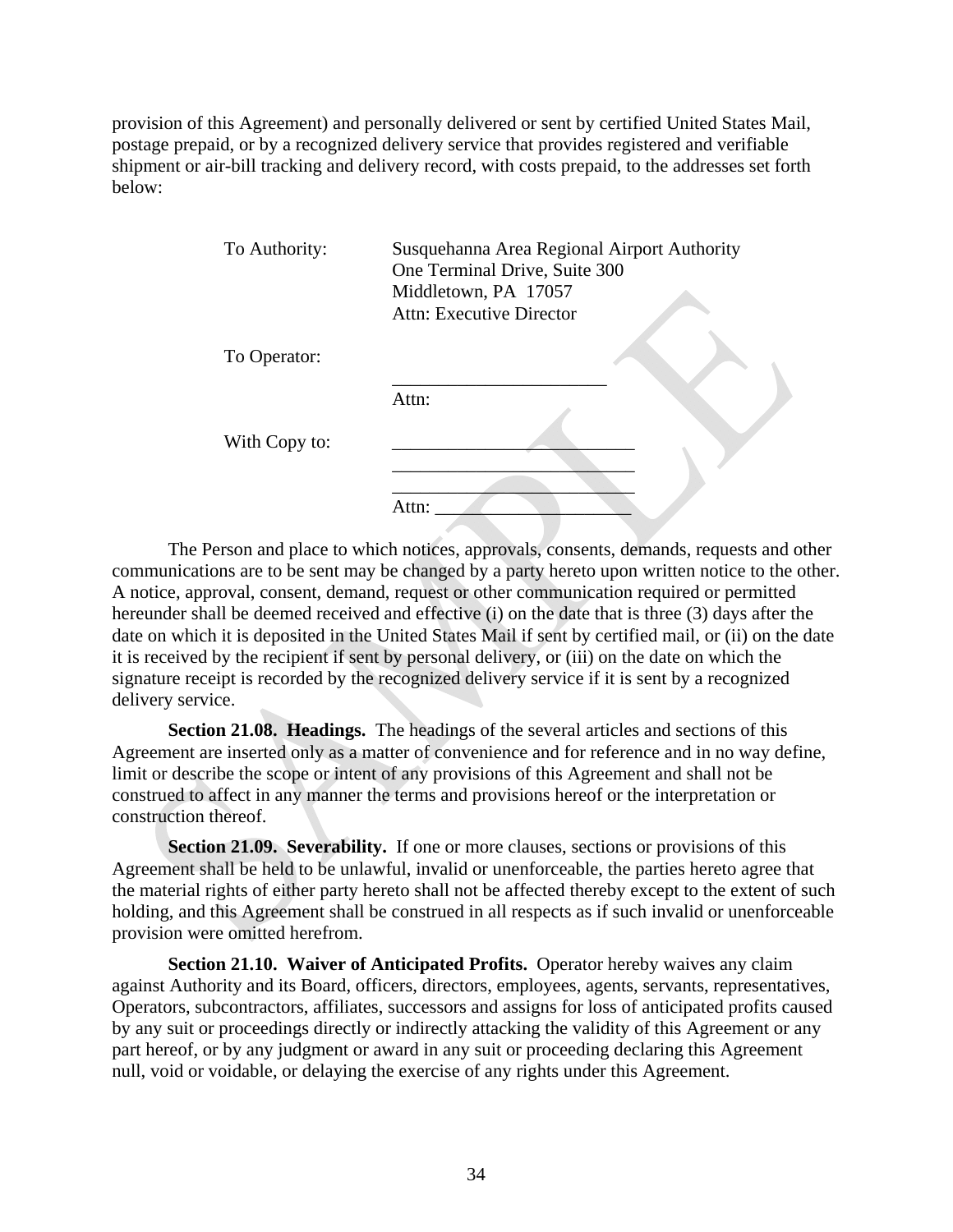provision of this Agreement) and personally delivered or sent by certified United States Mail, postage prepaid, or by a recognized delivery service that provides registered and verifiable shipment or air-bill tracking and delivery record, with costs prepaid, to the addresses set forth below:

| To Authority: | Susquehanna Area Regional Airport Authority<br>One Terminal Drive, Suite 300<br>Middletown, PA 17057<br>Attn: Executive Director |
|---------------|----------------------------------------------------------------------------------------------------------------------------------|
| To Operator:  |                                                                                                                                  |
|               | Attn:                                                                                                                            |
| With Copy to: |                                                                                                                                  |
|               | Attn:                                                                                                                            |

The Person and place to which notices, approvals, consents, demands, requests and other communications are to be sent may be changed by a party hereto upon written notice to the other. A notice, approval, consent, demand, request or other communication required or permitted hereunder shall be deemed received and effective (i) on the date that is three (3) days after the date on which it is deposited in the United States Mail if sent by certified mail, or (ii) on the date it is received by the recipient if sent by personal delivery, or (iii) on the date on which the signature receipt is recorded by the recognized delivery service if it is sent by a recognized delivery service.

**Section 21.08. Headings.** The headings of the several articles and sections of this Agreement are inserted only as a matter of convenience and for reference and in no way define, limit or describe the scope or intent of any provisions of this Agreement and shall not be construed to affect in any manner the terms and provisions hereof or the interpretation or construction thereof.

**Section 21.09. Severability.** If one or more clauses, sections or provisions of this Agreement shall be held to be unlawful, invalid or unenforceable, the parties hereto agree that the material rights of either party hereto shall not be affected thereby except to the extent of such holding, and this Agreement shall be construed in all respects as if such invalid or unenforceable provision were omitted herefrom.

**Section 21.10. Waiver of Anticipated Profits.** Operator hereby waives any claim against Authority and its Board, officers, directors, employees, agents, servants, representatives, Operators, subcontractors, affiliates, successors and assigns for loss of anticipated profits caused by any suit or proceedings directly or indirectly attacking the validity of this Agreement or any part hereof, or by any judgment or award in any suit or proceeding declaring this Agreement null, void or voidable, or delaying the exercise of any rights under this Agreement.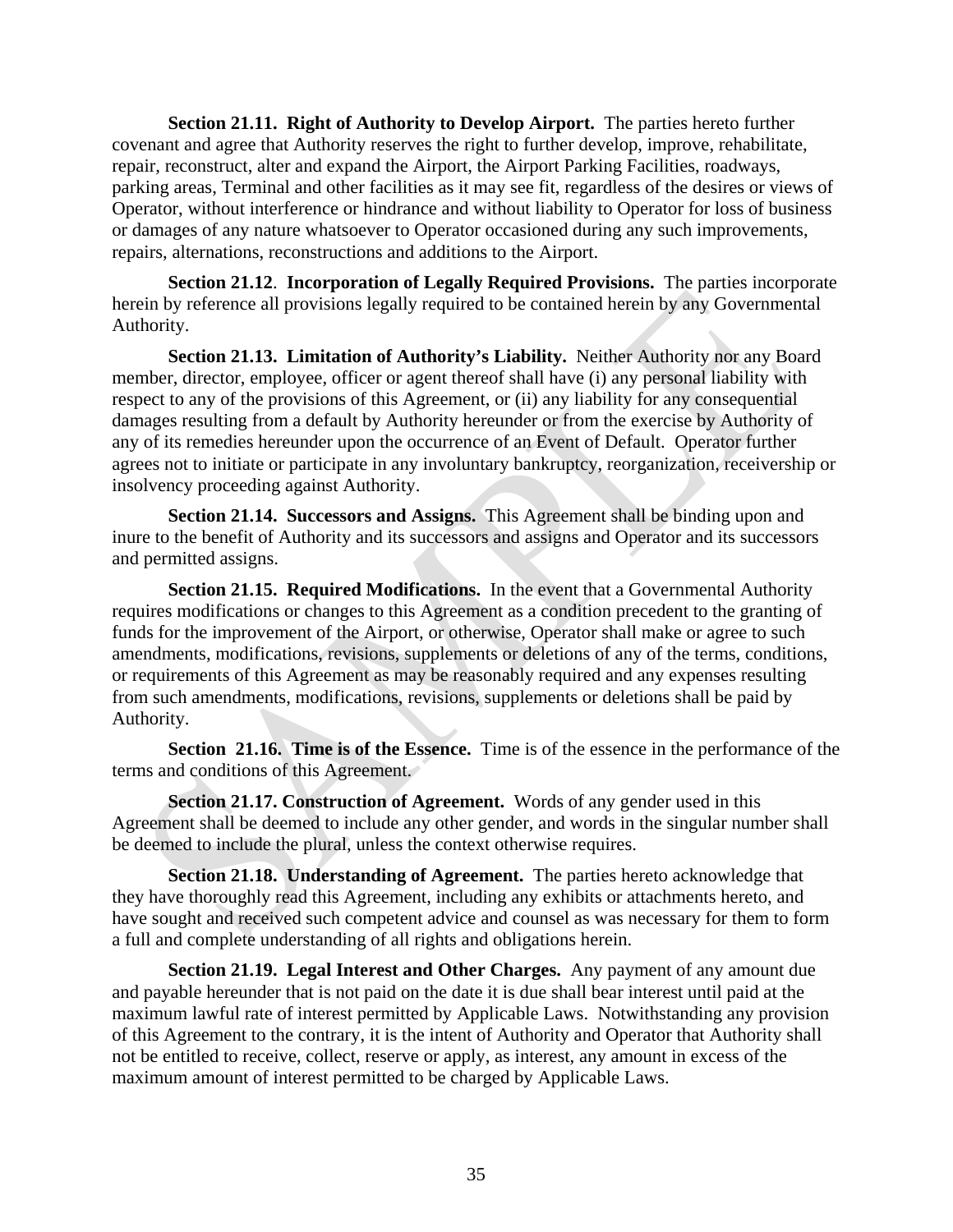**Section 21.11. Right of Authority to Develop Airport.** The parties hereto further covenant and agree that Authority reserves the right to further develop, improve, rehabilitate, repair, reconstruct, alter and expand the Airport, the Airport Parking Facilities, roadways, parking areas, Terminal and other facilities as it may see fit, regardless of the desires or views of Operator, without interference or hindrance and without liability to Operator for loss of business or damages of any nature whatsoever to Operator occasioned during any such improvements, repairs, alternations, reconstructions and additions to the Airport.

**Section 21.12**. **Incorporation of Legally Required Provisions.** The parties incorporate herein by reference all provisions legally required to be contained herein by any Governmental Authority.

**Section 21.13. Limitation of Authority's Liability.** Neither Authority nor any Board member, director, employee, officer or agent thereof shall have (i) any personal liability with respect to any of the provisions of this Agreement, or (ii) any liability for any consequential damages resulting from a default by Authority hereunder or from the exercise by Authority of any of its remedies hereunder upon the occurrence of an Event of Default. Operator further agrees not to initiate or participate in any involuntary bankruptcy, reorganization, receivership or insolvency proceeding against Authority.

**Section 21.14. Successors and Assigns.** This Agreement shall be binding upon and inure to the benefit of Authority and its successors and assigns and Operator and its successors and permitted assigns.

**Section 21.15. Required Modifications.** In the event that a Governmental Authority requires modifications or changes to this Agreement as a condition precedent to the granting of funds for the improvement of the Airport, or otherwise, Operator shall make or agree to such amendments, modifications, revisions, supplements or deletions of any of the terms, conditions, or requirements of this Agreement as may be reasonably required and any expenses resulting from such amendments, modifications, revisions, supplements or deletions shall be paid by Authority.

**Section 21.16. Time is of the Essence.** Time is of the essence in the performance of the terms and conditions of this Agreement.

**Section 21.17. Construction of Agreement.** Words of any gender used in this Agreement shall be deemed to include any other gender, and words in the singular number shall be deemed to include the plural, unless the context otherwise requires.

**Section 21.18. Understanding of Agreement.** The parties hereto acknowledge that they have thoroughly read this Agreement, including any exhibits or attachments hereto, and have sought and received such competent advice and counsel as was necessary for them to form a full and complete understanding of all rights and obligations herein.

**Section 21.19. Legal Interest and Other Charges.** Any payment of any amount due and payable hereunder that is not paid on the date it is due shall bear interest until paid at the maximum lawful rate of interest permitted by Applicable Laws. Notwithstanding any provision of this Agreement to the contrary, it is the intent of Authority and Operator that Authority shall not be entitled to receive, collect, reserve or apply, as interest, any amount in excess of the maximum amount of interest permitted to be charged by Applicable Laws.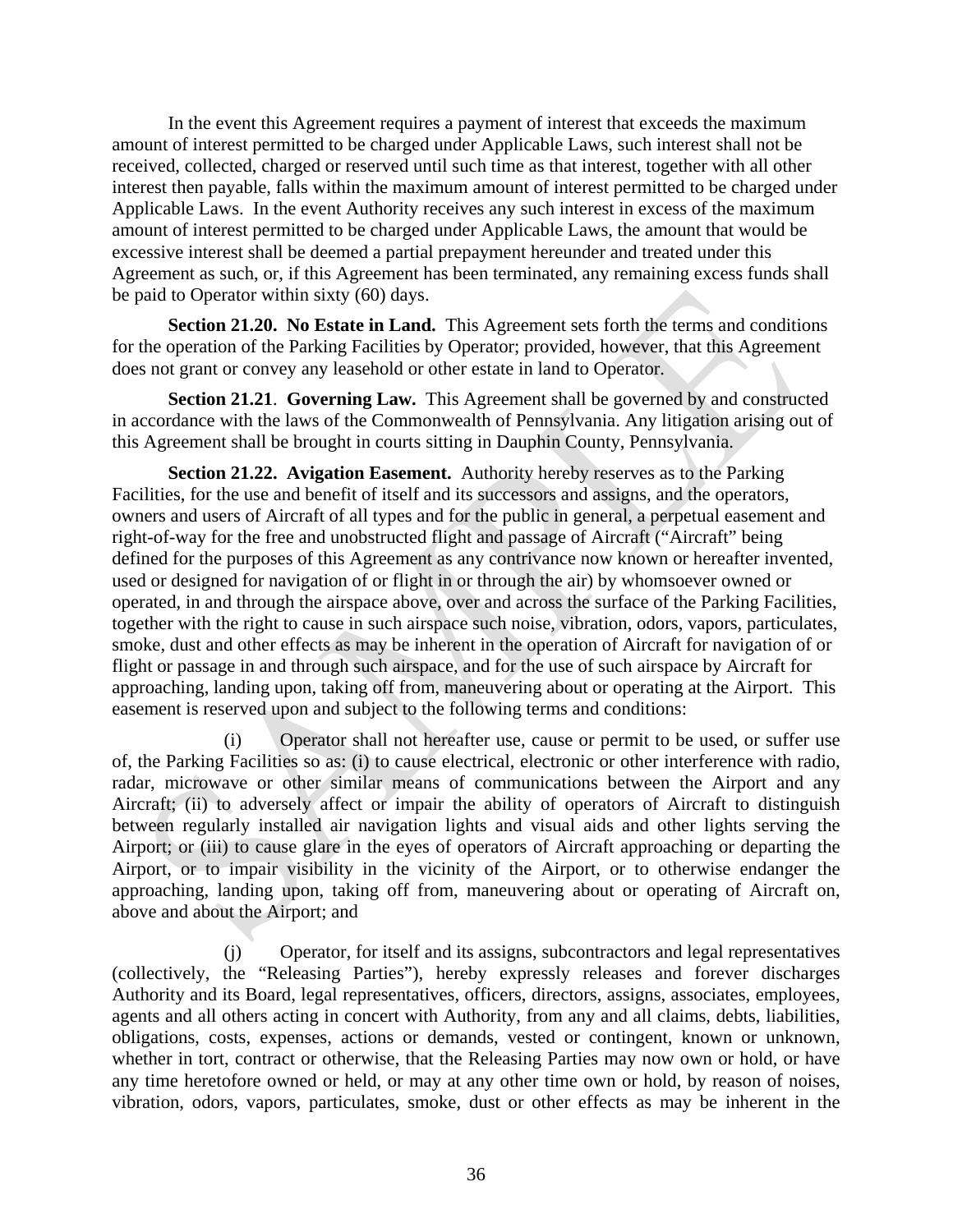In the event this Agreement requires a payment of interest that exceeds the maximum amount of interest permitted to be charged under Applicable Laws, such interest shall not be received, collected, charged or reserved until such time as that interest, together with all other interest then payable, falls within the maximum amount of interest permitted to be charged under Applicable Laws. In the event Authority receives any such interest in excess of the maximum amount of interest permitted to be charged under Applicable Laws, the amount that would be excessive interest shall be deemed a partial prepayment hereunder and treated under this Agreement as such, or, if this Agreement has been terminated, any remaining excess funds shall be paid to Operator within sixty (60) days.

**Section 21.20. No Estate in Land.** This Agreement sets forth the terms and conditions for the operation of the Parking Facilities by Operator; provided, however, that this Agreement does not grant or convey any leasehold or other estate in land to Operator.

**Section 21.21**. **Governing Law.** This Agreement shall be governed by and constructed in accordance with the laws of the Commonwealth of Pennsylvania. Any litigation arising out of this Agreement shall be brought in courts sitting in Dauphin County, Pennsylvania.

**Section 21.22. Avigation Easement.** Authority hereby reserves as to the Parking Facilities, for the use and benefit of itself and its successors and assigns, and the operators, owners and users of Aircraft of all types and for the public in general, a perpetual easement and right-of-way for the free and unobstructed flight and passage of Aircraft ("Aircraft" being defined for the purposes of this Agreement as any contrivance now known or hereafter invented, used or designed for navigation of or flight in or through the air) by whomsoever owned or operated, in and through the airspace above, over and across the surface of the Parking Facilities, together with the right to cause in such airspace such noise, vibration, odors, vapors, particulates, smoke, dust and other effects as may be inherent in the operation of Aircraft for navigation of or flight or passage in and through such airspace, and for the use of such airspace by Aircraft for approaching, landing upon, taking off from, maneuvering about or operating at the Airport. This easement is reserved upon and subject to the following terms and conditions:

(i) Operator shall not hereafter use, cause or permit to be used, or suffer use of, the Parking Facilities so as: (i) to cause electrical, electronic or other interference with radio, radar, microwave or other similar means of communications between the Airport and any Aircraft; (ii) to adversely affect or impair the ability of operators of Aircraft to distinguish between regularly installed air navigation lights and visual aids and other lights serving the Airport; or (iii) to cause glare in the eyes of operators of Aircraft approaching or departing the Airport, or to impair visibility in the vicinity of the Airport, or to otherwise endanger the approaching, landing upon, taking off from, maneuvering about or operating of Aircraft on, above and about the Airport; and

(j) Operator, for itself and its assigns, subcontractors and legal representatives (collectively, the "Releasing Parties"), hereby expressly releases and forever discharges Authority and its Board, legal representatives, officers, directors, assigns, associates, employees, agents and all others acting in concert with Authority, from any and all claims, debts, liabilities, obligations, costs, expenses, actions or demands, vested or contingent, known or unknown, whether in tort, contract or otherwise, that the Releasing Parties may now own or hold, or have any time heretofore owned or held, or may at any other time own or hold, by reason of noises, vibration, odors, vapors, particulates, smoke, dust or other effects as may be inherent in the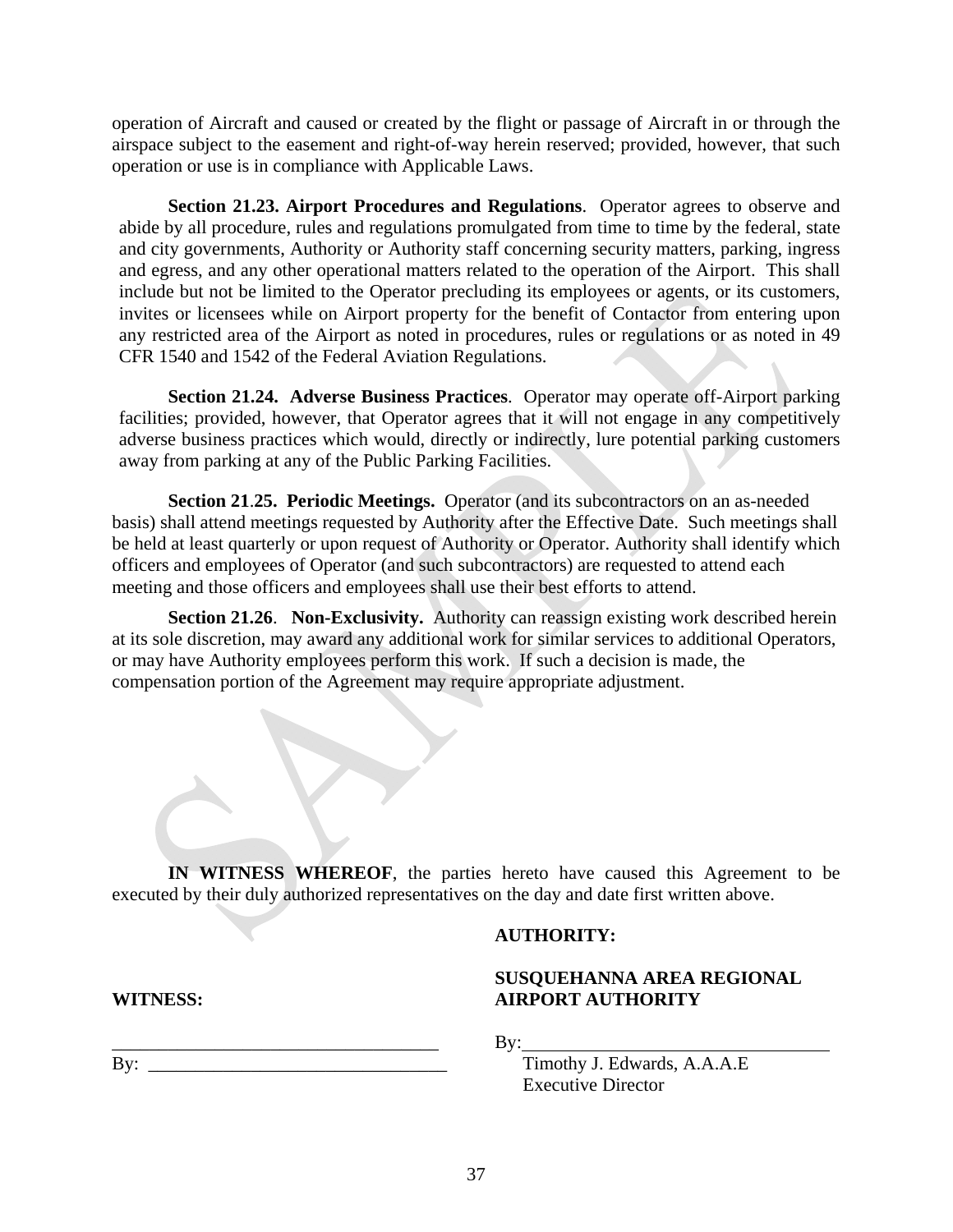operation of Aircraft and caused or created by the flight or passage of Aircraft in or through the airspace subject to the easement and right-of-way herein reserved; provided, however, that such operation or use is in compliance with Applicable Laws.

**Section 21.23. Airport Procedures and Regulations**. Operator agrees to observe and abide by all procedure, rules and regulations promulgated from time to time by the federal, state and city governments, Authority or Authority staff concerning security matters, parking, ingress and egress, and any other operational matters related to the operation of the Airport. This shall include but not be limited to the Operator precluding its employees or agents, or its customers, invites or licensees while on Airport property for the benefit of Contactor from entering upon any restricted area of the Airport as noted in procedures, rules or regulations or as noted in 49 CFR 1540 and 1542 of the Federal Aviation Regulations.

**Section 21.24. Adverse Business Practices**. Operator may operate off-Airport parking facilities; provided, however, that Operator agrees that it will not engage in any competitively adverse business practices which would, directly or indirectly, lure potential parking customers away from parking at any of the Public Parking Facilities.

 **Section 21**.**25. Periodic Meetings.** Operator (and its subcontractors on an as-needed basis) shall attend meetings requested by Authority after the Effective Date. Such meetings shall be held at least quarterly or upon request of Authority or Operator. Authority shall identify which officers and employees of Operator (and such subcontractors) are requested to attend each meeting and those officers and employees shall use their best efforts to attend.

**Section 21.26**. **Non-Exclusivity.** Authority can reassign existing work described herein at its sole discretion, may award any additional work for similar services to additional Operators, or may have Authority employees perform this work. If such a decision is made, the compensation portion of the Agreement may require appropriate adjustment.

**IN WITNESS WHEREOF**, the parties hereto have caused this Agreement to be executed by their duly authorized representatives on the day and date first written above.

#### **AUTHORITY:**

### **SUSQUEHANNA AREA REGIONAL AIRPORT AUTHORITY**

By:

Timothy J. Edwards, A.A.A.E Executive Director

**WITNESS:** 

\_\_\_\_\_\_\_\_\_\_\_\_\_\_\_\_\_\_\_\_\_\_\_\_\_\_\_\_\_\_\_\_\_\_\_  $\mathbf{B} \mathbf{y}$ :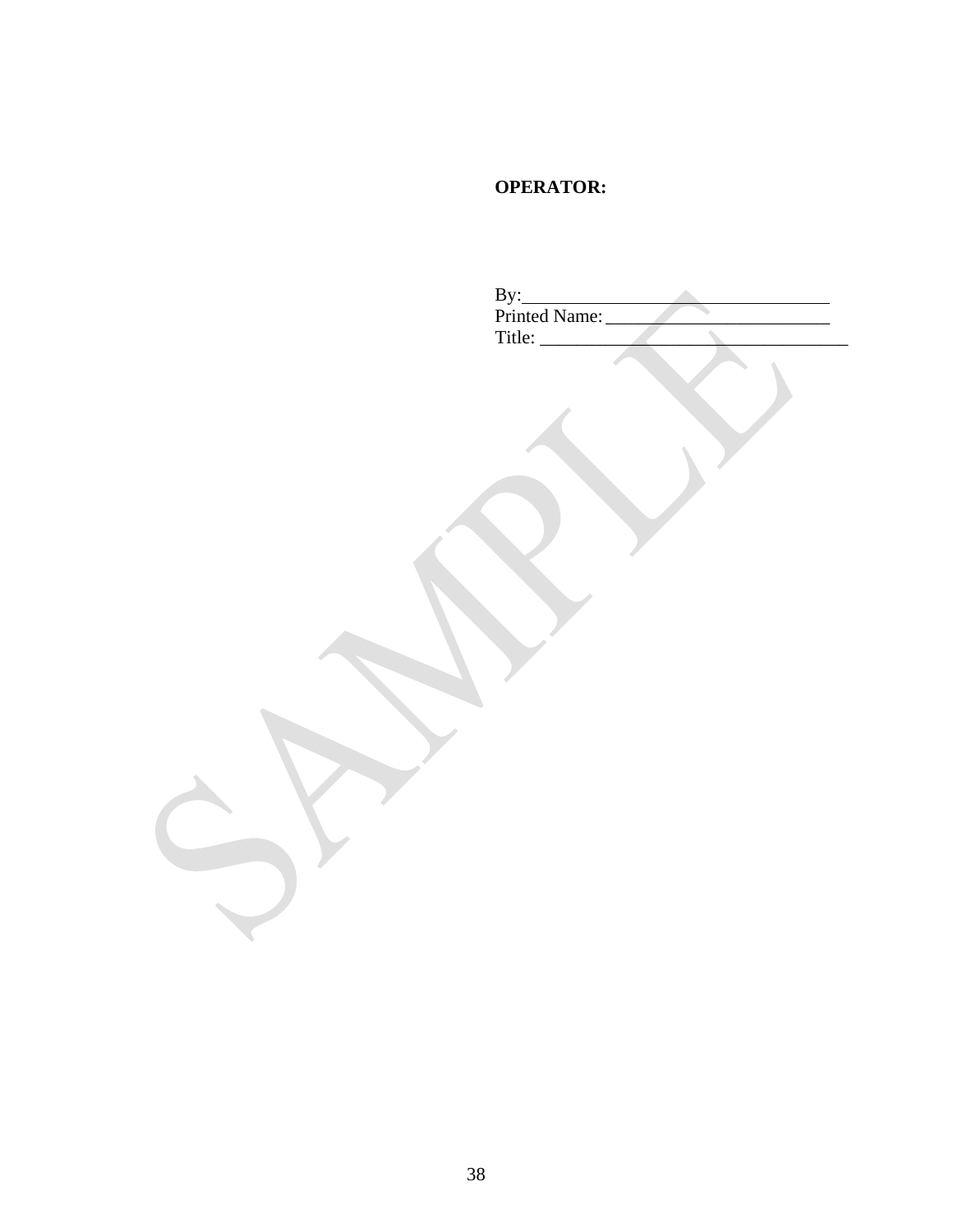### **OPERATOR:**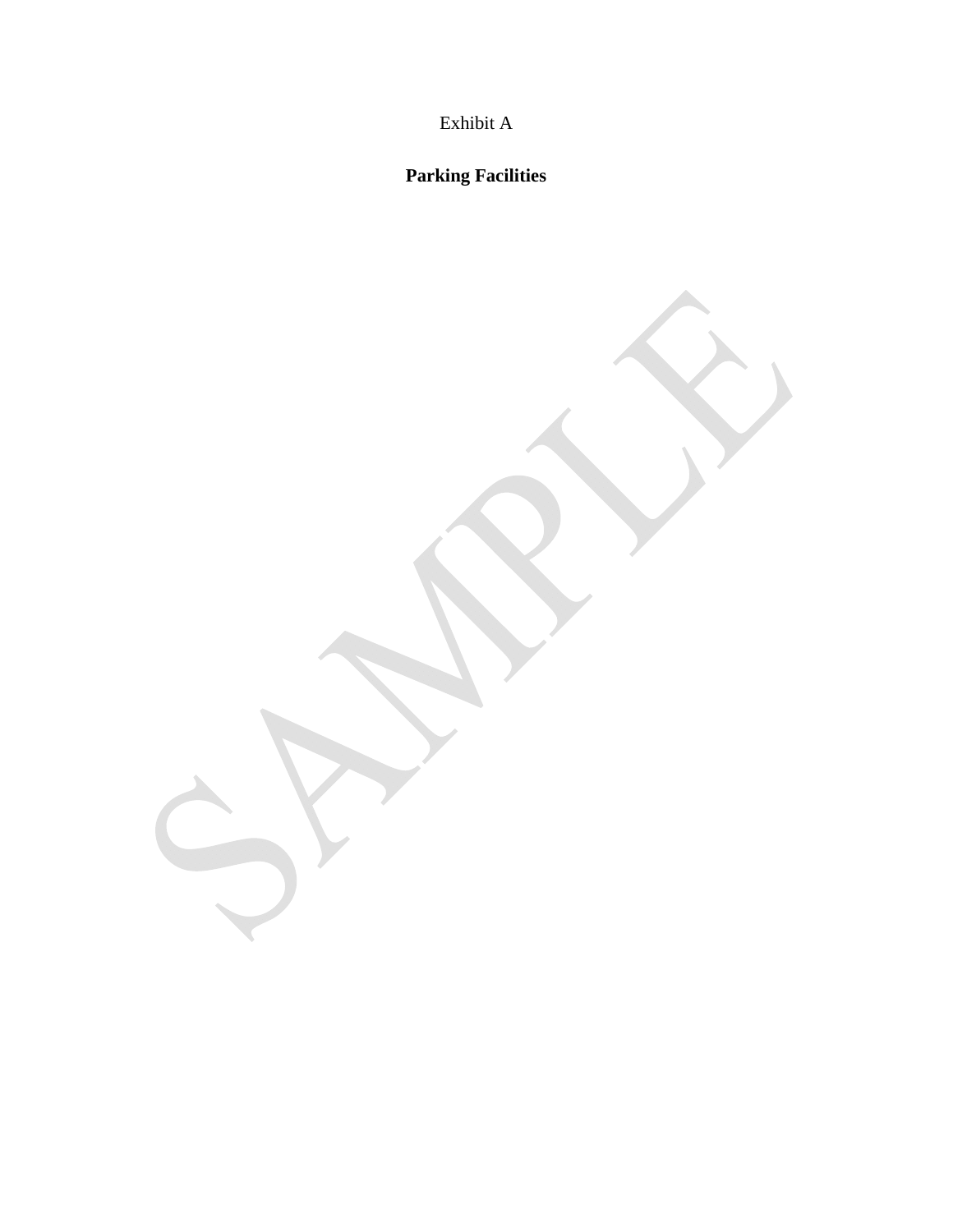Exhibit A

**Parking Facilities**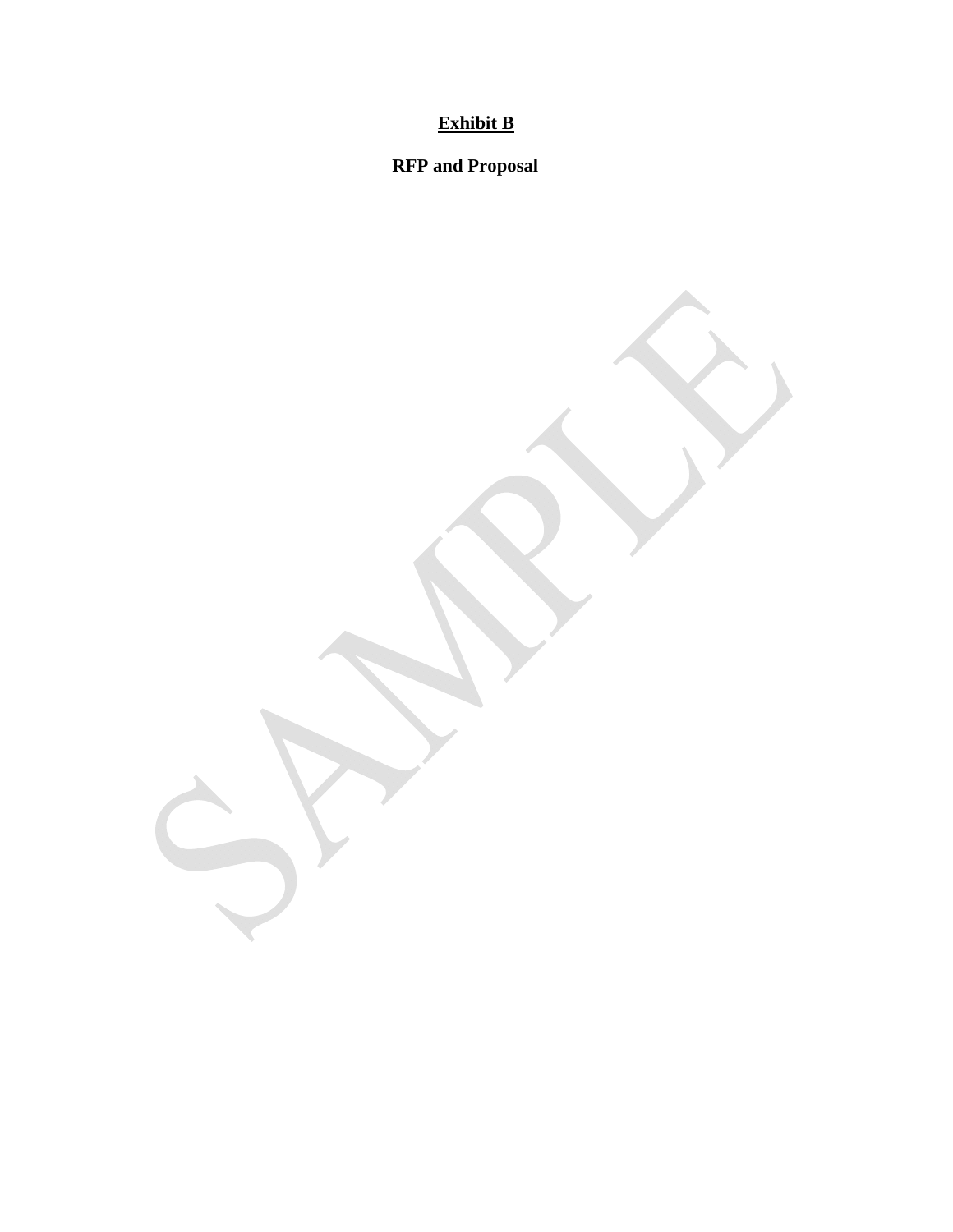# **Exhibit B**

**RFP and Proposal**